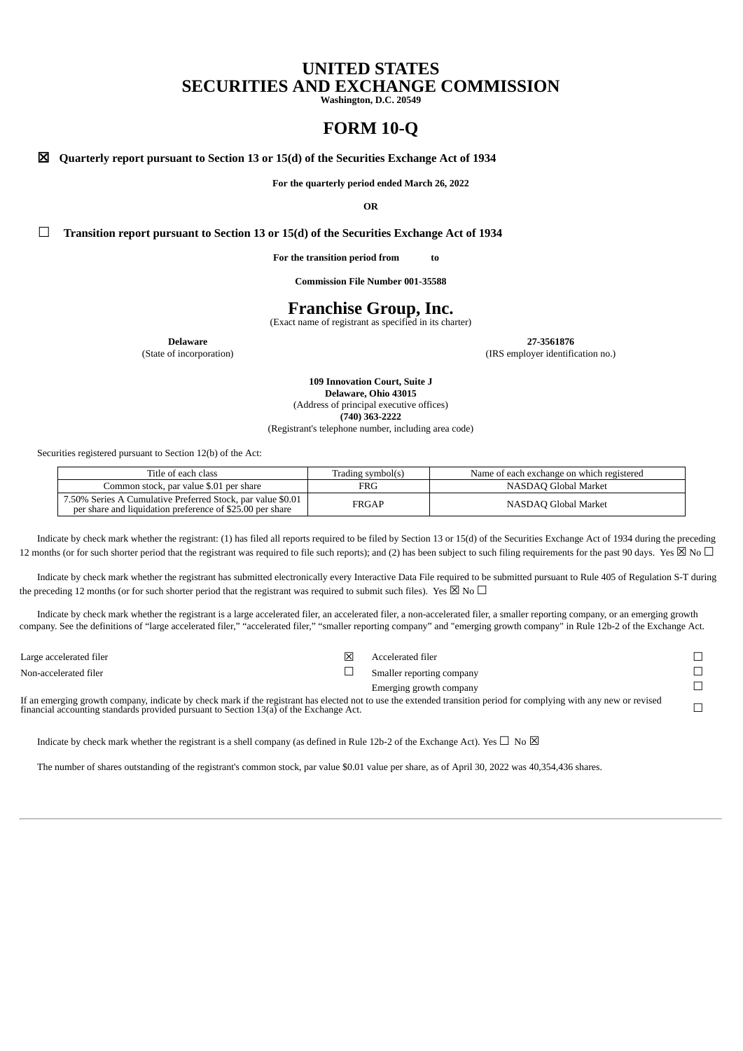# **UNITED STATES SECURITIES AND EXCHANGE COMMISSION**

**Washington, D.C. 20549**

# **FORM 10-Q**

☒ **Quarterly report pursuant to Section 13 or 15(d) of the Securities Exchange Act of 1934**

**For the quarterly period ended March 26, 2022**

**OR**

☐ **Transition report pursuant to Section 13 or 15(d) of the Securities Exchange Act of 1934**

**For the transition period from to**

**Commission File Number 001-35588**

## **Franchise Group, Inc.**

(Exact name of registrant as specified in its charter)

**Delaware 27-3561876**

(State of incorporation) (IRS employer identification no.)

**109 Innovation Court, Suite J Delaware, Ohio 43015** (Address of principal executive offices) **(740) 363-2222** (Registrant's telephone number, including area code)

Securities registered pursuant to Section 12(b) of the Act:

| Title of each class                                                                                                      | Trading symbol(s) | Name of each exchange on which registered |
|--------------------------------------------------------------------------------------------------------------------------|-------------------|-------------------------------------------|
| Common stock, par value \$.01 per share                                                                                  | FRG               | NASDAO Global Market                      |
| 7.50% Series A Cumulative Preferred Stock, par value \$0.01<br>per share and liquidation preference of \$25.00 per share | FRGAP             | NASDAQ Global Market                      |

Indicate by check mark whether the registrant: (1) has filed all reports required to be filed by Section 13 or 15(d) of the Securities Exchange Act of 1934 during the preceding 12 months (or for such shorter period that the registrant was required to file such reports); and (2) has been subject to such filing requirements for the past 90 days. Yes  $\boxtimes$  No  $\Box$ 

Indicate by check mark whether the registrant has submitted electronically every Interactive Data File required to be submitted pursuant to Rule 405 of Regulation S-T during the preceding 12 months (or for such shorter period that the registrant was required to submit such files). Yes  $\boxtimes$  No  $\Box$ 

Indicate by check mark whether the registrant is a large accelerated filer, an accelerated filer, a non-accelerated filer, a smaller reporting company, or an emerging growth company. See the definitions of "large accelerated filer," "accelerated filer," "smaller reporting company" and "emerging growth company" in Rule 12b-2 of the Exchange Act.

Non-accelerated filer □ □ □ Smaller reporting company □

| Large accelerated filer | ⊠ | Accelerated filer |  |
|-------------------------|---|-------------------|--|
|-------------------------|---|-------------------|--|

Emerging growth company  $\Box$ 

If an emerging growth company, indicate by check mark if the registrant has elected not to use the extended transition period for complying with any new or revised financial accounting standards provided pursuant to Section 13(a) of the Exchange Act. ☐

Indicate by check mark whether the registrant is a shell company (as defined in Rule 12b-2 of the Exchange Act). Yes  $\Box$  No  $\boxtimes$ 

The number of shares outstanding of the registrant's common stock, par value \$0.01 value per share, as of April 30, 2022 was 40,354,436 shares.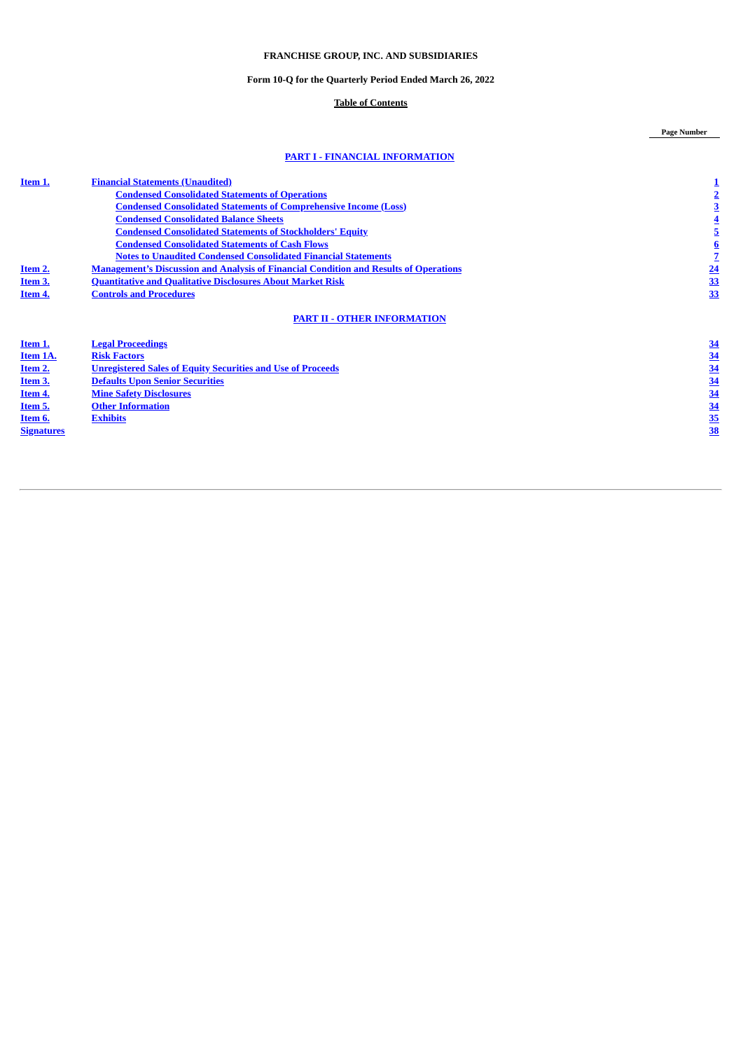## **Form 10-Q for the Quarterly Period Ended March 26, 2022**

## **Table of Contents**

**Page Number**

## **PART I - FINANCIAL [INFORMATION](#page-1-0)**

<span id="page-1-0"></span>

| Item 1.           | <b>Financial Statements (Unaudited)</b>                                                      |                 |
|-------------------|----------------------------------------------------------------------------------------------|-----------------|
|                   | <b>Condensed Consolidated Statements of Operations</b>                                       |                 |
|                   | <b>Condensed Consolidated Statements of Comprehensive Income (Loss)</b>                      |                 |
|                   | <b>Condensed Consolidated Balance Sheets</b>                                                 |                 |
|                   | <b>Condensed Consolidated Statements of Stockholders' Equity</b>                             |                 |
|                   | <b>Condensed Consolidated Statements of Cash Flows</b>                                       | <u>6</u>        |
|                   | <b>Notes to Unaudited Condensed Consolidated Financial Statements</b>                        |                 |
| Item 2.           | <b>Management's Discussion and Analysis of Financial Condition and Results of Operations</b> | 24              |
| Item 3.           | <b>Quantitative and Qualitative Disclosures About Market Risk</b>                            | 33              |
| Item 4.           | <b>Controls and Procedures</b>                                                               | 33              |
|                   |                                                                                              |                 |
|                   | <b>PART II - OTHER INFORMATION</b>                                                           |                 |
| <b>Item 1.</b>    | <b>Legal Proceedings</b>                                                                     | $\overline{34}$ |
| <u>Item 1A.</u>   | <b>Risk Factors</b>                                                                          | 34              |
| Item 2.           | <b>Unregistered Sales of Equity Securities and Use of Proceeds</b>                           | <u>34</u>       |
| <u>Item 3.</u>    | <b>Defaults Upon Senior Securities</b>                                                       | 34              |
| <u>Item 4.</u>    | <b>Mine Safety Disclosures</b>                                                               | 34              |
| Item 5.           | <b>Other Information</b>                                                                     | 34              |
| <u>Item 6.</u>    | <b>Exhibits</b>                                                                              | 35              |
| <b>Signatures</b> |                                                                                              | <b>38</b>       |
|                   |                                                                                              |                 |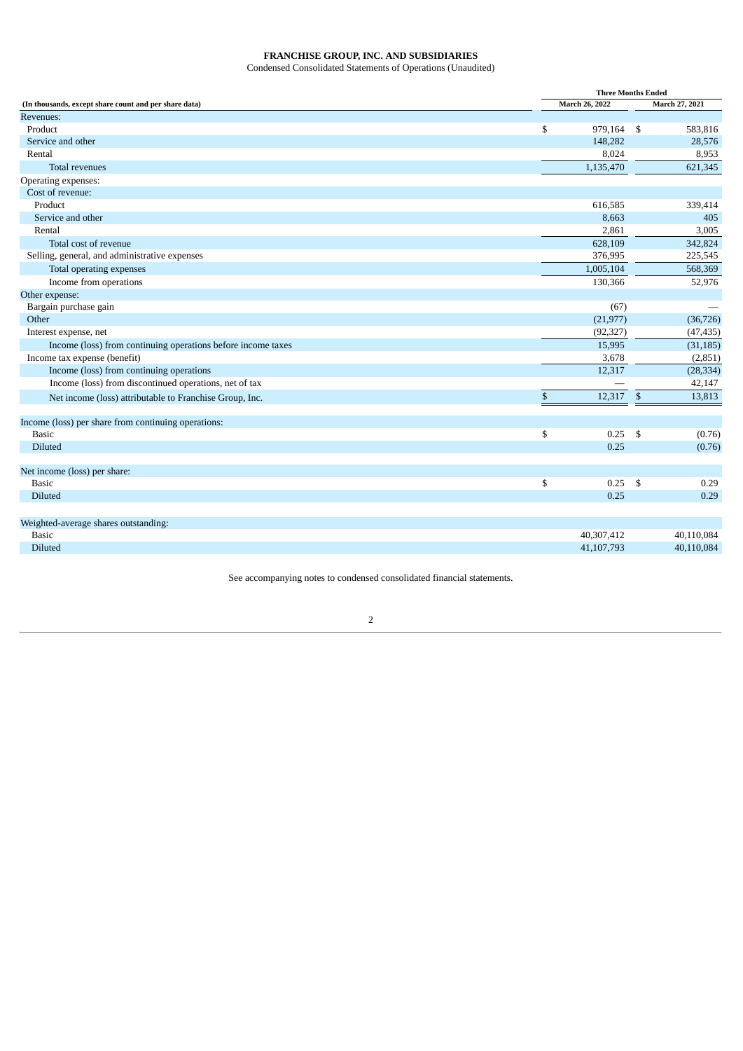Condensed Consolidated Statements of Operations (Unaudited)

| March 26, 2022<br>March 27, 2021<br>(In thousands, except share count and per share data)<br>Product<br>\$<br>979,164<br>- \$<br>583,816<br>28,576<br>Service and other<br>148,282<br>Rental<br>8,024<br>8,953<br>621,345<br>1,135,470<br><b>Total revenues</b><br>Cost of revenue:<br>Product<br>616,585<br>339,414<br>Service and other<br>8,663<br>405<br>Rental<br>2,861<br>3,005<br>Total cost of revenue<br>628,109<br>342,824<br>Selling, general, and administrative expenses<br>376,995<br>225,545<br>Total operating expenses<br>1,005,104<br>568,369<br>Income from operations<br>52,976<br>130,366<br>Bargain purchase gain<br>(67)<br>Other<br>(21, 977)<br>(36, 726)<br>Interest expense, net<br>(92, 327)<br>(47, 435)<br>Income (loss) from continuing operations before income taxes<br>15,995<br>(31, 185)<br>Income tax expense (benefit)<br>3,678<br>(2,851)<br>Income (loss) from continuing operations<br>12,317<br>(28, 334)<br>Income (loss) from discontinued operations, net of tax<br>42,147<br>\$<br>12,317<br>$\sqrt{5}$<br>13,813<br>Net income (loss) attributable to Franchise Group, Inc.<br>Income (loss) per share from continuing operations:<br>\$<br>0.25<br>(0.76)<br><b>Basic</b><br>-\$<br>Diluted<br>0.25<br>(0.76)<br>\$<br>0.25<br>- \$<br>0.29<br><b>Basic</b><br>0.29<br>0.25<br>Diluted<br>Weighted-average shares outstanding:<br><b>Basic</b><br>40,307,412<br>40,110,084 |                              | <b>Three Months Ended</b> |            |
|----------------------------------------------------------------------------------------------------------------------------------------------------------------------------------------------------------------------------------------------------------------------------------------------------------------------------------------------------------------------------------------------------------------------------------------------------------------------------------------------------------------------------------------------------------------------------------------------------------------------------------------------------------------------------------------------------------------------------------------------------------------------------------------------------------------------------------------------------------------------------------------------------------------------------------------------------------------------------------------------------------------------------------------------------------------------------------------------------------------------------------------------------------------------------------------------------------------------------------------------------------------------------------------------------------------------------------------------------------------------------------------------------------------------------|------------------------------|---------------------------|------------|
|                                                                                                                                                                                                                                                                                                                                                                                                                                                                                                                                                                                                                                                                                                                                                                                                                                                                                                                                                                                                                                                                                                                                                                                                                                                                                                                                                                                                                            |                              |                           |            |
|                                                                                                                                                                                                                                                                                                                                                                                                                                                                                                                                                                                                                                                                                                                                                                                                                                                                                                                                                                                                                                                                                                                                                                                                                                                                                                                                                                                                                            | Revenues:                    |                           |            |
|                                                                                                                                                                                                                                                                                                                                                                                                                                                                                                                                                                                                                                                                                                                                                                                                                                                                                                                                                                                                                                                                                                                                                                                                                                                                                                                                                                                                                            |                              |                           |            |
|                                                                                                                                                                                                                                                                                                                                                                                                                                                                                                                                                                                                                                                                                                                                                                                                                                                                                                                                                                                                                                                                                                                                                                                                                                                                                                                                                                                                                            |                              |                           |            |
|                                                                                                                                                                                                                                                                                                                                                                                                                                                                                                                                                                                                                                                                                                                                                                                                                                                                                                                                                                                                                                                                                                                                                                                                                                                                                                                                                                                                                            |                              |                           |            |
|                                                                                                                                                                                                                                                                                                                                                                                                                                                                                                                                                                                                                                                                                                                                                                                                                                                                                                                                                                                                                                                                                                                                                                                                                                                                                                                                                                                                                            |                              |                           |            |
|                                                                                                                                                                                                                                                                                                                                                                                                                                                                                                                                                                                                                                                                                                                                                                                                                                                                                                                                                                                                                                                                                                                                                                                                                                                                                                                                                                                                                            | Operating expenses:          |                           |            |
|                                                                                                                                                                                                                                                                                                                                                                                                                                                                                                                                                                                                                                                                                                                                                                                                                                                                                                                                                                                                                                                                                                                                                                                                                                                                                                                                                                                                                            |                              |                           |            |
|                                                                                                                                                                                                                                                                                                                                                                                                                                                                                                                                                                                                                                                                                                                                                                                                                                                                                                                                                                                                                                                                                                                                                                                                                                                                                                                                                                                                                            |                              |                           |            |
|                                                                                                                                                                                                                                                                                                                                                                                                                                                                                                                                                                                                                                                                                                                                                                                                                                                                                                                                                                                                                                                                                                                                                                                                                                                                                                                                                                                                                            |                              |                           |            |
|                                                                                                                                                                                                                                                                                                                                                                                                                                                                                                                                                                                                                                                                                                                                                                                                                                                                                                                                                                                                                                                                                                                                                                                                                                                                                                                                                                                                                            |                              |                           |            |
|                                                                                                                                                                                                                                                                                                                                                                                                                                                                                                                                                                                                                                                                                                                                                                                                                                                                                                                                                                                                                                                                                                                                                                                                                                                                                                                                                                                                                            |                              |                           |            |
|                                                                                                                                                                                                                                                                                                                                                                                                                                                                                                                                                                                                                                                                                                                                                                                                                                                                                                                                                                                                                                                                                                                                                                                                                                                                                                                                                                                                                            |                              |                           |            |
|                                                                                                                                                                                                                                                                                                                                                                                                                                                                                                                                                                                                                                                                                                                                                                                                                                                                                                                                                                                                                                                                                                                                                                                                                                                                                                                                                                                                                            |                              |                           |            |
|                                                                                                                                                                                                                                                                                                                                                                                                                                                                                                                                                                                                                                                                                                                                                                                                                                                                                                                                                                                                                                                                                                                                                                                                                                                                                                                                                                                                                            |                              |                           |            |
|                                                                                                                                                                                                                                                                                                                                                                                                                                                                                                                                                                                                                                                                                                                                                                                                                                                                                                                                                                                                                                                                                                                                                                                                                                                                                                                                                                                                                            | Other expense:               |                           |            |
|                                                                                                                                                                                                                                                                                                                                                                                                                                                                                                                                                                                                                                                                                                                                                                                                                                                                                                                                                                                                                                                                                                                                                                                                                                                                                                                                                                                                                            |                              |                           |            |
|                                                                                                                                                                                                                                                                                                                                                                                                                                                                                                                                                                                                                                                                                                                                                                                                                                                                                                                                                                                                                                                                                                                                                                                                                                                                                                                                                                                                                            |                              |                           |            |
|                                                                                                                                                                                                                                                                                                                                                                                                                                                                                                                                                                                                                                                                                                                                                                                                                                                                                                                                                                                                                                                                                                                                                                                                                                                                                                                                                                                                                            |                              |                           |            |
|                                                                                                                                                                                                                                                                                                                                                                                                                                                                                                                                                                                                                                                                                                                                                                                                                                                                                                                                                                                                                                                                                                                                                                                                                                                                                                                                                                                                                            |                              |                           |            |
|                                                                                                                                                                                                                                                                                                                                                                                                                                                                                                                                                                                                                                                                                                                                                                                                                                                                                                                                                                                                                                                                                                                                                                                                                                                                                                                                                                                                                            |                              |                           |            |
|                                                                                                                                                                                                                                                                                                                                                                                                                                                                                                                                                                                                                                                                                                                                                                                                                                                                                                                                                                                                                                                                                                                                                                                                                                                                                                                                                                                                                            |                              |                           |            |
|                                                                                                                                                                                                                                                                                                                                                                                                                                                                                                                                                                                                                                                                                                                                                                                                                                                                                                                                                                                                                                                                                                                                                                                                                                                                                                                                                                                                                            |                              |                           |            |
|                                                                                                                                                                                                                                                                                                                                                                                                                                                                                                                                                                                                                                                                                                                                                                                                                                                                                                                                                                                                                                                                                                                                                                                                                                                                                                                                                                                                                            |                              |                           |            |
|                                                                                                                                                                                                                                                                                                                                                                                                                                                                                                                                                                                                                                                                                                                                                                                                                                                                                                                                                                                                                                                                                                                                                                                                                                                                                                                                                                                                                            |                              |                           |            |
|                                                                                                                                                                                                                                                                                                                                                                                                                                                                                                                                                                                                                                                                                                                                                                                                                                                                                                                                                                                                                                                                                                                                                                                                                                                                                                                                                                                                                            |                              |                           |            |
|                                                                                                                                                                                                                                                                                                                                                                                                                                                                                                                                                                                                                                                                                                                                                                                                                                                                                                                                                                                                                                                                                                                                                                                                                                                                                                                                                                                                                            |                              |                           |            |
|                                                                                                                                                                                                                                                                                                                                                                                                                                                                                                                                                                                                                                                                                                                                                                                                                                                                                                                                                                                                                                                                                                                                                                                                                                                                                                                                                                                                                            |                              |                           |            |
|                                                                                                                                                                                                                                                                                                                                                                                                                                                                                                                                                                                                                                                                                                                                                                                                                                                                                                                                                                                                                                                                                                                                                                                                                                                                                                                                                                                                                            |                              |                           |            |
|                                                                                                                                                                                                                                                                                                                                                                                                                                                                                                                                                                                                                                                                                                                                                                                                                                                                                                                                                                                                                                                                                                                                                                                                                                                                                                                                                                                                                            | Net income (loss) per share: |                           |            |
|                                                                                                                                                                                                                                                                                                                                                                                                                                                                                                                                                                                                                                                                                                                                                                                                                                                                                                                                                                                                                                                                                                                                                                                                                                                                                                                                                                                                                            |                              |                           |            |
|                                                                                                                                                                                                                                                                                                                                                                                                                                                                                                                                                                                                                                                                                                                                                                                                                                                                                                                                                                                                                                                                                                                                                                                                                                                                                                                                                                                                                            |                              |                           |            |
|                                                                                                                                                                                                                                                                                                                                                                                                                                                                                                                                                                                                                                                                                                                                                                                                                                                                                                                                                                                                                                                                                                                                                                                                                                                                                                                                                                                                                            |                              |                           |            |
|                                                                                                                                                                                                                                                                                                                                                                                                                                                                                                                                                                                                                                                                                                                                                                                                                                                                                                                                                                                                                                                                                                                                                                                                                                                                                                                                                                                                                            |                              |                           |            |
|                                                                                                                                                                                                                                                                                                                                                                                                                                                                                                                                                                                                                                                                                                                                                                                                                                                                                                                                                                                                                                                                                                                                                                                                                                                                                                                                                                                                                            |                              |                           |            |
| 41,107,793                                                                                                                                                                                                                                                                                                                                                                                                                                                                                                                                                                                                                                                                                                                                                                                                                                                                                                                                                                                                                                                                                                                                                                                                                                                                                                                                                                                                                 | Diluted                      |                           | 40,110,084 |

<span id="page-3-0"></span>See accompanying notes to condensed consolidated financial statements.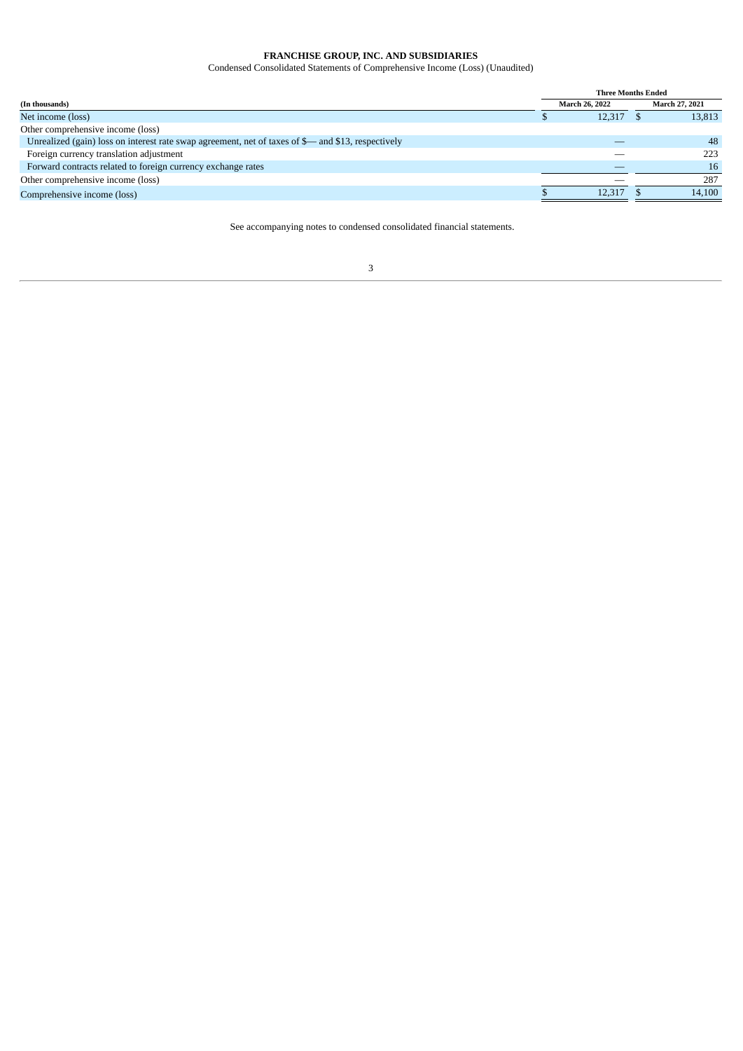Condensed Consolidated Statements of Comprehensive Income (Loss) (Unaudited)

<span id="page-4-0"></span>

|                                                                                                    | <b>Three Months Ended</b> |                       |  |                       |  |
|----------------------------------------------------------------------------------------------------|---------------------------|-----------------------|--|-----------------------|--|
| (In thousands)                                                                                     |                           | <b>March 26, 2022</b> |  | <b>March 27, 2021</b> |  |
| Net income (loss)                                                                                  |                           | 12,317                |  | 13,813                |  |
| Other comprehensive income (loss)                                                                  |                           |                       |  |                       |  |
| Unrealized (gain) loss on interest rate swap agreement, net of taxes of \$— and \$13, respectively |                           |                       |  | 48                    |  |
| Foreign currency translation adjustment                                                            |                           |                       |  | 223                   |  |
| Forward contracts related to foreign currency exchange rates                                       |                           |                       |  | 16                    |  |
| Other comprehensive income (loss)                                                                  |                           |                       |  | 287                   |  |
| Comprehensive income (loss)                                                                        |                           | 12.317                |  | 14,100                |  |

See accompanying notes to condensed consolidated financial statements.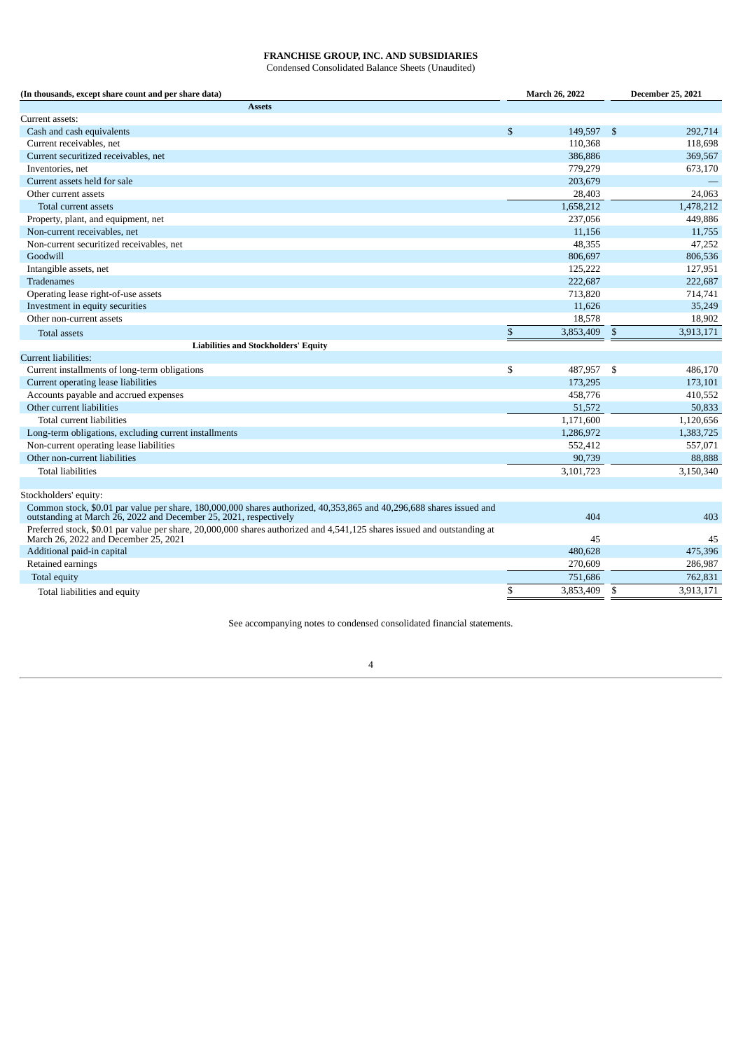Condensed Consolidated Balance Sheets (Unaudited)

| (In thousands, except share count and per share data)                                                                                                                                     |              | March 26, 2022 |                    | <b>December 25, 2021</b> |
|-------------------------------------------------------------------------------------------------------------------------------------------------------------------------------------------|--------------|----------------|--------------------|--------------------------|
| <b>Assets</b>                                                                                                                                                                             |              |                |                    |                          |
| Current assets:                                                                                                                                                                           |              |                |                    |                          |
| Cash and cash equivalents                                                                                                                                                                 | $\mathbb{S}$ | 149,597 \$     |                    | 292,714                  |
| Current receivables, net                                                                                                                                                                  |              | 110,368        |                    | 118,698                  |
| Current securitized receivables, net                                                                                                                                                      |              | 386,886        |                    | 369,567                  |
| Inventories, net                                                                                                                                                                          |              | 779,279        |                    | 673,170                  |
| Current assets held for sale                                                                                                                                                              |              | 203,679        |                    |                          |
| Other current assets                                                                                                                                                                      |              | 28,403         |                    | 24,063                   |
| Total current assets                                                                                                                                                                      |              | 1,658,212      |                    | 1,478,212                |
| Property, plant, and equipment, net                                                                                                                                                       |              | 237,056        |                    | 449.886                  |
| Non-current receivables, net                                                                                                                                                              |              | 11,156         |                    | 11,755                   |
| Non-current securitized receivables, net                                                                                                                                                  |              | 48,355         |                    | 47,252                   |
| Goodwill                                                                                                                                                                                  |              | 806,697        |                    | 806,536                  |
| Intangible assets, net                                                                                                                                                                    |              | 125,222        |                    | 127,951                  |
| <b>Tradenames</b>                                                                                                                                                                         |              | 222,687        |                    | 222,687                  |
| Operating lease right-of-use assets                                                                                                                                                       |              | 713,820        |                    | 714,741                  |
| Investment in equity securities                                                                                                                                                           |              | 11,626         |                    | 35,249                   |
| Other non-current assets                                                                                                                                                                  |              | 18,578         |                    | 18,902                   |
| <b>Total assets</b>                                                                                                                                                                       | \$           | 3,853,409      | $\mathbf{\hat{S}}$ | 3,913,171                |
| <b>Liabilities and Stockholders' Equity</b>                                                                                                                                               |              |                |                    |                          |
| <b>Current liabilities:</b>                                                                                                                                                               |              |                |                    |                          |
| Current installments of long-term obligations                                                                                                                                             | \$           | 487,957        | -\$                | 486,170                  |
| Current operating lease liabilities                                                                                                                                                       |              | 173,295        |                    | 173,101                  |
| Accounts payable and accrued expenses                                                                                                                                                     |              | 458,776        |                    | 410,552                  |
| Other current liabilities                                                                                                                                                                 |              | 51,572         |                    | 50,833                   |
| Total current liabilities                                                                                                                                                                 |              | 1,171,600      |                    | 1,120,656                |
| Long-term obligations, excluding current installments                                                                                                                                     |              | 1,286,972      |                    | 1,383,725                |
| Non-current operating lease liabilities                                                                                                                                                   |              | 552,412        |                    | 557,071                  |
| Other non-current liabilities                                                                                                                                                             |              | 90,739         |                    | 88.888                   |
| <b>Total liabilities</b>                                                                                                                                                                  |              | 3,101,723      |                    | 3,150,340                |
| Stockholders' equity:                                                                                                                                                                     |              |                |                    |                          |
|                                                                                                                                                                                           |              |                |                    |                          |
| Common stock, \$0.01 par value per share, 180,000,000 shares authorized, 40,353,865 and 40,296,688 shares issued and<br>outstanding at March 26, 2022 and December 25, 2021, respectively |              | 404            |                    | 403                      |
| Preferred stock, \$0.01 par value per share, 20,000,000 shares authorized and 4,541,125 shares issued and outstanding at<br>March 26, 2022 and December 25, 2021                          |              | 45             |                    | 45                       |
| Additional paid-in capital                                                                                                                                                                |              | 480,628        |                    | 475,396                  |
| Retained earnings                                                                                                                                                                         |              | 270,609        |                    | 286,987                  |
| Total equity                                                                                                                                                                              |              | 751,686        |                    | 762,831                  |
| Total liabilities and equity                                                                                                                                                              | \$           | 3,853,409      | \$                 | 3,913,171                |

<span id="page-5-0"></span>See accompanying notes to condensed consolidated financial statements.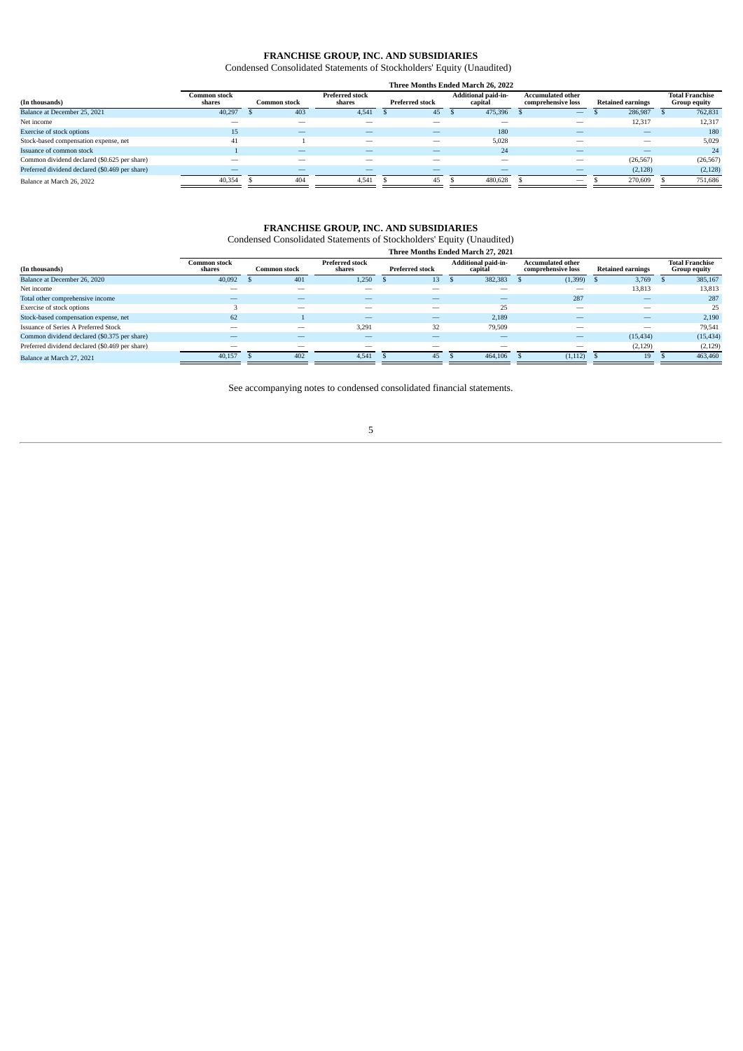Condensed Consolidated Statements of Stockholders' Equity (Unaudited)

|                                                 | Three Months Ended March 26, 2022 |  |                     |                                  |  |                          |  |                                       |                                                |                          |                                        |
|-------------------------------------------------|-----------------------------------|--|---------------------|----------------------------------|--|--------------------------|--|---------------------------------------|------------------------------------------------|--------------------------|----------------------------------------|
| (In thousands)                                  | <b>Common stock</b><br>shares     |  | <b>Common stock</b> | <b>Preferred stock</b><br>shares |  | <b>Preferred stock</b>   |  | <b>Additional paid-in-</b><br>capital | <b>Accumulated other</b><br>comprehensive loss | <b>Retained earnings</b> | <b>Total Franchise</b><br>Group equity |
| Balance at December 25, 2021                    | 40,297                            |  | 403                 | 4,541                            |  | 45                       |  | 475,396                               | $\overline{\phantom{0}}$                       | 286,987                  | 762,831                                |
| Net income                                      |                                   |  | _                   | $\overline{\phantom{a}}$         |  |                          |  |                                       |                                                | 12,317                   | 12,317                                 |
| Exercise of stock options                       | 15                                |  | –                   |                                  |  |                          |  | 180                                   |                                                |                          | 180                                    |
| Stock-based compensation expense, net           | 41                                |  |                     |                                  |  | —                        |  | 5,028                                 | $\overline{\phantom{0}}$                       | $\overline{\phantom{m}}$ | 5,029                                  |
| Issuance of common stock                        |                                   |  | _                   |                                  |  | –                        |  | 24                                    | _                                              | $-$                      | 24                                     |
| Common dividend declared (\$0.625 per share)    | $\overline{\phantom{0}}$          |  | $-$                 |                                  |  | —                        |  | $\overline{\phantom{0}}$              | $\qquad \qquad \longleftarrow$                 | (26, 567)                | (26, 567)                              |
| Preferred dividend declared (\$0.469 per share) | $\overline{\phantom{0}}$          |  |                     |                                  |  | $\overline{\phantom{0}}$ |  | $\overline{\phantom{0}}$              | $\overline{\phantom{0}}$                       | (2, 128)                 | (2,128)                                |
| Balance at March 26, 2022                       | 40.354                            |  | 404                 | 4.541                            |  | 45                       |  | 480,628                               | $\overline{\phantom{m}}$                       | 270,609                  | 751,686                                |

## **FRANCHISE GROUP, INC. AND SUBSIDIARIES**

Condensed Consolidated Statements of Stockholders' Equity (Unaudited)

|                                                 | Three Months Ended March 27, 2021 |  |                     |                                  |  |                          |  |                                       |  |                                                |                          |  |                                        |
|-------------------------------------------------|-----------------------------------|--|---------------------|----------------------------------|--|--------------------------|--|---------------------------------------|--|------------------------------------------------|--------------------------|--|----------------------------------------|
| (In thousands)                                  | <b>Common stock</b><br>shares     |  | <b>Common stock</b> | <b>Preferred stock</b><br>shares |  | <b>Preferred stock</b>   |  | <b>Additional paid-in-</b><br>capital |  | <b>Accumulated other</b><br>comprehensive loss | <b>Retained earnings</b> |  | <b>Total Franchise</b><br>Group equity |
| Balance at December 26, 2020                    | 40,092                            |  | 401                 | 1,250                            |  | 13                       |  | 382,383                               |  | (1,399)                                        | 3,769                    |  | 385,167                                |
| Net income                                      | $\overline{\phantom{m}}$          |  |                     | —                                |  | $\overline{\phantom{m}}$ |  | $\overline{\phantom{a}}$              |  |                                                | 13,813                   |  | 13,813                                 |
| Total other comprehensive income                | $\overline{\phantom{m}}$          |  | $-$                 | –                                |  | $\overline{\phantom{m}}$ |  |                                       |  | 287                                            | $\overline{\phantom{m}}$ |  | 287                                    |
| Exercise of stock options                       |                                   |  |                     |                                  |  | $\overline{\phantom{m}}$ |  | 25                                    |  |                                                | $\overline{\phantom{m}}$ |  | 25                                     |
| Stock-based compensation expense, net           | 62                                |  |                     | $\overline{\phantom{0}}$         |  | $\qquad \qquad -$        |  | 2,189                                 |  | $\overline{\phantom{0}}$                       | $\overline{\phantom{m}}$ |  | 2,190                                  |
| Issuance of Series A Preferred Stock            |                                   |  |                     | 3.291                            |  | 32                       |  | 79.509                                |  |                                                | $\overline{\phantom{m}}$ |  | 79.541                                 |
| Common dividend declared (\$0.375 per share)    | $\overline{\phantom{m}}$          |  | $-$                 | $\overline{\phantom{0}}$         |  | $\overline{\phantom{m}}$ |  | $\overline{\phantom{0}}$              |  | $\overline{\phantom{0}}$                       | (15, 434)                |  | (15, 434)                              |
| Preferred dividend declared (\$0.469 per share) |                                   |  |                     |                                  |  |                          |  |                                       |  |                                                | (2, 129)                 |  | (2, 129)                               |
| Balance at March 27, 2021                       | 40,157                            |  | 402                 | 4,541                            |  | 45                       |  | 464,106                               |  | (1, 112)                                       | 19                       |  | 463,460                                |

See accompanying notes to condensed consolidated financial statements.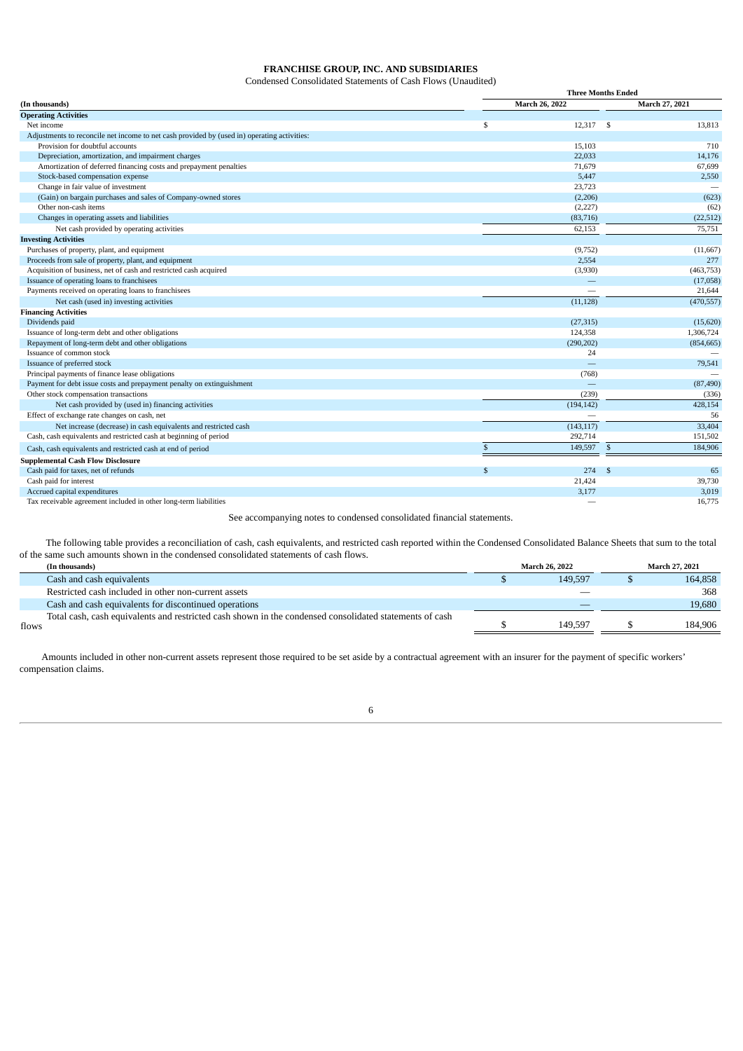Condensed Consolidated Statements of Cash Flows (Unaudited)

<span id="page-7-0"></span>

|                                                                                             | <b>Three Months Ended</b>     |                |  |  |  |  |  |  |  |
|---------------------------------------------------------------------------------------------|-------------------------------|----------------|--|--|--|--|--|--|--|
| (In thousands)                                                                              | March 26, 2022                | March 27, 2021 |  |  |  |  |  |  |  |
| <b>Operating Activities</b>                                                                 |                               |                |  |  |  |  |  |  |  |
| Net income                                                                                  | \$<br>12,317<br>- \$          | 13,813         |  |  |  |  |  |  |  |
| Adjustments to reconcile net income to net cash provided by (used in) operating activities: |                               |                |  |  |  |  |  |  |  |
| Provision for doubtful accounts                                                             | 15,103                        | 710            |  |  |  |  |  |  |  |
| Depreciation, amortization, and impairment charges                                          | 22,033                        | 14,176         |  |  |  |  |  |  |  |
| Amortization of deferred financing costs and prepayment penalties                           | 71,679                        | 67,699         |  |  |  |  |  |  |  |
| Stock-based compensation expense                                                            | 5,447                         | 2,550          |  |  |  |  |  |  |  |
| Change in fair value of investment                                                          | 23,723                        |                |  |  |  |  |  |  |  |
| (Gain) on bargain purchases and sales of Company-owned stores                               | (2,206)                       | (623)          |  |  |  |  |  |  |  |
| Other non-cash items                                                                        | (2,227)                       | (62)           |  |  |  |  |  |  |  |
| Changes in operating assets and liabilities                                                 | (83,716)                      | (22, 512)      |  |  |  |  |  |  |  |
| Net cash provided by operating activities                                                   | 62,153                        | 75,751         |  |  |  |  |  |  |  |
| <b>Investing Activities</b>                                                                 |                               |                |  |  |  |  |  |  |  |
| Purchases of property, plant, and equipment                                                 | (9,752)                       | (11, 667)      |  |  |  |  |  |  |  |
| Proceeds from sale of property, plant, and equipment                                        | 2,554                         | 277            |  |  |  |  |  |  |  |
| Acquisition of business, net of cash and restricted cash acquired                           | (3,930)                       | (463,753)      |  |  |  |  |  |  |  |
| Issuance of operating loans to franchisees                                                  |                               | (17,058)       |  |  |  |  |  |  |  |
| Payments received on operating loans to franchisees                                         | $\overline{\phantom{a}}$      | 21,644         |  |  |  |  |  |  |  |
| Net cash (used in) investing activities                                                     | (11, 128)                     | (470, 557)     |  |  |  |  |  |  |  |
| <b>Financing Activities</b>                                                                 |                               |                |  |  |  |  |  |  |  |
| Dividends paid                                                                              | (27, 315)                     | (15,620)       |  |  |  |  |  |  |  |
| Issuance of long-term debt and other obligations                                            | 124,358                       | 1,306,724      |  |  |  |  |  |  |  |
| Repayment of long-term debt and other obligations                                           | (290, 202)                    | (854, 665)     |  |  |  |  |  |  |  |
| Issuance of common stock                                                                    | 24                            |                |  |  |  |  |  |  |  |
| Issuance of preferred stock                                                                 |                               | 79,541         |  |  |  |  |  |  |  |
| Principal payments of finance lease obligations                                             | (768)                         |                |  |  |  |  |  |  |  |
| Payment for debt issue costs and prepayment penalty on extinguishment                       |                               | (87, 490)      |  |  |  |  |  |  |  |
| Other stock compensation transactions                                                       | (239)                         | (336)          |  |  |  |  |  |  |  |
| Net cash provided by (used in) financing activities                                         | (194, 142)                    | 428,154        |  |  |  |  |  |  |  |
| Effect of exchange rate changes on cash, net                                                |                               | 56             |  |  |  |  |  |  |  |
| Net increase (decrease) in cash equivalents and restricted cash                             | (143, 117)                    | 33,404         |  |  |  |  |  |  |  |
| Cash, cash equivalents and restricted cash at beginning of period                           | 292,714                       | 151,502        |  |  |  |  |  |  |  |
| Cash, cash equivalents and restricted cash at end of period                                 | \$<br>149,597<br>$\mathbf{s}$ | 184,906        |  |  |  |  |  |  |  |
| <b>Supplemental Cash Flow Disclosure</b>                                                    |                               |                |  |  |  |  |  |  |  |
| Cash paid for taxes, net of refunds                                                         | \$<br>274<br>-S               | 65             |  |  |  |  |  |  |  |
| Cash paid for interest                                                                      | 21,424                        | 39,730         |  |  |  |  |  |  |  |
| Accrued capital expenditures                                                                | 3,177                         | 3,019          |  |  |  |  |  |  |  |
| Tax receivable agreement included in other long-term liabilities                            |                               | 16,775         |  |  |  |  |  |  |  |

See accompanying notes to condensed consolidated financial statements.

The following table provides a reconciliation of cash, cash equivalents, and restricted cash reported within the Condensed Consolidated Balance Sheets that sum to the total of the same such amounts shown in the condensed consolidated statements of cash flows.

| (In thousands)                                                                                                   | March 26, 2022 | <b>March 27, 2021</b> |
|------------------------------------------------------------------------------------------------------------------|----------------|-----------------------|
| Cash and cash equivalents                                                                                        | 149.597        | 164,858               |
| Restricted cash included in other non-current assets                                                             |                | 368                   |
| Cash and cash equivalents for discontinued operations                                                            | __             | 19.680                |
| Total cash, cash equivalents and restricted cash shown in the condensed consolidated statements of cash<br>flows | 149.597        | 184.906               |

<span id="page-7-1"></span>Amounts included in other non-current assets represent those required to be set aside by a contractual agreement with an insurer for the payment of specific workers' compensation claims.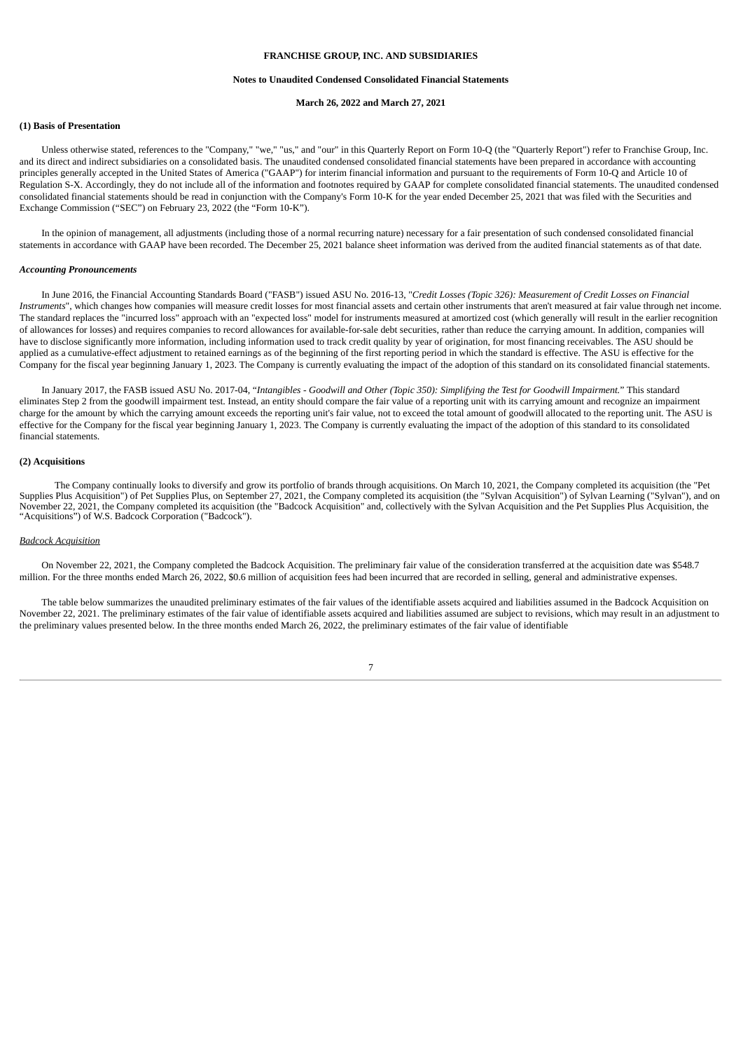#### **Notes to Unaudited Condensed Consolidated Financial Statements**

### **March 26, 2022 and March 27, 2021**

### **(1) Basis of Presentation**

Unless otherwise stated, references to the "Company," "we," "us," and "our" in this Quarterly Report on Form 10-Q (the "Quarterly Report") refer to Franchise Group, Inc. and its direct and indirect subsidiaries on a consolidated basis. The unaudited condensed consolidated financial statements have been prepared in accordance with accounting principles generally accepted in the United States of America ("GAAP") for interim financial information and pursuant to the requirements of Form 10-Q and Article 10 of Regulation S-X. Accordingly, they do not include all of the information and footnotes required by GAAP for complete consolidated financial statements. The unaudited condensed consolidated financial statements should be read in conjunction with the Company's Form 10-K for the year ended December 25, 2021 that was filed with the Securities and Exchange Commission ("SEC") on February 23, 2022 (the "Form 10-K").

In the opinion of management, all adjustments (including those of a normal recurring nature) necessary for a fair presentation of such condensed consolidated financial statements in accordance with GAAP have been recorded. The December 25, 2021 balance sheet information was derived from the audited financial statements as of that date.

#### *Accounting Pronouncements*

In June 2016, the Financial Accounting Standards Board ("FASB") issued ASU No. 2016-13, "Credit Losses (Topic 326): Measurement of Credit Losses on Financial *Instruments*", which changes how companies will measure credit losses for most financial assets and certain other instruments that aren't measured at fair value through net income. The standard replaces the "incurred loss" approach with an "expected loss" model for instruments measured at amortized cost (which generally will result in the earlier recognition of allowances for losses) and requires companies to record allowances for available-for-sale debt securities, rather than reduce the carrying amount. In addition, companies will have to disclose significantly more information, including information used to track credit quality by year of origination, for most financing receivables. The ASU should be applied as a cumulative-effect adjustment to retained earnings as of the beginning of the first reporting period in which the standard is effective. The ASU is effective for the Company for the fiscal year beginning January 1, 2023. The Company is currently evaluating the impact of the adoption of this standard on its consolidated financial statements.

In January 2017, the FASB issued ASU No. 2017-04, "Intangibles - Goodwill and Other (Topic 350): Simplifying the Test for Goodwill Impairment." This standard eliminates Step 2 from the goodwill impairment test. Instead, an entity should compare the fair value of a reporting unit with its carrying amount and recognize an impairment charge for the amount by which the carrying amount exceeds the reporting unit's fair value, not to exceed the total amount of goodwill allocated to the reporting unit. The ASU is effective for the Company for the fiscal year beginning January 1, 2023. The Company is currently evaluating the impact of the adoption of this standard to its consolidated financial statements.

#### **(2) Acquisitions**

The Company continually looks to diversify and grow its portfolio of brands through acquisitions. On March 10, 2021, the Company completed its acquisition (the "Pet Supplies Plus Acquisition") of Pet Supplies Plus, on September 27, 2021, the Company completed its acquisition (the "Sylvan Acquisition") of Sylvan Learning ("Sylvan"), and on November 22, 2021, the Company completed its acquisition (the "Badcock Acquisition" and, collectively with the Sylvan Acquisition and the Pet Supplies Plus Acquisition, the "Acquisitions") of W.S. Badcock Corporation ("Badcock").

#### *Badcock Acquisition*

On November 22, 2021, the Company completed the Badcock Acquisition. The preliminary fair value of the consideration transferred at the acquisition date was \$548.7 million. For the three months ended March 26, 2022, \$0.6 million of acquisition fees had been incurred that are recorded in selling, general and administrative expenses.

The table below summarizes the unaudited preliminary estimates of the fair values of the identifiable assets acquired and liabilities assumed in the Badcock Acquisition on November 22, 2021. The preliminary estimates of the fair value of identifiable assets acquired and liabilities assumed are subject to revisions, which may result in an adjustment to the preliminary values presented below. In the three months ended March 26, 2022, the preliminary estimates of the fair value of identifiable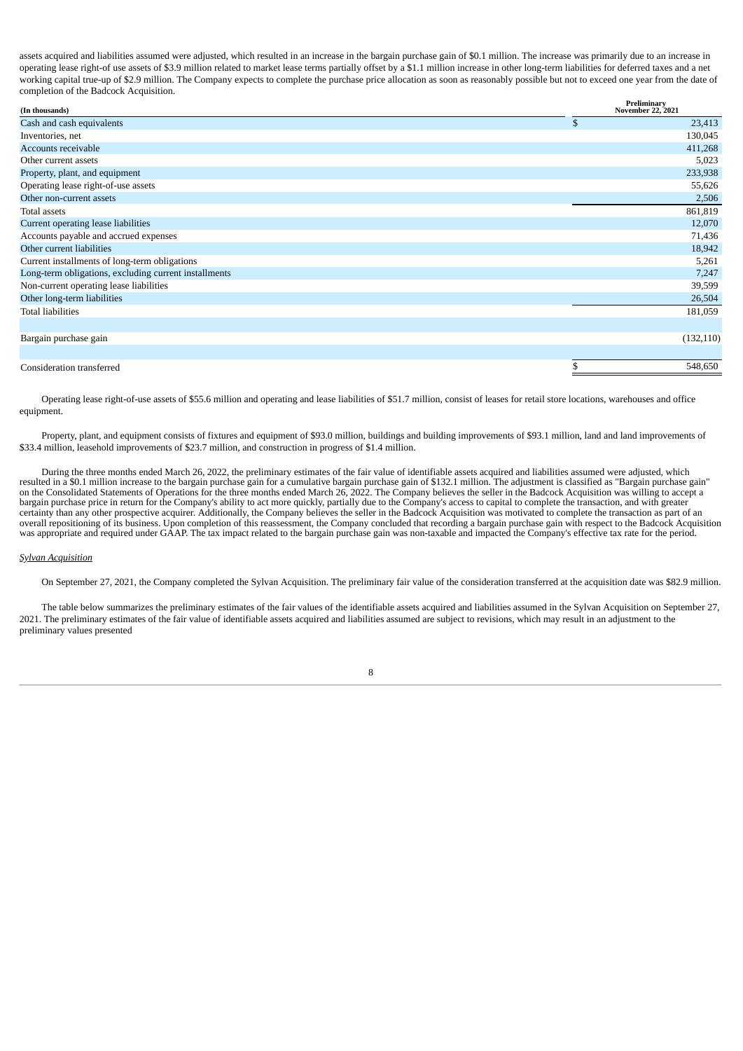assets acquired and liabilities assumed were adjusted, which resulted in an increase in the bargain purchase gain of \$0.1 million. The increase was primarily due to an increase in operating lease right-of use assets of \$3.9 million related to market lease terms partially offset by a \$1.1 million increase in other long-term liabilities for deferred taxes and a net working capital true-up of \$2.9 million. The Company expects to complete the purchase price allocation as soon as reasonably possible but not to exceed one year from the date of completion of the Badcock Acquisition.

| (In thousands)                                        | Preliminary<br><b>November 22, 2021</b> |
|-------------------------------------------------------|-----------------------------------------|
| Cash and cash equivalents                             | \$<br>23,413                            |
| Inventories, net                                      | 130,045                                 |
| Accounts receivable                                   | 411,268                                 |
| Other current assets                                  | 5,023                                   |
| Property, plant, and equipment                        | 233,938                                 |
| Operating lease right-of-use assets                   | 55,626                                  |
| Other non-current assets                              | 2,506                                   |
| Total assets                                          | 861,819                                 |
| Current operating lease liabilities                   | 12,070                                  |
| Accounts payable and accrued expenses                 | 71,436                                  |
| Other current liabilities                             | 18,942                                  |
| Current installments of long-term obligations         | 5,261                                   |
| Long-term obligations, excluding current installments | 7,247                                   |
| Non-current operating lease liabilities               | 39,599                                  |
| Other long-term liabilities                           | 26,504                                  |
| <b>Total liabilities</b>                              | 181,059                                 |
|                                                       |                                         |
| Bargain purchase gain                                 | (132, 110)                              |
|                                                       |                                         |
| Consideration transferred                             | \$<br>548,650                           |

Operating lease right-of-use assets of \$55.6 million and operating and lease liabilities of \$51.7 million, consist of leases for retail store locations, warehouses and office equipment.

Property, plant, and equipment consists of fixtures and equipment of \$93.0 million, buildings and building improvements of \$93.1 million, land and land improvements of \$33.4 million, leasehold improvements of \$23.7 million, and construction in progress of \$1.4 million.

During the three months ended March 26, 2022, the preliminary estimates of the fair value of identifiable assets acquired and liabilities assumed were adjusted, which resulted in a \$0.1 million increase to the bargain purchase gain for a cumulative bargain purchase gain of \$132.1 million. The adjustment is classified as "Bargain purchase gain" on the Consolidated Statements of Operations for the three months ended March 26, 2022. The Company believes the seller in the Badcock Acquisition was willing to accept a bargain purchase price in return for the Company's ability to act more quickly, partially due to the Company's access to capital to complete the transaction, and with greater certainty than any other prospective acquirer. Additionally, the Company believes the seller in the Badcock Acquisition was motivated to complete the transaction as part of an overall repositioning of its business. Upon completion of this reassessment, the Company concluded that recording a bargain purchase gain with respect to the Badcock Acquisition was appropriate and required under GAAP. The tax impact related to the bargain purchase gain was non-taxable and impacted the Company's effective tax rate for the period.

#### *Sylvan Acquisition*

On September 27, 2021, the Company completed the Sylvan Acquisition. The preliminary fair value of the consideration transferred at the acquisition date was \$82.9 million.

The table below summarizes the preliminary estimates of the fair values of the identifiable assets acquired and liabilities assumed in the Sylvan Acquisition on September 27, 2021. The preliminary estimates of the fair value of identifiable assets acquired and liabilities assumed are subject to revisions, which may result in an adjustment to the preliminary values presented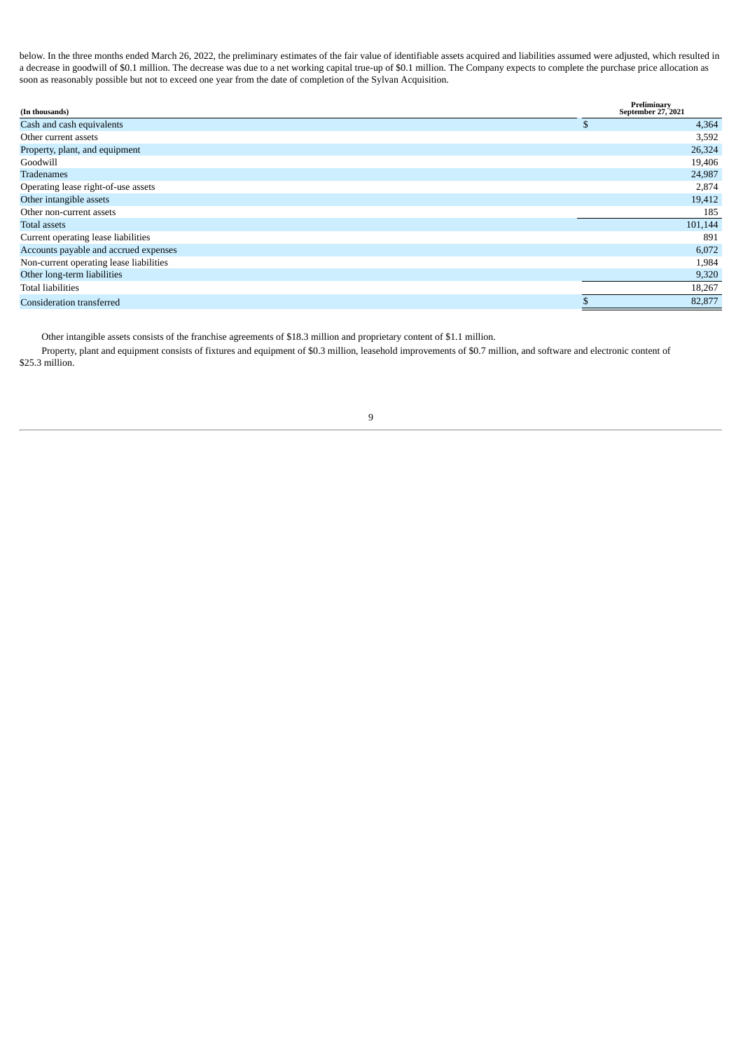below. In the three months ended March 26, 2022, the preliminary estimates of the fair value of identifiable assets acquired and liabilities assumed were adjusted, which resulted in a decrease in goodwill of \$0.1 million. The decrease was due to a net working capital true-up of \$0.1 million. The Company expects to complete the purchase price allocation as soon as reasonably possible but not to exceed one year from the date of completion of the Sylvan Acquisition.

| (In thousands)                          | Preliminary<br>September 27, 2021 |
|-----------------------------------------|-----------------------------------|
| Cash and cash equivalents<br>\$         | 4,364                             |
| Other current assets                    | 3,592                             |
| Property, plant, and equipment          | 26,324                            |
| Goodwill                                | 19,406                            |
| <b>Tradenames</b>                       | 24,987                            |
| Operating lease right-of-use assets     | 2,874                             |
| Other intangible assets                 | 19,412                            |
| Other non-current assets                | 185                               |
| <b>Total assets</b>                     | 101,144                           |
| Current operating lease liabilities     | 891                               |
| Accounts payable and accrued expenses   | 6,072                             |
| Non-current operating lease liabilities | 1,984                             |
| Other long-term liabilities             | 9,320                             |
| <b>Total liabilities</b>                | 18,267                            |
| Consideration transferred               | 82,877                            |

Other intangible assets consists of the franchise agreements of \$18.3 million and proprietary content of \$1.1 million.

Property, plant and equipment consists of fixtures and equipment of \$0.3 million, leasehold improvements of \$0.7 million, and software and electronic content of \$25.3 million.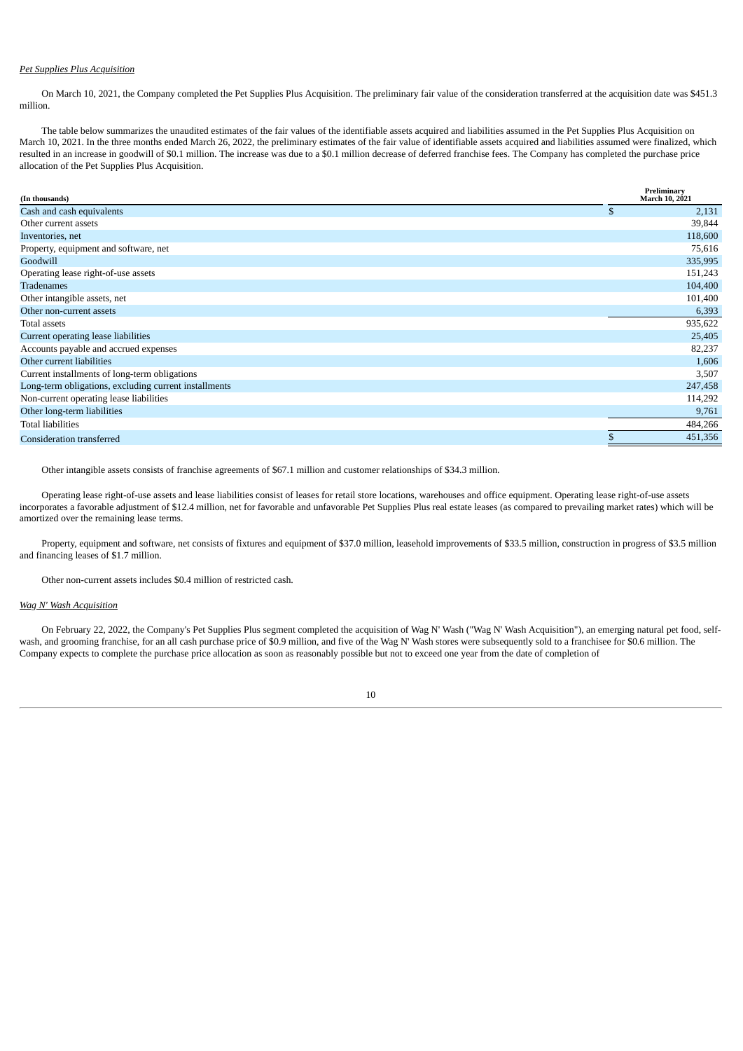#### *Pet Supplies Plus Acquisition*

On March 10, 2021, the Company completed the Pet Supplies Plus Acquisition. The preliminary fair value of the consideration transferred at the acquisition date was \$451.3 million.

The table below summarizes the unaudited estimates of the fair values of the identifiable assets acquired and liabilities assumed in the Pet Supplies Plus Acquisition on March 10, 2021. In the three months ended March 26, 2022, the preliminary estimates of the fair value of identifiable assets acquired and liabilities assumed were finalized, which resulted in an increase in goodwill of \$0.1 million. The increase was due to a \$0.1 million decrease of deferred franchise fees. The Company has completed the purchase price allocation of the Pet Supplies Plus Acquisition.

| (In thousands)                                        | Preliminary<br><b>March 10, 2021</b> |
|-------------------------------------------------------|--------------------------------------|
| Cash and cash equivalents                             | \$<br>2,131                          |
| Other current assets                                  | 39,844                               |
| Inventories, net                                      | 118,600                              |
| Property, equipment and software, net                 | 75,616                               |
| Goodwill                                              | 335,995                              |
| Operating lease right-of-use assets                   | 151,243                              |
| <b>Tradenames</b>                                     | 104,400                              |
| Other intangible assets, net                          | 101,400                              |
| Other non-current assets                              | 6,393                                |
| Total assets                                          | 935,622                              |
| Current operating lease liabilities                   | 25,405                               |
| Accounts payable and accrued expenses                 | 82,237                               |
| Other current liabilities                             | 1,606                                |
| Current installments of long-term obligations         | 3,507                                |
| Long-term obligations, excluding current installments | 247,458                              |
| Non-current operating lease liabilities               | 114,292                              |
| Other long-term liabilities                           | 9,761                                |
| <b>Total liabilities</b>                              | 484,266                              |
| Consideration transferred                             | 451,356                              |

Other intangible assets consists of franchise agreements of \$67.1 million and customer relationships of \$34.3 million.

Operating lease right-of-use assets and lease liabilities consist of leases for retail store locations, warehouses and office equipment. Operating lease right-of-use assets incorporates a favorable adjustment of \$12.4 million, net for favorable and unfavorable Pet Supplies Plus real estate leases (as compared to prevailing market rates) which will be amortized over the remaining lease terms.

Property, equipment and software, net consists of fixtures and equipment of \$37.0 million, leasehold improvements of \$33.5 million, construction in progress of \$3.5 million and financing leases of \$1.7 million.

Other non-current assets includes \$0.4 million of restricted cash.

#### *Wag N' Wash Acquisition*

On February 22, 2022, the Company's Pet Supplies Plus segment completed the acquisition of Wag N' Wash ("Wag N' Wash Acquisition"), an emerging natural pet food, selfwash, and grooming franchise, for an all cash purchase price of \$0.9 million, and five of the Wag N' Wash stores were subsequently sold to a franchisee for \$0.6 million. The Company expects to complete the purchase price allocation as soon as reasonably possible but not to exceed one year from the date of completion of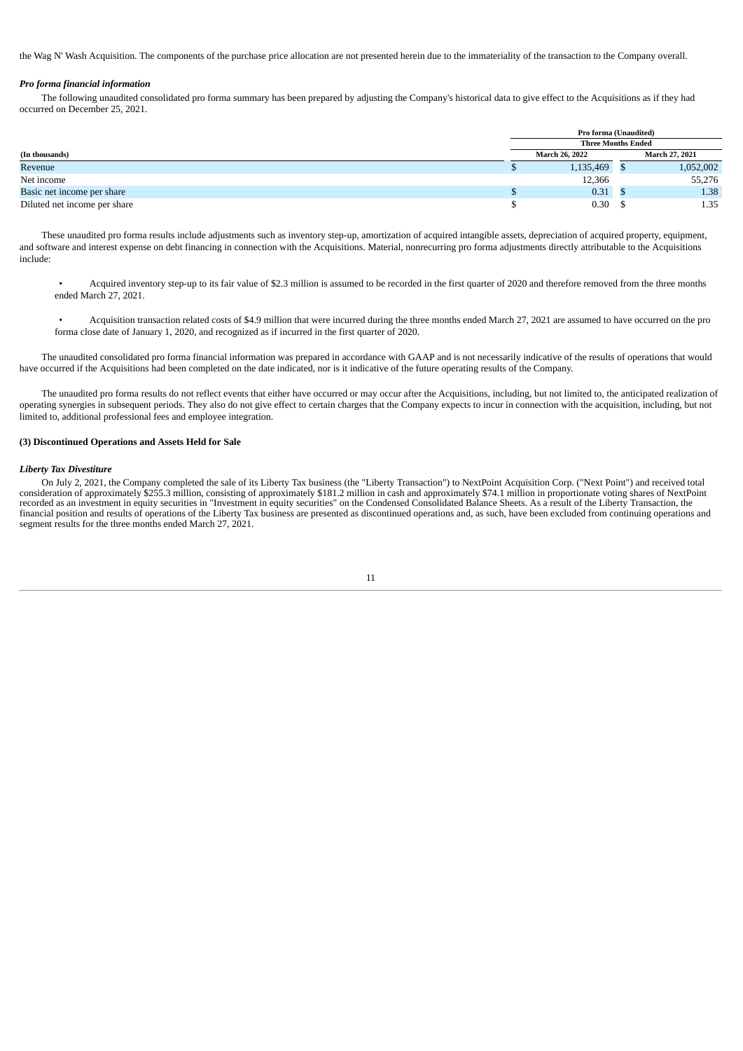the Wag N' Wash Acquisition. The components of the purchase price allocation are not presented herein due to the immateriality of the transaction to the Company overall.

#### *Pro forma financial information*

The following unaudited consolidated pro forma summary has been prepared by adjusting the Company's historical data to give effect to the Acquisitions as if they had occurred on December 25, 2021.

|                              |    | Pro forma (Unaudited)     |  |                       |  |  |  |
|------------------------------|----|---------------------------|--|-----------------------|--|--|--|
|                              |    | <b>Three Months Ended</b> |  |                       |  |  |  |
| (In thousands)               |    | March 26, 2022            |  | <b>March 27, 2021</b> |  |  |  |
| Revenue                      | ۰D | 1,135,469                 |  | 1,052,002             |  |  |  |
| Net income                   |    | 12,366                    |  | 55,276                |  |  |  |
| Basic net income per share   |    | 0.31                      |  | 1.38                  |  |  |  |
| Diluted net income per share |    | 0.30                      |  | 1.35                  |  |  |  |

These unaudited pro forma results include adjustments such as inventory step-up, amortization of acquired intangible assets, depreciation of acquired property, equipment, and software and interest expense on debt financing in connection with the Acquisitions. Material, nonrecurring pro forma adjustments directly attributable to the Acquisitions include:

• Acquired inventory step-up to its fair value of \$2.3 million is assumed to be recorded in the first quarter of 2020 and therefore removed from the three months ended March 27, 2021.

• Acquisition transaction related costs of \$4.9 million that were incurred during the three months ended March 27, 2021 are assumed to have occurred on the pro forma close date of January 1, 2020, and recognized as if incurred in the first quarter of 2020.

The unaudited consolidated pro forma financial information was prepared in accordance with GAAP and is not necessarily indicative of the results of operations that would have occurred if the Acquisitions had been completed on the date indicated, nor is it indicative of the future operating results of the Company.

The unaudited pro forma results do not reflect events that either have occurred or may occur after the Acquisitions, including, but not limited to, the anticipated realization of operating synergies in subsequent periods. They also do not give effect to certain charges that the Company expects to incur in connection with the acquisition, including, but not limited to, additional professional fees and employee integration.

### **(3) Discontinued Operations and Assets Held for Sale**

#### *Liberty Tax Divestiture*

On July 2, 2021, the Company completed the sale of its Liberty Tax business (the "Liberty Transaction") to NextPoint Acquisition Corp. ("Next Point") and received total consideration of approximately \$255.3 million, consisting of approximately \$181.2 million in cash and approximately \$74.1 million in proportionate voting shares of NextPoint recorded as an investment in equity securities in "Investment in equity securities" on the Condensed Consolidated Balance Sheets. As a result of the Liberty Transaction, the financial position and results of operations of the Liberty Tax business are presented as discontinued operations and, as such, have been excluded from continuing operations and segment results for the three months ended March 27, 2021.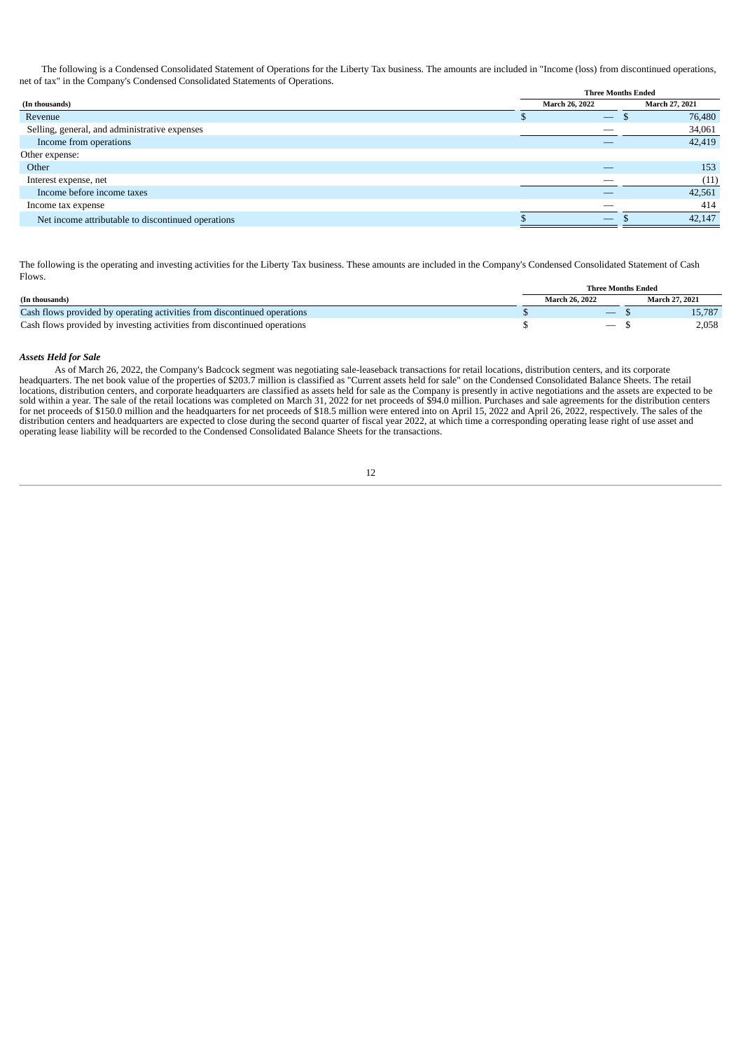The following is a Condensed Consolidated Statement of Operations for the Liberty Tax business. The amounts are included in "Income (loss) from discontinued operations, net of tax" in the Company's Condensed Consolidated Statements of Operations.

|                                                    | <b>Three Months Ended</b> |                       |                |  |  |  |  |
|----------------------------------------------------|---------------------------|-----------------------|----------------|--|--|--|--|
| (In thousands)                                     |                           | <b>March 26, 2022</b> | March 27, 2021 |  |  |  |  |
| Revenue                                            |                           |                       | 76,480         |  |  |  |  |
| Selling, general, and administrative expenses      |                           |                       | 34,061         |  |  |  |  |
| Income from operations                             |                           |                       | 42,419         |  |  |  |  |
| Other expense:                                     |                           |                       |                |  |  |  |  |
| Other                                              |                           |                       | 153            |  |  |  |  |
| Interest expense, net                              |                           |                       | (11)           |  |  |  |  |
| Income before income taxes                         |                           |                       | 42,561         |  |  |  |  |
| Income tax expense                                 |                           |                       | 414            |  |  |  |  |
| Net income attributable to discontinued operations |                           |                       | 42.147         |  |  |  |  |
|                                                    |                           |                       |                |  |  |  |  |

The following is the operating and investing activities for the Liberty Tax business. These amounts are included in the Company's Condensed Consolidated Statement of Cash Flows.

|                                                                          | <b>Three Months Ended</b> |                          |  |                |  |  |
|--------------------------------------------------------------------------|---------------------------|--------------------------|--|----------------|--|--|
| (In thousands)                                                           |                           | March 26, 2022           |  | March 27, 2021 |  |  |
| Cash flows provided by operating activities from discontinued operations |                           | $\overline{\phantom{a}}$ |  | 15.787         |  |  |
| Cash flows provided by investing activities from discontinued operations |                           |                          |  | 2,058          |  |  |

#### *Assets Held for Sale*

As of March 26, 2022, the Company's Badcock segment was negotiating sale-leaseback transactions for retail locations, distribution centers, and its corporate headquarters. The net book value of the properties of \$203.7 million is classified as "Current assets held for sale" on the Condensed Consolidated Balance Sheets. The retail locations, distribution centers, and corporate headquarters are classified as assets held for sale as the Company is presently in active negotiations and the assets are expected to be sold within a year. The sale of the retail locations was completed on March 31, 2022 for net proceeds of \$94.0 million. Purchases and sale agreements for the distribution centers for net proceeds of \$150.0 million and the headquarters for net proceeds of \$18.5 million were entered into on April 15, 2022 and April 26, 2022, respectively. The sales of the distribution centers and headquarters are expected to close during the second quarter of fiscal year 2022, at which time a corresponding operating lease right of use asset and operating lease liability will be recorded to the Condensed Consolidated Balance Sheets for the transactions.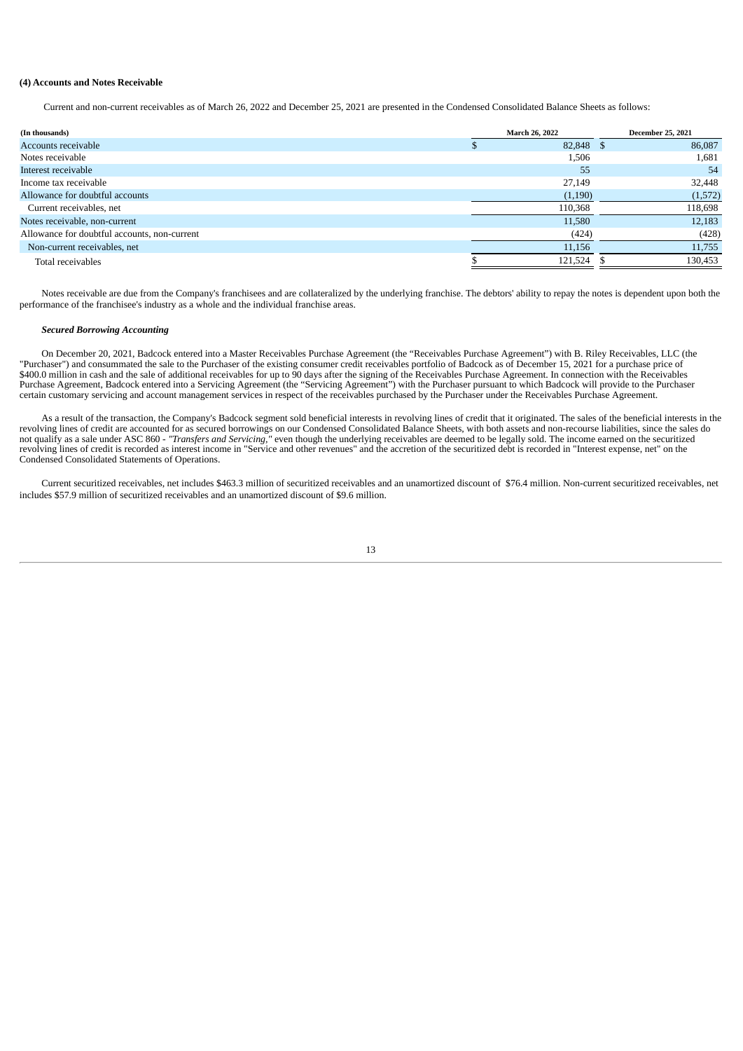### **(4) Accounts and Notes Receivable**

Current and non-current receivables as of March 26, 2022 and December 25, 2021 are presented in the Condensed Consolidated Balance Sheets as follows:

| (In thousands)                               | <b>March 26, 2022</b> | <b>December 25, 2021</b> |
|----------------------------------------------|-----------------------|--------------------------|
| Accounts receivable                          | 82,848                | 86,087                   |
| Notes receivable                             | 1,506                 | 1,681                    |
| Interest receivable                          | 55                    | 54                       |
| Income tax receivable                        | 27,149                | 32,448                   |
| Allowance for doubtful accounts              | (1,190)               | (1,572)                  |
| Current receivables, net                     | 110,368               | 118,698                  |
| Notes receivable, non-current                | 11,580                | 12,183                   |
| Allowance for doubtful accounts, non-current | (424)                 | (428)                    |
| Non-current receivables, net                 | 11,156                | 11,755                   |
| Total receivables                            | 121,524               | 130,453                  |

Notes receivable are due from the Company's franchisees and are collateralized by the underlying franchise. The debtors' ability to repay the notes is dependent upon both the performance of the franchisee's industry as a whole and the individual franchise areas.

#### *Secured Borrowing Accounting*

On December 20, 2021, Badcock entered into a Master Receivables Purchase Agreement (the "Receivables Purchase Agreement") with B. Riley Receivables, LLC (the "Purchaser") and consummated the sale to the Purchaser of the existing consumer credit receivables portfolio of Badcock as of December 15, 2021 for a purchase price of \$400.0 million in cash and the sale of additional receivables for up to 90 days after the signing of the Receivables Purchase Agreement. In connection with the Receivables Purchase Agreement, Badcock entered into a Servicing Agreement (the "Servicing Agreement") with the Purchaser pursuant to which Badcock will provide to the Purchaser certain customary servicing and account management services in respect of the receivables purchased by the Purchaser under the Receivables Purchase Agreement.

As a result of the transaction, the Company's Badcock segment sold beneficial interests in revolving lines of credit that it originated. The sales of the beneficial interests in the revolving lines of credit are accounted for as secured borrowings on our Condensed Consolidated Balance Sheets, with both assets and non-recourse liabilities, since the sales do not qualify as a sale under ASC 860 - *"Transfers and Servicing,"* even though the underlying receivables are deemed to be legally sold. The income earned on the securitized revolving lines of credit is recorded as interest income in "Service and other revenues" and the accretion of the securitized debt is recorded in "Interest expense, net" on the Condensed Consolidated Statements of Operations.

Current securitized receivables, net includes \$463.3 million of securitized receivables and an unamortized discount of \$76.4 million. Non-current securitized receivables, net includes \$57.9 million of securitized receivables and an unamortized discount of \$9.6 million.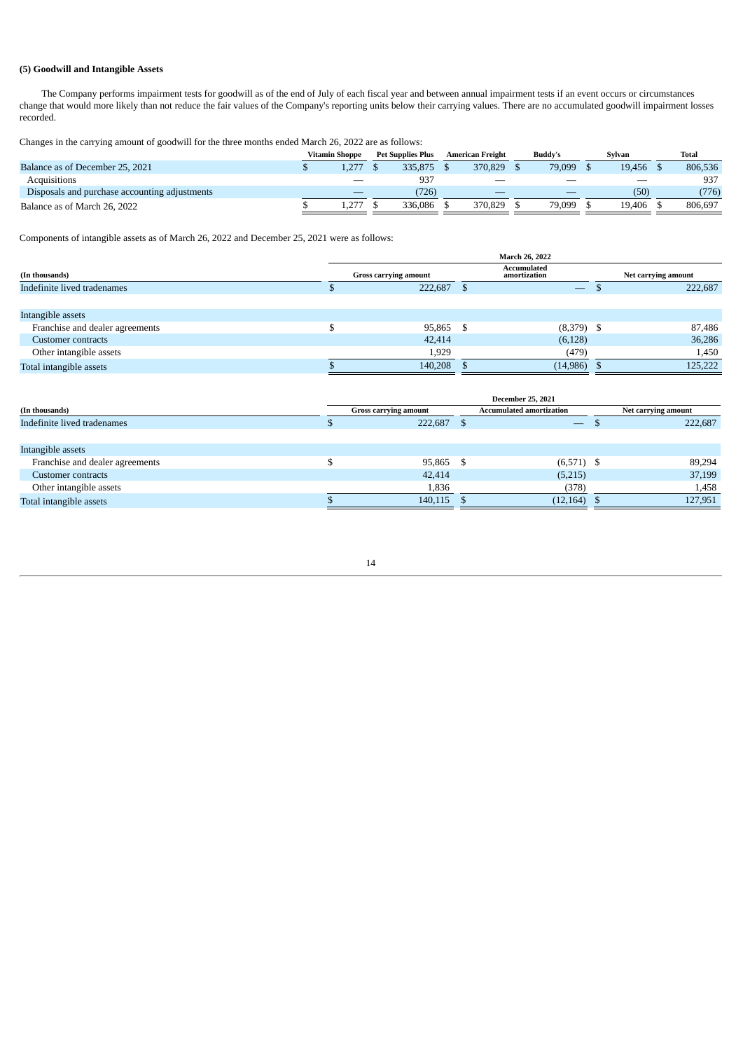## **(5) Goodwill and Intangible Assets**

The Company performs impairment tests for goodwill as of the end of July of each fiscal year and between annual impairment tests if an event occurs or circumstances change that would more likely than not reduce the fair values of the Company's reporting units below their carrying values. There are no accumulated goodwill impairment losses recorded.

Changes in the carrying amount of goodwill for the three months ended March 26, 2022 are as follows:

|                                               | Vitamin Shoppe | <b>Pet Supplies Plus</b><br>American Freight |         | <b>Buddy's</b> |                          |  | Svlvan | Total  |  |         |
|-----------------------------------------------|----------------|----------------------------------------------|---------|----------------|--------------------------|--|--------|--------|--|---------|
| Balance as of December 25, 2021               | 1,277          |                                              | 335.875 |                | 370.829                  |  | 79.099 | 19.456 |  | 806,536 |
| Acquisitions                                  | ---            |                                              | 937     |                | __                       |  | _      | -      |  | 937     |
| Disposals and purchase accounting adjustments |                |                                              | (726)   |                | $\overline{\phantom{a}}$ |  | _      | (50)   |  | (776)   |
| Balance as of March 26, 2022                  |                |                                              | 336,086 |                | 370,829                  |  | 79.099 | 19.406 |  | 806.697 |

Components of intangible assets as of March 26, 2022 and December 25, 2021 were as follows:

|                                 | <b>March 26, 2022</b> |                              |                     |              |  |         |  |  |  |  |
|---------------------------------|-----------------------|------------------------------|---------------------|--------------|--|---------|--|--|--|--|
| (In thousands)                  |                       | <b>Gross carrying amount</b> | Net carrying amount |              |  |         |  |  |  |  |
| Indefinite lived tradenames     |                       | 222,687                      |                     |              |  | 222,687 |  |  |  |  |
|                                 |                       |                              |                     |              |  |         |  |  |  |  |
| Intangible assets               |                       |                              |                     |              |  |         |  |  |  |  |
| Franchise and dealer agreements |                       | 95,865                       | -5                  | $(8,379)$ \$ |  | 87,486  |  |  |  |  |
| Customer contracts              |                       | 42,414                       |                     | (6, 128)     |  | 36,286  |  |  |  |  |
| Other intangible assets         |                       | 1,929                        |                     | (479)        |  | 1,450   |  |  |  |  |
| Total intangible assets         |                       | 140,208                      |                     | (14,986)     |  | 125,222 |  |  |  |  |

|                                 | <b>December 25, 2021</b> |                              |    |                                 |                     |         |  |  |  |  |  |  |
|---------------------------------|--------------------------|------------------------------|----|---------------------------------|---------------------|---------|--|--|--|--|--|--|
| (In thousands)                  |                          | <b>Gross carrying amount</b> |    | <b>Accumulated amortization</b> | Net carrying amount |         |  |  |  |  |  |  |
| Indefinite lived tradenames     |                          | 222,687                      | J. |                                 |                     | 222,687 |  |  |  |  |  |  |
|                                 |                          |                              |    |                                 |                     |         |  |  |  |  |  |  |
| Intangible assets               |                          |                              |    |                                 |                     |         |  |  |  |  |  |  |
| Franchise and dealer agreements |                          | 95,865                       | -5 | $(6,571)$ \$                    |                     | 89,294  |  |  |  |  |  |  |
| Customer contracts              |                          | 42,414                       |    | (5,215)                         |                     | 37,199  |  |  |  |  |  |  |
| Other intangible assets         |                          | 1,836                        |    | (378)                           |                     | 1,458   |  |  |  |  |  |  |
| Total intangible assets         |                          | 140,115                      |    | (12, 164)                       |                     | 127,951 |  |  |  |  |  |  |
|                                 |                          |                              |    |                                 |                     |         |  |  |  |  |  |  |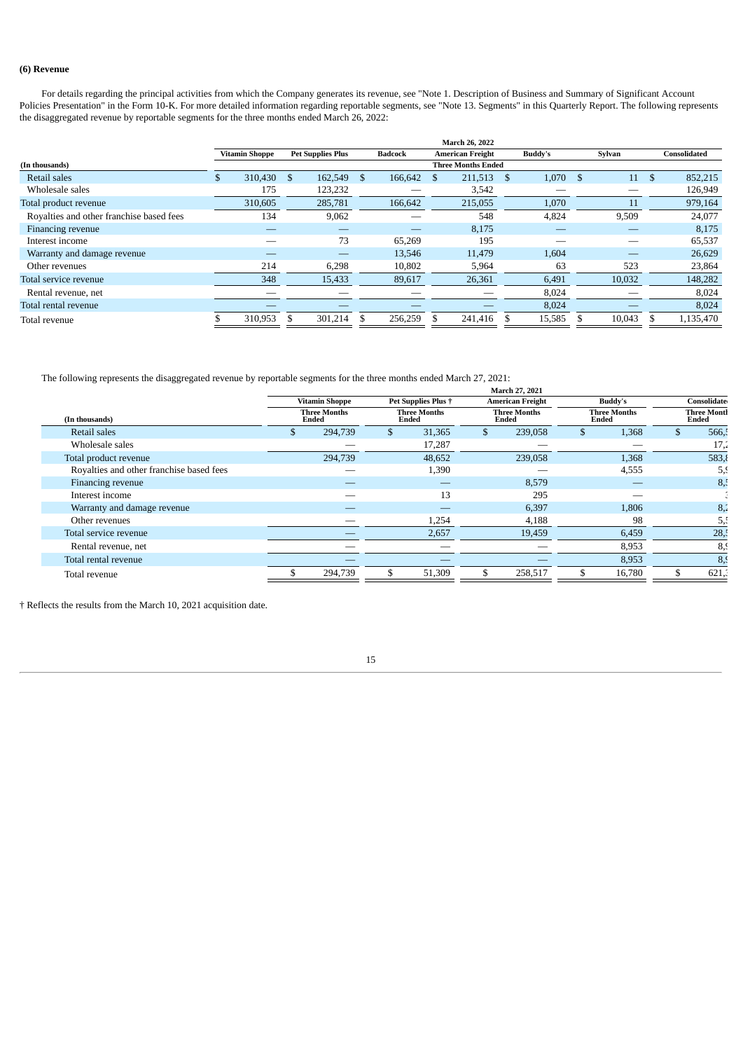## **(6) Revenue**

For details regarding the principal activities from which the Company generates its revenue, see "Note 1. Description of Business and Summary of Significant Account Policies Presentation" in the Form 10-K. For more detailed information regarding reportable segments, see "Note 13. Segments" in this Quarterly Report. The following represents the disaggregated revenue by reportable segments for the three months ended March 26, 2022:

|                                          | <b>March 26, 2022</b> |                          |                          |         |    |                |     |                           |                |        |    |        |              |              |
|------------------------------------------|-----------------------|--------------------------|--------------------------|---------|----|----------------|-----|---------------------------|----------------|--------|----|--------|--------------|--------------|
|                                          | <b>Vitamin Shoppe</b> |                          | <b>Pet Supplies Plus</b> |         |    | <b>Badcock</b> |     | <b>American Freight</b>   | <b>Buddy's</b> |        |    | Sylvan |              | Consolidated |
| (In thousands)                           |                       |                          |                          |         |    |                |     | <b>Three Months Ended</b> |                |        |    |        |              |              |
| Retail sales                             | 310,430               |                          | <sup>\$</sup>            | 162,549 | -S | 166,642        | \$. | 211,513                   | <sup>S</sup>   | 1,070  | -S | 11     | $\mathbf{s}$ | 852,215      |
| Wholesale sales                          |                       | 175                      |                          | 123,232 |    |                |     | 3,542                     |                |        |    |        |              | 126,949      |
| Total product revenue                    | 310,605               |                          |                          | 285,781 |    | 166,642        |     | 215,055                   |                | 1,070  |    | 11     |              | 979,164      |
| Royalties and other franchise based fees |                       | 134                      |                          | 9,062   |    |                |     | 548                       |                | 4,824  |    | 9,509  |              | 24,077       |
| Financing revenue                        |                       |                          |                          | _       |    | _              |     | 8,175                     |                | _      |    | –      |              | 8,175        |
| Interest income                          |                       |                          |                          | 73      |    | 65,269         |     | 195                       |                |        |    |        |              | 65,537       |
| Warranty and damage revenue              |                       | _                        |                          | –       |    | 13,546         |     | 11,479                    |                | 1,604  |    |        |              | 26,629       |
| Other revenues                           |                       | 214                      |                          | 6,298   |    | 10,802         |     | 5,964                     |                | 63     |    | 523    |              | 23,864       |
| Total service revenue                    |                       | 348                      |                          | 15,433  |    | 89,617         |     | 26,361                    |                | 6,491  |    | 10,032 |              | 148,282      |
| Rental revenue, net                      |                       |                          |                          |         |    |                |     |                           |                | 8,024  |    |        |              | 8,024        |
| Total rental revenue                     |                       | $\overline{\phantom{a}}$ |                          | _       |    |                |     |                           |                | 8,024  |    |        |              | 8,024        |
| Total revenue                            | 310,953               |                          |                          | 301,214 |    | 256,259        |     | 241,416                   |                | 15,585 |    | 10,043 |              | 1,135,470    |
|                                          |                       |                          |                          |         |    |                |     |                           |                |        |    |        |              |              |

The following represents the disaggregated revenue by reportable segments for the three months ended March 27, 2021:

|                                          |                              |                              |    | March 27, 2021               |                              |                |                             |
|------------------------------------------|------------------------------|------------------------------|----|------------------------------|------------------------------|----------------|-----------------------------|
|                                          | <b>Vitamin Shoppe</b>        | Pet Supplies Plus †          |    | <b>American Freight</b>      |                              | <b>Buddy's</b> | Consolidate                 |
| (In thousands)                           | <b>Three Months</b><br>Ended | <b>Three Months</b><br>Ended |    | <b>Three Months</b><br>Ended | <b>Three Months</b><br>Ended |                | <b>Three Montl</b><br>Ended |
| Retail sales                             | 294,739                      | \$<br>31,365                 | \$ | 239,058                      | \$                           | 1,368          | 566,5                       |
| Wholesale sales                          |                              | 17,287                       |    |                              |                              |                | 17,2                        |
| Total product revenue                    | 294,739                      | 48,652                       |    | 239,058                      |                              | 1,368          | 583,8                       |
| Royalties and other franchise based fees |                              | 1,390                        |    |                              |                              | 4,555          | 5,                          |
| Financing revenue                        |                              |                              |    | 8,579                        |                              |                | 8,5                         |
| Interest income                          |                              | 13                           |    | 295                          |                              |                |                             |
| Warranty and damage revenue              |                              | –                            |    | 6,397                        |                              | 1,806          | 8,2                         |
| Other revenues                           |                              | 1,254                        |    | 4,188                        |                              | 98             | 5,5                         |
| Total service revenue                    |                              | 2,657                        |    | 19,459                       |                              | 6,459          | 28,5                        |
| Rental revenue, net                      |                              |                              |    |                              |                              | 8,953          | 8,9                         |
| Total rental revenue                     |                              |                              |    |                              |                              | 8,953          | 8,9                         |
| Total revenue                            | 294,739                      | 51,309                       |    | 258,517                      |                              | 16,780         | 621.3                       |
|                                          |                              |                              |    |                              |                              |                |                             |

† Reflects the results from the March 10, 2021 acquisition date.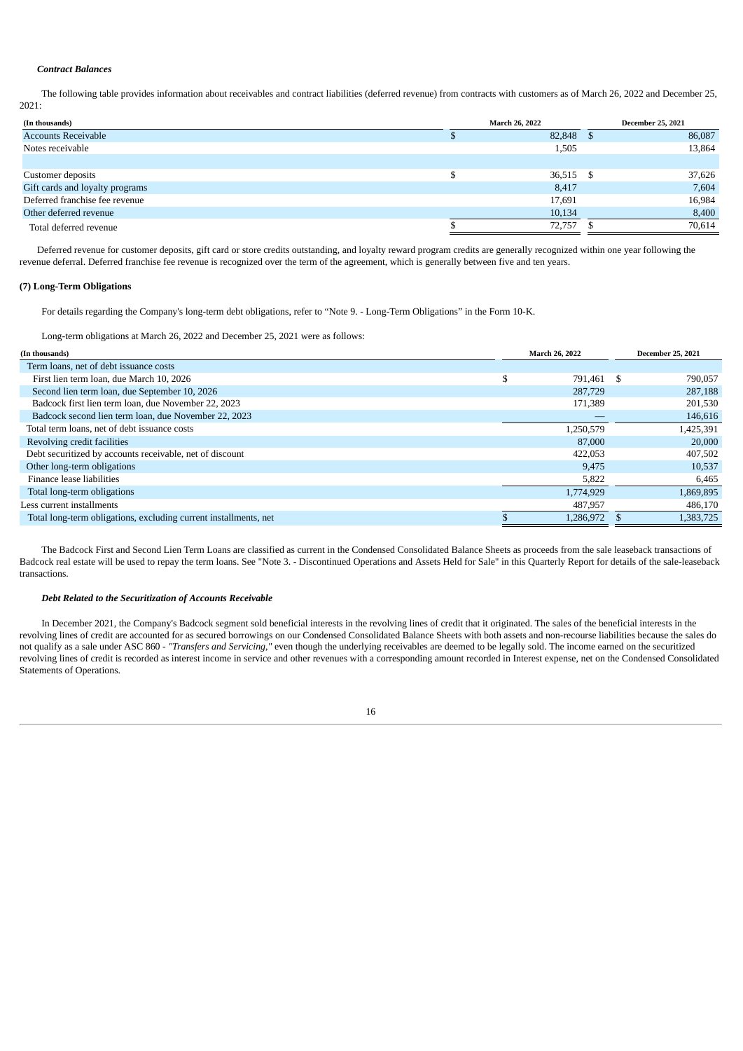#### *Contract Balances*

The following table provides information about receivables and contract liabilities (deferred revenue) from contracts with customers as of March 26, 2022 and December 25, 2021:

| (In thousands)                  | <b>March 26, 2022</b> | <b>December 25, 2021</b> |
|---------------------------------|-----------------------|--------------------------|
| <b>Accounts Receivable</b>      | 82,848                | 86,087                   |
| Notes receivable                | 1,505                 | 13,864                   |
|                                 |                       |                          |
| Customer deposits               | 36,515 \$             | 37,626                   |
| Gift cards and loyalty programs | 8,417                 | 7,604                    |
| Deferred franchise fee revenue  | 17.691                | 16,984                   |
| Other deferred revenue          | 10,134                | 8,400                    |
| Total deferred revenue          | 72,757                | 70,614                   |

Deferred revenue for customer deposits, gift card or store credits outstanding, and loyalty reward program credits are generally recognized within one year following the revenue deferral. Deferred franchise fee revenue is recognized over the term of the agreement, which is generally between five and ten years.

### **(7) Long-Term Obligations**

For details regarding the Company's long-term debt obligations, refer to "Note 9. - Long-Term Obligations" in the Form 10-K.

Long-term obligations at March 26, 2022 and December 25, 2021 were as follows:

| (In thousands)                                                   | <b>March 26, 2022</b> | <b>December 25, 2021</b> |
|------------------------------------------------------------------|-----------------------|--------------------------|
| Term loans, net of debt issuance costs                           |                       |                          |
| First lien term loan, due March 10, 2026                         | \$<br>791.461 \$      | 790.057                  |
| Second lien term loan, due September 10, 2026                    | 287,729               | 287,188                  |
| Badcock first lien term loan, due November 22, 2023              | 171,389               | 201,530                  |
| Badcock second lien term loan, due November 22, 2023             |                       | 146,616                  |
| Total term loans, net of debt issuance costs                     | 1,250,579             | 1,425,391                |
| Revolving credit facilities                                      | 87,000                | 20,000                   |
| Debt securitized by accounts receivable, net of discount         | 422.053               | 407,502                  |
| Other long-term obligations                                      | 9,475                 | 10,537                   |
| Finance lease liabilities                                        | 5,822                 | 6,465                    |
| Total long-term obligations                                      | 1,774,929             | 1,869,895                |
| Less current installments                                        | 487,957               | 486,170                  |
| Total long-term obligations, excluding current installments, net | 1,286,972             | 1.383.725                |

The Badcock First and Second Lien Term Loans are classified as current in the Condensed Consolidated Balance Sheets as proceeds from the sale leaseback transactions of Badcock real estate will be used to repay the term loans. See "Note 3. - Discontinued Operations and Assets Held for Sale" in this Quarterly Report for details of the sale-leaseback transactions.

#### *Debt Related to the Securitization of Accounts Receivable*

In December 2021, the Company's Badcock segment sold beneficial interests in the revolving lines of credit that it originated. The sales of the beneficial interests in the revolving lines of credit are accounted for as secured borrowings on our Condensed Consolidated Balance Sheets with both assets and non-recourse liabilities because the sales do not qualify as a sale under ASC 860 - *"Transfers and Servicing,"* even though the underlying receivables are deemed to be legally sold. The income earned on the securitized revolving lines of credit is recorded as interest income in service and other revenues with a corresponding amount recorded in Interest expense, net on the Condensed Consolidated Statements of Operations.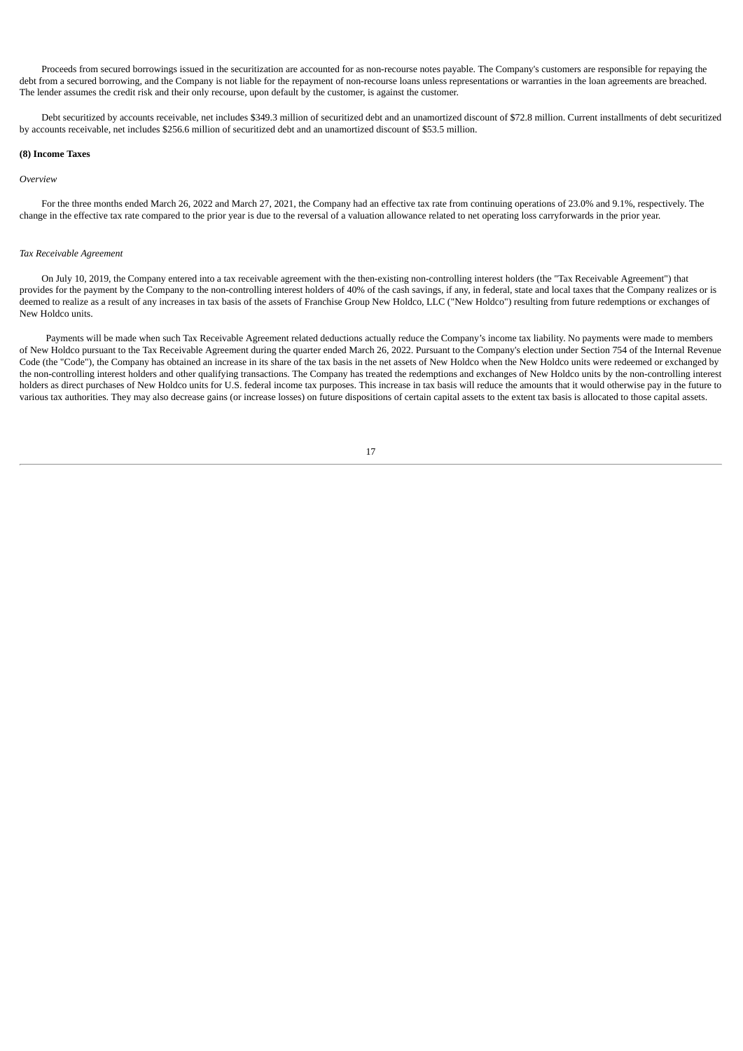Proceeds from secured borrowings issued in the securitization are accounted for as non-recourse notes payable. The Company's customers are responsible for repaying the debt from a secured borrowing, and the Company is not liable for the repayment of non-recourse loans unless representations or warranties in the loan agreements are breached. The lender assumes the credit risk and their only recourse, upon default by the customer, is against the customer.

Debt securitized by accounts receivable, net includes \$349.3 million of securitized debt and an unamortized discount of \$72.8 million. Current installments of debt securitized by accounts receivable, net includes \$256.6 million of securitized debt and an unamortized discount of \$53.5 million.

## **(8) Income Taxes**

#### *Overview*

For the three months ended March 26, 2022 and March 27, 2021, the Company had an effective tax rate from continuing operations of 23.0% and 9.1%, respectively. The change in the effective tax rate compared to the prior year is due to the reversal of a valuation allowance related to net operating loss carryforwards in the prior year.

#### *Tax Receivable Agreement*

On July 10, 2019, the Company entered into a tax receivable agreement with the then-existing non-controlling interest holders (the "Tax Receivable Agreement") that provides for the payment by the Company to the non-controlling interest holders of 40% of the cash savings, if any, in federal, state and local taxes that the Company realizes or is deemed to realize as a result of any increases in tax basis of the assets of Franchise Group New Holdco, LLC ("New Holdco") resulting from future redemptions or exchanges of New Holdco units.

Payments will be made when such Tax Receivable Agreement related deductions actually reduce the Company's income tax liability. No payments were made to members of New Holdco pursuant to the Tax Receivable Agreement during the quarter ended March 26, 2022. Pursuant to the Company's election under Section 754 of the Internal Revenue Code (the "Code"), the Company has obtained an increase in its share of the tax basis in the net assets of New Holdco when the New Holdco units were redeemed or exchanged by the non-controlling interest holders and other qualifying transactions. The Company has treated the redemptions and exchanges of New Holdco units by the non-controlling interest holders as direct purchases of New Holdco units for U.S. federal income tax purposes. This increase in tax basis will reduce the amounts that it would otherwise pay in the future to various tax authorities. They may also decrease gains (or increase losses) on future dispositions of certain capital assets to the extent tax basis is allocated to those capital assets.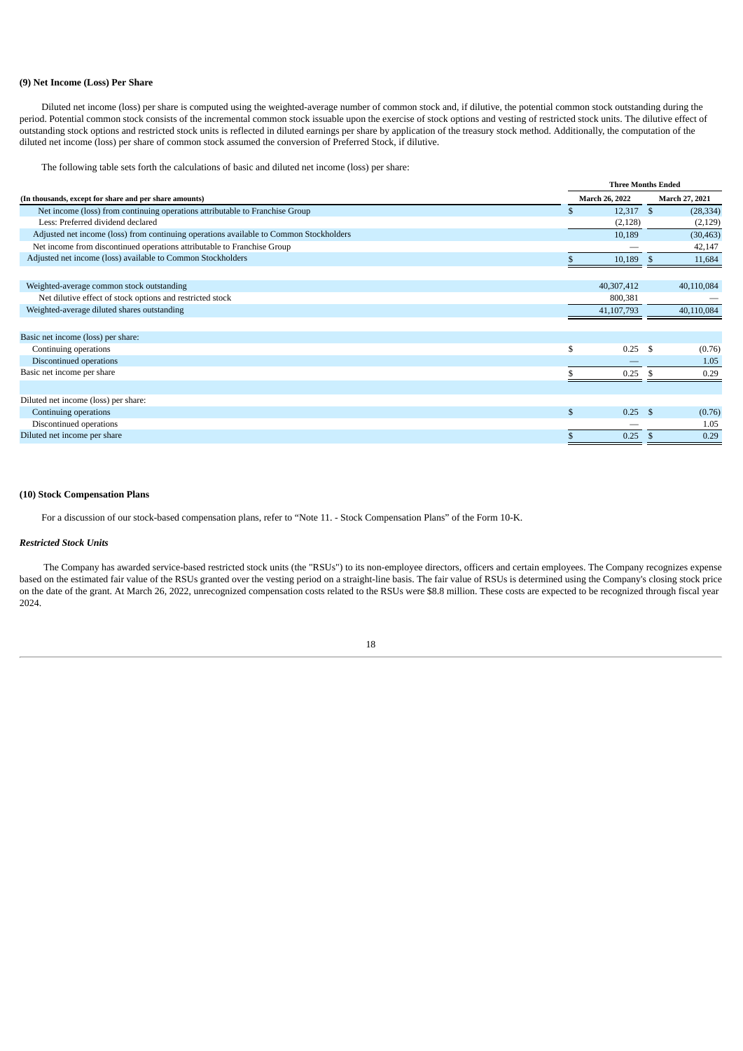#### **(9) Net Income (Loss) Per Share**

Diluted net income (loss) per share is computed using the weighted-average number of common stock and, if dilutive, the potential common stock outstanding during the period. Potential common stock consists of the incremental common stock issuable upon the exercise of stock options and vesting of restricted stock units. The dilutive effect of outstanding stock options and restricted stock units is reflected in diluted earnings per share by application of the treasury stock method. Additionally, the computation of the diluted net income (loss) per share of common stock assumed the conversion of Preferred Stock, if dilutive.

The following table sets forth the calculations of basic and diluted net income (loss) per share:

| <b>March 26, 2022</b><br>(In thousands, except for share and per share amounts)<br>March 27, 2021<br>Net income (loss) from continuing operations attributable to Franchise Group<br>$\mathbf{s}$<br>12,317<br>\$<br>Less: Preferred dividend declared<br>(2, 128)<br>Adjusted net income (loss) from continuing operations available to Common Stockholders<br>10,189<br>Net income from discontinued operations attributable to Franchise Group<br>Adjusted net income (loss) available to Common Stockholders<br>10,189<br>-S |  | <b>Three Months Ended</b> |            |
|----------------------------------------------------------------------------------------------------------------------------------------------------------------------------------------------------------------------------------------------------------------------------------------------------------------------------------------------------------------------------------------------------------------------------------------------------------------------------------------------------------------------------------|--|---------------------------|------------|
|                                                                                                                                                                                                                                                                                                                                                                                                                                                                                                                                  |  |                           |            |
|                                                                                                                                                                                                                                                                                                                                                                                                                                                                                                                                  |  |                           | (28, 334)  |
|                                                                                                                                                                                                                                                                                                                                                                                                                                                                                                                                  |  |                           | (2, 129)   |
|                                                                                                                                                                                                                                                                                                                                                                                                                                                                                                                                  |  |                           | (30, 463)  |
|                                                                                                                                                                                                                                                                                                                                                                                                                                                                                                                                  |  |                           | 42,147     |
|                                                                                                                                                                                                                                                                                                                                                                                                                                                                                                                                  |  |                           | 11,684     |
|                                                                                                                                                                                                                                                                                                                                                                                                                                                                                                                                  |  |                           |            |
| Weighted-average common stock outstanding<br>40,307,412                                                                                                                                                                                                                                                                                                                                                                                                                                                                          |  |                           | 40,110,084 |
| Net dilutive effect of stock options and restricted stock<br>800,381                                                                                                                                                                                                                                                                                                                                                                                                                                                             |  |                           |            |
| Weighted-average diluted shares outstanding<br>41,107,793                                                                                                                                                                                                                                                                                                                                                                                                                                                                        |  |                           | 40,110,084 |
|                                                                                                                                                                                                                                                                                                                                                                                                                                                                                                                                  |  |                           |            |
| Basic net income (loss) per share:                                                                                                                                                                                                                                                                                                                                                                                                                                                                                               |  |                           |            |
| \$<br>0.25<br>-\$<br>Continuing operations                                                                                                                                                                                                                                                                                                                                                                                                                                                                                       |  |                           | (0.76)     |
| Discontinued operations                                                                                                                                                                                                                                                                                                                                                                                                                                                                                                          |  |                           | 1.05       |
| Basic net income per share<br>0.25                                                                                                                                                                                                                                                                                                                                                                                                                                                                                               |  |                           | 0.29       |
|                                                                                                                                                                                                                                                                                                                                                                                                                                                                                                                                  |  |                           |            |
| Diluted net income (loss) per share:                                                                                                                                                                                                                                                                                                                                                                                                                                                                                             |  |                           |            |
| \$<br>$0.25 \quad$ \$<br>Continuing operations                                                                                                                                                                                                                                                                                                                                                                                                                                                                                   |  |                           | (0.76)     |
| Discontinued operations                                                                                                                                                                                                                                                                                                                                                                                                                                                                                                          |  |                           | 1.05       |
| Diluted net income per share<br>0.25<br>ж                                                                                                                                                                                                                                                                                                                                                                                                                                                                                        |  |                           | 0.29       |

#### **(10) Stock Compensation Plans**

For a discussion of our stock-based compensation plans, refer to "Note 11. - Stock Compensation Plans" of the Form 10-K.

### *Restricted Stock Units*

The Company has awarded service-based restricted stock units (the "RSUs") to its non-employee directors, officers and certain employees. The Company recognizes expense based on the estimated fair value of the RSUs granted over the vesting period on a straight-line basis. The fair value of RSUs is determined using the Company's closing stock price on the date of the grant. At March 26, 2022, unrecognized compensation costs related to the RSUs were \$8.8 million. These costs are expected to be recognized through fiscal year 2024.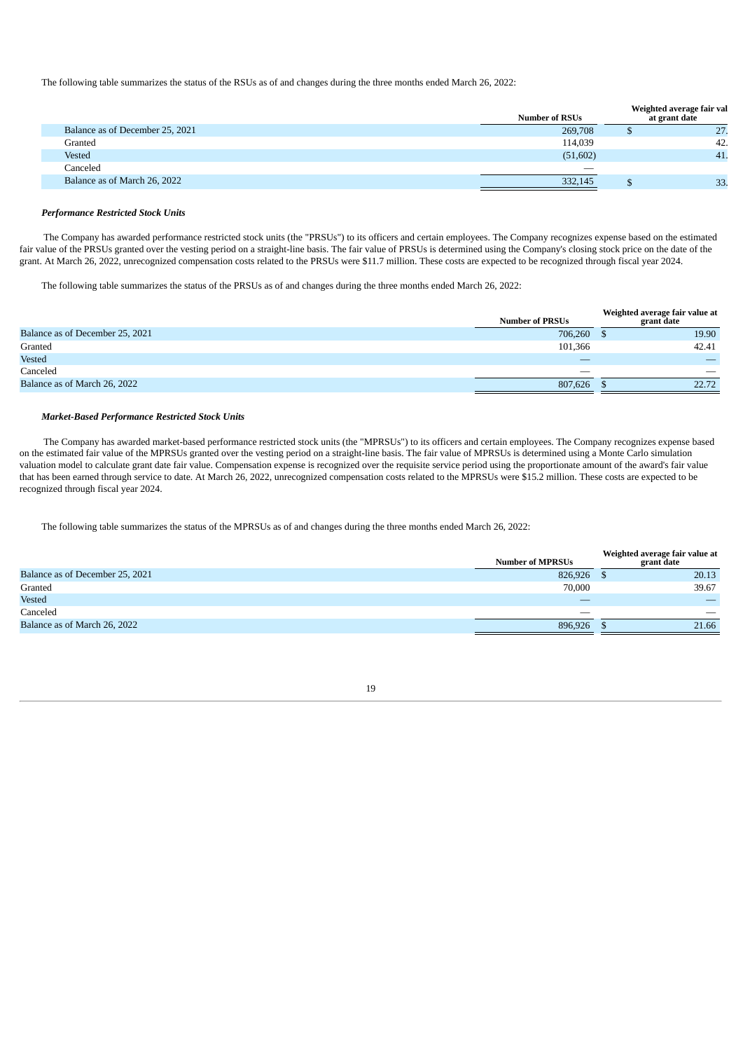The following table summarizes the status of the RSUs as of and changes during the three months ended March 26, 2022:

|                                 | <b>Number of RSUs</b> | Weighted average fair val<br>at grant date |
|---------------------------------|-----------------------|--------------------------------------------|
| Balance as of December 25, 2021 | 269,708               | 27.                                        |
| Granted                         | 114,039               | 42.                                        |
| <b>Vested</b>                   | (51,602)              | 41                                         |
| Canceled                        | $\sim$                |                                            |
| Balance as of March 26, 2022    | 332,145               | 33.                                        |

### *Performance Restricted Stock Units*

The Company has awarded performance restricted stock units (the "PRSUs") to its officers and certain employees. The Company recognizes expense based on the estimated fair value of the PRSUs granted over the vesting period on a straight-line basis. The fair value of PRSUs is determined using the Company's closing stock price on the date of the grant. At March 26, 2022, unrecognized compensation costs related to the PRSUs were \$11.7 million. These costs are expected to be recognized through fiscal year 2024.

The following table summarizes the status of the PRSUs as of and changes during the three months ended March 26, 2022:

|                                 | <b>Number of PRSUs</b> | Weighted average fair value at<br>grant date |
|---------------------------------|------------------------|----------------------------------------------|
| Balance as of December 25, 2021 | 706,260                | 19.90                                        |
| Granted                         | 101,366                | 42.41                                        |
| <b>Vested</b>                   |                        |                                              |
| Canceled                        | __                     | $\overline{\phantom{a}}$                     |
| Balance as of March 26, 2022    | 807,626                | 22.72                                        |

## *Market-Based Performance Restricted Stock Units*

The Company has awarded market-based performance restricted stock units (the "MPRSUs") to its officers and certain employees. The Company recognizes expense based on the estimated fair value of the MPRSUs granted over the vesting period on a straight-line basis. The fair value of MPRSUs is determined using a Monte Carlo simulation valuation model to calculate grant date fair value. Compensation expense is recognized over the requisite service period using the proportionate amount of the award's fair value that has been earned through service to date. At March 26, 2022, unrecognized compensation costs related to the MPRSUs were \$15.2 million. These costs are expected to be recognized through fiscal year 2024.

The following table summarizes the status of the MPRSUs as of and changes during the three months ended March 26, 2022:

|                                 | <b>Number of MPRSUs</b> | Weighted average fair value at<br>grant date |
|---------------------------------|-------------------------|----------------------------------------------|
| Balance as of December 25, 2021 | 826,926                 | 20.13                                        |
| Granted                         | 70,000                  | 39.67                                        |
| <b>Vested</b>                   |                         |                                              |
| Canceled                        | __                      |                                              |
| Balance as of March 26, 2022    | 896,926                 | 21.66                                        |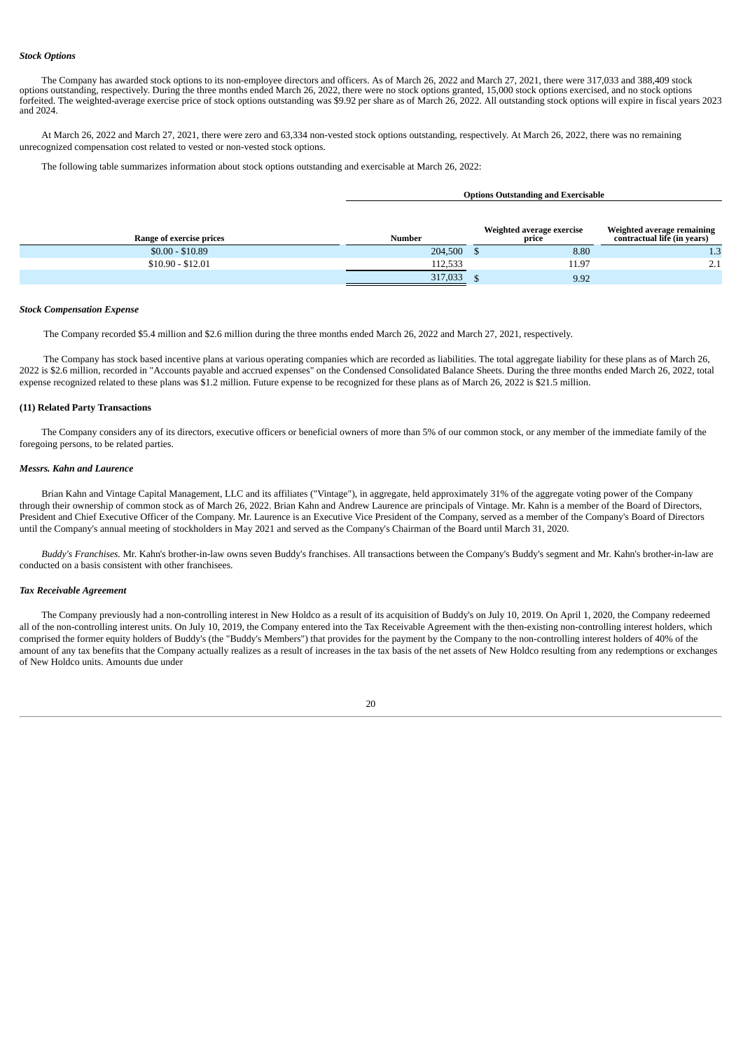#### *Stock Options*

The Company has awarded stock options to its non-employee directors and officers. As of March 26, 2022 and March 27, 2021, there were 317,033 and 388,409 stock options outstanding, respectively. During the three months ended March 26, 2022, there were no stock options granted, 15,000 stock options exercised, and no stock options forfeited. The weighted-average exercise price of stock options outstanding was \$9.92 per share as of March 26, 2022. All outstanding stock options will expire in fiscal years 2023 and 2024.

At March 26, 2022 and March 27, 2021, there were zero and 63,334 non-vested stock options outstanding, respectively. At March 26, 2022, there was no remaining unrecognized compensation cost related to vested or non-vested stock options.

The following table summarizes information about stock options outstanding and exercisable at March 26, 2022:

|                          | options outstanding and Entretonone |                           |                             |  |  |  |  |  |
|--------------------------|-------------------------------------|---------------------------|-----------------------------|--|--|--|--|--|
|                          |                                     | Weighted average exercise | Weighted average remaining  |  |  |  |  |  |
| Range of exercise prices | Number                              | price                     | contractual life (in years) |  |  |  |  |  |
| $$0.00 - $10.89$         | 204,500                             | 8.80                      | 1.3                         |  |  |  |  |  |
| $$10.90 - $12.01$        | 112,533                             | 11.97                     | 2.1                         |  |  |  |  |  |
|                          | 317,033                             | 9.92                      |                             |  |  |  |  |  |

**Options Outstanding and Exercisable**

#### *Stock Compensation Expense*

The Company recorded \$5.4 million and \$2.6 million during the three months ended March 26, 2022 and March 27, 2021, respectively.

The Company has stock based incentive plans at various operating companies which are recorded as liabilities. The total aggregate liability for these plans as of March 26, 2022 is \$2.6 million, recorded in "Accounts payable and accrued expenses" on the Condensed Consolidated Balance Sheets. During the three months ended March 26, 2022, total expense recognized related to these plans was \$1.2 million. Future expense to be recognized for these plans as of March 26, 2022 is \$21.5 million.

#### **(11) Related Party Transactions**

The Company considers any of its directors, executive officers or beneficial owners of more than 5% of our common stock, or any member of the immediate family of the foregoing persons, to be related parties.

#### *Messrs. Kahn and Laurence*

Brian Kahn and Vintage Capital Management, LLC and its affiliates ("Vintage"), in aggregate, held approximately 31% of the aggregate voting power of the Company through their ownership of common stock as of March 26, 2022. Brian Kahn and Andrew Laurence are principals of Vintage. Mr. Kahn is a member of the Board of Directors, President and Chief Executive Officer of the Company. Mr. Laurence is an Executive Vice President of the Company, served as a member of the Company's Board of Directors until the Company's annual meeting of stockholders in May 2021 and served as the Company's Chairman of the Board until March 31, 2020.

*Buddy's Franchises.* Mr. Kahn's brother-in-law owns seven Buddy's franchises. All transactions between the Company's Buddy's segment and Mr. Kahn's brother-in-law are conducted on a basis consistent with other franchisees.

#### *Tax Receivable Agreement*

The Company previously had a non-controlling interest in New Holdco as a result of its acquisition of Buddy's on July 10, 2019. On April 1, 2020, the Company redeemed all of the non-controlling interest units. On July 10, 2019, the Company entered into the Tax Receivable Agreement with the then-existing non-controlling interest holders, which comprised the former equity holders of Buddy's (the "Buddy's Members") that provides for the payment by the Company to the non-controlling interest holders of 40% of the amount of any tax benefits that the Company actually realizes as a result of increases in the tax basis of the net assets of New Holdco resulting from any redemptions or exchanges of New Holdco units. Amounts due under

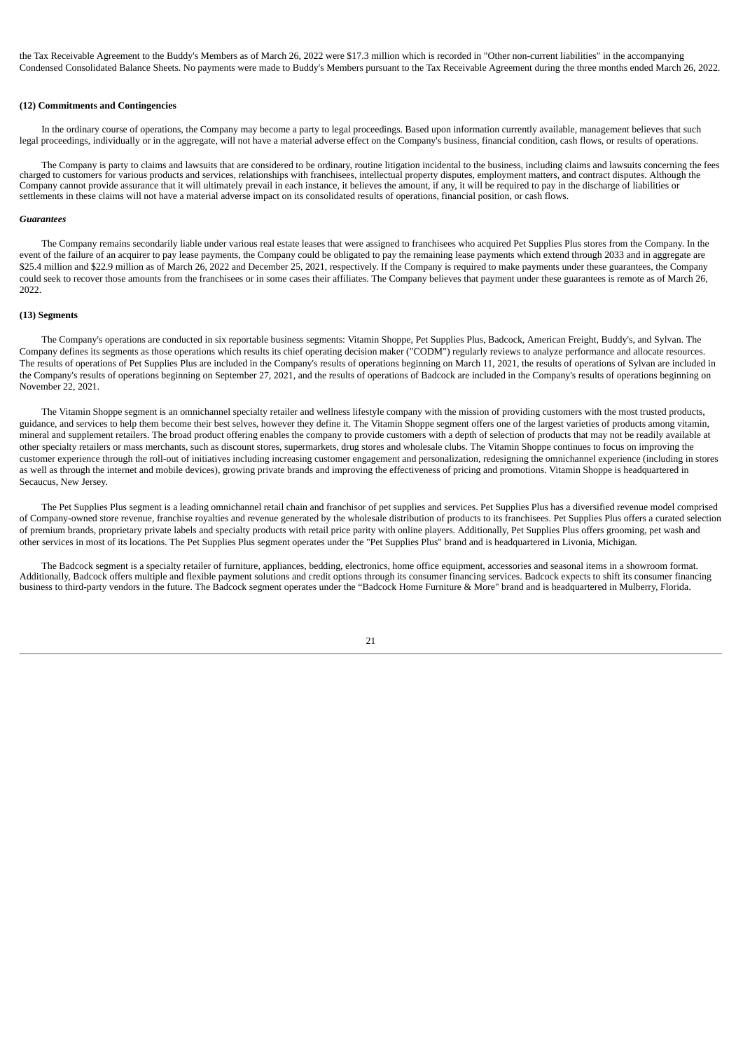the Tax Receivable Agreement to the Buddy's Members as of March 26, 2022 were \$17.3 million which is recorded in "Other non-current liabilities" in the accompanying Condensed Consolidated Balance Sheets. No payments were made to Buddy's Members pursuant to the Tax Receivable Agreement during the three months ended March 26, 2022.

#### **(12) Commitments and Contingencies**

In the ordinary course of operations, the Company may become a party to legal proceedings. Based upon information currently available, management believes that such legal proceedings, individually or in the aggregate, will not have a material adverse effect on the Company's business, financial condition, cash flows, or results of operations.

The Company is party to claims and lawsuits that are considered to be ordinary, routine litigation incidental to the business, including claims and lawsuits concerning the fees charged to customers for various products and services, relationships with franchisees, intellectual property disputes, employment matters, and contract disputes. Although the Company cannot provide assurance that it will ultimately prevail in each instance, it believes the amount, if any, it will be required to pay in the discharge of liabilities or settlements in these claims will not have a material adverse impact on its consolidated results of operations, financial position, or cash flows.

#### *Guarantees*

The Company remains secondarily liable under various real estate leases that were assigned to franchisees who acquired Pet Supplies Plus stores from the Company. In the event of the failure of an acquirer to pay lease payments, the Company could be obligated to pay the remaining lease payments which extend through 2033 and in aggregate are \$25.4 million and \$22.9 million as of March 26, 2022 and December 25, 2021, respectively. If the Company is required to make payments under these guarantees, the Company could seek to recover those amounts from the franchisees or in some cases their affiliates. The Company believes that payment under these guarantees is remote as of March 26, 2022.

#### **(13) Segments**

The Company's operations are conducted in six reportable business segments: Vitamin Shoppe, Pet Supplies Plus, Badcock, American Freight, Buddy's, and Sylvan. The Company defines its segments as those operations which results its chief operating decision maker ("CODM") regularly reviews to analyze performance and allocate resources. The results of operations of Pet Supplies Plus are included in the Company's results of operations beginning on March 11, 2021, the results of operations of Sylvan are included in the Company's results of operations beginning on September 27, 2021, and the results of operations of Badcock are included in the Company's results of operations beginning on November 22, 2021.

The Vitamin Shoppe segment is an omnichannel specialty retailer and wellness lifestyle company with the mission of providing customers with the most trusted products, guidance, and services to help them become their best selves, however they define it. The Vitamin Shoppe segment offers one of the largest varieties of products among vitamin, mineral and supplement retailers. The broad product offering enables the company to provide customers with a depth of selection of products that may not be readily available at other specialty retailers or mass merchants, such as discount stores, supermarkets, drug stores and wholesale clubs. The Vitamin Shoppe continues to focus on improving the customer experience through the roll-out of initiatives including increasing customer engagement and personalization, redesigning the omnichannel experience (including in stores as well as through the internet and mobile devices), growing private brands and improving the effectiveness of pricing and promotions. Vitamin Shoppe is headquartered in Secaucus, New Jersey.

The Pet Supplies Plus segment is a leading omnichannel retail chain and franchisor of pet supplies and services. Pet Supplies Plus has a diversified revenue model comprised of Company-owned store revenue, franchise royalties and revenue generated by the wholesale distribution of products to its franchisees. Pet Supplies Plus offers a curated selection of premium brands, proprietary private labels and specialty products with retail price parity with online players. Additionally, Pet Supplies Plus offers grooming, pet wash and other services in most of its locations. The Pet Supplies Plus segment operates under the "Pet Supplies Plus" brand and is headquartered in Livonia, Michigan.

The Badcock segment is a specialty retailer of furniture, appliances, bedding, electronics, home office equipment, accessories and seasonal items in a showroom format. Additionally, Badcock offers multiple and flexible payment solutions and credit options through its consumer financing services. Badcock expects to shift its consumer financing business to third-party vendors in the future. The Badcock segment operates under the "Badcock Home Furniture & More" brand and is headquartered in Mulberry, Florida.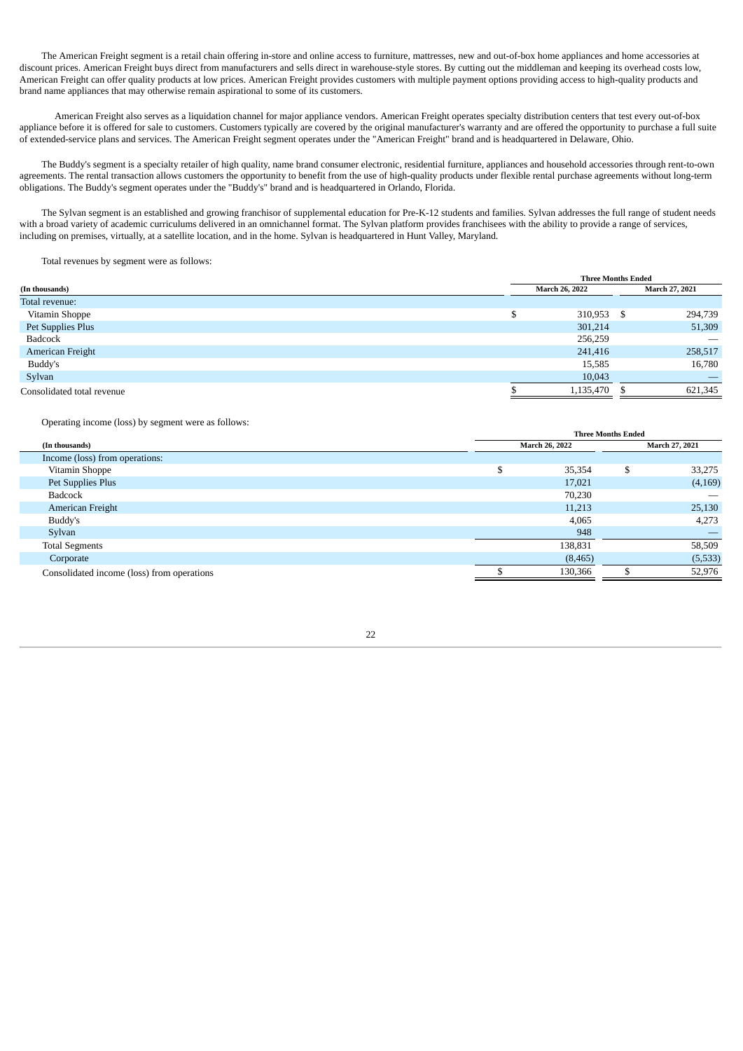The American Freight segment is a retail chain offering in-store and online access to furniture, mattresses, new and out-of-box home appliances and home accessories at discount prices. American Freight buys direct from manufacturers and sells direct in warehouse-style stores. By cutting out the middleman and keeping its overhead costs low, American Freight can offer quality products at low prices. American Freight provides customers with multiple payment options providing access to high-quality products and brand name appliances that may otherwise remain aspirational to some of its customers.

American Freight also serves as a liquidation channel for major appliance vendors. American Freight operates specialty distribution centers that test every out-of-box appliance before it is offered for sale to customers. Customers typically are covered by the original manufacturer's warranty and are offered the opportunity to purchase a full suite of extended-service plans and services. The American Freight segment operates under the "American Freight" brand and is headquartered in Delaware, Ohio.

The Buddy's segment is a specialty retailer of high quality, name brand consumer electronic, residential furniture, appliances and household accessories through rent-to-own agreements. The rental transaction allows customers the opportunity to benefit from the use of high-quality products under flexible rental purchase agreements without long-term obligations. The Buddy's segment operates under the "Buddy's" brand and is headquartered in Orlando, Florida.

The Sylvan segment is an established and growing franchisor of supplemental education for Pre-K-12 students and families. Sylvan addresses the full range of student needs with a broad variety of academic curriculums delivered in an omnichannel format. The Sylvan platform provides franchisees with the ability to provide a range of services, including on premises, virtually, at a satellite location, and in the home. Sylvan is headquartered in Hunt Valley, Maryland.

Total revenues by segment were as follows:

|                            | <b>Three Months Ended</b> |           |   |                |  |
|----------------------------|---------------------------|-----------|---|----------------|--|
| (In thousands)             | March 26, 2022            |           |   | March 27, 2021 |  |
| Total revenue:             |                           |           |   |                |  |
| Vitamin Shoppe             |                           | 310,953   | S | 294,739        |  |
| Pet Supplies Plus          |                           | 301,214   |   | 51,309         |  |
| Badcock                    |                           | 256,259   |   |                |  |
| American Freight           |                           | 241,416   |   | 258,517        |  |
| Buddy's                    |                           | 15,585    |   | 16,780         |  |
| Sylvan                     |                           | 10,043    |   | _              |  |
| Consolidated total revenue |                           | 1,135,470 |   | 621,345        |  |

Operating income (loss) by segment were as follows:

|                                            |                       | <b>Three Months Ended</b> |    |                |  |  |  |
|--------------------------------------------|-----------------------|---------------------------|----|----------------|--|--|--|
| (In thousands)                             | <b>March 26, 2022</b> |                           |    | March 27, 2021 |  |  |  |
| Income (loss) from operations:             |                       |                           |    |                |  |  |  |
| Vitamin Shoppe                             | ¢                     | 35,354                    | \$ | 33,275         |  |  |  |
| Pet Supplies Plus                          |                       | 17,021                    |    | (4,169)        |  |  |  |
| <b>Badcock</b>                             |                       | 70,230                    |    | _              |  |  |  |
| American Freight                           |                       | 11,213                    |    | 25,130         |  |  |  |
| Buddy's                                    |                       | 4,065                     |    | 4,273          |  |  |  |
| Sylvan                                     |                       | 948                       |    |                |  |  |  |
| <b>Total Segments</b>                      |                       | 138,831                   |    | 58,509         |  |  |  |
| Corporate                                  |                       | (8, 465)                  |    | (5,533)        |  |  |  |
| Consolidated income (loss) from operations |                       | 130,366                   |    | 52,976         |  |  |  |
|                                            |                       |                           |    |                |  |  |  |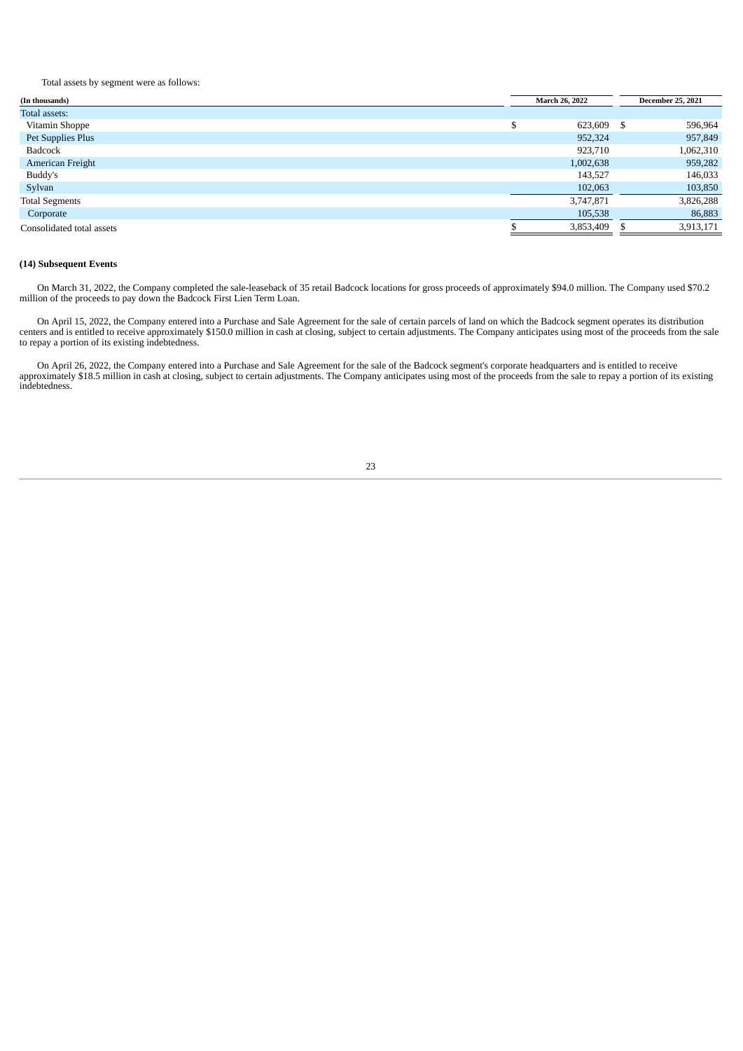Total assets by segment were as follows:

| (In thousands)            | <b>March 26, 2022</b> | <b>December 25, 2021</b> |  |
|---------------------------|-----------------------|--------------------------|--|
| Total assets:             |                       |                          |  |
| Vitamin Shoppe            | 623,609               | \$<br>596,964            |  |
| Pet Supplies Plus         | 952,324               | 957,849                  |  |
| Badcock                   | 923,710               | 1,062,310                |  |
| American Freight          | 1,002,638             | 959,282                  |  |
| Buddy's                   | 143,527               | 146,033                  |  |
| Sylvan                    | 102,063               | 103,850                  |  |
| <b>Total Segments</b>     | 3,747,871             | 3,826,288                |  |
| Corporate                 | 105,538               | 86,883                   |  |
| Consolidated total assets | 3,853,409             | 3,913,171                |  |
|                           |                       |                          |  |

## **(14) Subsequent Events**

On March 31, 2022, the Company completed the sale-leaseback of 35 retail Badcock locations for gross proceeds of approximately \$94.0 million. The Company used \$70.2 million of the proceeds to pay down the Badcock First Lien Term Loan.

On April 15, 2022, the Company entered into a Purchase and Sale Agreement for the sale of certain parcels of land on which the Badcock segment operates its distribution centers and is entitled to receive approximately \$150.0 million in cash at closing, subject to certain adjustments. The Company anticipates using most of the proceeds from the sale to repay a portion of its existing indebtedness.

<span id="page-24-0"></span>On April 26, 2022, the Company entered into a Purchase and Sale Agreement for the sale of the Badcock segment's corporate headquarters and is entitled to receive approximately \$18.5 million in cash at closing, subject to certain adjustments. The Company anticipates using most of the proceeds from the sale to repay a portion of its existing indebtedness.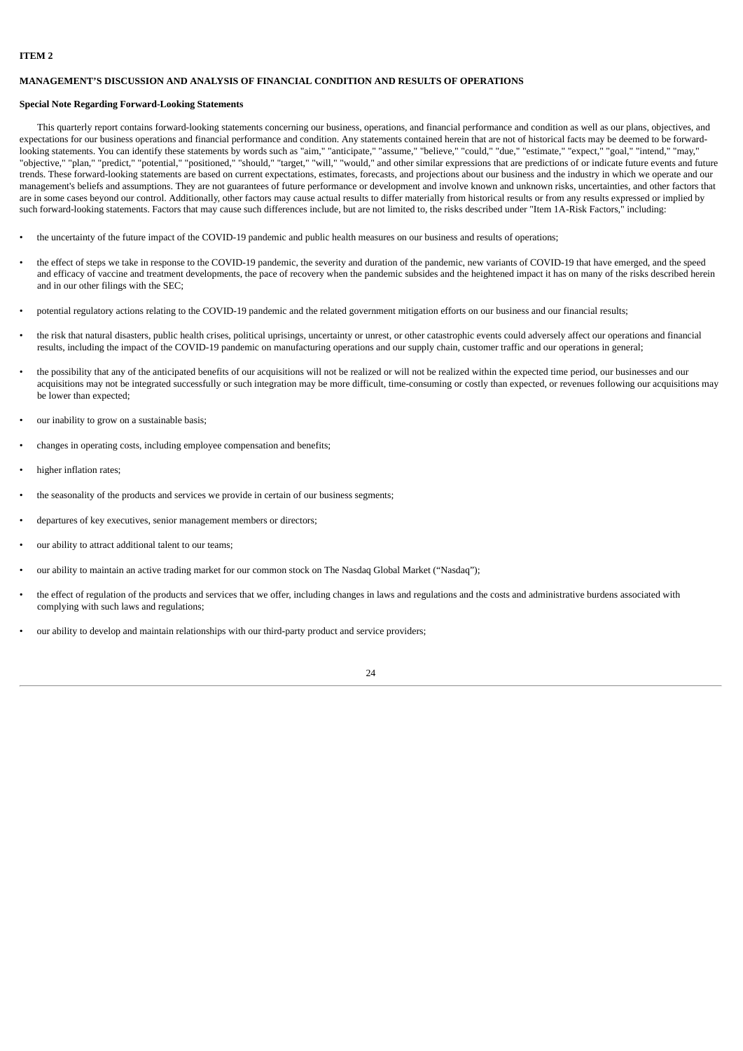#### **ITEM 2**

## **MANAGEMENT'S DISCUSSION AND ANALYSIS OF FINANCIAL CONDITION AND RESULTS OF OPERATIONS**

#### **Special Note Regarding Forward-Looking Statements**

This quarterly report contains forward-looking statements concerning our business, operations, and financial performance and condition as well as our plans, objectives, and expectations for our business operations and financial performance and condition. Any statements contained herein that are not of historical facts may be deemed to be forwardlooking statements. You can identify these statements by words such as "aim," "anticipate," "assume," "believe," "could," "due," "estimate," "expect," "goal," "intend," "may," "objective," "plan," "predict," "potential," "positioned," "should," "target," "will," "would," and other similar expressions that are predictions of or indicate future events and future trends. These forward-looking statements are based on current expectations, estimates, forecasts, and projections about our business and the industry in which we operate and our management's beliefs and assumptions. They are not guarantees of future performance or development and involve known and unknown risks, uncertainties, and other factors that are in some cases beyond our control. Additionally, other factors may cause actual results to differ materially from historical results or from any results expressed or implied by such forward-looking statements. Factors that may cause such differences include, but are not limited to, the risks described under "Item 1A-Risk Factors," including:

- the uncertainty of the future impact of the COVID-19 pandemic and public health measures on our business and results of operations;
- the effect of steps we take in response to the COVID-19 pandemic, the severity and duration of the pandemic, new variants of COVID-19 that have emerged, and the speed and efficacy of vaccine and treatment developments, the pace of recovery when the pandemic subsides and the heightened impact it has on many of the risks described herein and in our other filings with the SEC;
- potential regulatory actions relating to the COVID-19 pandemic and the related government mitigation efforts on our business and our financial results;
- the risk that natural disasters, public health crises, political uprisings, uncertainty or unrest, or other catastrophic events could adversely affect our operations and financial results, including the impact of the COVID-19 pandemic on manufacturing operations and our supply chain, customer traffic and our operations in general;
- the possibility that any of the anticipated benefits of our acquisitions will not be realized or will not be realized within the expected time period, our businesses and our acquisitions may not be integrated successfully or such integration may be more difficult, time-consuming or costly than expected, or revenues following our acquisitions may be lower than expected;
- our inability to grow on a sustainable basis;
- changes in operating costs, including employee compensation and benefits;
- higher inflation rates:
- the seasonality of the products and services we provide in certain of our business segments;
- departures of key executives, senior management members or directors;
- our ability to attract additional talent to our teams;
- our ability to maintain an active trading market for our common stock on The Nasdaq Global Market ("Nasdaq");
- the effect of regulation of the products and services that we offer, including changes in laws and regulations and the costs and administrative burdens associated with complying with such laws and regulations;
- our ability to develop and maintain relationships with our third-party product and service providers;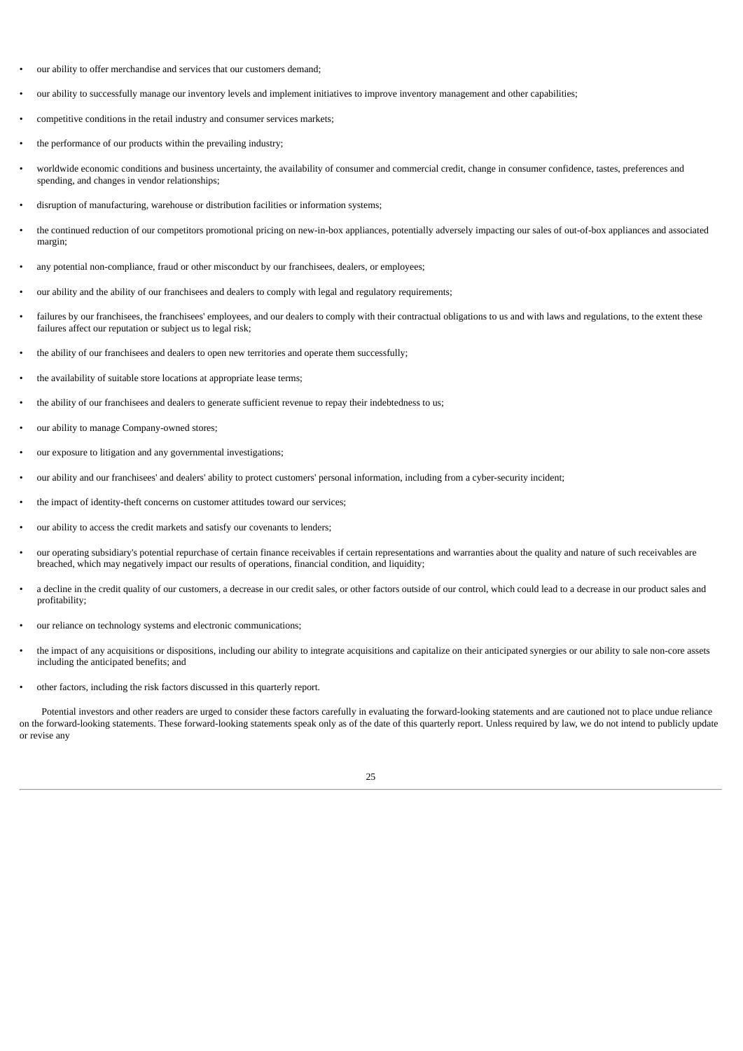- our ability to offer merchandise and services that our customers demand;
- our ability to successfully manage our inventory levels and implement initiatives to improve inventory management and other capabilities;
- competitive conditions in the retail industry and consumer services markets;
- the performance of our products within the prevailing industry;
- worldwide economic conditions and business uncertainty, the availability of consumer and commercial credit, change in consumer confidence, tastes, preferences and spending, and changes in vendor relationships;
- disruption of manufacturing, warehouse or distribution facilities or information systems;
- the continued reduction of our competitors promotional pricing on new-in-box appliances, potentially adversely impacting our sales of out-of-box appliances and associated margin;
- any potential non-compliance, fraud or other misconduct by our franchisees, dealers, or employees;
- our ability and the ability of our franchisees and dealers to comply with legal and regulatory requirements;
- failures by our franchisees, the franchisees' employees, and our dealers to comply with their contractual obligations to us and with laws and regulations, to the extent these failures affect our reputation or subject us to legal risk;
- the ability of our franchisees and dealers to open new territories and operate them successfully;
- the availability of suitable store locations at appropriate lease terms;
- the ability of our franchisees and dealers to generate sufficient revenue to repay their indebtedness to us;
- our ability to manage Company-owned stores;
- our exposure to litigation and any governmental investigations;
- our ability and our franchisees' and dealers' ability to protect customers' personal information, including from a cyber-security incident;
- the impact of identity-theft concerns on customer attitudes toward our services;
- our ability to access the credit markets and satisfy our covenants to lenders;
- our operating subsidiary's potential repurchase of certain finance receivables if certain representations and warranties about the quality and nature of such receivables are breached, which may negatively impact our results of operations, financial condition, and liquidity;
- a decline in the credit quality of our customers, a decrease in our credit sales, or other factors outside of our control, which could lead to a decrease in our product sales and profitability;
- our reliance on technology systems and electronic communications;
- the impact of any acquisitions or dispositions, including our ability to integrate acquisitions and capitalize on their anticipated synergies or our ability to sale non-core assets including the anticipated benefits; and
- other factors, including the risk factors discussed in this quarterly report.

Potential investors and other readers are urged to consider these factors carefully in evaluating the forward-looking statements and are cautioned not to place undue reliance on the forward-looking statements. These forward-looking statements speak only as of the date of this quarterly report. Unless required by law, we do not intend to publicly update or revise any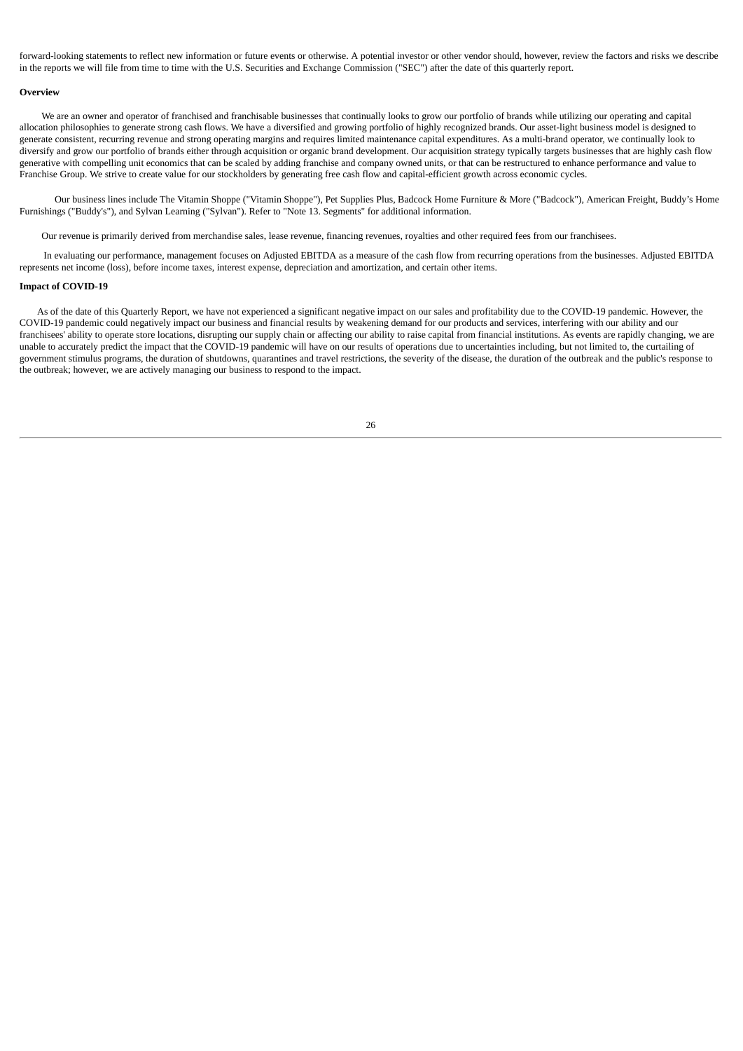forward-looking statements to reflect new information or future events or otherwise. A potential investor or other vendor should, however, review the factors and risks we describe in the reports we will file from time to time with the U.S. Securities and Exchange Commission ("SEC") after the date of this quarterly report.

### **Overview**

We are an owner and operator of franchised and franchisable businesses that continually looks to grow our portfolio of brands while utilizing our operating and capital allocation philosophies to generate strong cash flows. We have a diversified and growing portfolio of highly recognized brands. Our asset-light business model is designed to generate consistent, recurring revenue and strong operating margins and requires limited maintenance capital expenditures. As a multi-brand operator, we continually look to diversify and grow our portfolio of brands either through acquisition or organic brand development. Our acquisition strategy typically targets businesses that are highly cash flow generative with compelling unit economics that can be scaled by adding franchise and company owned units, or that can be restructured to enhance performance and value to Franchise Group. We strive to create value for our stockholders by generating free cash flow and capital-efficient growth across economic cycles.

Our business lines include The Vitamin Shoppe ("Vitamin Shoppe"), Pet Supplies Plus, Badcock Home Furniture & More ("Badcock"), American Freight, Buddy's Home Furnishings ("Buddy's"), and Sylvan Learning ("Sylvan"). Refer to "Note 13. Segments" for additional information.

Our revenue is primarily derived from merchandise sales, lease revenue, financing revenues, royalties and other required fees from our franchisees.

In evaluating our performance, management focuses on Adjusted EBITDA as a measure of the cash flow from recurring operations from the businesses. Adjusted EBITDA represents net income (loss), before income taxes, interest expense, depreciation and amortization, and certain other items.

#### **Impact of COVID-19**

As of the date of this Quarterly Report, we have not experienced a significant negative impact on our sales and profitability due to the COVID-19 pandemic. However, the COVID-19 pandemic could negatively impact our business and financial results by weakening demand for our products and services, interfering with our ability and our franchisees' ability to operate store locations, disrupting our supply chain or affecting our ability to raise capital from financial institutions. As events are rapidly changing, we are unable to accurately predict the impact that the COVID-19 pandemic will have on our results of operations due to uncertainties including, but not limited to, the curtailing of government stimulus programs, the duration of shutdowns, quarantines and travel restrictions, the severity of the disease, the duration of the outbreak and the public's response to the outbreak; however, we are actively managing our business to respond to the impact.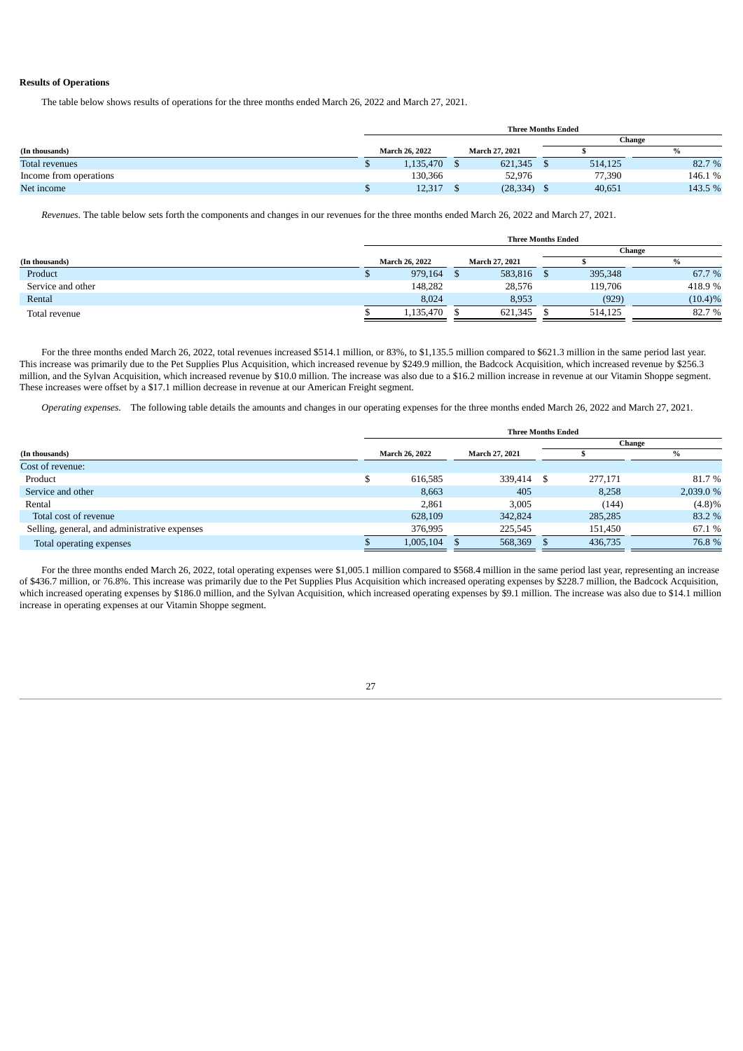## **Results of Operations**

The table below shows results of operations for the three months ended March 26, 2022 and March 27, 2021.

|                        | <b>Three Months Ended</b> |                       |  |                       |  |         |         |
|------------------------|---------------------------|-----------------------|--|-----------------------|--|---------|---------|
|                        |                           |                       |  |                       |  |         | Change  |
| (In thousands)         |                           | <b>March 26, 2022</b> |  | <b>March 27, 2021</b> |  |         | $\%$    |
| Total revenues         |                           | 1,135,470             |  | 621,345               |  | 514,125 | 82.7%   |
| Income from operations |                           | 130,366               |  | 52,976                |  | 77,390  | 146.1 % |
| Net income             |                           | 12,317                |  | $(28,334)$ \$         |  | 40,651  | 143.5 % |

*Revenues.* The table below sets forth the components and changes in our revenues for the three months ended March 26, 2022 and March 27, 2021.

|                   | <b>Three Months Ended</b> |                       |  |                       |  |         |            |
|-------------------|---------------------------|-----------------------|--|-----------------------|--|---------|------------|
|                   |                           |                       |  |                       |  |         | Change     |
| (In thousands)    |                           | <b>March 26, 2022</b> |  | <b>March 27, 2021</b> |  |         | ℅          |
| Product           |                           | 979,164               |  | 583,816               |  | 395,348 | 67.7 %     |
| Service and other |                           | 148,282               |  | 28,576                |  | 119.706 | 418.9%     |
| Rental            |                           | 8,024                 |  | 8,953                 |  | (929)   | $(10.4)\%$ |
| Total revenue     |                           | 1,135,470             |  | 621,345               |  | 514,125 | 82.7 %     |

For the three months ended March 26, 2022, total revenues increased \$514.1 million, or 83%, to \$1,135.5 million compared to \$621.3 million in the same period last year. This increase was primarily due to the Pet Supplies Plus Acquisition, which increased revenue by \$249.9 million, the Badcock Acquisition, which increased revenue by \$256.3 million, and the Sylvan Acquisition, which increased revenue by \$10.0 million. The increase was also due to a \$16.2 million increase in revenue at our Vitamin Shoppe segment. These increases were offset by a \$17.1 million decrease in revenue at our American Freight segment.

*Operating expenses.* The following table details the amounts and changes in our operating expenses for the three months ended March 26, 2022 and March 27, 2021.

|                                               | <b>Three Months Ended</b> |                       |                 |               |  |  |  |  |
|-----------------------------------------------|---------------------------|-----------------------|-----------------|---------------|--|--|--|--|
|                                               |                           |                       |                 | <b>Change</b> |  |  |  |  |
| (In thousands)                                | <b>March 26, 2022</b>     | <b>March 27, 2021</b> |                 | $\%$          |  |  |  |  |
| Cost of revenue:                              |                           |                       |                 |               |  |  |  |  |
| Product                                       | 616,585                   | 339,414               | - \$<br>277,171 | 81.7%         |  |  |  |  |
| Service and other                             | 8,663                     | 405                   | 8,258           | 2,039.0 %     |  |  |  |  |
| Rental                                        | 2,861                     | 3,005                 | (144)           | $(4.8)\%$     |  |  |  |  |
| Total cost of revenue                         | 628,109                   | 342,824               | 285,285         | 83.2 %        |  |  |  |  |
| Selling, general, and administrative expenses | 376,995                   | 225,545               | 151,450         | 67.1 %        |  |  |  |  |
| Total operating expenses                      | 1,005,104                 | 568,369<br>-S         | 436,735         | 76.8%         |  |  |  |  |

For the three months ended March 26, 2022, total operating expenses were \$1,005.1 million compared to \$568.4 million in the same period last year, representing an increase of \$436.7 million, or 76.8%. This increase was primarily due to the Pet Supplies Plus Acquisition which increased operating expenses by \$228.7 million, the Badcock Acquisition, which increased operating expenses by \$186.0 million, and the Sylvan Acquisition, which increased operating expenses by \$9.1 million. The increase was also due to \$14.1 million increase in operating expenses at our Vitamin Shoppe segment.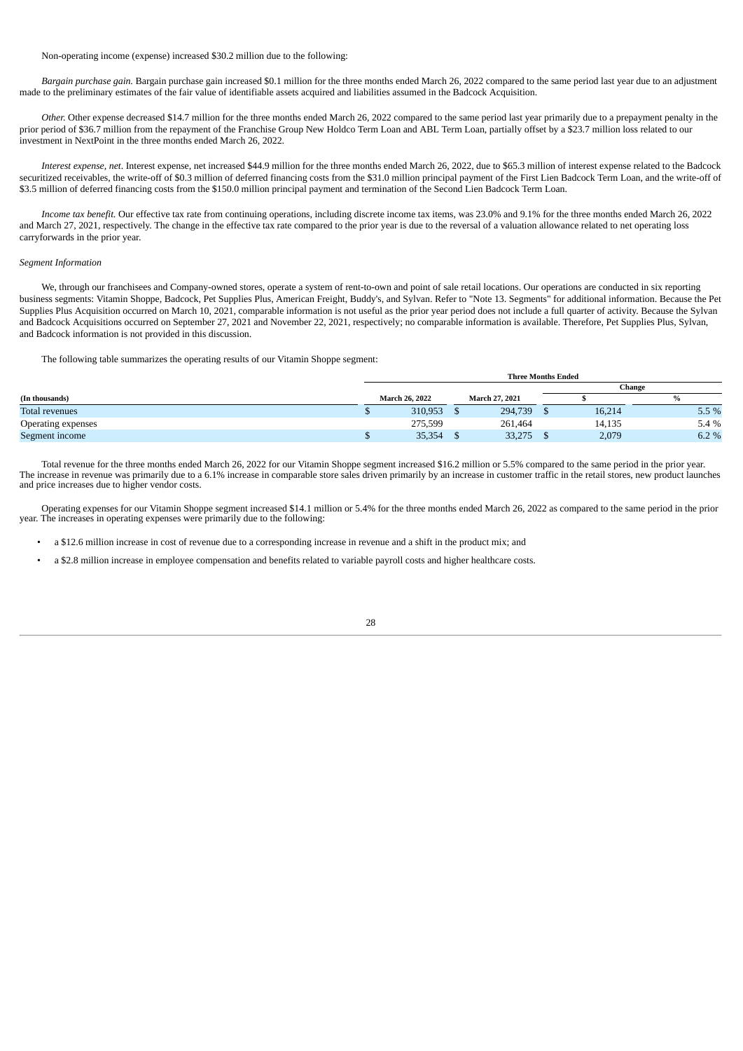Non-operating income (expense) increased \$30.2 million due to the following:

*Bargain purchase gain.* Bargain purchase gain increased \$0.1 million for the three months ended March 26, 2022 compared to the same period last year due to an adjustment made to the preliminary estimates of the fair value of identifiable assets acquired and liabilities assumed in the Badcock Acquisition.

*Other.* Other expense decreased \$14.7 million for the three months ended March 26, 2022 compared to the same period last year primarily due to a prepayment penalty in the prior period of \$36.7 million from the repayment of the Franchise Group New Holdco Term Loan and ABL Term Loan, partially offset by a \$23.7 million loss related to our investment in NextPoint in the three months ended March 26, 2022.

*Interest expense, net*. Interest expense, net increased \$44.9 million for the three months ended March 26, 2022, due to \$65.3 million of interest expense related to the Badcock securitized receivables, the write-off of \$0.3 million of deferred financing costs from the \$31.0 million principal payment of the First Lien Badcock Term Loan, and the write-off of \$3.5 million of deferred financing costs from the \$150.0 million principal payment and termination of the Second Lien Badcock Term Loan.

*Income tax benefit.* Our effective tax rate from continuing operations, including discrete income tax items, was 23.0% and 9.1% for the three months ended March 26, 2022 and March 27, 2021, respectively. The change in the effective tax rate compared to the prior year is due to the reversal of a valuation allowance related to net operating loss carryforwards in the prior year.

#### *Segment Information*

We, through our franchisees and Company-owned stores, operate a system of rent-to-own and point of sale retail locations. Our operations are conducted in six reporting business segments: Vitamin Shoppe, Badcock, Pet Supplies Plus, American Freight, Buddy's, and Sylvan. Refer to "Note 13. Segments" for additional information. Because the Pet Supplies Plus Acquisition occurred on March 10, 2021, comparable information is not useful as the prior year period does not include a full quarter of activity. Because the Sylvan and Badcock Acquisitions occurred on September 27, 2021 and November 22, 2021, respectively; no comparable information is available. Therefore, Pet Supplies Plus, Sylvan, and Badcock information is not provided in this discussion.

The following table summarizes the operating results of our Vitamin Shoppe segment:

|                    | <b>Three Months Ended</b> |  |                       |  |        |       |  |
|--------------------|---------------------------|--|-----------------------|--|--------|-------|--|
|                    |                           |  |                       |  | Change |       |  |
| (In thousands)     | <b>March 26, 2022</b>     |  | <b>March 27, 2021</b> |  |        | 0/2   |  |
| Total revenues     | 310,953                   |  | 294,739               |  | 16,214 | 5.5%  |  |
| Operating expenses | 275,599                   |  | 261,464               |  | 14,135 | 5.4%  |  |
| Segment income     | 35,354                    |  | 33,275                |  | 2,079  | 6.2 % |  |

Total revenue for the three months ended March 26, 2022 for our Vitamin Shoppe segment increased \$16.2 million or 5.5% compared to the same period in the prior year. The increase in revenue was primarily due to a 6.1% increase in comparable store sales driven primarily by an increase in customer traffic in the retail stores, new product launches and price increases due to higher vendor costs.

Operating expenses for our Vitamin Shoppe segment increased \$14.1 million or 5.4% for the three months ended March 26, 2022 as compared to the same period in the prior year. The increases in operating expenses were primarily due to the following:

• a \$12.6 million increase in cost of revenue due to a corresponding increase in revenue and a shift in the product mix; and

• a \$2.8 million increase in employee compensation and benefits related to variable payroll costs and higher healthcare costs.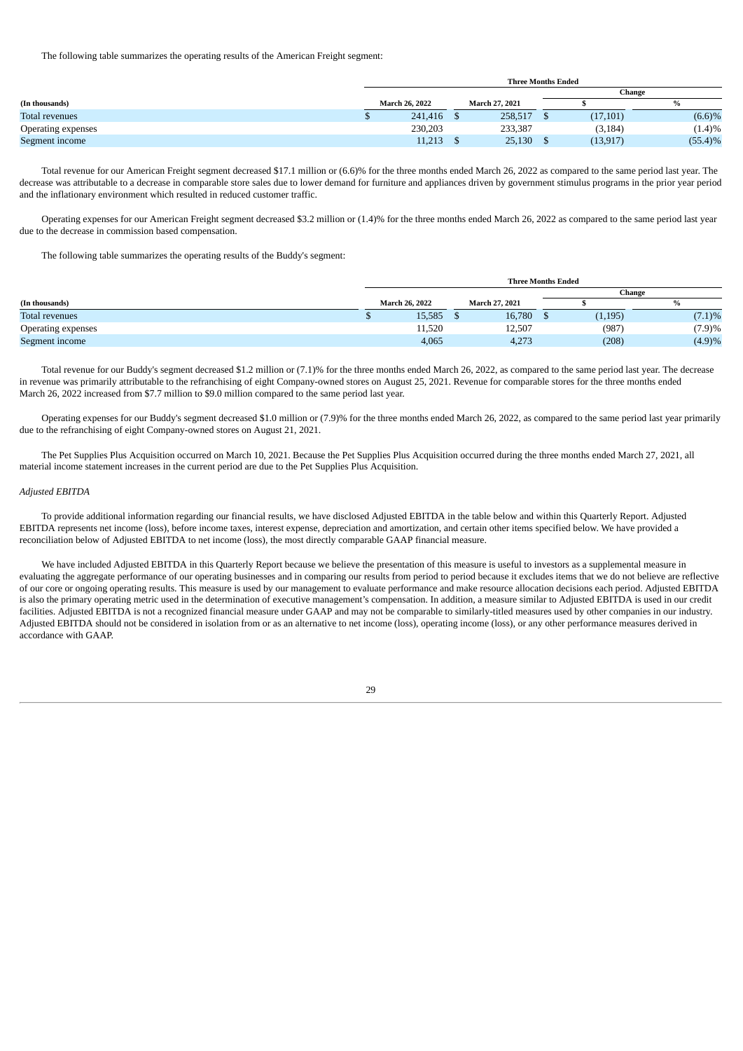The following table summarizes the operating results of the American Freight segment:

|                    | <b>Three Months Ended</b> |  |                |        |           |            |  |
|--------------------|---------------------------|--|----------------|--------|-----------|------------|--|
|                    |                           |  |                | Change |           |            |  |
| (In thousands)     | <b>March 26, 2022</b>     |  | March 27, 2021 |        |           | $\%$       |  |
| Total revenues     | 241.416                   |  | 258,517        |        | (17, 101) | (6.6)%     |  |
| Operating expenses | 230,203                   |  | 233,387        |        | (3, 184)  | (1.4)%     |  |
| Segment income     | 11,213                    |  | 25,130         |        | (13, 917) | $(55.4)\%$ |  |

Total revenue for our American Freight segment decreased \$17.1 million or (6.6)% for the three months ended March 26, 2022 as compared to the same period last year. The decrease was attributable to a decrease in comparable store sales due to lower demand for furniture and appliances driven by government stimulus programs in the prior year period and the inflationary environment which resulted in reduced customer traffic.

Operating expenses for our American Freight segment decreased \$3.2 million or (1.4)% for the three months ended March 26, 2022 as compared to the same period last year due to the decrease in commission based compensation.

The following table summarizes the operating results of the Buddy's segment:

|                    | <b>Three Months Ended</b> |                       |  |                       |  |          |           |  |
|--------------------|---------------------------|-----------------------|--|-----------------------|--|----------|-----------|--|
|                    |                           |                       |  |                       |  | Change   |           |  |
| (In thousands)     |                           | <b>March 26, 2022</b> |  | <b>March 27, 2021</b> |  |          | $\%$      |  |
| Total revenues     |                           | 15,585                |  | 16,780 \$             |  | (1, 195) | $(7.1)\%$ |  |
| Operating expenses |                           | 11,520                |  | 12,507                |  | (987)    | (7.9)%    |  |
| Segment income     |                           | 4,065                 |  | 4,273                 |  | (208)    | (4.9)%    |  |

Total revenue for our Buddy's segment decreased \$1.2 million or (7.1)% for the three months ended March 26, 2022, as compared to the same period last year. The decrease in revenue was primarily attributable to the refranchising of eight Company-owned stores on August 25, 2021. Revenue for comparable stores for the three months ended March 26, 2022 increased from \$7.7 million to \$9.0 million compared to the same period last year.

Operating expenses for our Buddy's segment decreased \$1.0 million or (7.9)% for the three months ended March 26, 2022, as compared to the same period last year primarily due to the refranchising of eight Company-owned stores on August 21, 2021.

The Pet Supplies Plus Acquisition occurred on March 10, 2021. Because the Pet Supplies Plus Acquisition occurred during the three months ended March 27, 2021, all material income statement increases in the current period are due to the Pet Supplies Plus Acquisition.

#### *Adjusted EBITDA*

To provide additional information regarding our financial results, we have disclosed Adjusted EBITDA in the table below and within this Quarterly Report. Adjusted EBITDA represents net income (loss), before income taxes, interest expense, depreciation and amortization, and certain other items specified below. We have provided a reconciliation below of Adjusted EBITDA to net income (loss), the most directly comparable GAAP financial measure.

We have included Adjusted EBITDA in this Quarterly Report because we believe the presentation of this measure is useful to investors as a supplemental measure in evaluating the aggregate performance of our operating businesses and in comparing our results from period to period because it excludes items that we do not believe are reflective of our core or ongoing operating results. This measure is used by our management to evaluate performance and make resource allocation decisions each period. Adjusted EBITDA is also the primary operating metric used in the determination of executive management's compensation. In addition, a measure similar to Adjusted EBITDA is used in our credit facilities. Adjusted EBITDA is not a recognized financial measure under GAAP and may not be comparable to similarly-titled measures used by other companies in our industry. Adjusted EBITDA should not be considered in isolation from or as an alternative to net income (loss), operating income (loss), or any other performance measures derived in accordance with GAAP.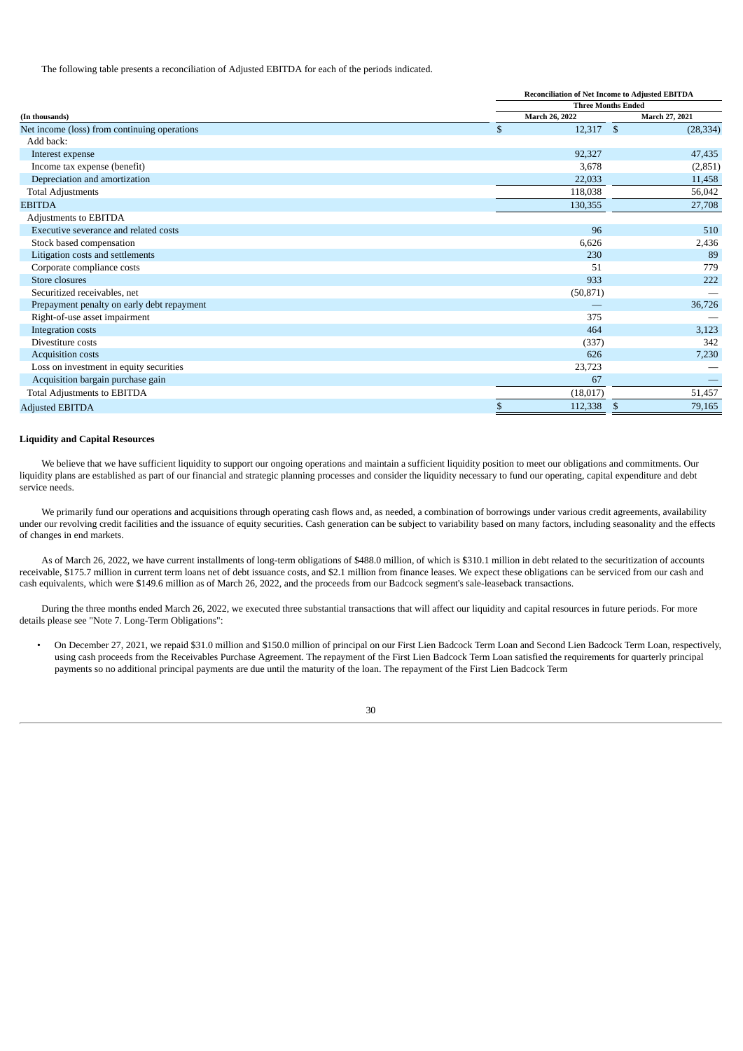The following table presents a reconciliation of Adjusted EBITDA for each of the periods indicated.

|                                              | Reconciliation of Net Income to Adjusted EBITDA |                |  |  |  |  |  |
|----------------------------------------------|-------------------------------------------------|----------------|--|--|--|--|--|
|                                              | <b>Three Months Ended</b>                       |                |  |  |  |  |  |
| (In thousands)                               | March 26, 2022                                  | March 27, 2021 |  |  |  |  |  |
| Net income (loss) from continuing operations | \$<br>$12,317$ \$                               | (28, 334)      |  |  |  |  |  |
| Add back:                                    |                                                 |                |  |  |  |  |  |
| Interest expense                             | 92,327                                          | 47,435         |  |  |  |  |  |
| Income tax expense (benefit)                 | 3,678                                           | (2,851)        |  |  |  |  |  |
| Depreciation and amortization                | 22,033                                          | 11,458         |  |  |  |  |  |
| <b>Total Adjustments</b>                     | 118,038                                         | 56,042         |  |  |  |  |  |
| <b>EBITDA</b>                                | 130,355                                         | 27,708         |  |  |  |  |  |
| Adjustments to EBITDA                        |                                                 |                |  |  |  |  |  |
| Executive severance and related costs        | 96                                              | 510            |  |  |  |  |  |
| Stock based compensation                     | 6,626                                           | 2,436          |  |  |  |  |  |
| Litigation costs and settlements             | 230                                             | 89             |  |  |  |  |  |
| Corporate compliance costs                   | 51                                              | 779            |  |  |  |  |  |
| Store closures                               | 933                                             | 222            |  |  |  |  |  |
| Securitized receivables, net                 | (50, 871)                                       |                |  |  |  |  |  |
| Prepayment penalty on early debt repayment   |                                                 | 36,726         |  |  |  |  |  |
| Right-of-use asset impairment                | 375                                             |                |  |  |  |  |  |
| Integration costs                            | 464                                             | 3,123          |  |  |  |  |  |
| Divestiture costs                            | (337)                                           | 342            |  |  |  |  |  |
| <b>Acquisition costs</b>                     | 626                                             | 7,230          |  |  |  |  |  |
| Loss on investment in equity securities      | 23,723                                          |                |  |  |  |  |  |
| Acquisition bargain purchase gain            | 67                                              |                |  |  |  |  |  |
| <b>Total Adjustments to EBITDA</b>           | (18,017)                                        | 51,457         |  |  |  |  |  |
| <b>Adjusted EBITDA</b>                       | \$<br>112,338                                   | \$<br>79,165   |  |  |  |  |  |

#### **Liquidity and Capital Resources**

We believe that we have sufficient liquidity to support our ongoing operations and maintain a sufficient liquidity position to meet our obligations and commitments. Our liquidity plans are established as part of our financial and strategic planning processes and consider the liquidity necessary to fund our operating, capital expenditure and debt service needs.

We primarily fund our operations and acquisitions through operating cash flows and, as needed, a combination of borrowings under various credit agreements, availability under our revolving credit facilities and the issuance of equity securities. Cash generation can be subject to variability based on many factors, including seasonality and the effects of changes in end markets.

As of March 26, 2022, we have current installments of long-term obligations of \$488.0 million, of which is \$310.1 million in debt related to the securitization of accounts receivable, \$175.7 million in current term loans net of debt issuance costs, and \$2.1 million from finance leases. We expect these obligations can be serviced from our cash and cash equivalents, which were \$149.6 million as of March 26, 2022, and the proceeds from our Badcock segment's sale-leaseback transactions.

During the three months ended March 26, 2022, we executed three substantial transactions that will affect our liquidity and capital resources in future periods. For more details please see "Note 7. Long-Term Obligations":

• On December 27, 2021, we repaid \$31.0 million and \$150.0 million of principal on our First Lien Badcock Term Loan and Second Lien Badcock Term Loan, respectively, using cash proceeds from the Receivables Purchase Agreement. The repayment of the First Lien Badcock Term Loan satisfied the requirements for quarterly principal payments so no additional principal payments are due until the maturity of the loan. The repayment of the First Lien Badcock Term

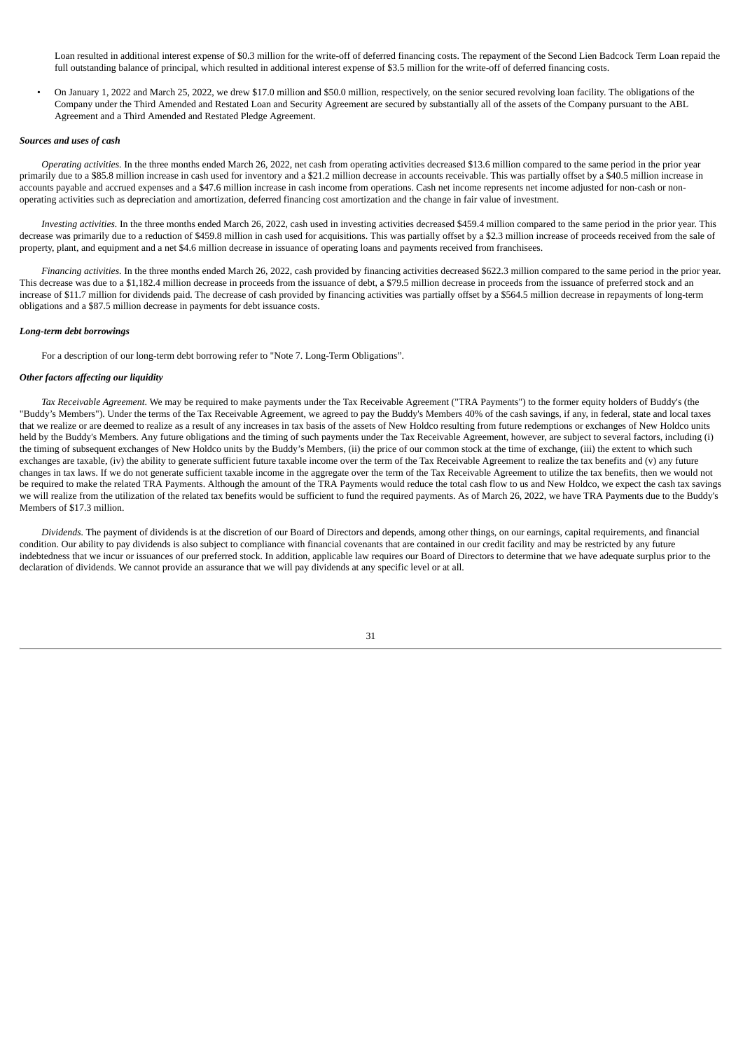Loan resulted in additional interest expense of \$0.3 million for the write-off of deferred financing costs. The repayment of the Second Lien Badcock Term Loan repaid the full outstanding balance of principal, which resulted in additional interest expense of \$3.5 million for the write-off of deferred financing costs.

• On January 1, 2022 and March 25, 2022, we drew \$17.0 million and \$50.0 million, respectively, on the senior secured revolving loan facility. The obligations of the Company under the Third Amended and Restated Loan and Security Agreement are secured by substantially all of the assets of the Company pursuant to the ABL Agreement and a Third Amended and Restated Pledge Agreement.

#### *Sources and uses of cash*

*Operating activities.* In the three months ended March 26, 2022, net cash from operating activities decreased \$13.6 million compared to the same period in the prior year primarily due to a \$85.8 million increase in cash used for inventory and a \$21.2 million decrease in accounts receivable. This was partially offset by a \$40.5 million increase in accounts payable and accrued expenses and a \$47.6 million increase in cash income from operations. Cash net income represents net income adjusted for non-cash or nonoperating activities such as depreciation and amortization, deferred financing cost amortization and the change in fair value of investment.

*Investing activities.* In the three months ended March 26, 2022, cash used in investing activities decreased \$459.4 million compared to the same period in the prior year. This decrease was primarily due to a reduction of \$459.8 million in cash used for acquisitions. This was partially offset by a \$2.3 million increase of proceeds received from the sale of property, plant, and equipment and a net \$4.6 million decrease in issuance of operating loans and payments received from franchisees.

*Financing activities.* In the three months ended March 26, 2022, cash provided by financing activities decreased \$622.3 million compared to the same period in the prior year. This decrease was due to a \$1,182.4 million decrease in proceeds from the issuance of debt, a \$79.5 million decrease in proceeds from the issuance of preferred stock and an increase of \$11.7 million for dividends paid. The decrease of cash provided by financing activities was partially offset by a \$564.5 million decrease in repayments of long-term obligations and a \$87.5 million decrease in payments for debt issuance costs.

#### *Long-term debt borrowings*

For a description of our long-term debt borrowing refer to "Note 7. Long-Term Obligations".

### *Other factors affecting our liquidity*

*Tax Receivable Agreement*. We may be required to make payments under the Tax Receivable Agreement ("TRA Payments") to the former equity holders of Buddy's (the "Buddy's Members"). Under the terms of the Tax Receivable Agreement, we agreed to pay the Buddy's Members 40% of the cash savings, if any, in federal, state and local taxes that we realize or are deemed to realize as a result of any increases in tax basis of the assets of New Holdco resulting from future redemptions or exchanges of New Holdco units held by the Buddy's Members. Any future obligations and the timing of such payments under the Tax Receivable Agreement, however, are subject to several factors, including (i) the timing of subsequent exchanges of New Holdco units by the Buddy's Members, (ii) the price of our common stock at the time of exchange, (iii) the extent to which such exchanges are taxable, (iv) the ability to generate sufficient future taxable income over the term of the Tax Receivable Agreement to realize the tax benefits and (v) any future changes in tax laws. If we do not generate sufficient taxable income in the aggregate over the term of the Tax Receivable Agreement to utilize the tax benefits, then we would not be required to make the related TRA Payments. Although the amount of the TRA Payments would reduce the total cash flow to us and New Holdco, we expect the cash tax savings we will realize from the utilization of the related tax benefits would be sufficient to fund the required payments. As of March 26, 2022, we have TRA Payments due to the Buddy's Members of \$17.3 million.

*Dividends.* The payment of dividends is at the discretion of our Board of Directors and depends, among other things, on our earnings, capital requirements, and financial condition. Our ability to pay dividends is also subject to compliance with financial covenants that are contained in our credit facility and may be restricted by any future indebtedness that we incur or issuances of our preferred stock. In addition, applicable law requires our Board of Directors to determine that we have adequate surplus prior to the declaration of dividends. We cannot provide an assurance that we will pay dividends at any specific level or at all.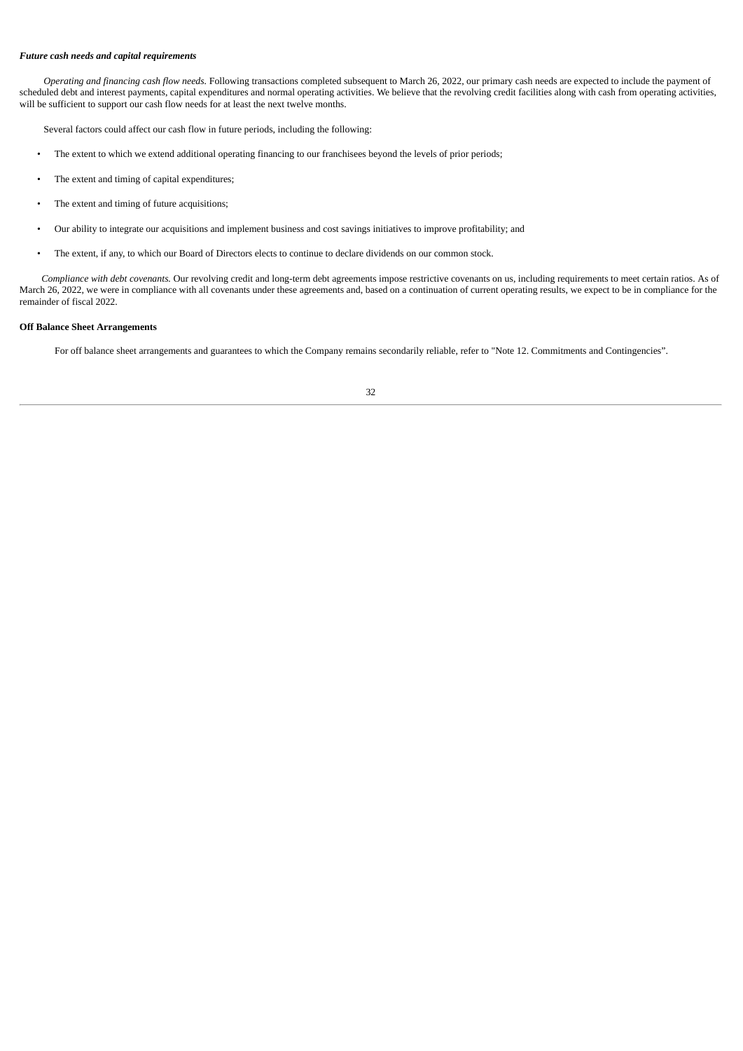#### *Future cash needs and capital requirements*

*Operating and financing cash flow needs.* Following transactions completed subsequent to March 26, 2022, our primary cash needs are expected to include the payment of scheduled debt and interest payments, capital expenditures and normal operating activities. We believe that the revolving credit facilities along with cash from operating activities, will be sufficient to support our cash flow needs for at least the next twelve months.

Several factors could affect our cash flow in future periods, including the following:

- The extent to which we extend additional operating financing to our franchisees beyond the levels of prior periods;
- The extent and timing of capital expenditures;
- The extent and timing of future acquisitions;
- Our ability to integrate our acquisitions and implement business and cost savings initiatives to improve profitability; and
- The extent, if any, to which our Board of Directors elects to continue to declare dividends on our common stock.

*Compliance with debt covenants.* Our revolving credit and long-term debt agreements impose restrictive covenants on us, including requirements to meet certain ratios. As of March 26, 2022, we were in compliance with all covenants under these agreements and, based on a continuation of current operating results, we expect to be in compliance for the remainder of fiscal 2022.

### **Off Balance Sheet Arrangements**

For off balance sheet arrangements and guarantees to which the Company remains secondarily reliable, refer to "Note 12. Commitments and Contingencies".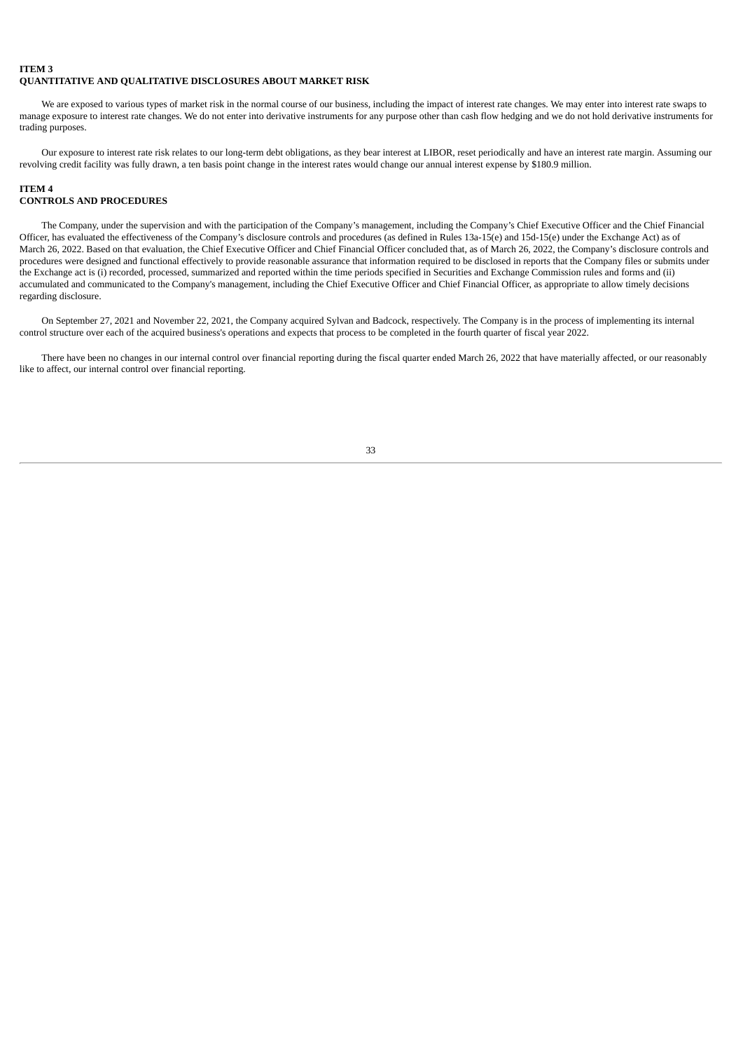## <span id="page-34-0"></span>**ITEM 3 QUANTITATIVE AND QUALITATIVE DISCLOSURES ABOUT MARKET RISK**

We are exposed to various types of market risk in the normal course of our business, including the impact of interest rate changes. We may enter into interest rate swaps to manage exposure to interest rate changes. We do not enter into derivative instruments for any purpose other than cash flow hedging and we do not hold derivative instruments for trading purposes.

Our exposure to interest rate risk relates to our long-term debt obligations, as they bear interest at LIBOR, reset periodically and have an interest rate margin. Assuming our revolving credit facility was fully drawn, a ten basis point change in the interest rates would change our annual interest expense by \$180.9 million.

#### <span id="page-34-1"></span>**ITEM 4 CONTROLS AND PROCEDURES**

The Company, under the supervision and with the participation of the Company's management, including the Company's Chief Executive Officer and the Chief Financial Officer, has evaluated the effectiveness of the Company's disclosure controls and procedures (as defined in Rules 13a-15(e) and 15d-15(e) under the Exchange Act) as of March 26, 2022. Based on that evaluation, the Chief Executive Officer and Chief Financial Officer concluded that, as of March 26, 2022, the Company's disclosure controls and procedures were designed and functional effectively to provide reasonable assurance that information required to be disclosed in reports that the Company files or submits under the Exchange act is (i) recorded, processed, summarized and reported within the time periods specified in Securities and Exchange Commission rules and forms and (ii) accumulated and communicated to the Company's management, including the Chief Executive Officer and Chief Financial Officer, as appropriate to allow timely decisions regarding disclosure.

On September 27, 2021 and November 22, 2021, the Company acquired Sylvan and Badcock, respectively. The Company is in the process of implementing its internal control structure over each of the acquired business's operations and expects that process to be completed in the fourth quarter of fiscal year 2022.

<span id="page-34-2"></span>There have been no changes in our internal control over financial reporting during the fiscal quarter ended March 26, 2022 that have materially affected, or our reasonably like to affect, our internal control over financial reporting.

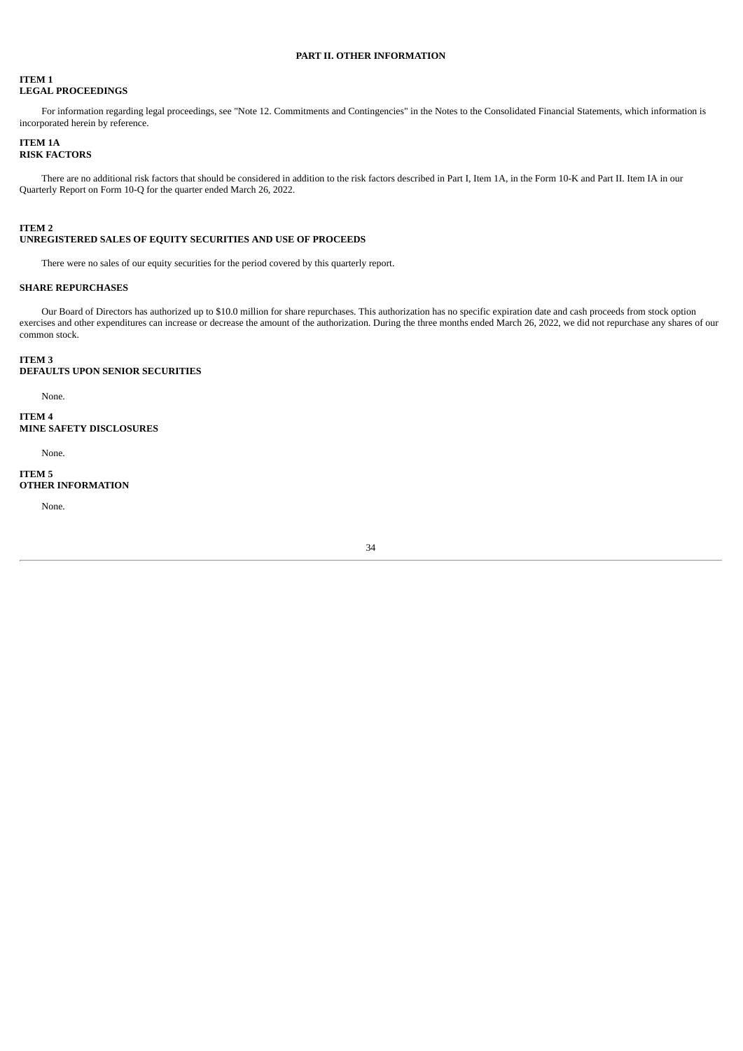### **PART II. OTHER INFORMATION**

## <span id="page-35-0"></span>**ITEM 1 LEGAL PROCEEDINGS**

For information regarding legal proceedings, see "Note 12. Commitments and Contingencies" in the Notes to the Consolidated Financial Statements, which information is incorporated herein by reference.

## <span id="page-35-1"></span>**ITEM 1A**

## **RISK FACTORS**

There are no additional risk factors that should be considered in addition to the risk factors described in Part I, Item 1A, in the Form 10-K and Part II. Item IA in our Quarterly Report on Form 10-Q for the quarter ended March 26, 2022.

## <span id="page-35-2"></span>**ITEM 2**

## **UNREGISTERED SALES OF EQUITY SECURITIES AND USE OF PROCEEDS**

There were no sales of our equity securities for the period covered by this quarterly report.

## **SHARE REPURCHASES**

Our Board of Directors has authorized up to \$10.0 million for share repurchases. This authorization has no specific expiration date and cash proceeds from stock option exercises and other expenditures can increase or decrease the amount of the authorization. During the three months ended March 26, 2022, we did not repurchase any shares of our common stock.

### <span id="page-35-3"></span>**ITEM 3**

### **DEFAULTS UPON SENIOR SECURITIES**

None.

## <span id="page-35-4"></span>**ITEM 4 MINE SAFETY DISCLOSURES**

None.

### <span id="page-35-5"></span>**ITEM 5 OTHER INFORMATION**

<span id="page-35-6"></span>None.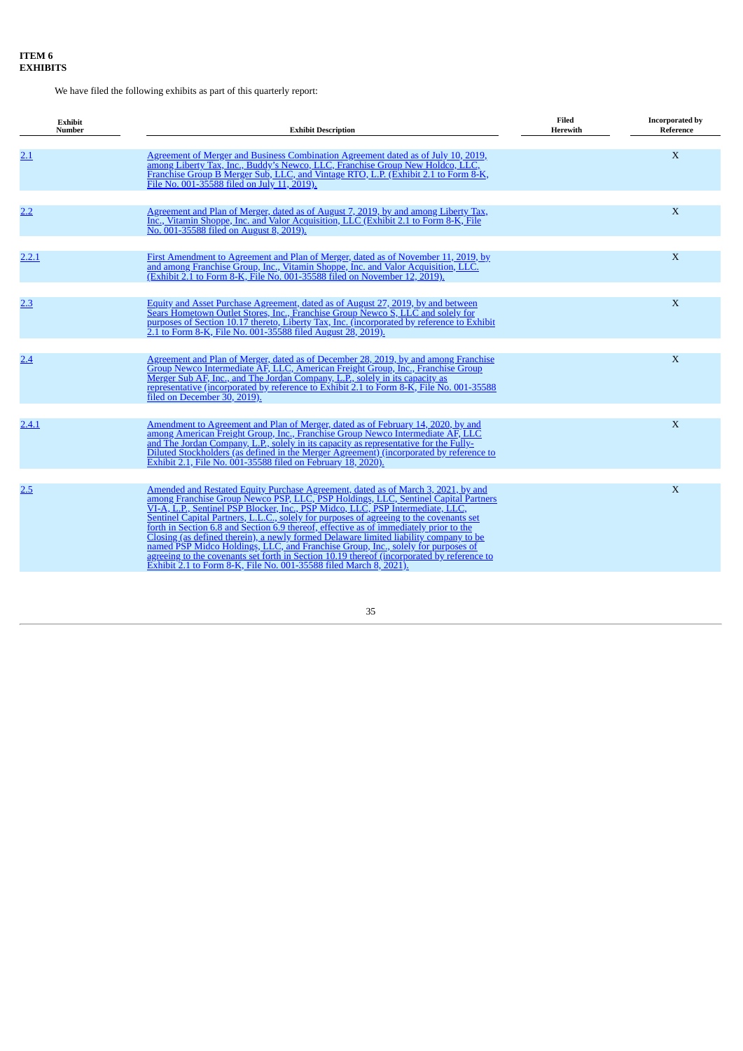We have filed the following exhibits as part of this quarterly report:

| Exhibit<br><b>Number</b> | <b>Exhibit Description</b>                                                                                                                                                                                                                                                                                                                                                                                                                                                                                                                                                                                                                                                                                                                                                                     | Filed<br><b>Herewith</b> | <b>Incorporated by</b><br>Reference |
|--------------------------|------------------------------------------------------------------------------------------------------------------------------------------------------------------------------------------------------------------------------------------------------------------------------------------------------------------------------------------------------------------------------------------------------------------------------------------------------------------------------------------------------------------------------------------------------------------------------------------------------------------------------------------------------------------------------------------------------------------------------------------------------------------------------------------------|--------------------------|-------------------------------------|
| 2.1                      | Agreement of Merger and Business Combination Agreement dated as of July 10, 2019,<br>among Liberty Tax, Inc., Buddy's Newco, LLC, Franchise Group New Holdco, LLC,<br>Franchise Group B Merger Sub, LLC, and Vintage RTO, L.P. (Exhibit 2.1 to Form 8-K,<br>File No. 001-35588 filed on July 11, 2019).                                                                                                                                                                                                                                                                                                                                                                                                                                                                                        |                          | X                                   |
| 2.2                      | Agreement and Plan of Merger, dated as of August 7, 2019, by and among Liberty Tax,<br>Inc., Vitamin Shoppe, Inc. and Valor Acquisition, LLC (Exhibit 2.1 to Form 8-K, File<br>No. 001-35588 filed on August 8, 2019).                                                                                                                                                                                                                                                                                                                                                                                                                                                                                                                                                                         |                          | X                                   |
| 2.2.1                    | First Amendment to Agreement and Plan of Merger, dated as of November 11, 2019, by<br>and among Franchise Group, Inc., Vitamin Shoppe, Inc. and Valor Acquisition, LLC.<br>(Exhibit 2.1 to Form 8-K, File No. 001-35588 filed on November 12, 2019).                                                                                                                                                                                                                                                                                                                                                                                                                                                                                                                                           |                          | X                                   |
| 2.3                      | Equity and Asset Purchase Agreement, dated as of August 27, 2019, by and between<br>Sears Hometown Outlet Stores, Inc., Franchise Group Newco S, LLC and solely for<br>purposes of Section 10.17 thereto, Liberty Tax, Inc. (incorporated by reference to Exhibit<br>2.1 to Form 8-K, File No. 001-35588 filed August 28, 2019).                                                                                                                                                                                                                                                                                                                                                                                                                                                               |                          | X                                   |
| 2.4                      | Agreement and Plan of Merger, dated as of December 28, 2019, by and among Franchise<br>Group Newco Intermediate AF, LLC, American Freight Group, Inc., Franchise Group<br>Merger Sub AF, Inc., and The Jordan Company, L.P., solely in its capacity as<br>representative (incorporated by reference to Exhibit 2.1 to Form 8-K, File No. 001-35588<br>filed on December 30, 2019).                                                                                                                                                                                                                                                                                                                                                                                                             |                          | $\mathbf{X}$                        |
| 2.4.1                    | Amendment to Agreement and Plan of Merger, dated as of February 14, 2020, by and<br>among American Freight Group, Inc., Franchise Group Newco Intermediate AF, LLC<br>and The Jordan Company, L.P., solely in its capacity as representative for the Fully-<br>Diluted Stockholders (as defined in the Merger Agreement) (incorporated by reference to<br>Exhibit 2.1, File No. 001-35588 filed on February 18, 2020).                                                                                                                                                                                                                                                                                                                                                                         |                          | $\mathbf{X}$                        |
| 2.5                      | Amended and Restated Equity Purchase Agreement, dated as of March 3, 2021, by and<br>among Franchise Group Newco PSP, LLC, PSP Holdings, LLC, Sentinel Capital Partners<br>VI-A, L.P., Sentinel PSP Blocker, Inc., PSP Midco, LLC, PSP Intermediate, LLC,<br>Sentinel Capital Partners, L.L.C., solely for purposes of agreeing to the covenants set<br>forth in Section 6.8 and Section 6.9 thereof, effective as of immediately prior to the<br>Closing (as defined therein), a newly formed Delaware limited liability company to be<br>named PSP Midco Holdings, LLC, and Franchise Group, Inc., solely for purposes of<br>agreeing to the covenants set forth in Section 10.19 thereof (incorporated by reference to<br>Exhibit 2.1 to Form 8-K, File No. 001-35588 filed March 8, 2021). |                          | X                                   |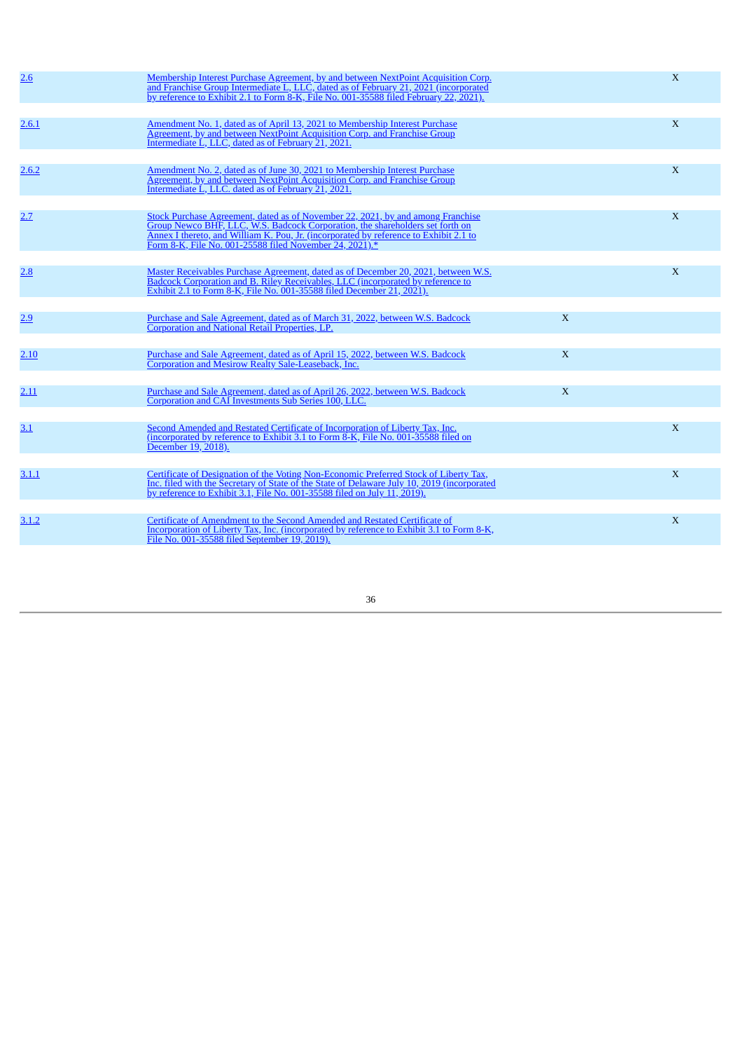| Amendment No. 1, dated as of April 13, 2021 to Membership Interest Purchase<br>$\mathbf{X}$<br>2.6.1<br>Agreement, by and between NextPoint Acquisition Corp. and Franchise Group<br>Intermediate L, LLC, dated as of February 21, 2021.<br>Amendment No. 2, dated as of June 30, 2021 to Membership Interest Purchase<br>X<br>2.6.2<br>Agreement, by and between NextPoint Acquisition Corp. and Franchise Group<br>Intermediate L, LLC. dated as of February 21, 2021.<br>Stock Purchase Agreement, dated as of November 22, 2021, by and among Franchise<br>X<br>2.7<br>Group Newco BHF, LLC, W.S. Badcock Corporation, the shareholders set forth on<br>Annex I thereto, and William K. Pou, Jr. (incorporated by reference to Exhibit 2.1 to<br>Form 8-K, File No. 001-25588 filed November 24, 2021).*<br>Master Receivables Purchase Agreement, dated as of December 20, 2021, between W.S.<br>2.8<br>X<br>Badcock Corporation and B. Riley Receivables, LLC (incorporated by reference to<br>Exhibit 2.1 to Form 8-K, File No. 001-35588 filed December 21, 2021).<br>Purchase and Sale Agreement, dated as of March 31, 2022, between W.S. Badcock<br>X<br><u>2.9</u><br>Corporation and National Retail Properties, LP.<br>Purchase and Sale Agreement, dated as of April 15, 2022, between W.S. Badcock<br>X<br>2.10<br>Corporation and Mesirow Realty Sale-Leaseback, Inc.<br>Purchase and Sale Agreement, dated as of April 26, 2022, between W.S. Badcock<br>X<br>2.11<br>Corporation and CAI Investments Sub Series 100, LLC.<br>Second Amended and Restated Certificate of Incorporation of Liberty Tax, Inc.<br>X<br>3.1<br>(incorporated by reference to Exhibit 3.1 to Form 8-K, File No. 001-35588 filed on<br>December 19, 2018).<br>Certificate of Designation of the Voting Non-Economic Preferred Stock of Liberty Tax,<br>X<br>3.1.1<br>Inc. filed with the Secretary of State of the State of Delaware July 10, 2019 (incorporated<br>by reference to Exhibit 3.1, File No. 001-35588 filed on July 11, 2019).<br>Certificate of Amendment to the Second Amended and Restated Certificate of<br>X<br>3.1.2<br>Incorporation of Liberty Tax, Inc. (incorporated by reference to Exhibit 3.1 to Form 8-K,<br>File No. 001-35588 filed September 19, 2019). | 2.6 | Membership Interest Purchase Agreement, by and between NextPoint Acquisition Corp.<br>and Franchise Group Intermediate L, LLC, dated as of February 21, 2021 (incorporated<br>by reference to Exhibit 2.1 to Form 8-K, File No. 001-35588 filed February 22, 2021). | $\mathbf X$ |
|------------------------------------------------------------------------------------------------------------------------------------------------------------------------------------------------------------------------------------------------------------------------------------------------------------------------------------------------------------------------------------------------------------------------------------------------------------------------------------------------------------------------------------------------------------------------------------------------------------------------------------------------------------------------------------------------------------------------------------------------------------------------------------------------------------------------------------------------------------------------------------------------------------------------------------------------------------------------------------------------------------------------------------------------------------------------------------------------------------------------------------------------------------------------------------------------------------------------------------------------------------------------------------------------------------------------------------------------------------------------------------------------------------------------------------------------------------------------------------------------------------------------------------------------------------------------------------------------------------------------------------------------------------------------------------------------------------------------------------------------------------------------------------------------------------------------------------------------------------------------------------------------------------------------------------------------------------------------------------------------------------------------------------------------------------------------------------------------------------------------------------------------------------------------------------------------------------------------------------------------------------------------------------|-----|---------------------------------------------------------------------------------------------------------------------------------------------------------------------------------------------------------------------------------------------------------------------|-------------|
|                                                                                                                                                                                                                                                                                                                                                                                                                                                                                                                                                                                                                                                                                                                                                                                                                                                                                                                                                                                                                                                                                                                                                                                                                                                                                                                                                                                                                                                                                                                                                                                                                                                                                                                                                                                                                                                                                                                                                                                                                                                                                                                                                                                                                                                                                    |     |                                                                                                                                                                                                                                                                     |             |
|                                                                                                                                                                                                                                                                                                                                                                                                                                                                                                                                                                                                                                                                                                                                                                                                                                                                                                                                                                                                                                                                                                                                                                                                                                                                                                                                                                                                                                                                                                                                                                                                                                                                                                                                                                                                                                                                                                                                                                                                                                                                                                                                                                                                                                                                                    |     |                                                                                                                                                                                                                                                                     |             |
|                                                                                                                                                                                                                                                                                                                                                                                                                                                                                                                                                                                                                                                                                                                                                                                                                                                                                                                                                                                                                                                                                                                                                                                                                                                                                                                                                                                                                                                                                                                                                                                                                                                                                                                                                                                                                                                                                                                                                                                                                                                                                                                                                                                                                                                                                    |     |                                                                                                                                                                                                                                                                     |             |
|                                                                                                                                                                                                                                                                                                                                                                                                                                                                                                                                                                                                                                                                                                                                                                                                                                                                                                                                                                                                                                                                                                                                                                                                                                                                                                                                                                                                                                                                                                                                                                                                                                                                                                                                                                                                                                                                                                                                                                                                                                                                                                                                                                                                                                                                                    |     |                                                                                                                                                                                                                                                                     |             |
|                                                                                                                                                                                                                                                                                                                                                                                                                                                                                                                                                                                                                                                                                                                                                                                                                                                                                                                                                                                                                                                                                                                                                                                                                                                                                                                                                                                                                                                                                                                                                                                                                                                                                                                                                                                                                                                                                                                                                                                                                                                                                                                                                                                                                                                                                    |     |                                                                                                                                                                                                                                                                     |             |
|                                                                                                                                                                                                                                                                                                                                                                                                                                                                                                                                                                                                                                                                                                                                                                                                                                                                                                                                                                                                                                                                                                                                                                                                                                                                                                                                                                                                                                                                                                                                                                                                                                                                                                                                                                                                                                                                                                                                                                                                                                                                                                                                                                                                                                                                                    |     |                                                                                                                                                                                                                                                                     |             |
|                                                                                                                                                                                                                                                                                                                                                                                                                                                                                                                                                                                                                                                                                                                                                                                                                                                                                                                                                                                                                                                                                                                                                                                                                                                                                                                                                                                                                                                                                                                                                                                                                                                                                                                                                                                                                                                                                                                                                                                                                                                                                                                                                                                                                                                                                    |     |                                                                                                                                                                                                                                                                     |             |
|                                                                                                                                                                                                                                                                                                                                                                                                                                                                                                                                                                                                                                                                                                                                                                                                                                                                                                                                                                                                                                                                                                                                                                                                                                                                                                                                                                                                                                                                                                                                                                                                                                                                                                                                                                                                                                                                                                                                                                                                                                                                                                                                                                                                                                                                                    |     |                                                                                                                                                                                                                                                                     |             |
|                                                                                                                                                                                                                                                                                                                                                                                                                                                                                                                                                                                                                                                                                                                                                                                                                                                                                                                                                                                                                                                                                                                                                                                                                                                                                                                                                                                                                                                                                                                                                                                                                                                                                                                                                                                                                                                                                                                                                                                                                                                                                                                                                                                                                                                                                    |     |                                                                                                                                                                                                                                                                     |             |
|                                                                                                                                                                                                                                                                                                                                                                                                                                                                                                                                                                                                                                                                                                                                                                                                                                                                                                                                                                                                                                                                                                                                                                                                                                                                                                                                                                                                                                                                                                                                                                                                                                                                                                                                                                                                                                                                                                                                                                                                                                                                                                                                                                                                                                                                                    |     |                                                                                                                                                                                                                                                                     |             |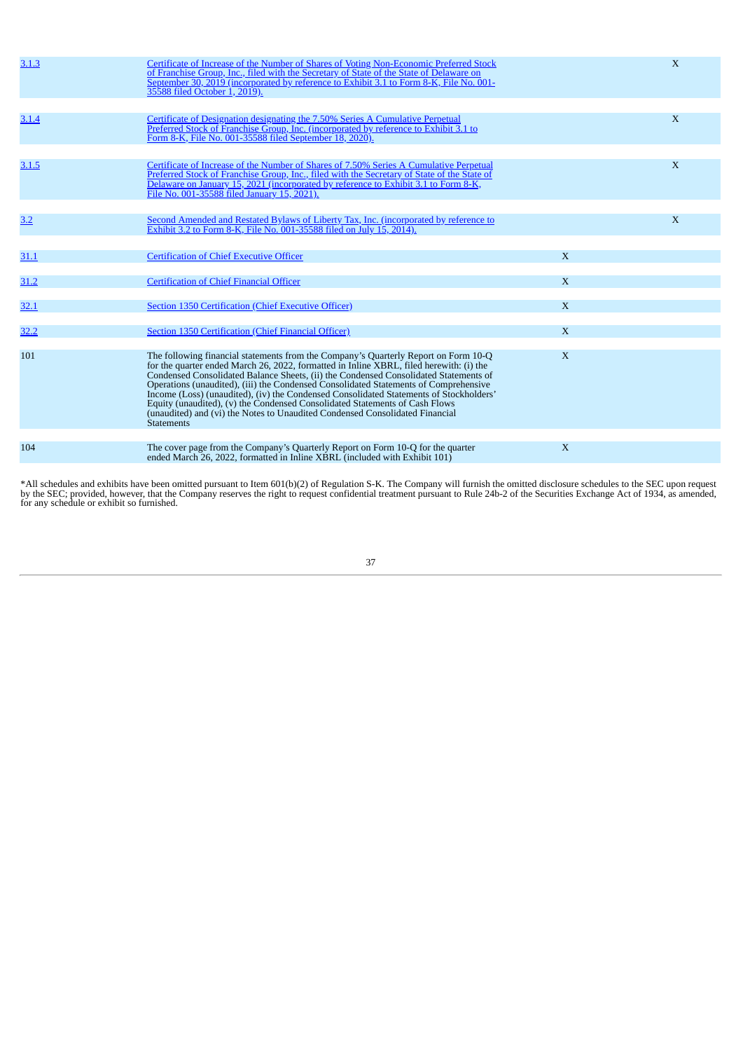| 3.1.3 | Certificate of Increase of the Number of Shares of Voting Non-Economic Preferred Stock<br>of Franchise Group, Inc., filed with the Secretary of State of the State of Delaware on<br>September 30, 2019 (incorporated by reference to Exhibit 3.1 to Form 8-K, File No. 001-<br>35588 filed October 1, 2019).                                                                                                                                                                                                                                                                                                                                |   | X |
|-------|----------------------------------------------------------------------------------------------------------------------------------------------------------------------------------------------------------------------------------------------------------------------------------------------------------------------------------------------------------------------------------------------------------------------------------------------------------------------------------------------------------------------------------------------------------------------------------------------------------------------------------------------|---|---|
| 3.1.4 | Certificate of Designation designating the 7.50% Series A Cumulative Perpetual<br><u>Preferred Stock of Franchise Group, Inc. (incorporated by reference to Exhibit 3.1 to</u><br>Form 8-K, File No. 001-35588 filed September 18, 2020).                                                                                                                                                                                                                                                                                                                                                                                                    |   | X |
| 3.1.5 | Certificate of Increase of the Number of Shares of 7.50% Series A Cumulative Perpetual<br>Preferred Stock of Franchise Group, Inc., filed with the Secretary of State of the State of<br>Delaware on January 15, 2021 (incorporated by reference to Exhibit 3.1 to Form 8-K,<br>File No. 001-35588 filed January 15, 2021).                                                                                                                                                                                                                                                                                                                  |   | X |
| 3.2   | Second Amended and Restated Bylaws of Liberty Tax, Inc. (incorporated by reference to<br>Exhibit 3.2 to Form 8-K, File No. 001-35588 filed on July 15, 2014).                                                                                                                                                                                                                                                                                                                                                                                                                                                                                |   | X |
| 31.1  | <b>Certification of Chief Executive Officer</b>                                                                                                                                                                                                                                                                                                                                                                                                                                                                                                                                                                                              | X |   |
| 31.2  | <b>Certification of Chief Financial Officer</b>                                                                                                                                                                                                                                                                                                                                                                                                                                                                                                                                                                                              | X |   |
| 32.1  | Section 1350 Certification (Chief Executive Officer)                                                                                                                                                                                                                                                                                                                                                                                                                                                                                                                                                                                         | X |   |
| 32.2  | Section 1350 Certification (Chief Financial Officer)                                                                                                                                                                                                                                                                                                                                                                                                                                                                                                                                                                                         | X |   |
| 101   | The following financial statements from the Company's Quarterly Report on Form 10-Q<br>for the quarter ended March 26, 2022, formatted in Inline XBRL, filed herewith: (i) the<br>Condensed Consolidated Balance Sheets, (ii) the Condensed Consolidated Statements of<br>Operations (unaudited), (iii) the Condensed Consolidated Statements of Comprehensive<br>Income (Loss) (unaudited), (iv) the Condensed Consolidated Statements of Stockholders'<br>Equity (unaudited), (v) the Condensed Consolidated Statements of Cash Flows<br>(unaudited) and (vi) the Notes to Unaudited Condensed Consolidated Financial<br><b>Statements</b> | X |   |
| 104   | The cover page from the Company's Quarterly Report on Form 10-Q for the quarter<br>ended March 26, 2022, formatted in Inline XBRL (included with Exhibit 101)                                                                                                                                                                                                                                                                                                                                                                                                                                                                                | X |   |

\*All schedules and exhibits have been omitted pursuant to Item 601(b)(2) of Regulation S-K. The Company will furnish the omitted disclosure schedules to the SEC upon request<br>by the SEC; provided, however, that the Company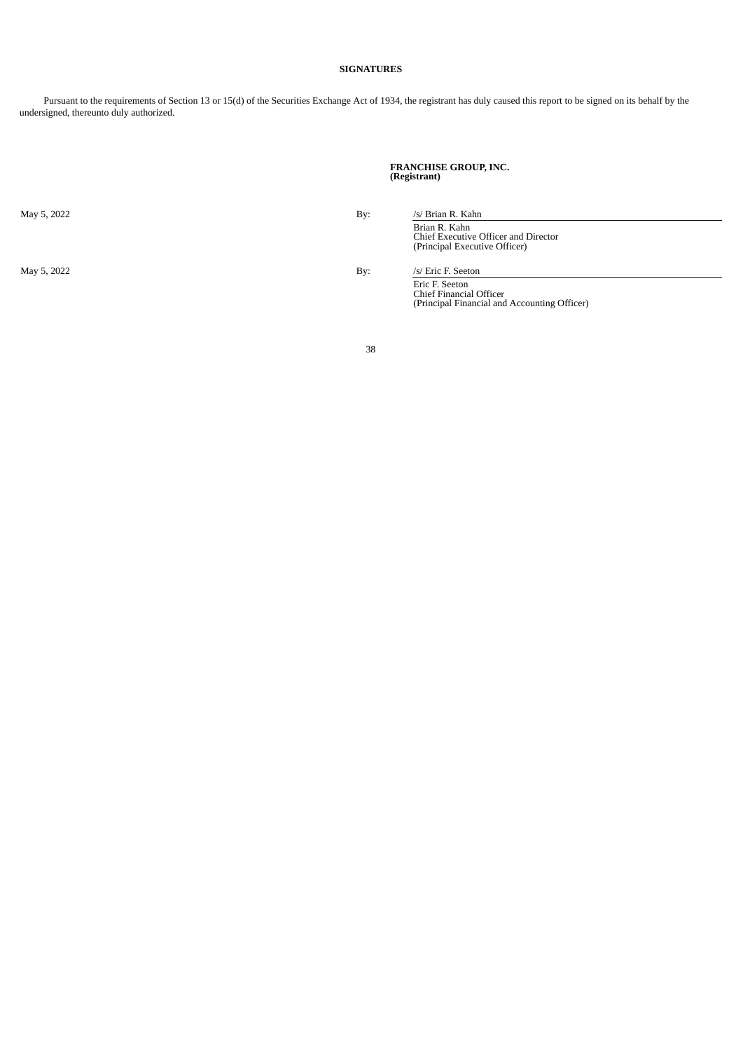# **SIGNATURES**

Pursuant to the requirements of Section 13 or 15(d) of the Securities Exchange Act of 1934, the registrant has duly caused this report to be signed on its behalf by the undersigned, thereunto duly authorized.

# **FRANCHISE GROUP, INC. (Registrant)**

May 5, 2022 By: /s/ Brian R. Kahn Brian R. Kahn Chief Executive Officer and Director (Principal Executive Officer) May 5, 2022 By: /s/ Eric F. Seeton

Eric F. Seeton Chief Financial Officer (Principal Financial and Accounting Officer)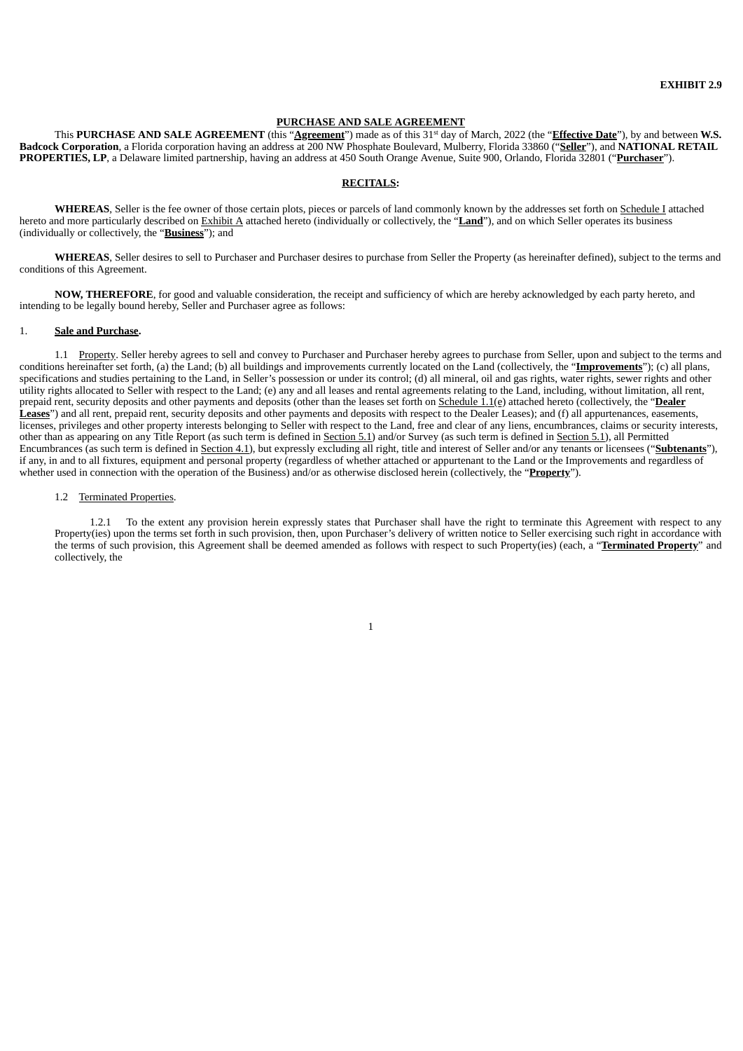## **PURCHASE AND SALE AGREEMENT**

<span id="page-40-0"></span>This PURCHASE AND SALE AGREEMENT (this "Agreement") made as of this 31<sup>st</sup> day of March, 2022 (the "Effective Date"), by and between W.S. **Badcock Corporation**, a Florida corporation having an address at 200 NW Phosphate Boulevard, Mulberry, Florida 33860 ("**Seller**"), and **NATIONAL RETAIL PROPERTIES, LP**, a Delaware limited partnership, having an address at 450 South Orange Avenue, Suite 900, Orlando, Florida 32801 ("**Purchaser**").

# **RECITALS:**

WHEREAS, Seller is the fee owner of those certain plots, pieces or parcels of land commonly known by the addresses set forth on **Schedule I** attached hereto and more particularly described on Exhibit A attached hereto (individually or collectively, the "**Land**"), and on which Seller operates its business (individually or collectively, the "**Business**"); and

**WHEREAS**, Seller desires to sell to Purchaser and Purchaser desires to purchase from Seller the Property (as hereinafter defined), subject to the terms and conditions of this Agreement.

**NOW, THEREFORE**, for good and valuable consideration, the receipt and sufficiency of which are hereby acknowledged by each party hereto, and intending to be legally bound hereby, Seller and Purchaser agree as follows:

#### 1. **Sale and Purchase.**

1.1 Property. Seller hereby agrees to sell and convey to Purchaser and Purchaser hereby agrees to purchase from Seller, upon and subject to the terms and conditions hereinafter set forth, (a) the Land; (b) all buildings and improvements currently located on the Land (collectively, the "**Improvements**"); (c) all plans, specifications and studies pertaining to the Land, in Seller's possession or under its control; (d) all mineral, oil and gas rights, water rights, sewer rights and other utility rights allocated to Seller with respect to the Land; (e) any and all leases and rental agreements relating to the Land, including, without limitation, all rent, prepaid rent, security deposits and other payments and deposits (other than the leases set forth on Schedule 1.1(e) attached hereto (collectively, the "Dealer **Leases**") and all rent, prepaid rent, security deposits and other payments and deposits with respect to the Dealer Leases); and (f) all appurtenances, easements, licenses, privileges and other property interests belonging to Seller with respect to the Land, free and clear of any liens, encumbrances. claims or security interests. other than as appearing on any Title Report (as such term is defined in Section 5.1) and/or Survey (as such term is defined in Section 5.1), all Permitted Encumbrances (as such term is defined in Section 4.1), but expressly excluding all right, title and interest of Seller and/or any tenants or licensees ("**Subtenants**"), if any, in and to all fixtures, equipment and personal property (regardless of whether attached or appurtenant to the Land or the Improvements and regardless of whether used in connection with the operation of the Business) and/or as otherwise disclosed herein (collectively, the "**Property**").

## 1.2 Terminated Properties.

1.2.1 To the extent any provision herein expressly states that Purchaser shall have the right to terminate this Agreement with respect to any Property(ies) upon the terms set forth in such provision, then, upon Purchaser's delivery of written notice to Seller exercising such right in accordance with the terms of such provision, this Agreement shall be deemed amended as follows with respect to such Property(ies) (each, a "**Terminated Property**" and collectively, the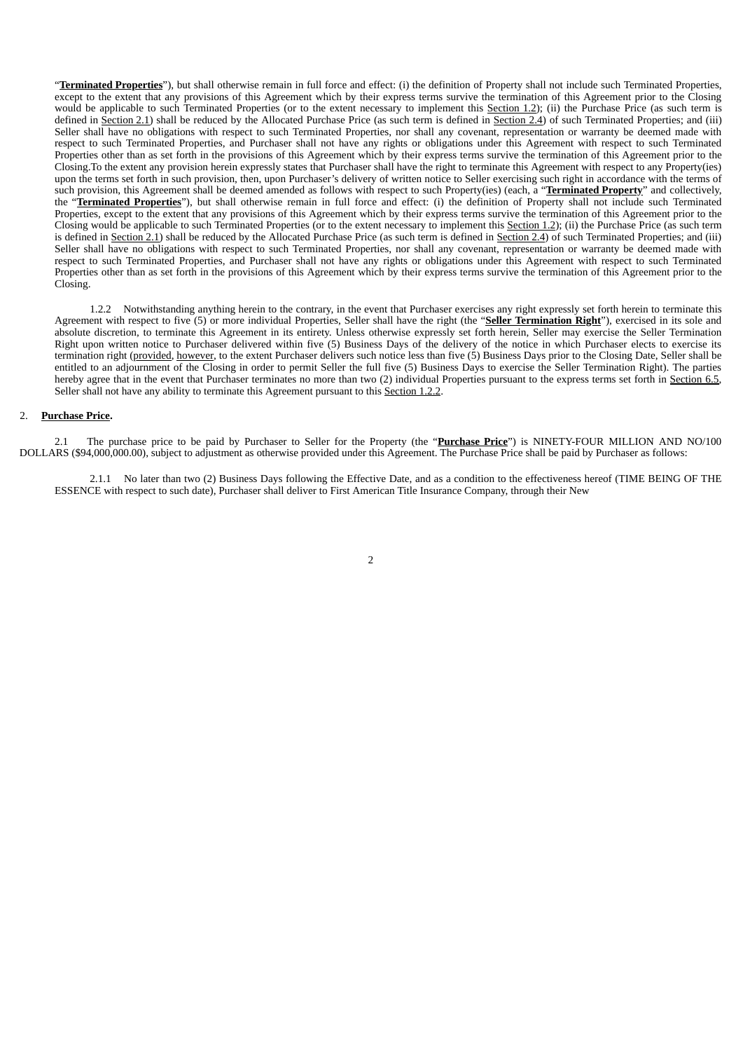"**Terminated Properties**"), but shall otherwise remain in full force and effect: (i) the definition of Property shall not include such Terminated Properties, except to the extent that any provisions of this Agreement which by their express terms survive the termination of this Agreement prior to the Closing would be applicable to such Terminated Properties (or to the extent necessary to implement this Section 1.2); (ii) the Purchase Price (as such term is defined in Section 2.1) shall be reduced by the Allocated Purchase Price (as such term is defined in Section 2.4) of such Terminated Properties; and (iii) Seller shall have no obligations with respect to such Terminated Properties, nor shall any covenant, representation or warranty be deemed made with respect to such Terminated Properties, and Purchaser shall not have any rights or obligations under this Agreement with respect to such Terminated Properties other than as set forth in the provisions of this Agreement which by their express terms survive the termination of this Agreement prior to the Closing.To the extent any provision herein expressly states that Purchaser shall have the right to terminate this Agreement with respect to any Property(ies) upon the terms set forth in such provision, then, upon Purchaser's delivery of written notice to Seller exercising such right in accordance with the terms of such provision, this Agreement shall be deemed amended as follows with respect to such Property(ies) (each, a "**Terminated Property**" and collectively, the "**Terminated Properties**"), but shall otherwise remain in full force and effect: (i) the definition of Property shall not include such Terminated Properties, except to the extent that any provisions of this Agreement which by their express terms survive the termination of this Agreement prior to the Closing would be applicable to such Terminated Properties (or to the extent necessary to implement this Section 1.2); (ii) the Purchase Price (as such term is defined in Section 2.1) shall be reduced by the Allocated Purchase Price (as such term is defined in Section 2.4) of such Terminated Properties; and (iii) Seller shall have no obligations with respect to such Terminated Properties, nor shall any covenant, representation or warranty be deemed made with respect to such Terminated Properties, and Purchaser shall not have any rights or obligations under this Agreement with respect to such Terminated Properties other than as set forth in the provisions of this Agreement which by their express terms survive the termination of this Agreement prior to the Closing.

1.2.2 Notwithstanding anything herein to the contrary, in the event that Purchaser exercises any right expressly set forth herein to terminate this Agreement with respect to five (5) or more individual Properties, Seller shall have the right (the "**Seller Termination Right**"), exercised in its sole and absolute discretion, to terminate this Agreement in its entirety. Unless otherwise expressly set forth herein, Seller may exercise the Seller Termination Right upon written notice to Purchaser delivered within five (5) Business Days of the delivery of the notice in which Purchaser elects to exercise its termination right (provided, however, to the extent Purchaser delivers such notice less than five (5) Business Days prior to the Closing Date, Seller shall be entitled to an adjournment of the Closing in order to permit Seller the full five (5) Business Days to exercise the Seller Termination Right). The parties hereby agree that in the event that Purchaser terminates no more than two (2) individual Properties pursuant to the express terms set forth in Section 6.5, Seller shall not have any ability to terminate this Agreement pursuant to this Section 1.2.2.

## 2. **Purchase Price.**

2.1 The purchase price to be paid by Purchaser to Seller for the Property (the "**Purchase Price**") is NINETY-FOUR MILLION AND NO/100 DOLLARS (\$94,000,000.00), subject to adjustment as otherwise provided under this Agreement. The Purchase Price shall be paid by Purchaser as follows:

2.1.1 No later than two (2) Business Days following the Effective Date, and as a condition to the effectiveness hereof (TIME BEING OF THE ESSENCE with respect to such date), Purchaser shall deliver to First American Title Insurance Company, through their New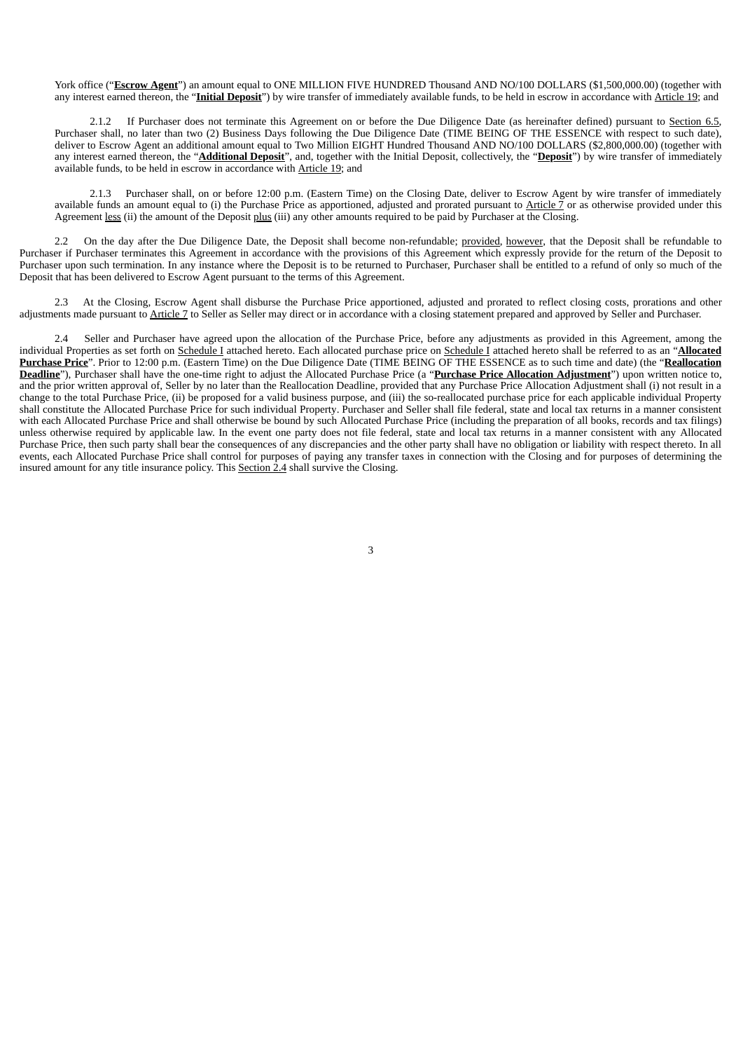York office ("**Escrow Agent**") an amount equal to ONE MILLION FIVE HUNDRED Thousand AND NO/100 DOLLARS (\$1,500,000.00) (together with any interest earned thereon, the "**Initial Deposit**") by wire transfer of immediately available funds, to be held in escrow in accordance with Article 19; and

2.1.2 If Purchaser does not terminate this Agreement on or before the Due Diligence Date (as hereinafter defined) pursuant to Section 6.5, Purchaser shall, no later than two (2) Business Days following the Due Diligence Date (TIME BEING OF THE ESSENCE with respect to such date), deliver to Escrow Agent an additional amount equal to Two Million EIGHT Hundred Thousand AND NO/100 DOLLARS (\$2,800,000.00) (together with any interest earned thereon, the "**Additional Deposit**", and, together with the Initial Deposit, collectively, the "**Deposit**") by wire transfer of immediately available funds, to be held in escrow in accordance with Article 19; and

2.1.3 Purchaser shall, on or before 12:00 p.m. (Eastern Time) on the Closing Date, deliver to Escrow Agent by wire transfer of immediately available funds an amount equal to (i) the Purchase Price as apportioned, adjusted and prorated pursuant to  $\frac{\text{Article 7}}{\text{or}}$  or as otherwise provided under this Agreement less (ii) the amount of the Deposit plus (iii) any other amounts required to be paid by Purchaser at the Closing.

2.2 On the day after the Due Diligence Date, the Deposit shall become non-refundable; provided, however, that the Deposit shall be refundable to Purchaser if Purchaser terminates this Agreement in accordance with the provisions of this Agreement which expressly provide for the return of the Deposit to Purchaser upon such termination. In any instance where the Deposit is to be returned to Purchaser, Purchaser shall be entitled to a refund of only so much of the Deposit that has been delivered to Escrow Agent pursuant to the terms of this Agreement.

2.3 At the Closing, Escrow Agent shall disburse the Purchase Price apportioned, adjusted and prorated to reflect closing costs, prorations and other adjustments made pursuant to Article 7 to Seller as Seller may direct or in accordance with a closing statement prepared and approved by Seller and Purchaser.

2.4 Seller and Purchaser have agreed upon the allocation of the Purchase Price, before any adjustments as provided in this Agreement, among the individual Properties as set forth on Schedule I attached hereto. Each allocated purchase price on Schedule I attached hereto shall be referred to as an "**Allocated Purchase Price**". Prior to 12:00 p.m. (Eastern Time) on the Due Diligence Date (TIME BEING OF THE ESSENCE as to such time and date) (the "**Reallocation Deadline**"), Purchaser shall have the one-time right to adjust the Allocated Purchase Price (a "**Purchase Price Allocation Adjustment**") upon written notice to, and the prior written approval of, Seller by no later than the Reallocation Deadline, provided that any Purchase Price Allocation Adjustment shall (i) not result in a change to the total Purchase Price, (ii) be proposed for a valid business purpose, and (iii) the so-reallocated purchase price for each applicable individual Property shall constitute the Allocated Purchase Price for such individual Property. Purchaser and Seller shall file federal, state and local tax returns in a manner consistent with each Allocated Purchase Price and shall otherwise be bound by such Allocated Purchase Price (including the preparation of all books, records and tax filings) unless otherwise required by applicable law. In the event one party does not file federal, state and local tax returns in a manner consistent with any Allocated Purchase Price, then such party shall bear the consequences of any discrepancies and the other party shall have no obligation or liability with respect thereto. In all events, each Allocated Purchase Price shall control for purposes of paying any transfer taxes in connection with the Closing and for purposes of determining the insured amount for any title insurance policy. This Section 2.4 shall survive the Closing.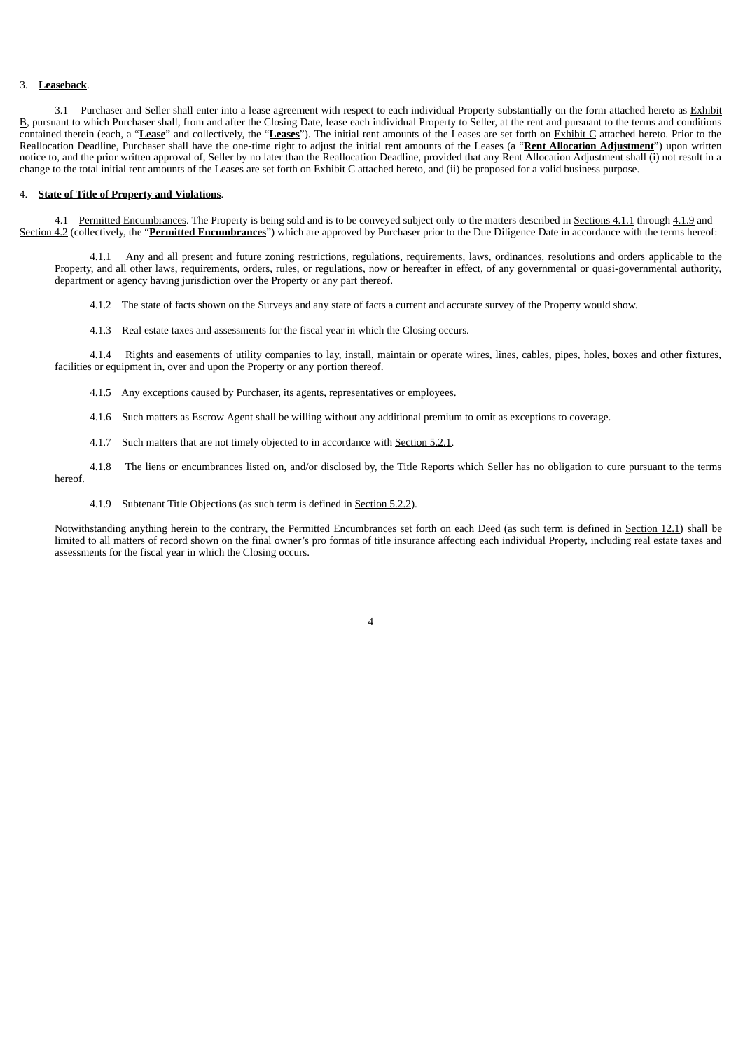#### 3. **Leaseback**.

3.1 Purchaser and Seller shall enter into a lease agreement with respect to each individual Property substantially on the form attached hereto as Exhibit B, pursuant to which Purchaser shall, from and after the Closing Date, lease each individual Property to Seller, at the rent and pursuant to the terms and conditions contained therein (each, a "**Lease**" and collectively, the "**Leases**"). The initial rent amounts of the Leases are set forth on Exhibit C attached hereto. Prior to the Reallocation Deadline, Purchaser shall have the one-time right to adjust the initial rent amounts of the Leases (a "**Rent Allocation Adjustment**") upon written notice to, and the prior written approval of, Seller by no later than the Reallocation Deadline, provided that any Rent Allocation Adjustment shall (i) not result in a change to the total initial rent amounts of the Leases are set forth on Exhibit C attached hereto, and (ii) be proposed for a valid business purpose.

# 4. **State of Title of Property and Violations**.

4.1 Permitted Encumbrances. The Property is being sold and is to be conveyed subject only to the matters described in Sections 4.1.1 through 4.1.9 and Section 4.2 (collectively, the "**Permitted Encumbrances**") which are approved by Purchaser prior to the Due Diligence Date in accordance with the terms hereof:

4.1.1 Any and all present and future zoning restrictions, regulations, requirements, laws, ordinances, resolutions and orders applicable to the Property, and all other laws, requirements, orders, rules, or regulations, now or hereafter in effect, of any governmental or quasi-governmental authority, department or agency having jurisdiction over the Property or any part thereof.

4.1.2 The state of facts shown on the Surveys and any state of facts a current and accurate survey of the Property would show.

4.1.3 Real estate taxes and assessments for the fiscal year in which the Closing occurs.

4.1.4 Rights and easements of utility companies to lay, install, maintain or operate wires, lines, cables, pipes, holes, boxes and other fixtures, facilities or equipment in, over and upon the Property or any portion thereof.

- 4.1.5 Any exceptions caused by Purchaser, its agents, representatives or employees.
- 4.1.6 Such matters as Escrow Agent shall be willing without any additional premium to omit as exceptions to coverage.
- 4.1.7 Such matters that are not timely objected to in accordance with Section 5.2.1.

4.1.8 The liens or encumbrances listed on, and/or disclosed by, the Title Reports which Seller has no obligation to cure pursuant to the terms hereof.

4.1.9 Subtenant Title Objections (as such term is defined in Section 5.2.2).

Notwithstanding anything herein to the contrary, the Permitted Encumbrances set forth on each Deed (as such term is defined in Section 12.1) shall be limited to all matters of record shown on the final owner's pro formas of title insurance affecting each individual Property, including real estate taxes and assessments for the fiscal year in which the Closing occurs.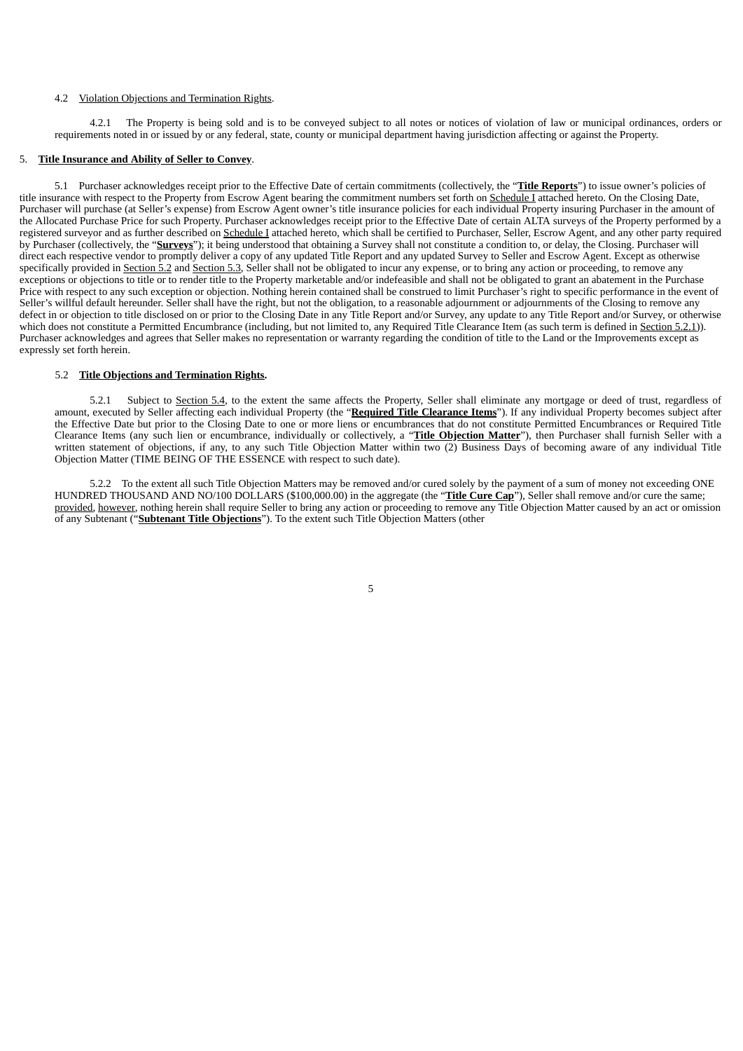#### 4.2 Violation Objections and Termination Rights.

4.2.1 The Property is being sold and is to be conveyed subject to all notes or notices of violation of law or municipal ordinances, orders or requirements noted in or issued by or any federal, state, county or municipal department having jurisdiction affecting or against the Property.

## 5. **Title Insurance and Ability of Seller to Convey**.

5.1 Purchaser acknowledges receipt prior to the Effective Date of certain commitments (collectively, the "**Title Reports**") to issue owner's policies of title insurance with respect to the Property from Escrow Agent bearing the commitment numbers set forth on Schedule I attached hereto. On the Closing Date, Purchaser will purchase (at Seller's expense) from Escrow Agent owner's title insurance policies for each individual Property insuring Purchaser in the amount of the Allocated Purchase Price for such Property. Purchaser acknowledges receipt prior to the Effective Date of certain ALTA surveys of the Property performed by a registered surveyor and as further described on Schedule I attached hereto, which shall be certified to Purchaser, Seller, Escrow Agent, and any other party required by Purchaser (collectively, the "Surveys"); it being understood that obtaining a Survey shall not constitute a condition to, or delay, the Closing. Purchaser will direct each respective vendor to promptly deliver a copy of any updated Title Report and any updated Survey to Seller and Escrow Agent. Except as otherwise specifically provided in Section 5.2 and Section 5.3, Seller shall not be obligated to incur any expense, or to bring any action or proceeding, to remove any exceptions or objections to title or to render title to the Property marketable and/or indefeasible and shall not be obligated to grant an abatement in the Purchase Price with respect to any such exception or objection. Nothing herein contained shall be construed to limit Purchaser's right to specific performance in the event of Seller's willful default hereunder. Seller shall have the right, but not the obligation, to a reasonable adjournment or adjournments of the Closing to remove any defect in or objection to title disclosed on or prior to the Closing Date in any Title Report and/or Survey, any update to any Title Report and/or Survey, or otherwise which does not constitute a Permitted Encumbrance (including, but not limited to, any Required Title Clearance Item (as such term is defined in Section 5.2.1)). Purchaser acknowledges and agrees that Seller makes no representation or warranty regarding the condition of title to the Land or the Improvements except as expressly set forth herein.

## 5.2 **Title Objections and Termination Rights.**

5.2.1 Subject to Section 5.4, to the extent the same affects the Property, Seller shall eliminate any mortgage or deed of trust, regardless of amount, executed by Seller affecting each individual Property (the "**Required Title Clearance Items**"). If any individual Property becomes subject after the Effective Date but prior to the Closing Date to one or more liens or encumbrances that do not constitute Permitted Encumbrances or Required Title Clearance Items (any such lien or encumbrance, individually or collectively, a "**Title Objection Matter**"), then Purchaser shall furnish Seller with a written statement of objections, if any, to any such Title Objection Matter within two (2) Business Days of becoming aware of any individual Title Objection Matter (TIME BEING OF THE ESSENCE with respect to such date).

5.2.2 To the extent all such Title Objection Matters may be removed and/or cured solely by the payment of a sum of money not exceeding ONE HUNDRED THOUSAND AND NO/100 DOLLARS (\$100,000.00) in the aggregate (the "**Title Cure Cap**"), Seller shall remove and/or cure the same; provided, however, nothing herein shall require Seller to bring any action or proceeding to remove any Title Objection Matter caused by an act or omission of any Subtenant ("**Subtenant Title Objections**"). To the extent such Title Objection Matters (other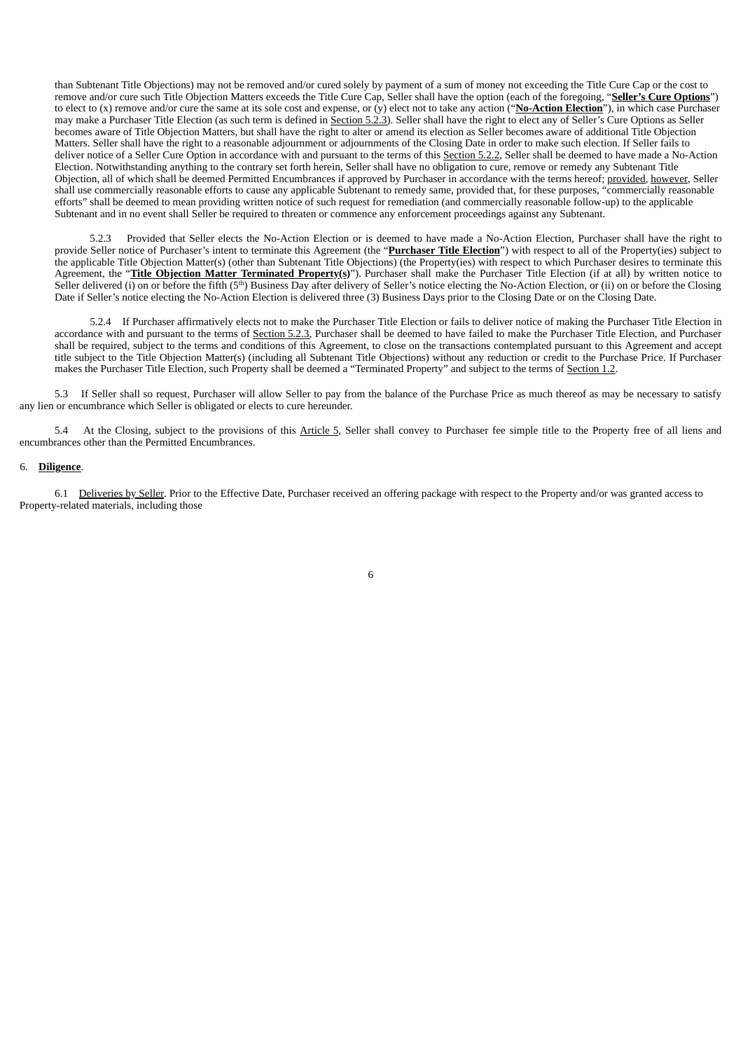than Subtenant Title Objections) may not be removed and/or cured solely by payment of a sum of money not exceeding the Title Cure Cap or the cost to remove and/or cure such Title Objection Matters exceeds the Title Cure Cap, Seller shall have the option (each of the foregoing, "**Seller's Cure Options**") to elect to (x) remove and/or cure the same at its sole cost and expense, or (y) elect not to take any action ("**No-Action Election**"), in which case Purchaser may make a Purchaser Title Election (as such term is defined in Section 5.2.3). Seller shall have the right to elect any of Seller's Cure Options as Seller becomes aware of Title Objection Matters, but shall have the right to alter or amend its election as Seller becomes aware of additional Title Objection Matters. Seller shall have the right to a reasonable adjournment or adjournments of the Closing Date in order to make such election. If Seller fails to deliver notice of a Seller Cure Option in accordance with and pursuant to the terms of this Section 5.2.2, Seller shall be deemed to have made a No-Action Election. Notwithstanding anything to the contrary set forth herein, Seller shall have no obligation to cure, remove or remedy any Subtenant Title Objection, all of which shall be deemed Permitted Encumbrances if approved by Purchaser in accordance with the terms hereof; provided, however, Seller shall use commercially reasonable efforts to cause any applicable Subtenant to remedy same, provided that, for these purposes, "commercially reasonable efforts" shall be deemed to mean providing written notice of such request for remediation (and commercially reasonable follow-up) to the applicable Subtenant and in no event shall Seller be required to threaten or commence any enforcement proceedings against any Subtenant.

5.2.3 Provided that Seller elects the No-Action Election or is deemed to have made a No-Action Election, Purchaser shall have the right to provide Seller notice of Purchaser's intent to terminate this Agreement (the "**Purchaser Title Election**") with respect to all of the Property(ies) subject to the applicable Title Objection Matter(s) (other than Subtenant Title Objections) (the Property(ies) with respect to which Purchaser desires to terminate this Agreement, the "**Title Objection Matter Terminated Property(s)**"). Purchaser shall make the Purchaser Title Election (if at all) by written notice to Seller delivered (i) on or before the fifth  $(5<sup>th</sup>)$  Business Day after delivery of Seller's notice electing the No-Action Election, or (ii) on or before the Closing Date if Seller's notice electing the No-Action Election is delivered three (3) Business Days prior to the Closing Date or on the Closing Date.

5.2.4 If Purchaser affirmatively elects not to make the Purchaser Title Election or fails to deliver notice of making the Purchaser Title Election in accordance with and pursuant to the terms of Section 5.2.3, Purchaser shall be deemed to have failed to make the Purchaser Title Election, and Purchaser shall be required, subject to the terms and conditions of this Agreement, to close on the transactions contemplated pursuant to this Agreement and accept title subject to the Title Objection Matter(s) (including all Subtenant Title Objections) without any reduction or credit to the Purchase Price. If Purchaser makes the Purchaser Title Election, such Property shall be deemed a "Terminated Property" and subject to the terms of Section 1.2.

5.3 If Seller shall so request, Purchaser will allow Seller to pay from the balance of the Purchase Price as much thereof as may be necessary to satisfy any lien or encumbrance which Seller is obligated or elects to cure hereunder.

5.4 At the Closing, subject to the provisions of this Article 5, Seller shall convey to Purchaser fee simple title to the Property free of all liens and encumbrances other than the Permitted Encumbrances.

#### 6. **Diligence**.

6.1 Deliveries by Seller. Prior to the Effective Date, Purchaser received an offering package with respect to the Property and/or was granted access to Property-related materials, including those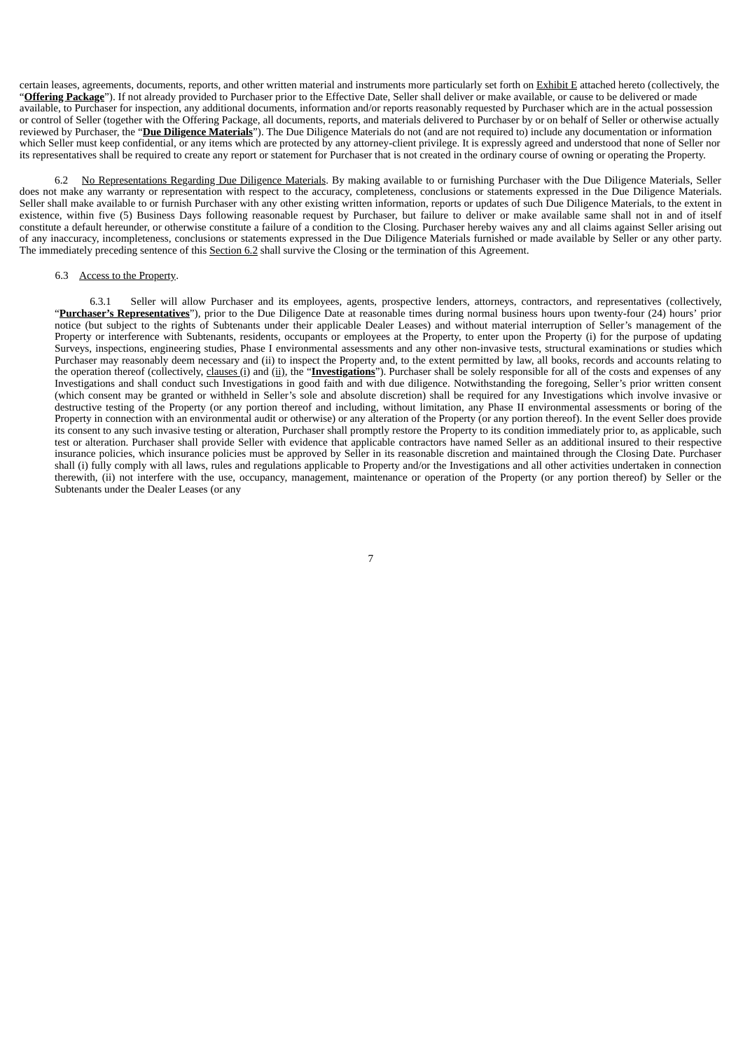certain leases, agreements, documents, reports, and other written material and instruments more particularly set forth on **Exhibit E** attached hereto (collectively, the "**Offering Package**"). If not already provided to Purchaser prior to the Effective Date, Seller shall deliver or make available, or cause to be delivered or made available, to Purchaser for inspection, any additional documents, information and/or reports reasonably requested by Purchaser which are in the actual possession or control of Seller (together with the Offering Package, all documents, reports, and materials delivered to Purchaser by or on behalf of Seller or otherwise actually reviewed by Purchaser, the "**Due Diligence Materials**"). The Due Diligence Materials do not (and are not required to) include any documentation or information which Seller must keep confidential, or any items which are protected by any attorney-client privilege. It is expressly agreed and understood that none of Seller nor its representatives shall be required to create any report or statement for Purchaser that is not created in the ordinary course of owning or operating the Property.

6.2 No Representations Regarding Due Diligence Materials. By making available to or furnishing Purchaser with the Due Diligence Materials, Seller does not make any warranty or representation with respect to the accuracy, completeness, conclusions or statements expressed in the Due Diligence Materials. Seller shall make available to or furnish Purchaser with any other existing written information, reports or updates of such Due Diligence Materials, to the extent in existence, within five (5) Business Days following reasonable request by Purchaser, but failure to deliver or make available same shall not in and of itself constitute a default hereunder, or otherwise constitute a failure of a condition to the Closing. Purchaser hereby waives any and all claims against Seller arising out of any inaccuracy, incompleteness, conclusions or statements expressed in the Due Diligence Materials furnished or made available by Seller or any other party. The immediately preceding sentence of this Section 6.2 shall survive the Closing or the termination of this Agreement.

#### 6.3 Access to the Property.

6.3.1 Seller will allow Purchaser and its employees, agents, prospective lenders, attorneys, contractors, and representatives (collectively, "**Purchaser's Representatives**"), prior to the Due Diligence Date at reasonable times during normal business hours upon twenty-four (24) hours' prior notice (but subject to the rights of Subtenants under their applicable Dealer Leases) and without material interruption of Seller's management of the Property or interference with Subtenants, residents, occupants or employees at the Property, to enter upon the Property (i) for the purpose of updating Surveys, inspections, engineering studies, Phase I environmental assessments and any other non-invasive tests, structural examinations or studies which Purchaser may reasonably deem necessary and (ii) to inspect the Property and, to the extent permitted by law, all books, records and accounts relating to the operation thereof (collectively, clauses (i) and (ii), the "**Investigations**"). Purchaser shall be solely responsible for all of the costs and expenses of any Investigations and shall conduct such Investigations in good faith and with due diligence. Notwithstanding the foregoing, Seller's prior written consent (which consent may be granted or withheld in Seller's sole and absolute discretion) shall be required for any Investigations which involve invasive or destructive testing of the Property (or any portion thereof and including, without limitation, any Phase II environmental assessments or boring of the Property in connection with an environmental audit or otherwise) or any alteration of the Property (or any portion thereof). In the event Seller does provide its consent to any such invasive testing or alteration, Purchaser shall promptly restore the Property to its condition immediately prior to, as applicable, such test or alteration. Purchaser shall provide Seller with evidence that applicable contractors have named Seller as an additional insured to their respective insurance policies, which insurance policies must be approved by Seller in its reasonable discretion and maintained through the Closing Date. Purchaser shall (i) fully comply with all laws, rules and regulations applicable to Property and/or the Investigations and all other activities undertaken in connection therewith, (ii) not interfere with the use, occupancy, management, maintenance or operation of the Property (or any portion thereof) by Seller or the Subtenants under the Dealer Leases (or any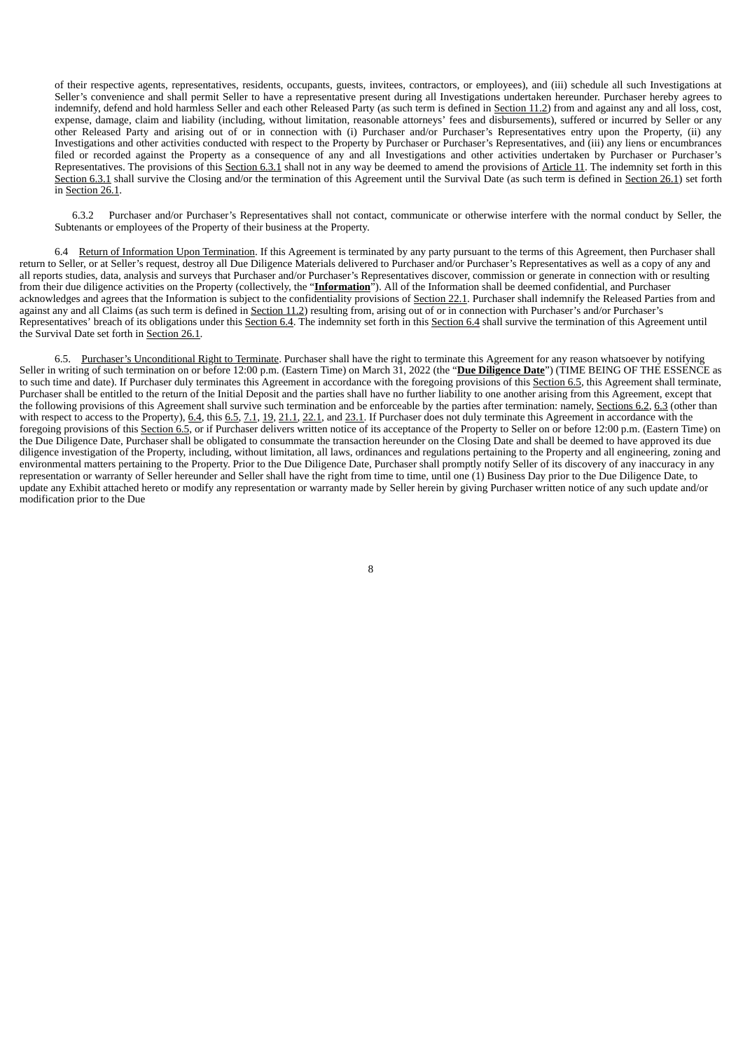of their respective agents, representatives, residents, occupants, guests, invitees, contractors, or employees), and (iii) schedule all such Investigations at Seller's convenience and shall permit Seller to have a representative present during all Investigations undertaken hereunder. Purchaser hereby agrees to indemnify, defend and hold harmless Seller and each other Released Party (as such term is defined in Section 11.2) from and against any and all loss, cost, expense, damage, claim and liability (including, without limitation, reasonable attorneys' fees and disbursements), suffered or incurred by Seller or any other Released Party and arising out of or in connection with (i) Purchaser and/or Purchaser's Representatives entry upon the Property, (ii) any Investigations and other activities conducted with respect to the Property by Purchaser or Purchaser's Representatives, and (iii) any liens or encumbrances filed or recorded against the Property as a consequence of any and all Investigations and other activities undertaken by Purchaser or Purchaser's Representatives. The provisions of this Section 6.3.1 shall not in any way be deemed to amend the provisions of Article 11. The indemnity set forth in this Section 6.3.1 shall survive the Closing and/or the termination of this Agreement until the Survival Date (as such term is defined in Section 26.1) set forth in Section 26.1.

6.3.2 Purchaser and/or Purchaser's Representatives shall not contact, communicate or otherwise interfere with the normal conduct by Seller, the Subtenants or employees of the Property of their business at the Property.

6.4 Return of Information Upon Termination. If this Agreement is terminated by any party pursuant to the terms of this Agreement, then Purchaser shall return to Seller, or at Seller's request, destroy all Due Diligence Materials delivered to Purchaser and/or Purchaser's Representatives as well as a copy of any and all reports studies, data, analysis and surveys that Purchaser and/or Purchaser's Representatives discover, commission or generate in connection with or resulting from their due diligence activities on the Property (collectively, the "**Information**"). All of the Information shall be deemed confidential, and Purchaser acknowledges and agrees that the Information is subject to the confidentiality provisions of Section 22.1. Purchaser shall indemnify the Released Parties from and against any and all Claims (as such term is defined in Section 11.2) resulting from, arising out of or in connection with Purchaser's and/or Purchaser's Representatives' breach of its obligations under this Section 6.4. The indemnity set forth in this Section 6.4 shall survive the termination of this Agreement until the Survival Date set forth in Section 26.1.

6.5. Purchaser's Unconditional Right to Terminate. Purchaser shall have the right to terminate this Agreement for any reason whatsoever by notifying Seller in writing of such termination on or before 12:00 p.m. (Eastern Time) on March 31, 2022 (the "**Due Diligence Date**") (TIME BEING OF THE ESSENCE as to such time and date). If Purchaser duly terminates this Agreement in accordance with the foregoing provisions of this Section 6.5, this Agreement shall terminate, Purchaser shall be entitled to the return of the Initial Deposit and the parties shall have no further liability to one another arising from this Agreement, except that the following provisions of this Agreement shall survive such termination and be enforceable by the parties after termination: namely, Sections 6.2, 6.3 (other than with respect to access to the Property),  $6.4$ , this  $6.5$ ,  $7.1$ ,  $19$ ,  $21.1$ ,  $22.1$ , and  $23.1$ . If Purchaser does not duly terminate this Agreement in accordance with the foregoing provisions of this Section 6.5, or if Purchaser delivers written notice of its acceptance of the Property to Seller on or before 12:00 p.m. (Eastern Time) on the Due Diligence Date, Purchaser shall be obligated to consummate the transaction hereunder on the Closing Date and shall be deemed to have approved its due diligence investigation of the Property, including, without limitation, all laws, ordinances and regulations pertaining to the Property and all engineering, zoning and environmental matters pertaining to the Property. Prior to the Due Diligence Date, Purchaser shall promptly notify Seller of its discovery of any inaccuracy in any representation or warranty of Seller hereunder and Seller shall have the right from time to time, until one (1) Business Day prior to the Due Diligence Date, to update any Exhibit attached hereto or modify any representation or warranty made by Seller herein by giving Purchaser written notice of any such update and/or modification prior to the Due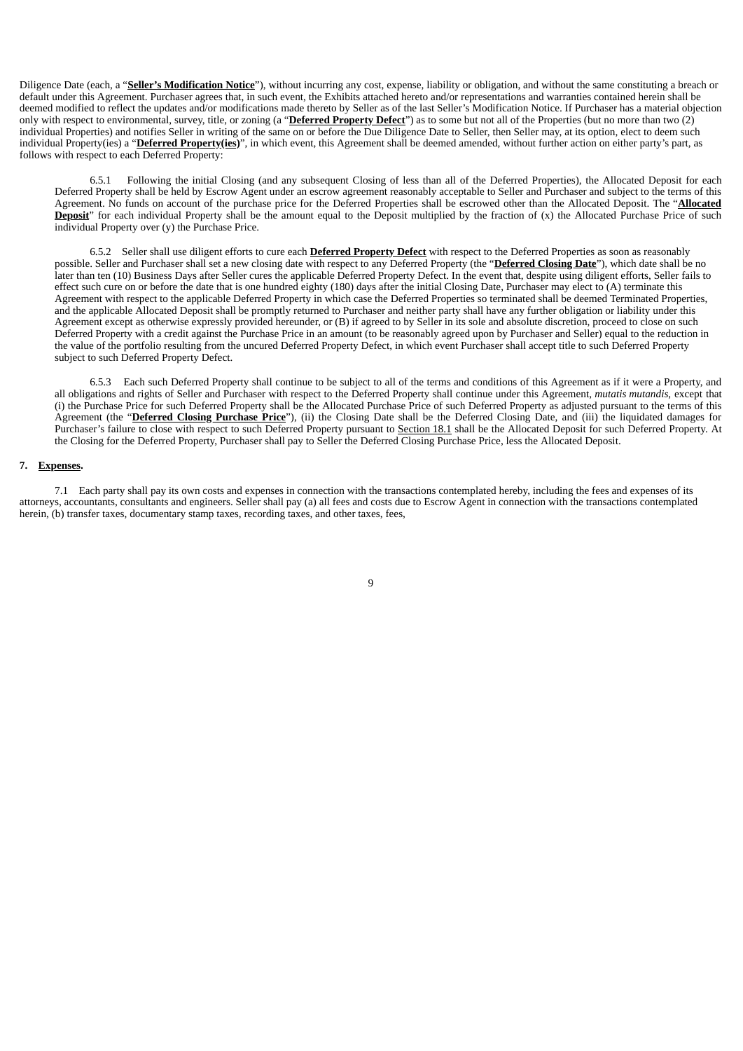Diligence Date (each, a "**Seller's Modification Notice**"), without incurring any cost, expense, liability or obligation, and without the same constituting a breach or default under this Agreement. Purchaser agrees that, in such event, the Exhibits attached hereto and/or representations and warranties contained herein shall be deemed modified to reflect the updates and/or modifications made thereto by Seller as of the last Seller's Modification Notice. If Purchaser has a material objection only with respect to environmental, survey, title, or zoning (a "**Deferred Property Defect**") as to some but not all of the Properties (but no more than two (2) individual Properties) and notifies Seller in writing of the same on or before the Due Diligence Date to Seller, then Seller may, at its option, elect to deem such individual Property(ies) a "**Deferred Property(ies)**", in which event, this Agreement shall be deemed amended, without further action on either party's part, as follows with respect to each Deferred Property:

6.5.1 Following the initial Closing (and any subsequent Closing of less than all of the Deferred Properties), the Allocated Deposit for each Deferred Property shall be held by Escrow Agent under an escrow agreement reasonably acceptable to Seller and Purchaser and subject to the terms of this Agreement. No funds on account of the purchase price for the Deferred Properties shall be escrowed other than the Allocated Deposit. The "**Allocated Deposit**" for each individual Property shall be the amount equal to the Deposit multiplied by the fraction of (x) the Allocated Purchase Price of such individual Property over (y) the Purchase Price.

6.5.2 Seller shall use diligent efforts to cure each **Deferred Property Defect** with respect to the Deferred Properties as soon as reasonably possible. Seller and Purchaser shall set a new closing date with respect to any Deferred Property (the "**Deferred Closing Date**"), which date shall be no later than ten (10) Business Days after Seller cures the applicable Deferred Property Defect. In the event that, despite using diligent efforts, Seller fails to effect such cure on or before the date that is one hundred eighty (180) days after the initial Closing Date, Purchaser may elect to (A) terminate this Agreement with respect to the applicable Deferred Property in which case the Deferred Properties so terminated shall be deemed Terminated Properties, and the applicable Allocated Deposit shall be promptly returned to Purchaser and neither party shall have any further obligation or liability under this Agreement except as otherwise expressly provided hereunder, or (B) if agreed to by Seller in its sole and absolute discretion, proceed to close on such Deferred Property with a credit against the Purchase Price in an amount (to be reasonably agreed upon by Purchaser and Seller) equal to the reduction in the value of the portfolio resulting from the uncured Deferred Property Defect, in which event Purchaser shall accept title to such Deferred Property subject to such Deferred Property Defect.

6.5.3 Each such Deferred Property shall continue to be subject to all of the terms and conditions of this Agreement as if it were a Property, and all obligations and rights of Seller and Purchaser with respect to the Deferred Property shall continue under this Agreement, *mutatis mutandis*, except that (i) the Purchase Price for such Deferred Property shall be the Allocated Purchase Price of such Deferred Property as adjusted pursuant to the terms of this Agreement (the "**Deferred Closing Purchase Price**"), (ii) the Closing Date shall be the Deferred Closing Date, and (iii) the liquidated damages for Purchaser's failure to close with respect to such Deferred Property pursuant to Section 18.1 shall be the Allocated Deposit for such Deferred Property. At the Closing for the Deferred Property, Purchaser shall pay to Seller the Deferred Closing Purchase Price, less the Allocated Deposit.

## **7. Expenses.**

7.1 Each party shall pay its own costs and expenses in connection with the transactions contemplated hereby, including the fees and expenses of its attorneys, accountants, consultants and engineers. Seller shall pay (a) all fees and costs due to Escrow Agent in connection with the transactions contemplated herein, (b) transfer taxes, documentary stamp taxes, recording taxes, and other taxes, fees,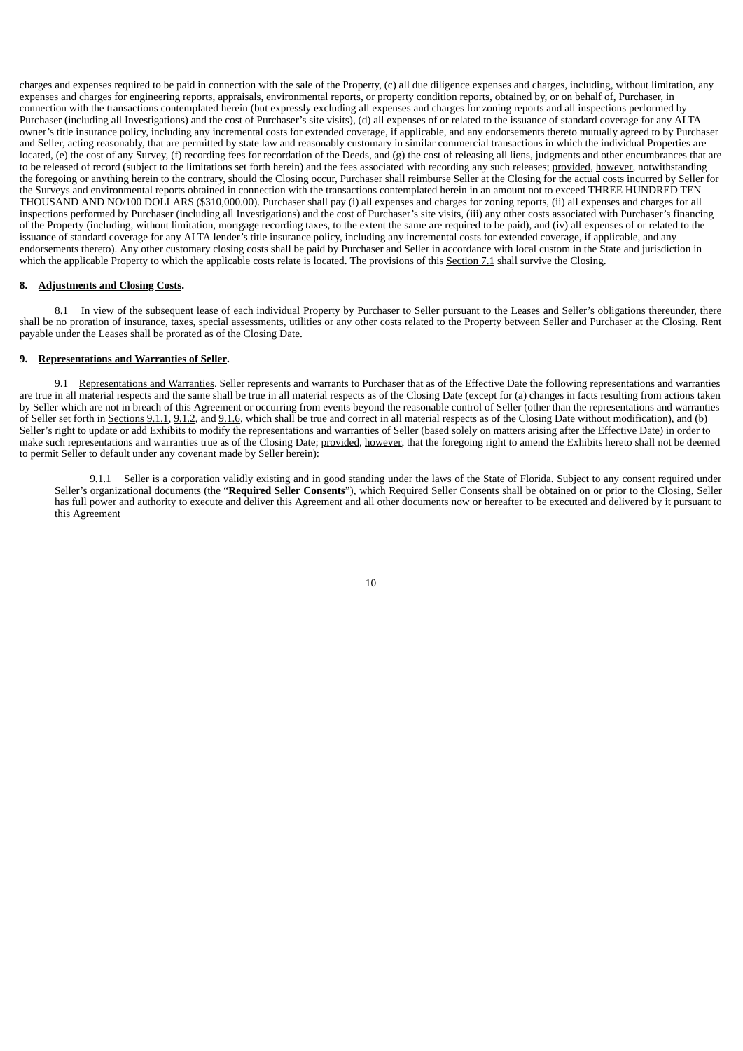charges and expenses required to be paid in connection with the sale of the Property, (c) all due diligence expenses and charges, including, without limitation, any expenses and charges for engineering reports, appraisals, environmental reports, or property condition reports, obtained by, or on behalf of, Purchaser, in connection with the transactions contemplated herein (but expressly excluding all expenses and charges for zoning reports and all inspections performed by Purchaser (including all Investigations) and the cost of Purchaser's site visits), (d) all expenses of or related to the issuance of standard coverage for any ALTA owner's title insurance policy, including any incremental costs for extended coverage, if applicable, and any endorsements thereto mutually agreed to by Purchaser and Seller, acting reasonably, that are permitted by state law and reasonably customary in similar commercial transactions in which the individual Properties are located, (e) the cost of any Survey, (f) recording fees for recordation of the Deeds, and (g) the cost of releasing all liens, judgments and other encumbrances that are to be released of record (subject to the limitations set forth herein) and the fees associated with recording any such releases; provided, however, notwithstanding the foregoing or anything herein to the contrary, should the Closing occur, Purchaser shall reimburse Seller at the Closing for the actual costs incurred by Seller for the Surveys and environmental reports obtained in connection with the transactions contemplated herein in an amount not to exceed THREE HUNDRED TEN THOUSAND AND NO/100 DOLLARS (\$310,000.00). Purchaser shall pay (i) all expenses and charges for zoning reports, (ii) all expenses and charges for all inspections performed by Purchaser (including all Investigations) and the cost of Purchaser's site visits, (iii) any other costs associated with Purchaser's financing of the Property (including, without limitation, mortgage recording taxes, to the extent the same are required to be paid), and (iv) all expenses of or related to the issuance of standard coverage for any ALTA lender's title insurance policy, including any incremental costs for extended coverage, if applicable, and any endorsements thereto). Any other customary closing costs shall be paid by Purchaser and Seller in accordance with local custom in the State and jurisdiction in which the applicable Property to which the applicable costs relate is located. The provisions of this Section 7.1 shall survive the Closing.

#### **8. Adjustments and Closing Costs.**

8.1 In view of the subsequent lease of each individual Property by Purchaser to Seller pursuant to the Leases and Seller's obligations thereunder, there shall be no proration of insurance, taxes, special assessments, utilities or any other costs related to the Property between Seller and Purchaser at the Closing. Rent payable under the Leases shall be prorated as of the Closing Date.

#### **9. Representations and Warranties of Seller.**

9.1 Representations and Warranties. Seller represents and warrants to Purchaser that as of the Effective Date the following representations and warranties are true in all material respects and the same shall be true in all material respects as of the Closing Date (except for (a) changes in facts resulting from actions taken by Seller which are not in breach of this Agreement or occurring from events beyond the reasonable control of Seller (other than the representations and warranties of Seller set forth in Sections 9.1.1, 9.1.2, and 9.1.6, which shall be true and correct in all material respects as of the Closing Date without modification), and (b) Seller's right to update or add Exhibits to modify the representations and warranties of Seller (based solely on matters arising after the Effective Date) in order to make such representations and warranties true as of the Closing Date; provided, however, that the foregoing right to amend the Exhibits hereto shall not be deemed to permit Seller to default under any covenant made by Seller herein):

9.1.1 Seller is a corporation validly existing and in good standing under the laws of the State of Florida. Subject to any consent required under Seller's organizational documents (the "**Required Seller Consents**"), which Required Seller Consents shall be obtained on or prior to the Closing, Seller has full power and authority to execute and deliver this Agreement and all other documents now or hereafter to be executed and delivered by it pursuant to this Agreement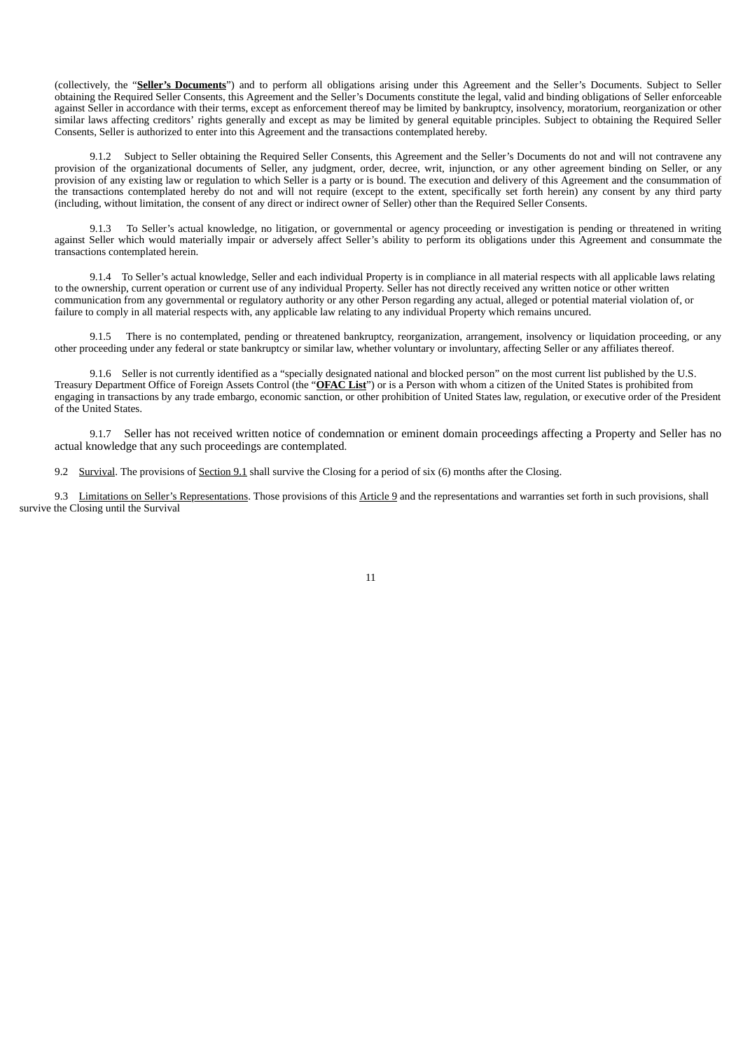(collectively, the "**Seller's Documents**") and to perform all obligations arising under this Agreement and the Seller's Documents. Subject to Seller obtaining the Required Seller Consents, this Agreement and the Seller's Documents constitute the legal, valid and binding obligations of Seller enforceable against Seller in accordance with their terms, except as enforcement thereof may be limited by bankruptcy, insolvency, moratorium, reorganization or other similar laws affecting creditors' rights generally and except as may be limited by general equitable principles. Subject to obtaining the Required Seller Consents, Seller is authorized to enter into this Agreement and the transactions contemplated hereby.

9.1.2 Subject to Seller obtaining the Required Seller Consents, this Agreement and the Seller's Documents do not and will not contravene any provision of the organizational documents of Seller, any judgment, order, decree, writ, injunction, or any other agreement binding on Seller, or any provision of any existing law or regulation to which Seller is a party or is bound. The execution and delivery of this Agreement and the consummation of the transactions contemplated hereby do not and will not require (except to the extent, specifically set forth herein) any consent by any third party (including, without limitation, the consent of any direct or indirect owner of Seller) other than the Required Seller Consents.

9.1.3 To Seller's actual knowledge, no litigation, or governmental or agency proceeding or investigation is pending or threatened in writing against Seller which would materially impair or adversely affect Seller's ability to perform its obligations under this Agreement and consummate the transactions contemplated herein.

9.1.4 To Seller's actual knowledge, Seller and each individual Property is in compliance in all material respects with all applicable laws relating to the ownership, current operation or current use of any individual Property. Seller has not directly received any written notice or other written communication from any governmental or regulatory authority or any other Person regarding any actual, alleged or potential material violation of, or failure to comply in all material respects with, any applicable law relating to any individual Property which remains uncured.

9.1.5 There is no contemplated, pending or threatened bankruptcy, reorganization, arrangement, insolvency or liquidation proceeding, or any other proceeding under any federal or state bankruptcy or similar law, whether voluntary or involuntary, affecting Seller or any affiliates thereof.

9.1.6 Seller is not currently identified as a "specially designated national and blocked person" on the most current list published by the U.S. Treasury Department Office of Foreign Assets Control (the "**OFAC List**") or is a Person with whom a citizen of the United States is prohibited from engaging in transactions by any trade embargo, economic sanction, or other prohibition of United States law, regulation, or executive order of the President of the United States.

9.1.7 Seller has not received written notice of condemnation or eminent domain proceedings affecting a Property and Seller has no actual knowledge that any such proceedings are contemplated.

9.2 Survival. The provisions of Section 9.1 shall survive the Closing for a period of six (6) months after the Closing.

9.3 Limitations on Seller's Representations. Those provisions of this Article 9 and the representations and warranties set forth in such provisions, shall survive the Closing until the Survival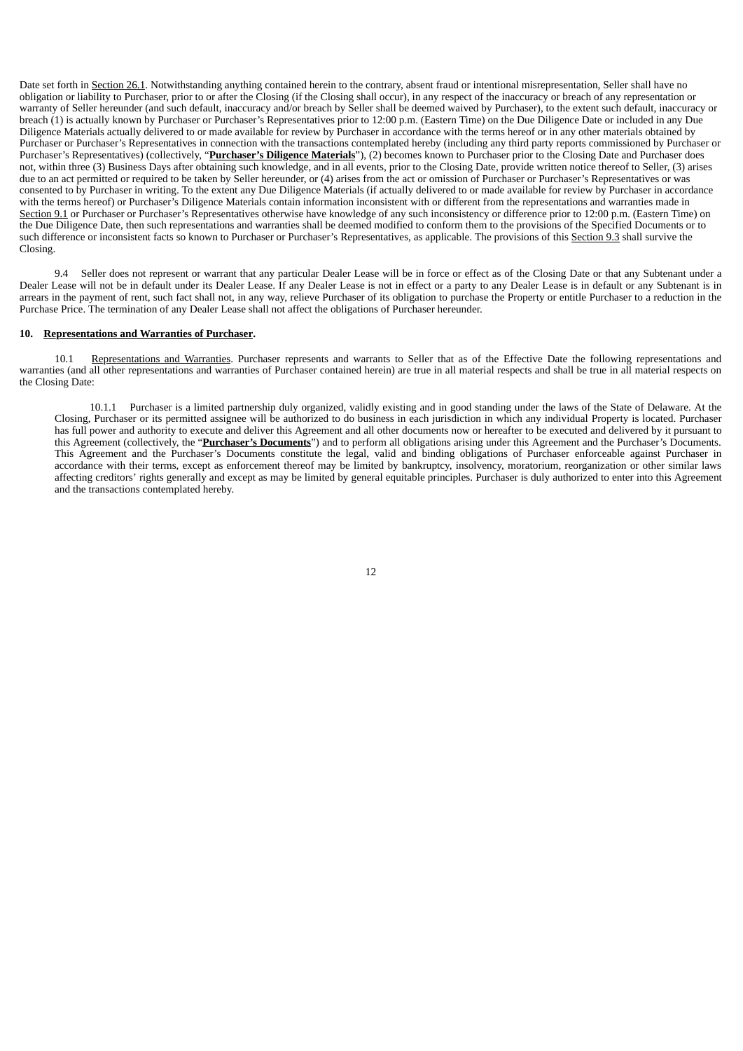Date set forth in Section 26.1. Notwithstanding anything contained herein to the contrary, absent fraud or intentional misrepresentation, Seller shall have no obligation or liability to Purchaser, prior to or after the Closing (if the Closing shall occur), in any respect of the inaccuracy or breach of any representation or warranty of Seller hereunder (and such default, inaccuracy and/or breach by Seller shall be deemed waived by Purchaser), to the extent such default, inaccuracy or breach (1) is actually known by Purchaser or Purchaser's Representatives prior to 12:00 p.m. (Eastern Time) on the Due Diligence Date or included in any Due Diligence Materials actually delivered to or made available for review by Purchaser in accordance with the terms hereof or in any other materials obtained by Purchaser or Purchaser's Representatives in connection with the transactions contemplated hereby (including any third party reports commissioned by Purchaser or Purchaser's Representatives) (collectively, "**Purchaser's Diligence Materials**"), (2) becomes known to Purchaser prior to the Closing Date and Purchaser does not, within three (3) Business Days after obtaining such knowledge, and in all events, prior to the Closing Date, provide written notice thereof to Seller, (3) arises due to an act permitted or required to be taken by Seller hereunder, or (4) arises from the act or omission of Purchaser or Purchaser's Representatives or was consented to by Purchaser in writing. To the extent any Due Diligence Materials (if actually delivered to or made available for review by Purchaser in accordance with the terms hereof) or Purchaser's Diligence Materials contain information inconsistent with or different from the representations and warranties made in Section 9.1 or Purchaser or Purchaser's Representatives otherwise have knowledge of any such inconsistency or difference prior to 12:00 p.m. (Eastern Time) on the Due Diligence Date, then such representations and warranties shall be deemed modified to conform them to the provisions of the Specified Documents or to such difference or inconsistent facts so known to Purchaser or Purchaser's Representatives, as applicable. The provisions of this Section 9.3 shall survive the Closing.

9.4 Seller does not represent or warrant that any particular Dealer Lease will be in force or effect as of the Closing Date or that any Subtenant under a Dealer Lease will not be in default under its Dealer Lease. If any Dealer Lease is not in effect or a party to any Dealer Lease is in default or any Subtenant is in arrears in the payment of rent, such fact shall not, in any way, relieve Purchaser of its obligation to purchase the Property or entitle Purchaser to a reduction in the Purchase Price. The termination of any Dealer Lease shall not affect the obligations of Purchaser hereunder.

## **10. Representations and Warranties of Purchaser.**

10.1 Representations and Warranties. Purchaser represents and warrants to Seller that as of the Effective Date the following representations and warranties (and all other representations and warranties of Purchaser contained herein) are true in all material respects and shall be true in all material respects on the Closing Date:

10.1.1 Purchaser is a limited partnership duly organized, validly existing and in good standing under the laws of the State of Delaware. At the Closing, Purchaser or its permitted assignee will be authorized to do business in each jurisdiction in which any individual Property is located. Purchaser has full power and authority to execute and deliver this Agreement and all other documents now or hereafter to be executed and delivered by it pursuant to this Agreement (collectively, the "**Purchaser's Documents**") and to perform all obligations arising under this Agreement and the Purchaser's Documents. This Agreement and the Purchaser's Documents constitute the legal, valid and binding obligations of Purchaser enforceable against Purchaser in accordance with their terms, except as enforcement thereof may be limited by bankruptcy, insolvency, moratorium, reorganization or other similar laws affecting creditors' rights generally and except as may be limited by general equitable principles. Purchaser is duly authorized to enter into this Agreement and the transactions contemplated hereby.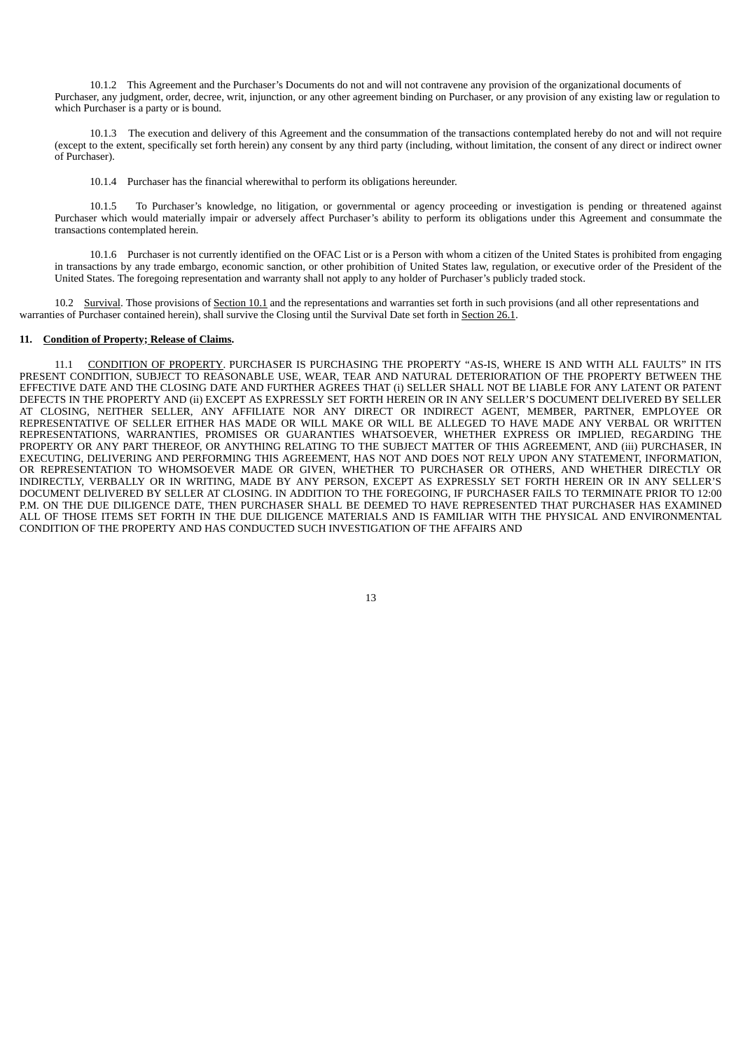10.1.2 This Agreement and the Purchaser's Documents do not and will not contravene any provision of the organizational documents of Purchaser, any judgment, order, decree, writ, injunction, or any other agreement binding on Purchaser, or any provision of any existing law or regulation to which Purchaser is a party or is bound.

10.1.3 The execution and delivery of this Agreement and the consummation of the transactions contemplated hereby do not and will not require (except to the extent, specifically set forth herein) any consent by any third party (including, without limitation, the consent of any direct or indirect owner of Purchaser).

10.1.4 Purchaser has the financial wherewithal to perform its obligations hereunder.

10.1.5 To Purchaser's knowledge, no litigation, or governmental or agency proceeding or investigation is pending or threatened against Purchaser which would materially impair or adversely affect Purchaser's ability to perform its obligations under this Agreement and consummate the transactions contemplated herein.

10.1.6 Purchaser is not currently identified on the OFAC List or is a Person with whom a citizen of the United States is prohibited from engaging in transactions by any trade embargo, economic sanction, or other prohibition of United States law, regulation, or executive order of the President of the United States. The foregoing representation and warranty shall not apply to any holder of Purchaser's publicly traded stock.

10.2 Survival. Those provisions of Section 10.1 and the representations and warranties set forth in such provisions (and all other representations and warranties of Purchaser contained herein), shall survive the Closing until the Survival Date set forth in Section 26.1.

#### **11. Condition of Property; Release of Claims.**

11.1 CONDITION OF PROPERTY. PURCHASER IS PURCHASING THE PROPERTY "AS-IS, WHERE IS AND WITH ALL FAULTS" IN ITS PRESENT CONDITION, SUBJECT TO REASONABLE USE, WEAR, TEAR AND NATURAL DETERIORATION OF THE PROPERTY BETWEEN THE EFFECTIVE DATE AND THE CLOSING DATE AND FURTHER AGREES THAT (i) SELLER SHALL NOT BE LIABLE FOR ANY LATENT OR PATENT DEFECTS IN THE PROPERTY AND (ii) EXCEPT AS EXPRESSLY SET FORTH HEREIN OR IN ANY SELLER'S DOCUMENT DELIVERED BY SELLER AT CLOSING, NEITHER SELLER, ANY AFFILIATE NOR ANY DIRECT OR INDIRECT AGENT, MEMBER, PARTNER, EMPLOYEE OR REPRESENTATIVE OF SELLER EITHER HAS MADE OR WILL MAKE OR WILL BE ALLEGED TO HAVE MADE ANY VERBAL OR WRITTEN REPRESENTATIONS, WARRANTIES, PROMISES OR GUARANTIES WHATSOEVER, WHETHER EXPRESS OR IMPLIED, REGARDING THE PROPERTY OR ANY PART THEREOF, OR ANYTHING RELATING TO THE SUBJECT MATTER OF THIS AGREEMENT, AND (iii) PURCHASER, IN EXECUTING, DELIVERING AND PERFORMING THIS AGREEMENT, HAS NOT AND DOES NOT RELY UPON ANY STATEMENT, INFORMATION, OR REPRESENTATION TO WHOMSOEVER MADE OR GIVEN, WHETHER TO PURCHASER OR OTHERS, AND WHETHER DIRECTLY OR INDIRECTLY, VERBALLY OR IN WRITING, MADE BY ANY PERSON, EXCEPT AS EXPRESSLY SET FORTH HEREIN OR IN ANY SELLER'S DOCUMENT DELIVERED BY SELLER AT CLOSING. IN ADDITION TO THE FOREGOING, IF PURCHASER FAILS TO TERMINATE PRIOR TO 12:00 P.M. ON THE DUE DILIGENCE DATE, THEN PURCHASER SHALL BE DEEMED TO HAVE REPRESENTED THAT PURCHASER HAS EXAMINED ALL OF THOSE ITEMS SET FORTH IN THE DUE DILIGENCE MATERIALS AND IS FAMILIAR WITH THE PHYSICAL AND ENVIRONMENTAL CONDITION OF THE PROPERTY AND HAS CONDUCTED SUCH INVESTIGATION OF THE AFFAIRS AND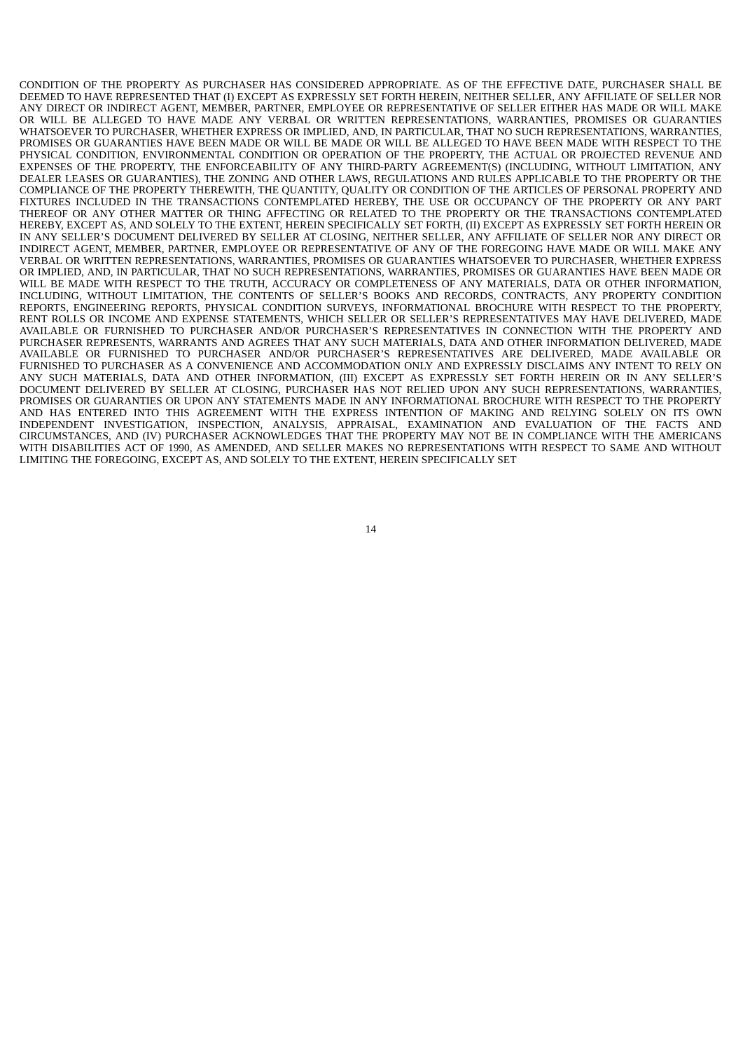CONDITION OF THE PROPERTY AS PURCHASER HAS CONSIDERED APPROPRIATE. AS OF THE EFFECTIVE DATE, PURCHASER SHALL BE DEEMED TO HAVE REPRESENTED THAT (I) EXCEPT AS EXPRESSLY SET FORTH HEREIN, NEITHER SELLER, ANY AFFILIATE OF SELLER NOR ANY DIRECT OR INDIRECT AGENT, MEMBER, PARTNER, EMPLOYEE OR REPRESENTATIVE OF SELLER EITHER HAS MADE OR WILL MAKE OR WILL BE ALLEGED TO HAVE MADE ANY VERBAL OR WRITTEN REPRESENTATIONS, WARRANTIES, PROMISES OR GUARANTIES WHATSOEVER TO PURCHASER, WHETHER EXPRESS OR IMPLIED, AND, IN PARTICULAR, THAT NO SUCH REPRESENTATIONS, WARRANTIES, PROMISES OR GUARANTIES HAVE BEEN MADE OR WILL BE MADE OR WILL BE ALLEGED TO HAVE BEEN MADE WITH RESPECT TO THE PHYSICAL CONDITION, ENVIRONMENTAL CONDITION OR OPERATION OF THE PROPERTY, THE ACTUAL OR PROJECTED REVENUE AND EXPENSES OF THE PROPERTY, THE ENFORCEABILITY OF ANY THIRD-PARTY AGREEMENT(S) (INCLUDING, WITHOUT LIMITATION, ANY DEALER LEASES OR GUARANTIES), THE ZONING AND OTHER LAWS, REGULATIONS AND RULES APPLICABLE TO THE PROPERTY OR THE COMPLIANCE OF THE PROPERTY THEREWITH, THE QUANTITY, QUALITY OR CONDITION OF THE ARTICLES OF PERSONAL PROPERTY AND FIXTURES INCLUDED IN THE TRANSACTIONS CONTEMPLATED HEREBY, THE USE OR OCCUPANCY OF THE PROPERTY OR ANY PART THEREOF OR ANY OTHER MATTER OR THING AFFECTING OR RELATED TO THE PROPERTY OR THE TRANSACTIONS CONTEMPLATED HEREBY, EXCEPT AS, AND SOLELY TO THE EXTENT, HEREIN SPECIFICALLY SET FORTH, (II) EXCEPT AS EXPRESSLY SET FORTH HEREIN OR IN ANY SELLER'S DOCUMENT DELIVERED BY SELLER AT CLOSING, NEITHER SELLER, ANY AFFILIATE OF SELLER NOR ANY DIRECT OR INDIRECT AGENT, MEMBER, PARTNER, EMPLOYEE OR REPRESENTATIVE OF ANY OF THE FOREGOING HAVE MADE OR WILL MAKE ANY VERBAL OR WRITTEN REPRESENTATIONS, WARRANTIES, PROMISES OR GUARANTIES WHATSOEVER TO PURCHASER, WHETHER EXPRESS OR IMPLIED, AND, IN PARTICULAR, THAT NO SUCH REPRESENTATIONS, WARRANTIES, PROMISES OR GUARANTIES HAVE BEEN MADE OR WILL BE MADE WITH RESPECT TO THE TRUTH, ACCURACY OR COMPLETENESS OF ANY MATERIALS, DATA OR OTHER INFORMATION, INCLUDING, WITHOUT LIMITATION, THE CONTENTS OF SELLER'S BOOKS AND RECORDS, CONTRACTS, ANY PROPERTY CONDITION REPORTS, ENGINEERING REPORTS, PHYSICAL CONDITION SURVEYS, INFORMATIONAL BROCHURE WITH RESPECT TO THE PROPERTY, RENT ROLLS OR INCOME AND EXPENSE STATEMENTS, WHICH SELLER OR SELLER'S REPRESENTATIVES MAY HAVE DELIVERED, MADE AVAILABLE OR FURNISHED TO PURCHASER AND/OR PURCHASER'S REPRESENTATIVES IN CONNECTION WITH THE PROPERTY AND PURCHASER REPRESENTS, WARRANTS AND AGREES THAT ANY SUCH MATERIALS, DATA AND OTHER INFORMATION DELIVERED, MADE AVAILABLE OR FURNISHED TO PURCHASER AND/OR PURCHASER'S REPRESENTATIVES ARE DELIVERED, MADE AVAILABLE OR FURNISHED TO PURCHASER AS A CONVENIENCE AND ACCOMMODATION ONLY AND EXPRESSLY DISCLAIMS ANY INTENT TO RELY ON ANY SUCH MATERIALS, DATA AND OTHER INFORMATION, (III) EXCEPT AS EXPRESSLY SET FORTH HEREIN OR IN ANY SELLER'S DOCUMENT DELIVERED BY SELLER AT CLOSING, PURCHASER HAS NOT RELIED UPON ANY SUCH REPRESENTATIONS, WARRANTIES, PROMISES OR GUARANTIES OR UPON ANY STATEMENTS MADE IN ANY INFORMATIONAL BROCHURE WITH RESPECT TO THE PROPERTY AND HAS ENTERED INTO THIS AGREEMENT WITH THE EXPRESS INTENTION OF MAKING AND RELYING SOLELY ON ITS OWN INDEPENDENT INVESTIGATION, INSPECTION, ANALYSIS, APPRAISAL, EXAMINATION AND EVALUATION OF THE FACTS AND CIRCUMSTANCES, AND (IV) PURCHASER ACKNOWLEDGES THAT THE PROPERTY MAY NOT BE IN COMPLIANCE WITH THE AMERICANS WITH DISABILITIES ACT OF 1990, AS AMENDED, AND SELLER MAKES NO REPRESENTATIONS WITH RESPECT TO SAME AND WITHOUT LIMITING THE FOREGOING, EXCEPT AS, AND SOLELY TO THE EXTENT, HEREIN SPECIFICALLY SET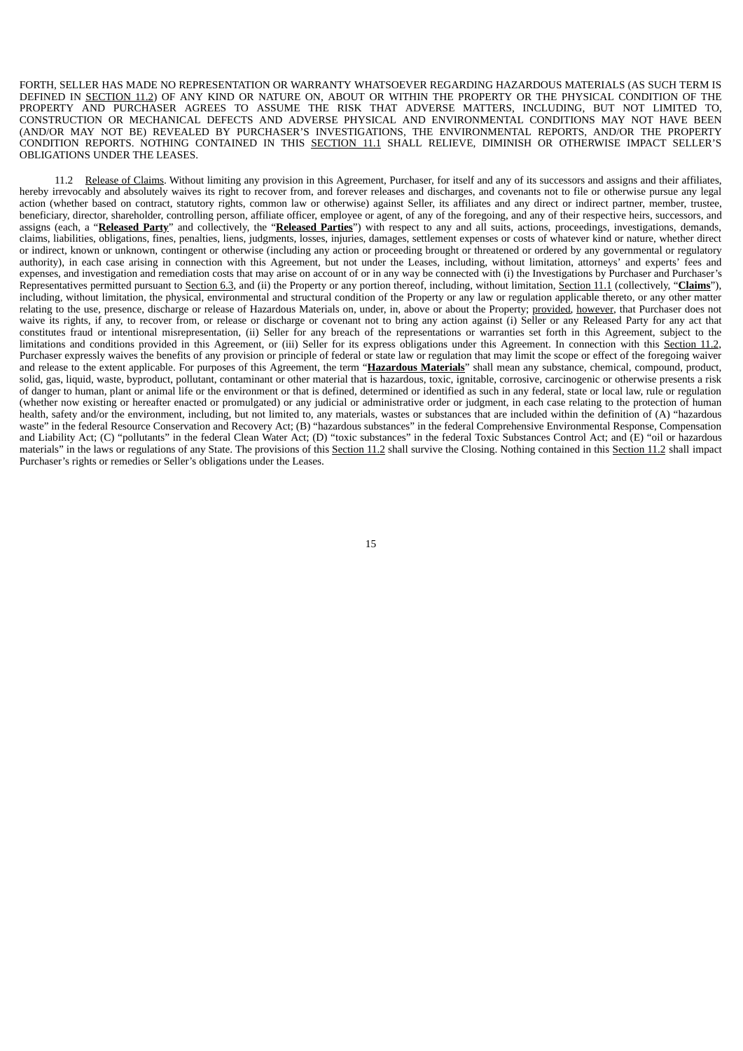FORTH, SELLER HAS MADE NO REPRESENTATION OR WARRANTY WHATSOEVER REGARDING HAZARDOUS MATERIALS (AS SUCH TERM IS DEFINED IN SECTION 11.2) OF ANY KIND OR NATURE ON, ABOUT OR WITHIN THE PROPERTY OR THE PHYSICAL CONDITION OF THE PROPERTY AND PURCHASER AGREES TO ASSUME THE RISK THAT ADVERSE MATTERS, INCLUDING, BUT NOT LIMITED TO, CONSTRUCTION OR MECHANICAL DEFECTS AND ADVERSE PHYSICAL AND ENVIRONMENTAL CONDITIONS MAY NOT HAVE BEEN (AND/OR MAY NOT BE) REVEALED BY PURCHASER'S INVESTIGATIONS, THE ENVIRONMENTAL REPORTS, AND/OR THE PROPERTY CONDITION REPORTS. NOTHING CONTAINED IN THIS SECTION 11.1 SHALL RELIEVE, DIMINISH OR OTHERWISE IMPACT SELLER'S OBLIGATIONS UNDER THE LEASES.

11.2 Release of Claims. Without limiting any provision in this Agreement, Purchaser, for itself and any of its successors and assigns and their affiliates, hereby irrevocably and absolutely waives its right to recover from, and forever releases and discharges, and covenants not to file or otherwise pursue any legal action (whether based on contract, statutory rights, common law or otherwise) against Seller, its affiliates and any direct or indirect partner, member, trustee, beneficiary, director, shareholder, controlling person, affiliate officer, employee or agent, of any of the foregoing, and any of their respective heirs, successors, and assigns (each, a "**Released Party**" and collectively, the "**Released Parties**") with respect to any and all suits, actions, proceedings, investigations, demands, claims, liabilities, obligations, fines, penalties, liens, judgments, losses, injuries, damages, settlement expenses or costs of whatever kind or nature, whether direct or indirect, known or unknown, contingent or otherwise (including any action or proceeding brought or threatened or ordered by any governmental or regulatory authority), in each case arising in connection with this Agreement, but not under the Leases, including, without limitation, attorneys' and experts' fees and expenses, and investigation and remediation costs that may arise on account of or in any way be connected with (i) the Investigations by Purchaser and Purchaser's Representatives permitted pursuant to Section 6.3, and (ii) the Property or any portion thereof, including, without limitation, Section 11.1 (collectively, "**Claims**"), including, without limitation, the physical, environmental and structural condition of the Property or any law or regulation applicable thereto, or any other matter relating to the use, presence, discharge or release of Hazardous Materials on, under, in, above or about the Property; provided, however, that Purchaser does not waive its rights, if any, to recover from, or release or discharge or covenant not to bring any action against (i) Seller or any Released Party for any act that constitutes fraud or intentional misrepresentation, (ii) Seller for any breach of the representations or warranties set forth in this Agreement, subject to the limitations and conditions provided in this Agreement, or (iii) Seller for its express obligations under this Agreement. In connection with this Section 11.2, Purchaser expressly waives the benefits of any provision or principle of federal or state law or regulation that may limit the scope or effect of the foregoing waiver and release to the extent applicable. For purposes of this Agreement, the term "**Hazardous Materials**" shall mean any substance, chemical, compound, product, solid, gas, liquid, waste, byproduct, pollutant, contaminant or other material that is hazardous, toxic, ignitable, corrosive, carcinogenic or otherwise presents a risk of danger to human, plant or animal life or the environment or that is defined, determined or identified as such in any federal, state or local law, rule or regulation (whether now existing or hereafter enacted or promulgated) or any judicial or administrative order or judgment, in each case relating to the protection of human health, safety and/or the environment, including, but not limited to, any materials, wastes or substances that are included within the definition of (A) "hazardous waste" in the federal Resource Conservation and Recovery Act; (B) "hazardous substances" in the federal Comprehensive Environmental Response, Compensation and Liability Act; (C) "pollutants" in the federal Clean Water Act; (D) "toxic substances" in the federal Toxic Substances Control Act; and (E) "oil or hazardous materials" in the laws or regulations of any State. The provisions of this Section 11.2 shall survive the Closing. Nothing contained in this Section 11.2 shall impact Purchaser's rights or remedies or Seller's obligations under the Leases.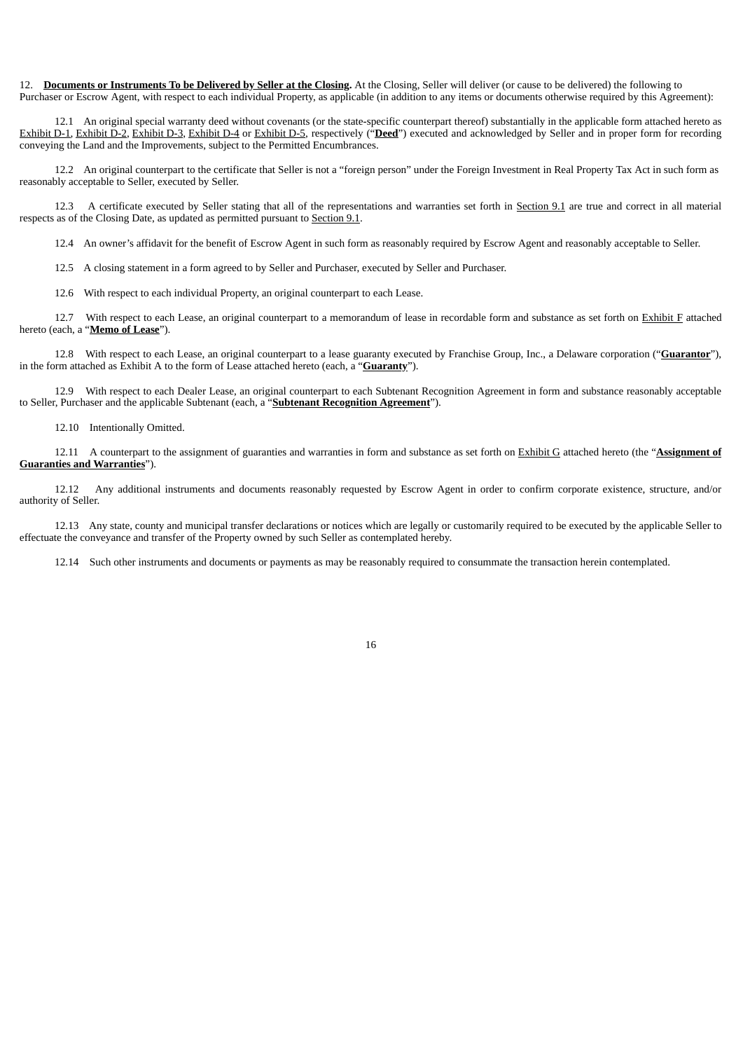12. Documents or Instruments To be Delivered by Seller at the Closing. At the Closing, Seller will deliver (or cause to be delivered) the following to Purchaser or Escrow Agent, with respect to each individual Property, as applicable (in addition to any items or documents otherwise required by this Agreement):

12.1 An original special warranty deed without covenants (or the state-specific counterpart thereof) substantially in the applicable form attached hereto as Exhibit D-1, Exhibit D-2, Exhibit D-3, Exhibit D-4 or Exhibit D-5, respectively ("**Deed**") executed and acknowledged by Seller and in proper form for recording conveying the Land and the Improvements, subject to the Permitted Encumbrances.

12.2 An original counterpart to the certificate that Seller is not a "foreign person" under the Foreign Investment in Real Property Tax Act in such form as reasonably acceptable to Seller, executed by Seller.

12.3 A certificate executed by Seller stating that all of the representations and warranties set forth in Section 9.1 are true and correct in all material respects as of the Closing Date, as updated as permitted pursuant to Section 9.1.

12.4 An owner's affidavit for the benefit of Escrow Agent in such form as reasonably required by Escrow Agent and reasonably acceptable to Seller.

12.5 A closing statement in a form agreed to by Seller and Purchaser, executed by Seller and Purchaser.

12.6 With respect to each individual Property, an original counterpart to each Lease.

12.7 With respect to each Lease, an original counterpart to a memorandum of lease in recordable form and substance as set forth on Exhibit F attached hereto (each, a "**Memo of Lease**").

12.8 With respect to each Lease, an original counterpart to a lease guaranty executed by Franchise Group, Inc., a Delaware corporation ("**Guarantor**"), in the form attached as Exhibit A to the form of Lease attached hereto (each, a "**Guaranty**").

12.9 With respect to each Dealer Lease, an original counterpart to each Subtenant Recognition Agreement in form and substance reasonably acceptable to Seller, Purchaser and the applicable Subtenant (each, a "**Subtenant Recognition Agreement**").

#### 12.10 Intentionally Omitted.

12.11 A counterpart to the assignment of guaranties and warranties in form and substance as set forth on Exhibit G attached hereto (the "**Assignment of Guaranties and Warranties**").

12.12 Any additional instruments and documents reasonably requested by Escrow Agent in order to confirm corporate existence, structure, and/or authority of Seller.

12.13 Any state, county and municipal transfer declarations or notices which are legally or customarily required to be executed by the applicable Seller to effectuate the conveyance and transfer of the Property owned by such Seller as contemplated hereby.

12.14 Such other instruments and documents or payments as may be reasonably required to consummate the transaction herein contemplated.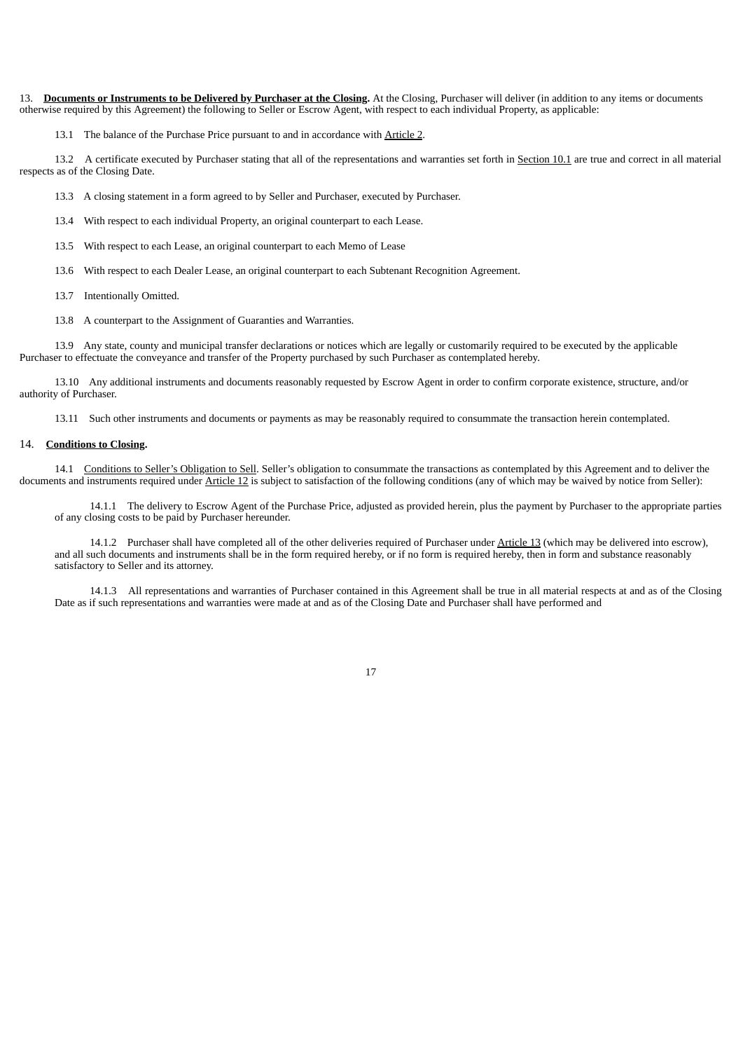13. Documents or Instruments to be Delivered by Purchaser at the Closing. At the Closing, Purchaser will deliver (in addition to any items or documents otherwise required by this Agreement) the following to Seller or Escrow Agent, with respect to each individual Property, as applicable:

13.1 The balance of the Purchase Price pursuant to and in accordance with Article 2.

13.2 A certificate executed by Purchaser stating that all of the representations and warranties set forth in Section 10.1 are true and correct in all material respects as of the Closing Date.

13.3 A closing statement in a form agreed to by Seller and Purchaser, executed by Purchaser.

13.4 With respect to each individual Property, an original counterpart to each Lease.

13.5 With respect to each Lease, an original counterpart to each Memo of Lease

13.6 With respect to each Dealer Lease, an original counterpart to each Subtenant Recognition Agreement.

13.7 Intentionally Omitted.

13.8 A counterpart to the Assignment of Guaranties and Warranties.

13.9 Any state, county and municipal transfer declarations or notices which are legally or customarily required to be executed by the applicable Purchaser to effectuate the conveyance and transfer of the Property purchased by such Purchaser as contemplated hereby.

13.10 Any additional instruments and documents reasonably requested by Escrow Agent in order to confirm corporate existence, structure, and/or authority of Purchaser.

13.11 Such other instruments and documents or payments as may be reasonably required to consummate the transaction herein contemplated.

## 14. **Conditions to Closing.**

14.1 Conditions to Seller's Obligation to Sell. Seller's obligation to consummate the transactions as contemplated by this Agreement and to deliver the documents and instruments required under Article 12 is subject to satisfaction of the following conditions (any of which may be waived by notice from Seller):

14.1.1 The delivery to Escrow Agent of the Purchase Price, adjusted as provided herein, plus the payment by Purchaser to the appropriate parties of any closing costs to be paid by Purchaser hereunder.

14.1.2 Purchaser shall have completed all of the other deliveries required of Purchaser under Article 13 (which may be delivered into escrow), and all such documents and instruments shall be in the form required hereby, or if no form is required hereby, then in form and substance reasonably satisfactory to Seller and its attorney.

14.1.3 All representations and warranties of Purchaser contained in this Agreement shall be true in all material respects at and as of the Closing Date as if such representations and warranties were made at and as of the Closing Date and Purchaser shall have performed and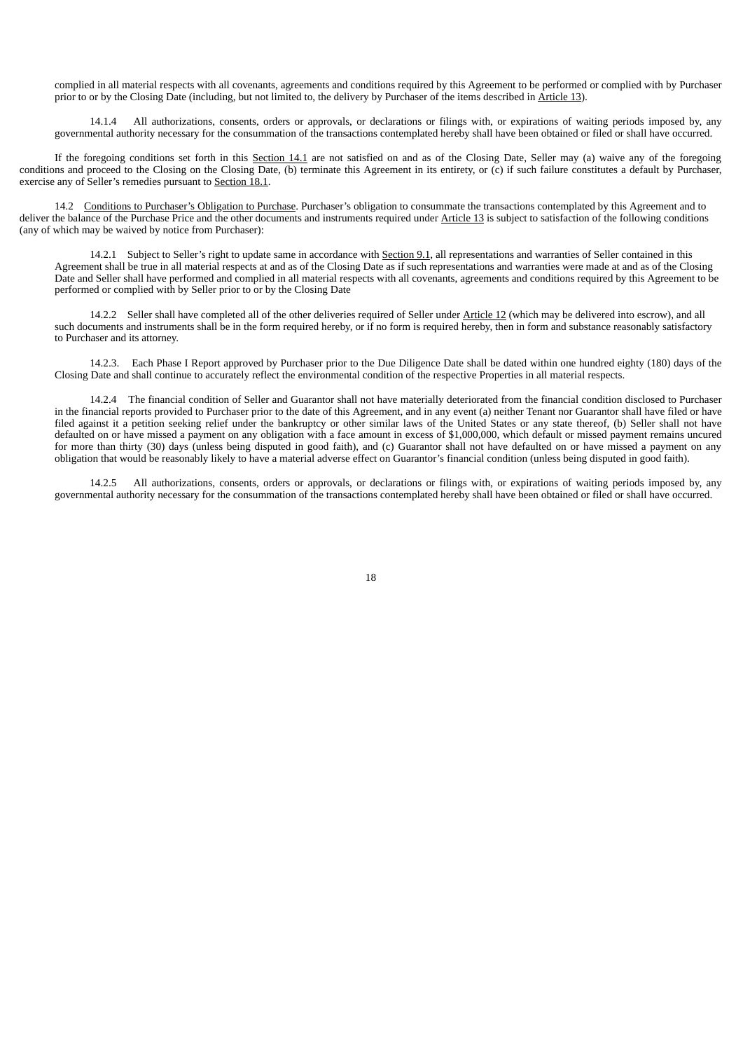complied in all material respects with all covenants, agreements and conditions required by this Agreement to be performed or complied with by Purchaser prior to or by the Closing Date (including, but not limited to, the delivery by Purchaser of the items described in Article 13).

14.1.4 All authorizations, consents, orders or approvals, or declarations or filings with, or expirations of waiting periods imposed by, any governmental authority necessary for the consummation of the transactions contemplated hereby shall have been obtained or filed or shall have occurred.

If the foregoing conditions set forth in this Section 14.1 are not satisfied on and as of the Closing Date, Seller may (a) waive any of the foregoing conditions and proceed to the Closing on the Closing Date, (b) terminate this Agreement in its entirety, or (c) if such failure constitutes a default by Purchaser, exercise any of Seller's remedies pursuant to Section 18.1.

14.2 Conditions to Purchaser's Obligation to Purchase. Purchaser's obligation to consummate the transactions contemplated by this Agreement and to deliver the balance of the Purchase Price and the other documents and instruments required under Article 13 is subject to satisfaction of the following conditions (any of which may be waived by notice from Purchaser):

14.2.1 Subject to Seller's right to update same in accordance with Section 9.1, all representations and warranties of Seller contained in this Agreement shall be true in all material respects at and as of the Closing Date as if such representations and warranties were made at and as of the Closing Date and Seller shall have performed and complied in all material respects with all covenants, agreements and conditions required by this Agreement to be performed or complied with by Seller prior to or by the Closing Date

14.2.2 Seller shall have completed all of the other deliveries required of Seller under Article 12 (which may be delivered into escrow), and all such documents and instruments shall be in the form required hereby, or if no form is required hereby, then in form and substance reasonably satisfactory to Purchaser and its attorney.

14.2.3. Each Phase I Report approved by Purchaser prior to the Due Diligence Date shall be dated within one hundred eighty (180) days of the Closing Date and shall continue to accurately reflect the environmental condition of the respective Properties in all material respects.

14.2.4 The financial condition of Seller and Guarantor shall not have materially deteriorated from the financial condition disclosed to Purchaser in the financial reports provided to Purchaser prior to the date of this Agreement, and in any event (a) neither Tenant nor Guarantor shall have filed or have filed against it a petition seeking relief under the bankruptcy or other similar laws of the United States or any state thereof, (b) Seller shall not have defaulted on or have missed a payment on any obligation with a face amount in excess of \$1,000,000, which default or missed payment remains uncured for more than thirty (30) days (unless being disputed in good faith), and (c) Guarantor shall not have defaulted on or have missed a payment on any obligation that would be reasonably likely to have a material adverse effect on Guarantor's financial condition (unless being disputed in good faith).

14.2.5 All authorizations, consents, orders or approvals, or declarations or filings with, or expirations of waiting periods imposed by, any governmental authority necessary for the consummation of the transactions contemplated hereby shall have been obtained or filed or shall have occurred.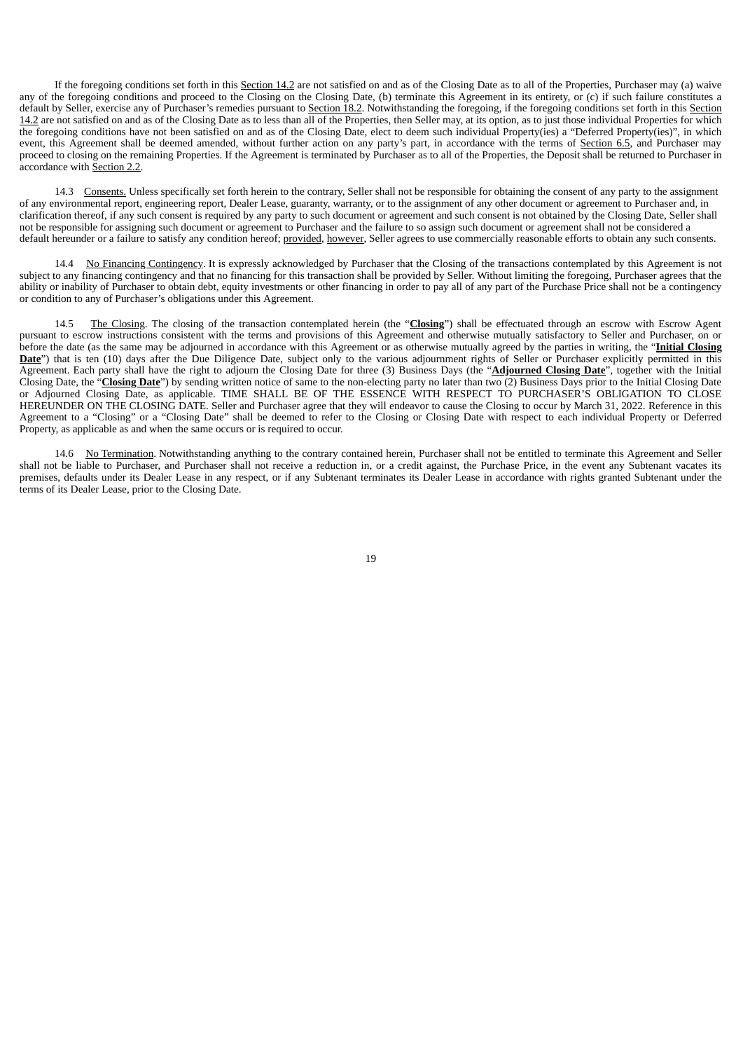If the foregoing conditions set forth in this Section 14.2 are not satisfied on and as of the Closing Date as to all of the Properties, Purchaser may (a) waive any of the foregoing conditions and proceed to the Closing on the Closing Date, (b) terminate this Agreement in its entirety, or (c) if such failure constitutes a default by Seller, exercise any of Purchaser's remedies pursuant to Section 18.2. Notwithstanding the foregoing, if the foregoing conditions set forth in this Section 14.2 are not satisfied on and as of the Closing Date as to less than all of the Properties, then Seller may, at its option, as to just those individual Properties for which the foregoing conditions have not been satisfied on and as of the Closing Date, elect to deem such individual Property(ies) a "Deferred Property(ies)", in which event, this Agreement shall be deemed amended, without further action on any party's part, in accordance with the terms of Section 6.5, and Purchaser may proceed to closing on the remaining Properties. If the Agreement is terminated by Purchaser as to all of the Properties, the Deposit shall be returned to Purchaser in accordance with Section 2.2.

14.3 Consents. Unless specifically set forth herein to the contrary, Seller shall not be responsible for obtaining the consent of any party to the assignment of any environmental report, engineering report, Dealer Lease, guaranty, warranty, or to the assignment of any other document or agreement to Purchaser and, in clarification thereof, if any such consent is required by any party to such document or agreement and such consent is not obtained by the Closing Date, Seller shall not be responsible for assigning such document or agreement to Purchaser and the failure to so assign such document or agreement shall not be considered a default hereunder or a failure to satisfy any condition hereof; provided, however, Seller agrees to use commercially reasonable efforts to obtain any such consents.

14.4 No Financing Contingency. It is expressly acknowledged by Purchaser that the Closing of the transactions contemplated by this Agreement is not subject to any financing contingency and that no financing for this transaction shall be provided by Seller. Without limiting the foregoing, Purchaser agrees that the ability or inability of Purchaser to obtain debt, equity investments or other financing in order to pay all of any part of the Purchase Price shall not be a contingency or condition to any of Purchaser's obligations under this Agreement.

14.5 The Closing. The closing of the transaction contemplated herein (the "**Closing**") shall be effectuated through an escrow with Escrow Agent pursuant to escrow instructions consistent with the terms and provisions of this Agreement and otherwise mutually satisfactory to Seller and Purchaser, on or before the date (as the same may be adjourned in accordance with this Agreement or as otherwise mutually agreed by the parties in writing, the "**Initial Closing** Date<sup>"</sup>) that is ten (10) days after the Due Diligence Date, subject only to the various adjournment rights of Seller or Purchaser explicitly permitted in this Agreement. Each party shall have the right to adjourn the Closing Date for three (3) Business Days (the "**Adjourned Closing Date**", together with the Initial Closing Date, the "**Closing Date**") by sending written notice of same to the non-electing party no later than two (2) Business Days prior to the Initial Closing Date or Adjourned Closing Date, as applicable. TIME SHALL BE OF THE ESSENCE WITH RESPECT TO PURCHASER'S OBLIGATION TO CLOSE HEREUNDER ON THE CLOSING DATE. Seller and Purchaser agree that they will endeavor to cause the Closing to occur by March 31, 2022. Reference in this Agreement to a "Closing" or a "Closing Date" shall be deemed to refer to the Closing or Closing Date with respect to each individual Property or Deferred Property, as applicable as and when the same occurs or is required to occur.

14.6 No Termination. Notwithstanding anything to the contrary contained herein, Purchaser shall not be entitled to terminate this Agreement and Seller shall not be liable to Purchaser, and Purchaser shall not receive a reduction in, or a credit against, the Purchase Price, in the event any Subtenant vacates its premises, defaults under its Dealer Lease in any respect, or if any Subtenant terminates its Dealer Lease in accordance with rights granted Subtenant under the terms of its Dealer Lease, prior to the Closing Date.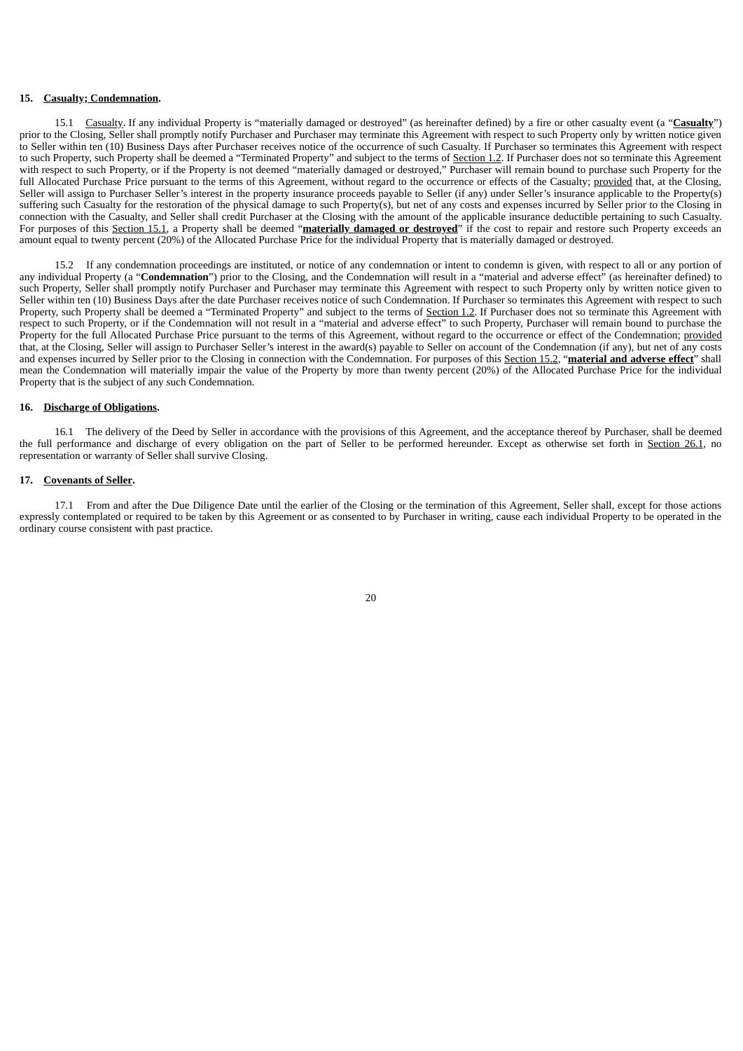#### **15. Casualty; Condemnation.**

15.1 Casualty. If any individual Property is "materially damaged or destroyed" (as hereinafter defined) by a fire or other casualty event (a "**Casualty**") prior to the Closing, Seller shall promptly notify Purchaser and Purchaser may terminate this Agreement with respect to such Property only by written notice given to Seller within ten (10) Business Days after Purchaser receives notice of the occurrence of such Casualty. If Purchaser so terminates this Agreement with respect to such Property, such Property shall be deemed a "Terminated Property" and subject to the terms of <u>Section 1.2</u>. If Purchaser does not so terminate this Agreement with respect to such Property, or if the Property is not deemed "materially damaged or destroyed," Purchaser will remain bound to purchase such Property for the full Allocated Purchase Price pursuant to the terms of this Agreement, without regard to the occurrence or effects of the Casualty; provided that, at the Closing, Seller will assign to Purchaser Seller's interest in the property insurance proceeds payable to Seller (if any) under Seller's insurance applicable to the Property(s) suffering such Casualty for the restoration of the physical damage to such Property(s), but net of any costs and expenses incurred by Seller prior to the Closing in connection with the Casualty, and Seller shall credit Purchaser at the Closing with the amount of the applicable insurance deductible pertaining to such Casualty. For purposes of this Section 15.1, a Property shall be deemed "**materially damaged or destroyed**" if the cost to repair and restore such Property exceeds an amount equal to twenty percent (20%) of the Allocated Purchase Price for the individual Property that is materially damaged or destroyed.

15.2 If any condemnation proceedings are instituted, or notice of any condemnation or intent to condemn is given, with respect to all or any portion of any individual Property (a "**Condemnation**") prior to the Closing, and the Condemnation will result in a "material and adverse effect" (as hereinafter defined) to such Property, Seller shall promptly notify Purchaser and Purchaser may terminate this Agreement with respect to such Property only by written notice given to Seller within ten (10) Business Days after the date Purchaser receives notice of such Condemnation. If Purchaser so terminates this Agreement with respect to such Property, such Property shall be deemed a "Terminated Property" and subject to the terms of Section 1.2. If Purchaser does not so terminate this Agreement with respect to such Property, or if the Condemnation will not result in a "material and adverse effect" to such Property, Purchaser will remain bound to purchase the Property for the full Allocated Purchase Price pursuant to the terms of this Agreement, without regard to the occurrence or effect of the Condemnation; provided that, at the Closing, Seller will assign to Purchaser Seller's interest in the award(s) payable to Seller on account of the Condemnation (if any), but net of any costs and expenses incurred by Seller prior to the Closing in connection with the Condemnation. For purposes of this Section 15.2, "**material and adverse effect**" shall mean the Condemnation will materially impair the value of the Property by more than twenty percent (20%) of the Allocated Purchase Price for the individual Property that is the subject of any such Condemnation.

## **16. Discharge of Obligations.**

16.1 The delivery of the Deed by Seller in accordance with the provisions of this Agreement, and the acceptance thereof by Purchaser, shall be deemed the full performance and discharge of every obligation on the part of Seller to be performed hereunder. Except as otherwise set forth in Section 26.1, no representation or warranty of Seller shall survive Closing.

#### **17. Covenants of Seller.**

17.1 From and after the Due Diligence Date until the earlier of the Closing or the termination of this Agreement, Seller shall, except for those actions expressly contemplated or required to be taken by this Agreement or as consented to by Purchaser in writing, cause each individual Property to be operated in the ordinary course consistent with past practice.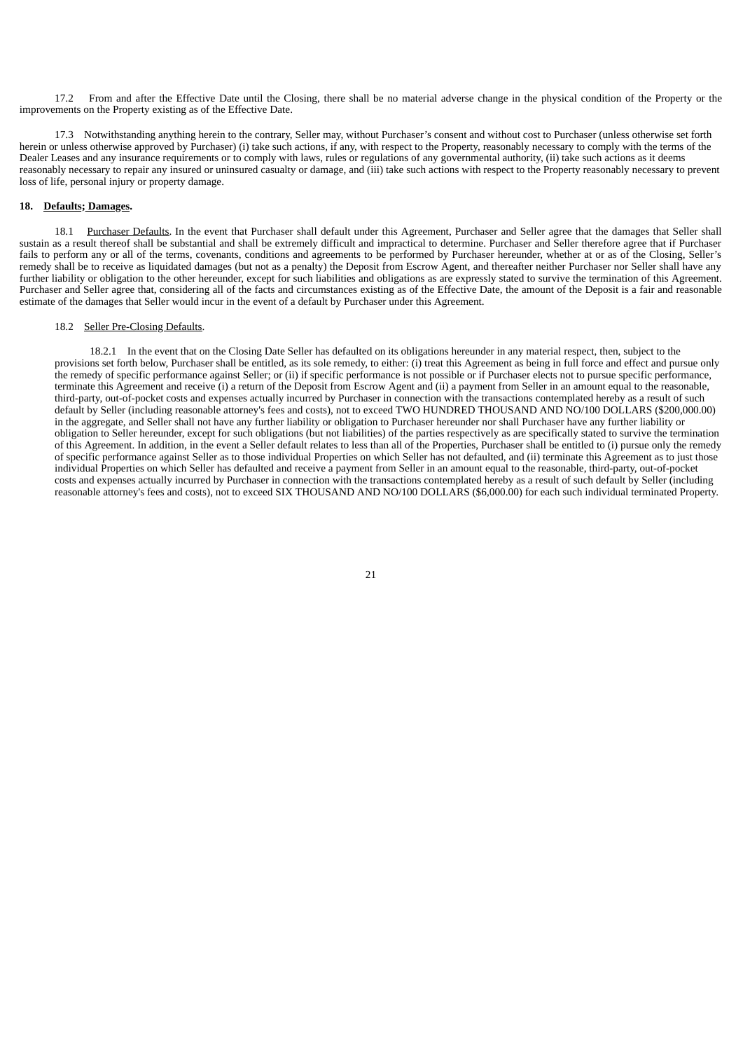17.2 From and after the Effective Date until the Closing, there shall be no material adverse change in the physical condition of the Property or the improvements on the Property existing as of the Effective Date.

17.3 Notwithstanding anything herein to the contrary, Seller may, without Purchaser's consent and without cost to Purchaser (unless otherwise set forth herein or unless otherwise approved by Purchaser) (i) take such actions, if any, with respect to the Property, reasonably necessary to comply with the terms of the Dealer Leases and any insurance requirements or to comply with laws, rules or regulations of any governmental authority, (ii) take such actions as it deems reasonably necessary to repair any insured or uninsured casualty or damage, and (iii) take such actions with respect to the Property reasonably necessary to prevent loss of life, personal injury or property damage.

## **18. Defaults; Damages.**

18.1 Purchaser Defaults. In the event that Purchaser shall default under this Agreement, Purchaser and Seller agree that the damages that Seller shall sustain as a result thereof shall be substantial and shall be extremely difficult and impractical to determine. Purchaser and Seller therefore agree that if Purchaser fails to perform any or all of the terms, covenants, conditions and agreements to be performed by Purchaser hereunder, whether at or as of the Closing, Seller's remedy shall be to receive as liquidated damages (but not as a penalty) the Deposit from Escrow Agent, and thereafter neither Purchaser nor Seller shall have any further liability or obligation to the other hereunder, except for such liabilities and obligations as are expressly stated to survive the termination of this Agreement. Purchaser and Seller agree that, considering all of the facts and circumstances existing as of the Effective Date, the amount of the Deposit is a fair and reasonable estimate of the damages that Seller would incur in the event of a default by Purchaser under this Agreement.

#### 18.2 Seller Pre-Closing Defaults.

18.2.1 In the event that on the Closing Date Seller has defaulted on its obligations hereunder in any material respect, then, subject to the provisions set forth below, Purchaser shall be entitled, as its sole remedy, to either: (i) treat this Agreement as being in full force and effect and pursue only the remedy of specific performance against Seller; or (ii) if specific performance is not possible or if Purchaser elects not to pursue specific performance, terminate this Agreement and receive (i) a return of the Deposit from Escrow Agent and (ii) a payment from Seller in an amount equal to the reasonable, third-party, out-of-pocket costs and expenses actually incurred by Purchaser in connection with the transactions contemplated hereby as a result of such default by Seller (including reasonable attorney's fees and costs), not to exceed TWO HUNDRED THOUSAND AND NO/100 DOLLARS (\$200,000.00) in the aggregate, and Seller shall not have any further liability or obligation to Purchaser hereunder nor shall Purchaser have any further liability or obligation to Seller hereunder, except for such obligations (but not liabilities) of the parties respectively as are specifically stated to survive the termination of this Agreement. In addition, in the event a Seller default relates to less than all of the Properties, Purchaser shall be entitled to (i) pursue only the remedy of specific performance against Seller as to those individual Properties on which Seller has not defaulted, and (ii) terminate this Agreement as to just those individual Properties on which Seller has defaulted and receive a payment from Seller in an amount equal to the reasonable, third-party, out-of-pocket costs and expenses actually incurred by Purchaser in connection with the transactions contemplated hereby as a result of such default by Seller (including reasonable attorney's fees and costs), not to exceed SIX THOUSAND AND NO/100 DOLLARS (\$6,000.00) for each such individual terminated Property.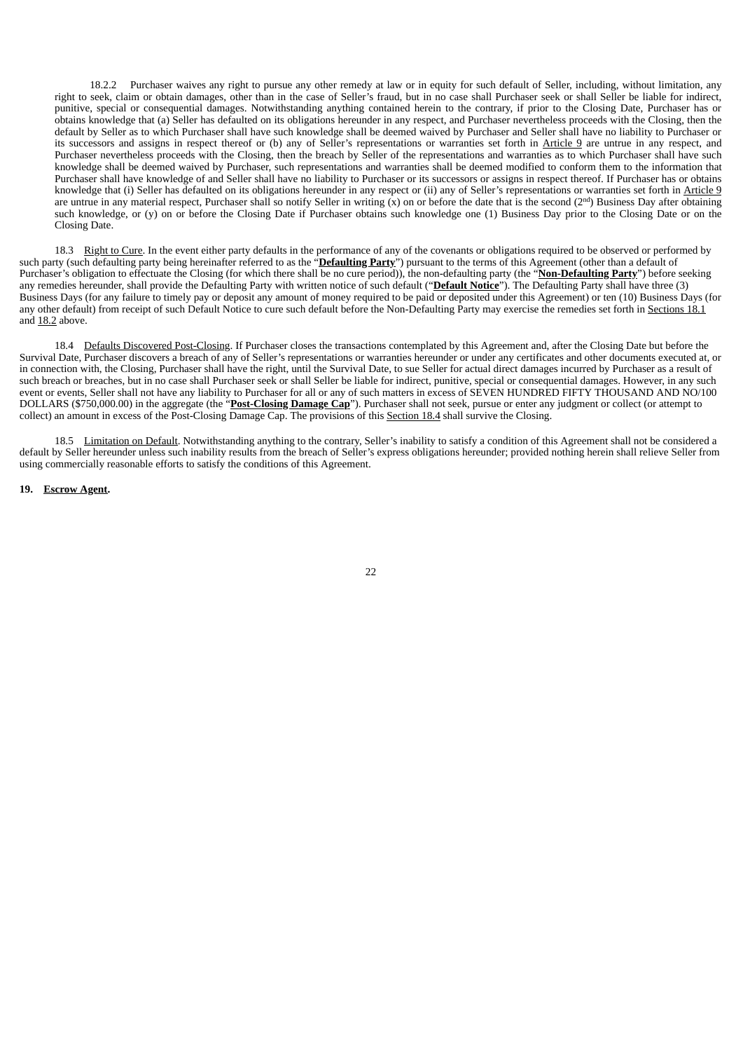18.2.2 Purchaser waives any right to pursue any other remedy at law or in equity for such default of Seller, including, without limitation, any right to seek, claim or obtain damages, other than in the case of Seller's fraud, but in no case shall Purchaser seek or shall Seller be liable for indirect, punitive, special or consequential damages. Notwithstanding anything contained herein to the contrary, if prior to the Closing Date, Purchaser has or obtains knowledge that (a) Seller has defaulted on its obligations hereunder in any respect, and Purchaser nevertheless proceeds with the Closing, then the default by Seller as to which Purchaser shall have such knowledge shall be deemed waived by Purchaser and Seller shall have no liability to Purchaser or its successors and assigns in respect thereof or (b) any of Seller's representations or warranties set forth in Article 9 are untrue in any respect, and Purchaser nevertheless proceeds with the Closing, then the breach by Seller of the representations and warranties as to which Purchaser shall have such knowledge shall be deemed waived by Purchaser, such representations and warranties shall be deemed modified to conform them to the information that Purchaser shall have knowledge of and Seller shall have no liability to Purchaser or its successors or assigns in respect thereof. If Purchaser has or obtains knowledge that (i) Seller has defaulted on its obligations hereunder in any respect or (ii) any of Seller's representations or warranties set forth in Article 9 are untrue in any material respect, Purchaser shall so notify Seller in writing  $(x)$  on or before the date that is the second  $(2<sup>nd</sup>)$  Business Day after obtaining such knowledge, or (y) on or before the Closing Date if Purchaser obtains such knowledge one (1) Business Day prior to the Closing Date or on the Closing Date.

18.3 Right to Cure. In the event either party defaults in the performance of any of the covenants or obligations required to be observed or performed by such party (such defaulting party being hereinafter referred to as the "**Defaulting Party**") pursuant to the terms of this Agreement (other than a default of Purchaser's obligation to effectuate the Closing (for which there shall be no cure period)), the non-defaulting party (the "**Non-Defaulting Party**") before seeking any remedies hereunder, shall provide the Defaulting Party with written notice of such default ("**Default Notice**"). The Defaulting Party shall have three (3) Business Days (for any failure to timely pay or deposit any amount of money required to be paid or deposited under this Agreement) or ten (10) Business Days (for any other default) from receipt of such Default Notice to cure such default before the Non-Defaulting Party may exercise the remedies set forth in Sections 18.1 and 18.2 above.

18.4 Defaults Discovered Post-Closing. If Purchaser closes the transactions contemplated by this Agreement and, after the Closing Date but before the Survival Date, Purchaser discovers a breach of any of Seller's representations or warranties hereunder or under any certificates and other documents executed at, or in connection with, the Closing, Purchaser shall have the right, until the Survival Date, to sue Seller for actual direct damages incurred by Purchaser as a result of such breach or breaches, but in no case shall Purchaser seek or shall Seller be liable for indirect, punitive, special or consequential damages. However, in any such event or events, Seller shall not have any liability to Purchaser for all or any of such matters in excess of SEVEN HUNDRED FIFTY THOUSAND AND NO/100 DOLLARS (\$750,000.00) in the aggregate (the "**Post-Closing Damage Cap**"). Purchaser shall not seek, pursue or enter any judgment or collect (or attempt to collect) an amount in excess of the Post-Closing Damage Cap. The provisions of this Section 18.4 shall survive the Closing.

18.5 Limitation on Default. Notwithstanding anything to the contrary, Seller's inability to satisfy a condition of this Agreement shall not be considered a default by Seller hereunder unless such inability results from the breach of Seller's express obligations hereunder; provided nothing herein shall relieve Seller from using commercially reasonable efforts to satisfy the conditions of this Agreement.

## **19. Escrow Agent.**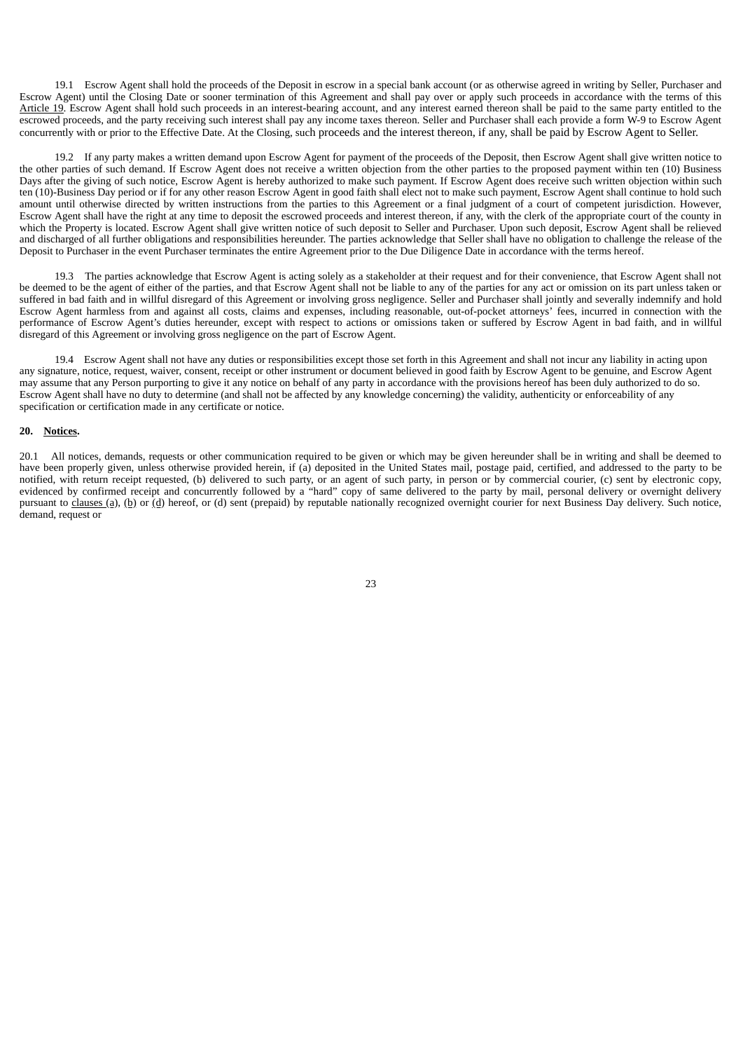19.1 Escrow Agent shall hold the proceeds of the Deposit in escrow in a special bank account (or as otherwise agreed in writing by Seller, Purchaser and Escrow Agent) until the Closing Date or sooner termination of this Agreement and shall pay over or apply such proceeds in accordance with the terms of this Article 19. Escrow Agent shall hold such proceeds in an interest-bearing account, and any interest earned thereon shall be paid to the same party entitled to the escrowed proceeds, and the party receiving such interest shall pay any income taxes thereon. Seller and Purchaser shall each provide a form W-9 to Escrow Agent concurrently with or prior to the Effective Date. At the Closing, such proceeds and the interest thereon, if any, shall be paid by Escrow Agent to Seller.

19.2 If any party makes a written demand upon Escrow Agent for payment of the proceeds of the Deposit, then Escrow Agent shall give written notice to the other parties of such demand. If Escrow Agent does not receive a written objection from the other parties to the proposed payment within ten (10) Business Days after the giving of such notice, Escrow Agent is hereby authorized to make such payment. If Escrow Agent does receive such written objection within such ten (10)-Business Day period or if for any other reason Escrow Agent in good faith shall elect not to make such payment, Escrow Agent shall continue to hold such amount until otherwise directed by written instructions from the parties to this Agreement or a final judgment of a court of competent jurisdiction. However, Escrow Agent shall have the right at any time to deposit the escrowed proceeds and interest thereon, if any, with the clerk of the appropriate court of the county in which the Property is located. Escrow Agent shall give written notice of such deposit to Seller and Purchaser. Upon such deposit, Escrow Agent shall be relieved and discharged of all further obligations and responsibilities hereunder. The parties acknowledge that Seller shall have no obligation to challenge the release of the Deposit to Purchaser in the event Purchaser terminates the entire Agreement prior to the Due Diligence Date in accordance with the terms hereof.

19.3 The parties acknowledge that Escrow Agent is acting solely as a stakeholder at their request and for their convenience, that Escrow Agent shall not be deemed to be the agent of either of the parties, and that Escrow Agent shall not be liable to any of the parties for any act or omission on its part unless taken or suffered in bad faith and in willful disregard of this Agreement or involving gross negligence. Seller and Purchaser shall jointly and severally indemnify and hold Escrow Agent harmless from and against all costs, claims and expenses, including reasonable, out-of-pocket attorneys' fees, incurred in connection with the performance of Escrow Agent's duties hereunder, except with respect to actions or omissions taken or suffered by Escrow Agent in bad faith, and in willful disregard of this Agreement or involving gross negligence on the part of Escrow Agent.

19.4 Escrow Agent shall not have any duties or responsibilities except those set forth in this Agreement and shall not incur any liability in acting upon any signature, notice, request, waiver, consent, receipt or other instrument or document believed in good faith by Escrow Agent to be genuine, and Escrow Agent may assume that any Person purporting to give it any notice on behalf of any party in accordance with the provisions hereof has been duly authorized to do so. Escrow Agent shall have no duty to determine (and shall not be affected by any knowledge concerning) the validity, authenticity or enforceability of any specification or certification made in any certificate or notice.

# **20. Notices.**

20.1 All notices, demands, requests or other communication required to be given or which may be given hereunder shall be in writing and shall be deemed to have been properly given, unless otherwise provided herein, if (a) deposited in the United States mail, postage paid, certified, and addressed to the party to be notified, with return receipt requested, (b) delivered to such party, or an agent of such party, in person or by commercial courier, (c) sent by electronic copy, evidenced by confirmed receipt and concurrently followed by a "hard" copy of same delivered to the party by mail, personal delivery or overnight delivery pursuant to clauses (a), (b) or (d) hereof, or (d) sent (prepaid) by reputable nationally recognized overnight courier for next Business Day delivery. Such notice, demand, request or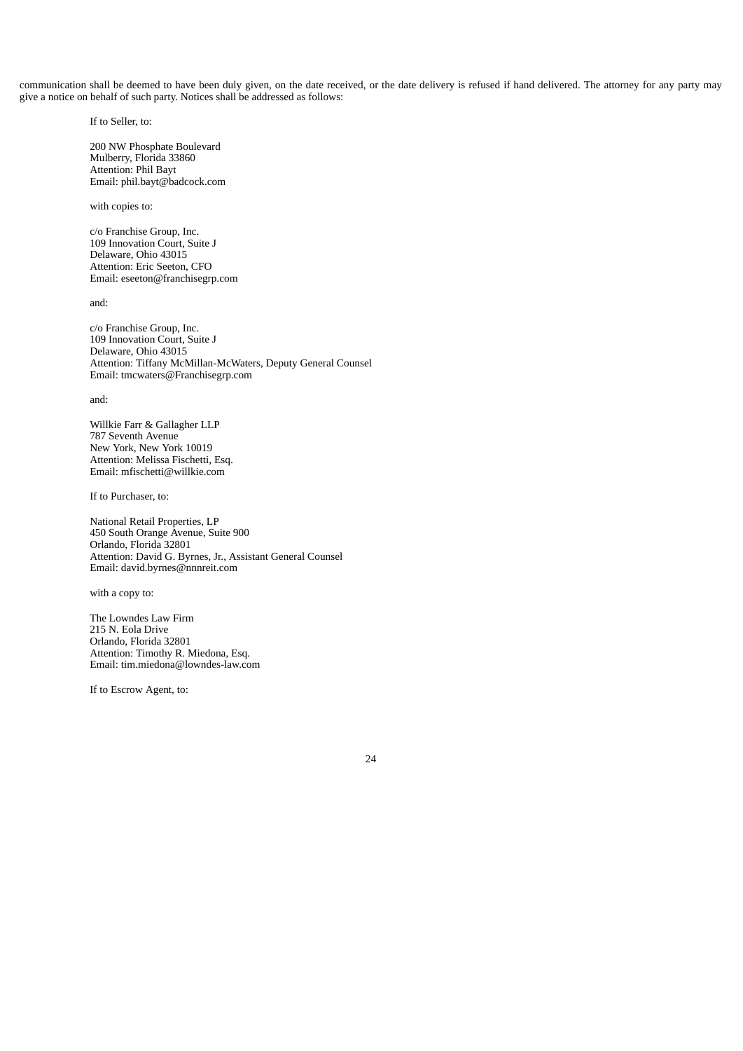communication shall be deemed to have been duly given, on the date received, or the date delivery is refused if hand delivered. The attorney for any party may give a notice on behalf of such party. Notices shall be addressed as follows:

If to Seller, to:

200 NW Phosphate Boulevard Mulberry, Florida 33860 Attention: Phil Bayt Email: phil.bayt@badcock.com

with copies to:

c/o Franchise Group, Inc. 109 Innovation Court, Suite J Delaware, Ohio 43015 Attention: Eric Seeton, CFO Email: eseeton@franchisegrp.com

and:

c/o Franchise Group, Inc. 109 Innovation Court, Suite J Delaware, Ohio 43015 Attention: Tiffany McMillan-McWaters, Deputy General Counsel Email: tmcwaters@Franchisegrp.com

## and:

Willkie Farr & Gallagher LLP 787 Seventh Avenue New York, New York 10019 Attention: Melissa Fischetti, Esq. Email: mfischetti@willkie.com

If to Purchaser, to:

National Retail Properties, LP 450 South Orange Avenue, Suite 900 Orlando, Florida 32801 Attention: David G. Byrnes, Jr., Assistant General Counsel Email: david.byrnes@nnnreit.com

with a copy to:

The Lowndes Law Firm 215 N. Eola Drive Orlando, Florida 32801 Attention: Timothy R. Miedona, Esq. Email: tim.miedona@lowndes-law.com

If to Escrow Agent, to: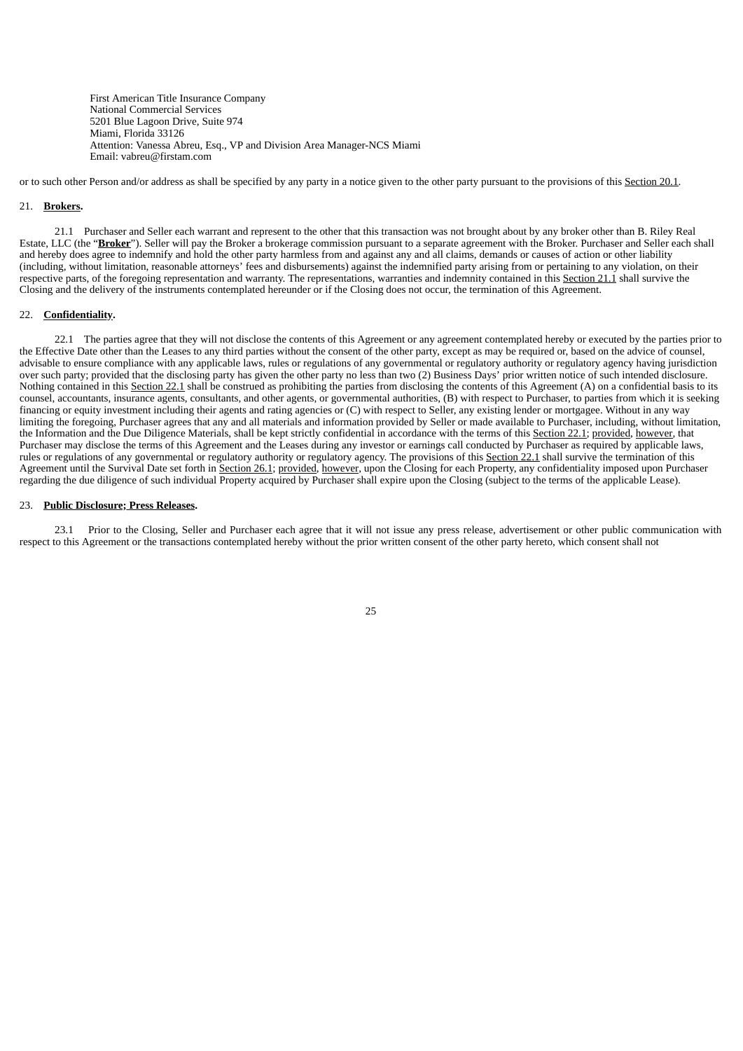First American Title Insurance Company National Commercial Services 5201 Blue Lagoon Drive, Suite 974 Miami, Florida 33126 Attention: Vanessa Abreu, Esq., VP and Division Area Manager-NCS Miami Email: vabreu@firstam.com

or to such other Person and/or address as shall be specified by any party in a notice given to the other party pursuant to the provisions of this Section 20.1.

#### 21. **Brokers.**

21.1 Purchaser and Seller each warrant and represent to the other that this transaction was not brought about by any broker other than B. Riley Real Estate, LLC (the "**Broker**"). Seller will pay the Broker a brokerage commission pursuant to a separate agreement with the Broker. Purchaser and Seller each shall and hereby does agree to indemnify and hold the other party harmless from and against any and all claims, demands or causes of action or other liability (including, without limitation, reasonable attorneys' fees and disbursements) against the indemnified party arising from or pertaining to any violation, on their respective parts, of the foregoing representation and warranty. The representations, warranties and indemnity contained in this Section 21.1 shall survive the Closing and the delivery of the instruments contemplated hereunder or if the Closing does not occur, the termination of this Agreement.

#### 22. **Confidentiality.**

22.1 The parties agree that they will not disclose the contents of this Agreement or any agreement contemplated hereby or executed by the parties prior to the Effective Date other than the Leases to any third parties without the consent of the other party, except as may be required or, based on the advice of counsel, advisable to ensure compliance with any applicable laws, rules or regulations of any governmental or regulatory authority or regulatory agency having jurisdiction over such party; provided that the disclosing party has given the other party no less than two (2) Business Days' prior written notice of such intended disclosure. Nothing contained in this Section 22.1 shall be construed as prohibiting the parties from disclosing the contents of this Agreement (A) on a confidential basis to its counsel, accountants, insurance agents, consultants, and other agents, or governmental authorities, (B) with respect to Purchaser, to parties from which it is seeking financing or equity investment including their agents and rating agencies or (C) with respect to Seller, any existing lender or mortgagee. Without in any way limiting the foregoing, Purchaser agrees that any and all materials and information provided by Seller or made available to Purchaser, including, without limitation, the Information and the Due Diligence Materials, shall be kept strictly confidential in accordance with the terms of this Section 22.1; provided, however, that Purchaser may disclose the terms of this Agreement and the Leases during any investor or earnings call conducted by Purchaser as required by applicable laws, rules or regulations of any governmental or regulatory authority or regulatory agency. The provisions of this Section 22.1 shall survive the termination of this Agreement until the Survival Date set forth in Section 26.1; provided, however, upon the Closing for each Property, any confidentiality imposed upon Purchaser regarding the due diligence of such individual Property acquired by Purchaser shall expire upon the Closing (subject to the terms of the applicable Lease).

#### 23. **Public Disclosure; Press Releases.**

23.1 Prior to the Closing, Seller and Purchaser each agree that it will not issue any press release, advertisement or other public communication with respect to this Agreement or the transactions contemplated hereby without the prior written consent of the other party hereto, which consent shall not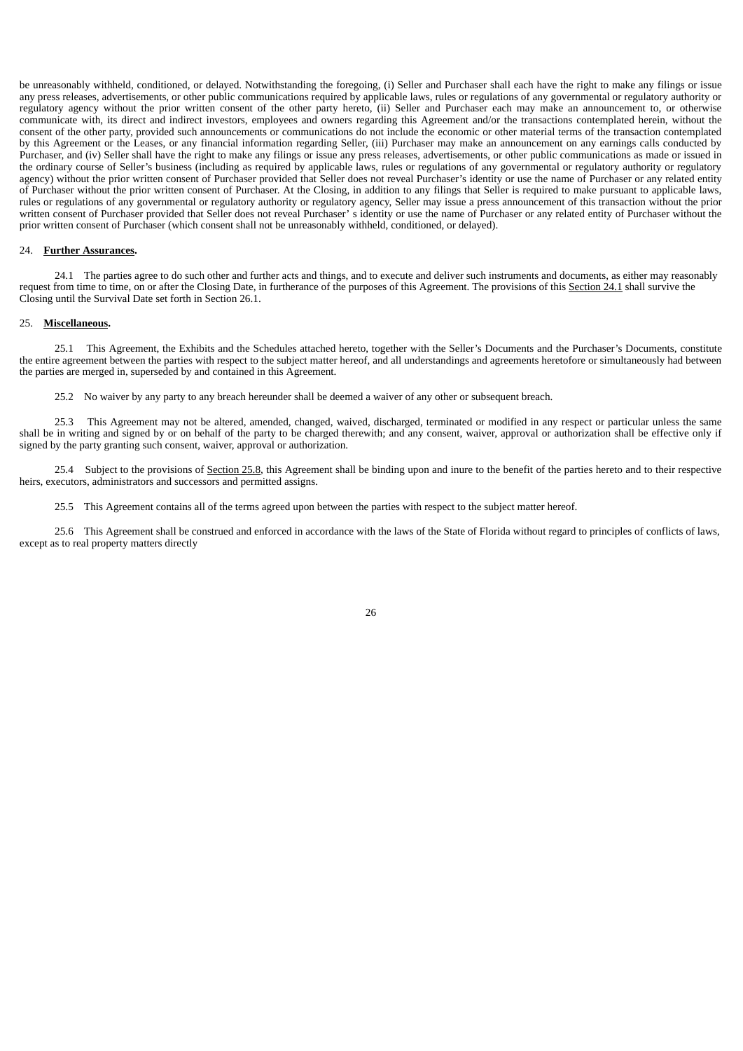be unreasonably withheld, conditioned, or delayed. Notwithstanding the foregoing, (i) Seller and Purchaser shall each have the right to make any filings or issue any press releases, advertisements, or other public communications required by applicable laws, rules or regulations of any governmental or regulatory authority or regulatory agency without the prior written consent of the other party hereto, (ii) Seller and Purchaser each may make an announcement to, or otherwise communicate with, its direct and indirect investors, employees and owners regarding this Agreement and/or the transactions contemplated herein, without the consent of the other party, provided such announcements or communications do not include the economic or other material terms of the transaction contemplated by this Agreement or the Leases, or any financial information regarding Seller, (iii) Purchaser may make an announcement on any earnings calls conducted by Purchaser, and (iv) Seller shall have the right to make any filings or issue any press releases, advertisements, or other public communications as made or issued in the ordinary course of Seller's business (including as required by applicable laws, rules or regulations of any governmental or regulatory authority or regulatory agency) without the prior written consent of Purchaser provided that Seller does not reveal Purchaser's identity or use the name of Purchaser or any related entity of Purchaser without the prior written consent of Purchaser. At the Closing, in addition to any filings that Seller is required to make pursuant to applicable laws, rules or regulations of any governmental or regulatory authority or regulatory agency, Seller may issue a press announcement of this transaction without the prior written consent of Purchaser provided that Seller does not reveal Purchaser' s identity or use the name of Purchaser or any related entity of Purchaser without the prior written consent of Purchaser (which consent shall not be unreasonably withheld, conditioned, or delayed).

## 24. **Further Assurances.**

24.1 The parties agree to do such other and further acts and things, and to execute and deliver such instruments and documents, as either may reasonably request from time to time, on or after the Closing Date, in furtherance of the purposes of this Agreement. The provisions of this Section 24.1 shall survive the Closing until the Survival Date set forth in Section 26.1.

#### 25. **Miscellaneous.**

25.1 This Agreement, the Exhibits and the Schedules attached hereto, together with the Seller's Documents and the Purchaser's Documents, constitute the entire agreement between the parties with respect to the subject matter hereof, and all understandings and agreements heretofore or simultaneously had between the parties are merged in, superseded by and contained in this Agreement.

25.2 No waiver by any party to any breach hereunder shall be deemed a waiver of any other or subsequent breach.

25.3 This Agreement may not be altered, amended, changed, waived, discharged, terminated or modified in any respect or particular unless the same shall be in writing and signed by or on behalf of the party to be charged therewith; and any consent, waiver, approval or authorization shall be effective only if signed by the party granting such consent, waiver, approval or authorization.

25.4 Subject to the provisions of Section 25.8, this Agreement shall be binding upon and inure to the benefit of the parties hereto and to their respective heirs, executors, administrators and successors and permitted assigns.

25.5 This Agreement contains all of the terms agreed upon between the parties with respect to the subject matter hereof.

25.6 This Agreement shall be construed and enforced in accordance with the laws of the State of Florida without regard to principles of conflicts of laws, except as to real property matters directly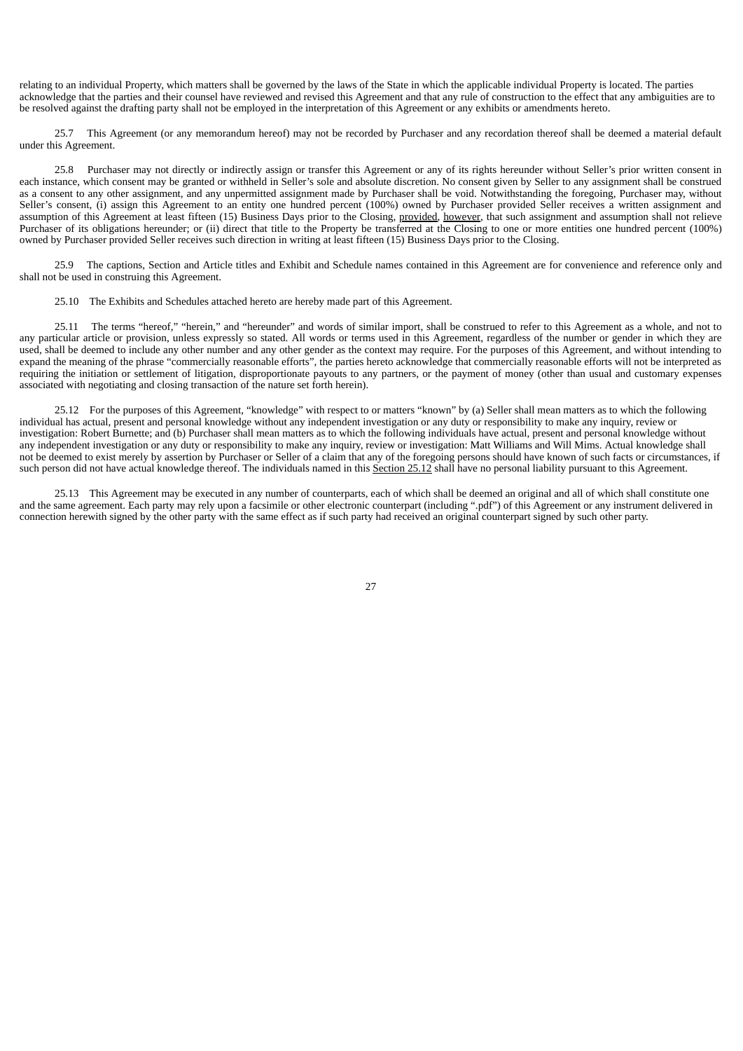relating to an individual Property, which matters shall be governed by the laws of the State in which the applicable individual Property is located. The parties acknowledge that the parties and their counsel have reviewed and revised this Agreement and that any rule of construction to the effect that any ambiguities are to be resolved against the drafting party shall not be employed in the interpretation of this Agreement or any exhibits or amendments hereto.

25.7 This Agreement (or any memorandum hereof) may not be recorded by Purchaser and any recordation thereof shall be deemed a material default under this Agreement.

25.8 Purchaser may not directly or indirectly assign or transfer this Agreement or any of its rights hereunder without Seller's prior written consent in each instance, which consent may be granted or withheld in Seller's sole and absolute discretion. No consent given by Seller to any assignment shall be construed as a consent to any other assignment, and any unpermitted assignment made by Purchaser shall be void. Notwithstanding the foregoing, Purchaser may, without Seller's consent, (i) assign this Agreement to an entity one hundred percent (100%) owned by Purchaser provided Seller receives a written assignment and assumption of this Agreement at least fifteen (15) Business Days prior to the Closing, provided, however, that such assignment and assumption shall not relieve Purchaser of its obligations hereunder; or (ii) direct that title to the Property be transferred at the Closing to one or more entities one hundred percent (100%) owned by Purchaser provided Seller receives such direction in writing at least fifteen (15) Business Days prior to the Closing.

25.9 The captions, Section and Article titles and Exhibit and Schedule names contained in this Agreement are for convenience and reference only and shall not be used in construing this Agreement.

25.10 The Exhibits and Schedules attached hereto are hereby made part of this Agreement.

25.11 The terms "hereof," "herein," and "hereunder" and words of similar import, shall be construed to refer to this Agreement as a whole, and not to any particular article or provision, unless expressly so stated. All words or terms used in this Agreement, regardless of the number or gender in which they are used, shall be deemed to include any other number and any other gender as the context may require. For the purposes of this Agreement, and without intending to expand the meaning of the phrase "commercially reasonable efforts", the parties hereto acknowledge that commercially reasonable efforts will not be interpreted as requiring the initiation or settlement of litigation, disproportionate payouts to any partners, or the payment of money (other than usual and customary expenses associated with negotiating and closing transaction of the nature set forth herein).

25.12 For the purposes of this Agreement, "knowledge" with respect to or matters "known" by (a) Seller shall mean matters as to which the following individual has actual, present and personal knowledge without any independent investigation or any duty or responsibility to make any inquiry, review or investigation: Robert Burnette; and (b) Purchaser shall mean matters as to which the following individuals have actual, present and personal knowledge without any independent investigation or any duty or responsibility to make any inquiry, review or investigation: Matt Williams and Will Mims. Actual knowledge shall not be deemed to exist merely by assertion by Purchaser or Seller of a claim that any of the foregoing persons should have known of such facts or circumstances, if such person did not have actual knowledge thereof. The individuals named in this Section 25.12 shall have no personal liability pursuant to this Agreement.

25.13 This Agreement may be executed in any number of counterparts, each of which shall be deemed an original and all of which shall constitute one and the same agreement. Each party may rely upon a facsimile or other electronic counterpart (including ".pdf") of this Agreement or any instrument delivered in connection herewith signed by the other party with the same effect as if such party had received an original counterpart signed by such other party.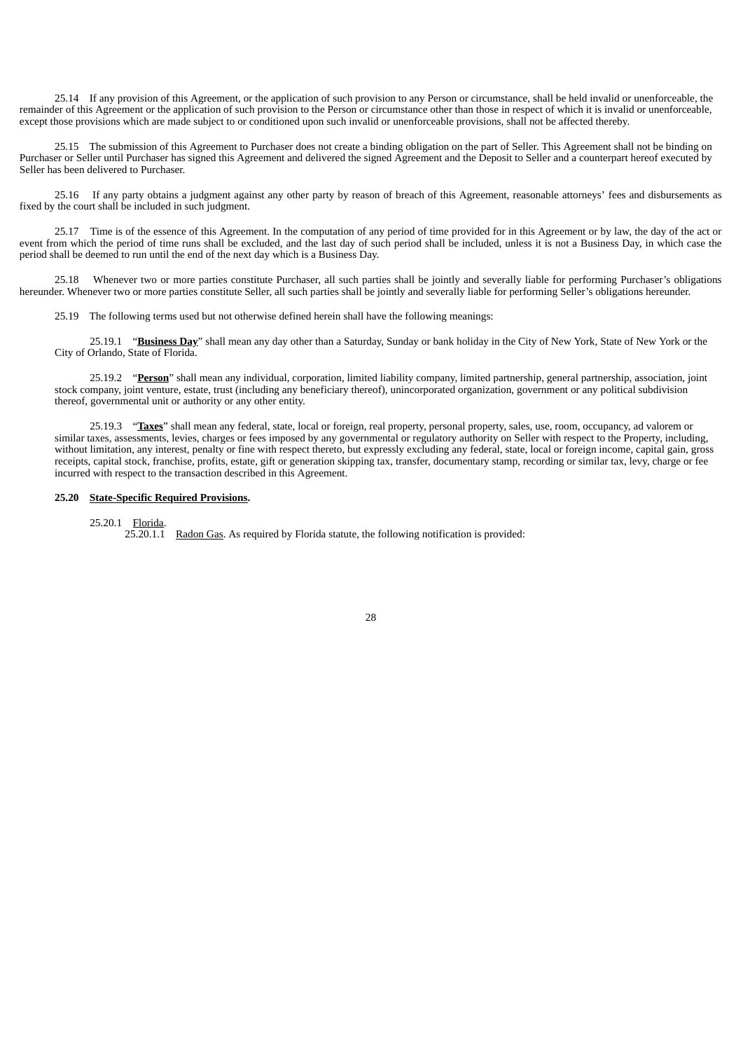25.14 If any provision of this Agreement, or the application of such provision to any Person or circumstance, shall be held invalid or unenforceable, the remainder of this Agreement or the application of such provision to the Person or circumstance other than those in respect of which it is invalid or unenforceable, except those provisions which are made subject to or conditioned upon such invalid or unenforceable provisions, shall not be affected thereby.

25.15 The submission of this Agreement to Purchaser does not create a binding obligation on the part of Seller. This Agreement shall not be binding on Purchaser or Seller until Purchaser has signed this Agreement and delivered the signed Agreement and the Deposit to Seller and a counterpart hereof executed by Seller has been delivered to Purchaser.

25.16 If any party obtains a judgment against any other party by reason of breach of this Agreement, reasonable attorneys' fees and disbursements as fixed by the court shall be included in such judgment.

25.17 Time is of the essence of this Agreement. In the computation of any period of time provided for in this Agreement or by law, the day of the act or event from which the period of time runs shall be excluded, and the last day of such period shall be included, unless it is not a Business Day, in which case the period shall be deemed to run until the end of the next day which is a Business Day.

25.18 Whenever two or more parties constitute Purchaser, all such parties shall be jointly and severally liable for performing Purchaser's obligations hereunder. Whenever two or more parties constitute Seller, all such parties shall be jointly and severally liable for performing Seller's obligations hereunder.

25.19 The following terms used but not otherwise defined herein shall have the following meanings:

25.19.1 "**Business Day**" shall mean any day other than a Saturday, Sunday or bank holiday in the City of New York, State of New York or the City of Orlando, State of Florida.

25.19.2 "**Person**" shall mean any individual, corporation, limited liability company, limited partnership, general partnership, association, joint stock company, joint venture, estate, trust (including any beneficiary thereof), unincorporated organization, government or any political subdivision thereof, governmental unit or authority or any other entity.

25.19.3 "**Taxes**" shall mean any federal, state, local or foreign, real property, personal property, sales, use, room, occupancy, ad valorem or similar taxes, assessments, levies, charges or fees imposed by any governmental or regulatory authority on Seller with respect to the Property, including, without limitation, any interest, penalty or fine with respect thereto, but expressly excluding any federal, state, local or foreign income, capital gain, gross receipts, capital stock, franchise, profits, estate, gift or generation skipping tax, transfer, documentary stamp, recording or similar tax, levy, charge or fee incurred with respect to the transaction described in this Agreement.

## **25.20 State-Specific Required Provisions.**

25.20.1 Florida.

25.20.1.1 Radon Gas. As required by Florida statute, the following notification is provided: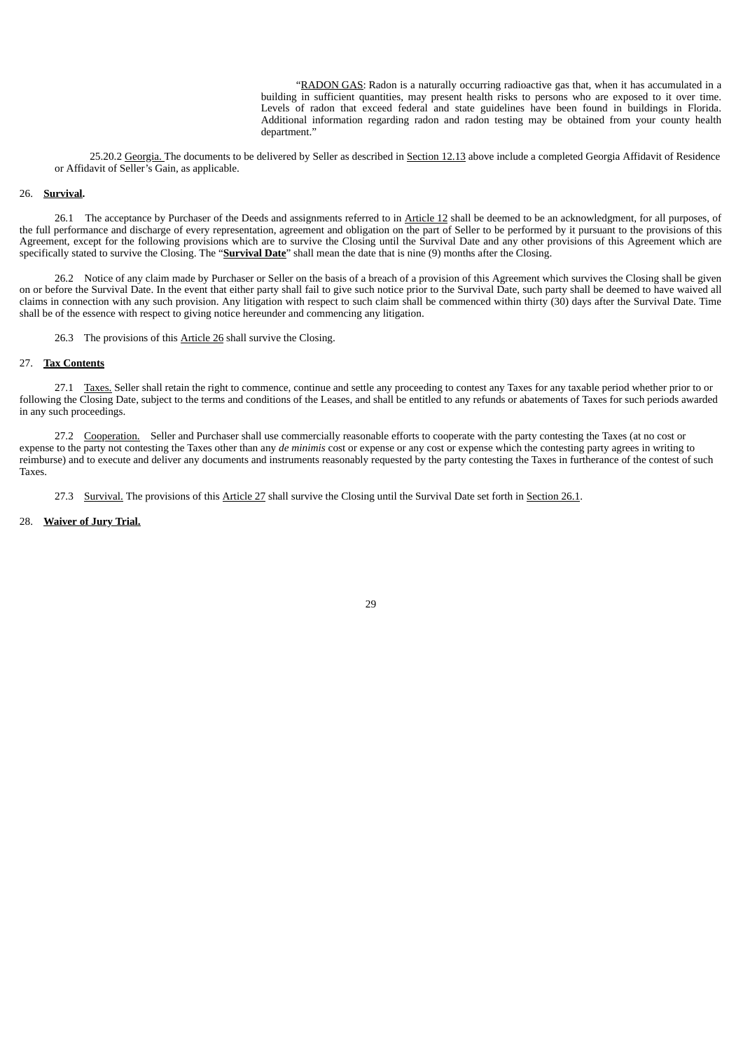"RADON GAS: Radon is a naturally occurring radioactive gas that, when it has accumulated in a building in sufficient quantities, may present health risks to persons who are exposed to it over time. Levels of radon that exceed federal and state guidelines have been found in buildings in Florida. Additional information regarding radon and radon testing may be obtained from your county health department."

25.20.2 Georgia. The documents to be delivered by Seller as described in Section 12.13 above include a completed Georgia Affidavit of Residence or Affidavit of Seller's Gain, as applicable.

## 26. **Survival.**

26.1 The acceptance by Purchaser of the Deeds and assignments referred to in Article 12 shall be deemed to be an acknowledgment, for all purposes, of the full performance and discharge of every representation, agreement and obligation on the part of Seller to be performed by it pursuant to the provisions of this Agreement, except for the following provisions which are to survive the Closing until the Survival Date and any other provisions of this Agreement which are specifically stated to survive the Closing. The "**Survival Date**" shall mean the date that is nine (9) months after the Closing.

26.2 Notice of any claim made by Purchaser or Seller on the basis of a breach of a provision of this Agreement which survives the Closing shall be given on or before the Survival Date. In the event that either party shall fail to give such notice prior to the Survival Date, such party shall be deemed to have waived all claims in connection with any such provision. Any litigation with respect to such claim shall be commenced within thirty (30) days after the Survival Date. Time shall be of the essence with respect to giving notice hereunder and commencing any litigation.

26.3 The provisions of this Article 26 shall survive the Closing.

# 27. **Tax Contents**

27.1 Taxes. Seller shall retain the right to commence, continue and settle any proceeding to contest any Taxes for any taxable period whether prior to or following the Closing Date, subject to the terms and conditions of the Leases, and shall be entitled to any refunds or abatements of Taxes for such periods awarded in any such proceedings.

27.2 Cooperation. Seller and Purchaser shall use commercially reasonable efforts to cooperate with the party contesting the Taxes (at no cost or expense to the party not contesting the Taxes other than any *de minimis* cost or expense or any cost or expense which the contesting party agrees in writing to reimburse) and to execute and deliver any documents and instruments reasonably requested by the party contesting the Taxes in furtherance of the contest of such Taxes.

27.3 Survival. The provisions of this Article 27 shall survive the Closing until the Survival Date set forth in Section 26.1.

## 28. **Waiver of Jury Trial.**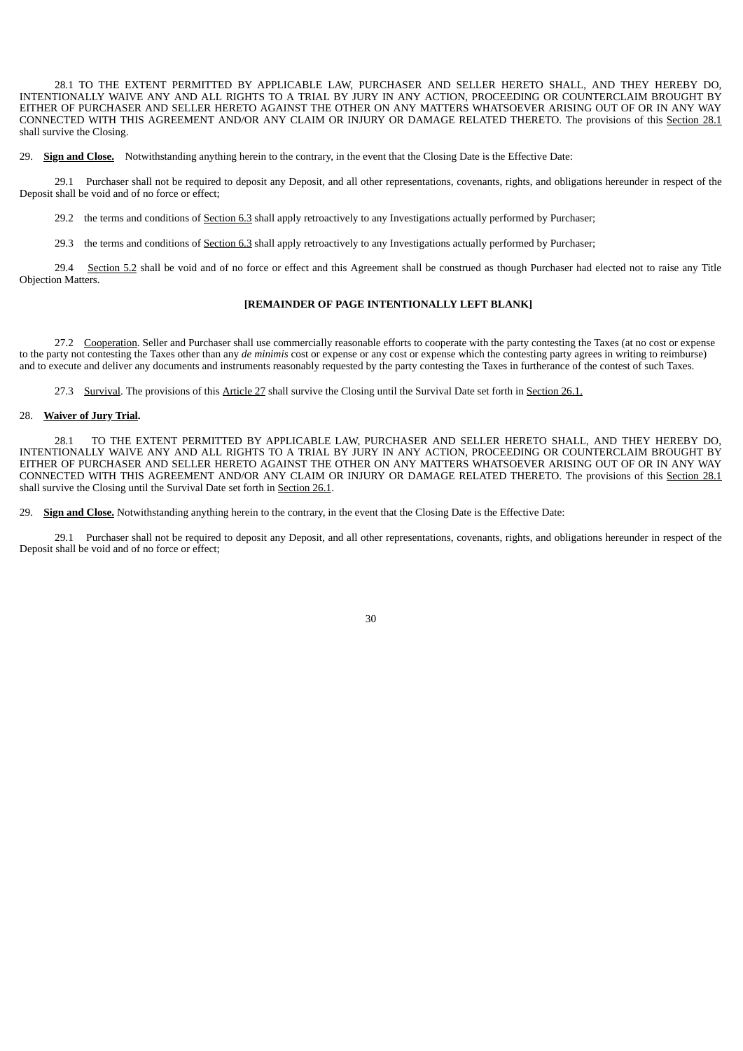28.1 TO THE EXTENT PERMITTED BY APPLICABLE LAW, PURCHASER AND SELLER HERETO SHALL, AND THEY HEREBY DO, INTENTIONALLY WAIVE ANY AND ALL RIGHTS TO A TRIAL BY JURY IN ANY ACTION, PROCEEDING OR COUNTERCLAIM BROUGHT BY EITHER OF PURCHASER AND SELLER HERETO AGAINST THE OTHER ON ANY MATTERS WHATSOEVER ARISING OUT OF OR IN ANY WAY CONNECTED WITH THIS AGREEMENT AND/OR ANY CLAIM OR INJURY OR DAMAGE RELATED THERETO. The provisions of this Section 28.1 shall survive the Closing.

29. **Sign and Close.** Notwithstanding anything herein to the contrary, in the event that the Closing Date is the Effective Date:

29.1 Purchaser shall not be required to deposit any Deposit, and all other representations, covenants, rights, and obligations hereunder in respect of the Deposit shall be void and of no force or effect;

29.2 the terms and conditions of Section 6.3 shall apply retroactively to any Investigations actually performed by Purchaser;

29.3 the terms and conditions of Section 6.3 shall apply retroactively to any Investigations actually performed by Purchaser;

29.4 Section 5.2 shall be void and of no force or effect and this Agreement shall be construed as though Purchaser had elected not to raise any Title Objection Matters.

## **[REMAINDER OF PAGE INTENTIONALLY LEFT BLANK]**

27.2 Cooperation. Seller and Purchaser shall use commercially reasonable efforts to cooperate with the party contesting the Taxes (at no cost or expense to the party not contesting the Taxes other than any *de minimis* cost or expense or any cost or expense which the contesting party agrees in writing to reimburse) and to execute and deliver any documents and instruments reasonably requested by the party contesting the Taxes in furtherance of the contest of such Taxes.

27.3 Survival. The provisions of this Article 27 shall survive the Closing until the Survival Date set forth in Section 26.1.

## 28. **Waiver of Jury Trial.**

28.1 TO THE EXTENT PERMITTED BY APPLICABLE LAW, PURCHASER AND SELLER HERETO SHALL, AND THEY HEREBY DO, INTENTIONALLY WAIVE ANY AND ALL RIGHTS TO A TRIAL BY JURY IN ANY ACTION, PROCEEDING OR COUNTERCLAIM BROUGHT BY EITHER OF PURCHASER AND SELLER HERETO AGAINST THE OTHER ON ANY MATTERS WHATSOEVER ARISING OUT OF OR IN ANY WAY CONNECTED WITH THIS AGREEMENT AND/OR ANY CLAIM OR INJURY OR DAMAGE RELATED THERETO. The provisions of this Section 28.1 shall survive the Closing until the Survival Date set forth in Section 26.1.

29. **Sign and Close.** Notwithstanding anything herein to the contrary, in the event that the Closing Date is the Effective Date:

29.1 Purchaser shall not be required to deposit any Deposit, and all other representations, covenants, rights, and obligations hereunder in respect of the Deposit shall be void and of no force or effect;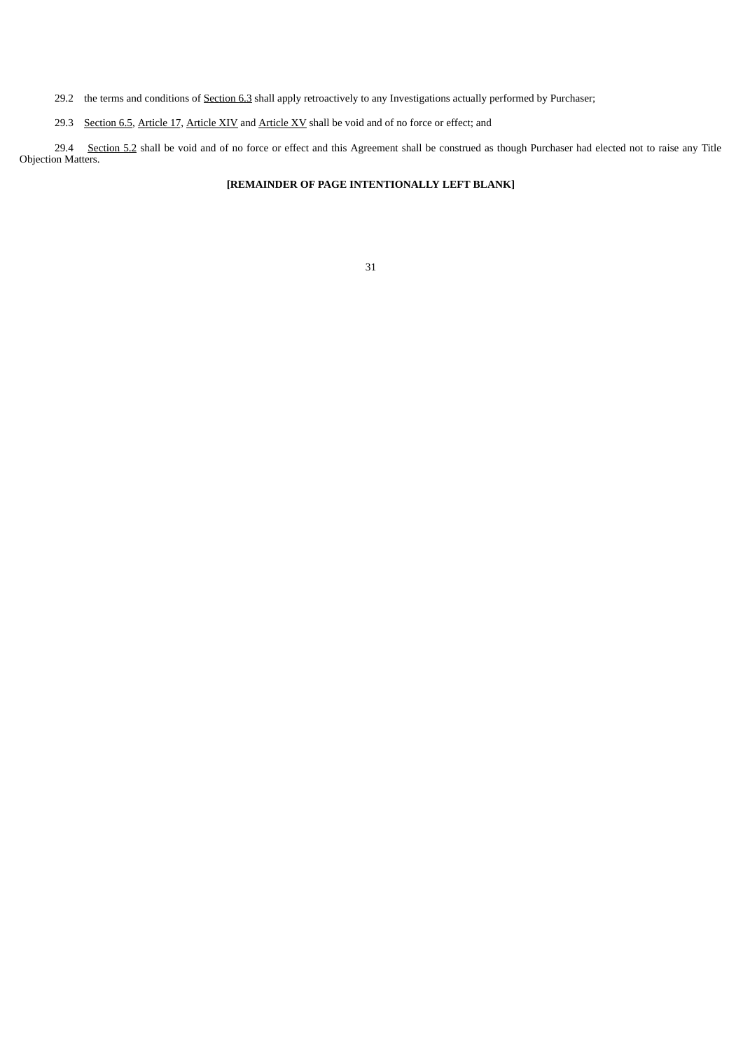29.2 the terms and conditions of Section 6.3 shall apply retroactively to any Investigations actually performed by Purchaser;

29.3 Section 6.5, Article 17, Article XIV and Article XV shall be void and of no force or effect; and

Section 5.2 shall be void and of no force or effect and this Agreement shall be construed as though Purchaser had elected not to raise any Title 29.4 <u>Sec</u><br>Objection Matters.

# **[REMAINDER OF PAGE INTENTIONALLY LEFT BLANK]**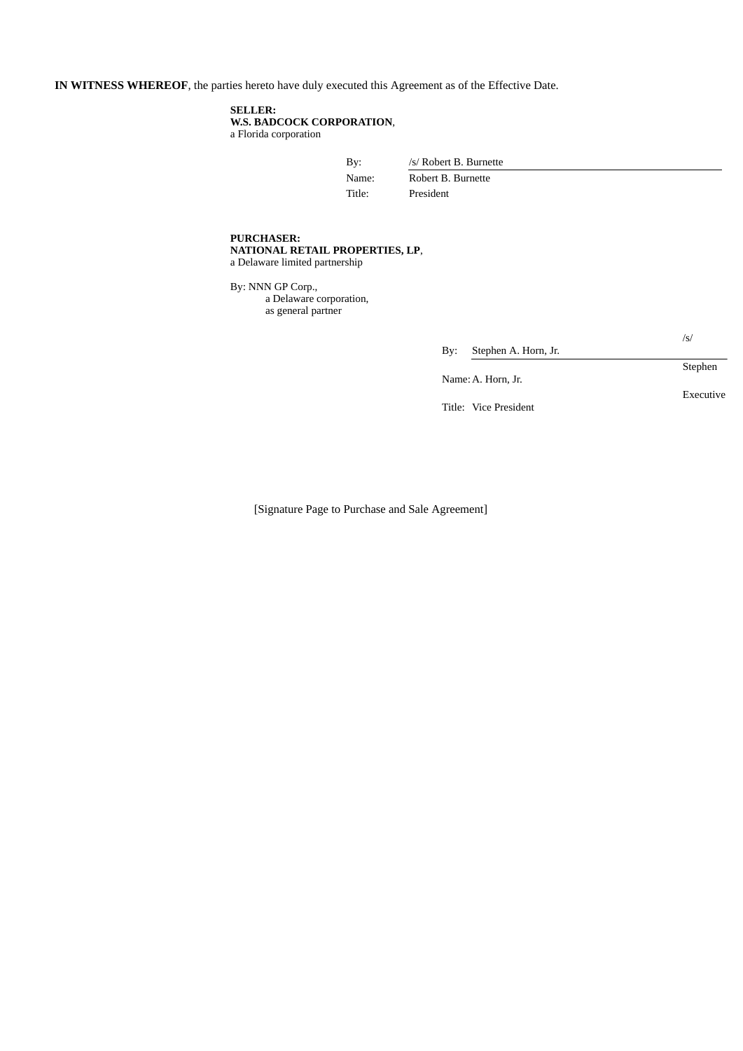**IN WITNESS WHEREOF**, the parties hereto have duly executed this Agreement as of the Effective Date.

**SELLER: W.S. BADCOCK CORPORATION**, a Florida corporation

| By:    |  |
|--------|--|
| Name:  |  |
| Title: |  |

/s/ Robert B. Burnette

Robert B. Burnette President

**PURCHASER: NATIONAL RETAIL PROPERTIES, LP**, a Delaware limited partnership

By: NNN GP Corp., a Delaware corporation, as general partner

| By: | Stephen A. Horn, Jr.  | /s/       |
|-----|-----------------------|-----------|
|     |                       | Stephen   |
|     | Name: A. Horn, Jr.    | Executive |
|     | Title: Vice President |           |

[Signature Page to Purchase and Sale Agreement]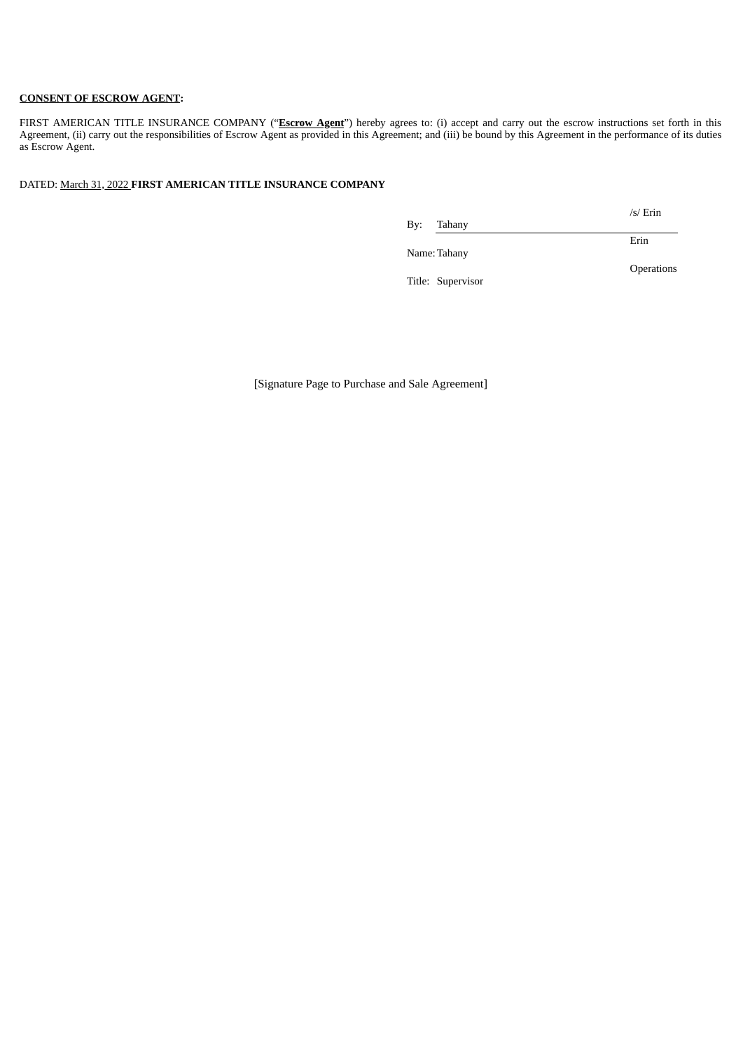## **CONSENT OF ESCROW AGENT:**

FIRST AMERICAN TITLE INSURANCE COMPANY ("**Escrow Agent**") hereby agrees to: (i) accept and carry out the escrow instructions set forth in this Agreement, (ii) carry out the responsibilities of Escrow Agent as provided in this Agreement; and (iii) be bound by this Agreement in the performance of its duties as Escrow Agent.

DATED: March 31, 2022 **FIRST AMERICAN TITLE INSURANCE COMPANY**

|              |                   | $/s/$ Erin |
|--------------|-------------------|------------|
| By:          | Tahany            |            |
| Name: Tahany |                   | Erin       |
|              |                   | Operations |
|              | Title: Supervisor |            |

[Signature Page to Purchase and Sale Agreement]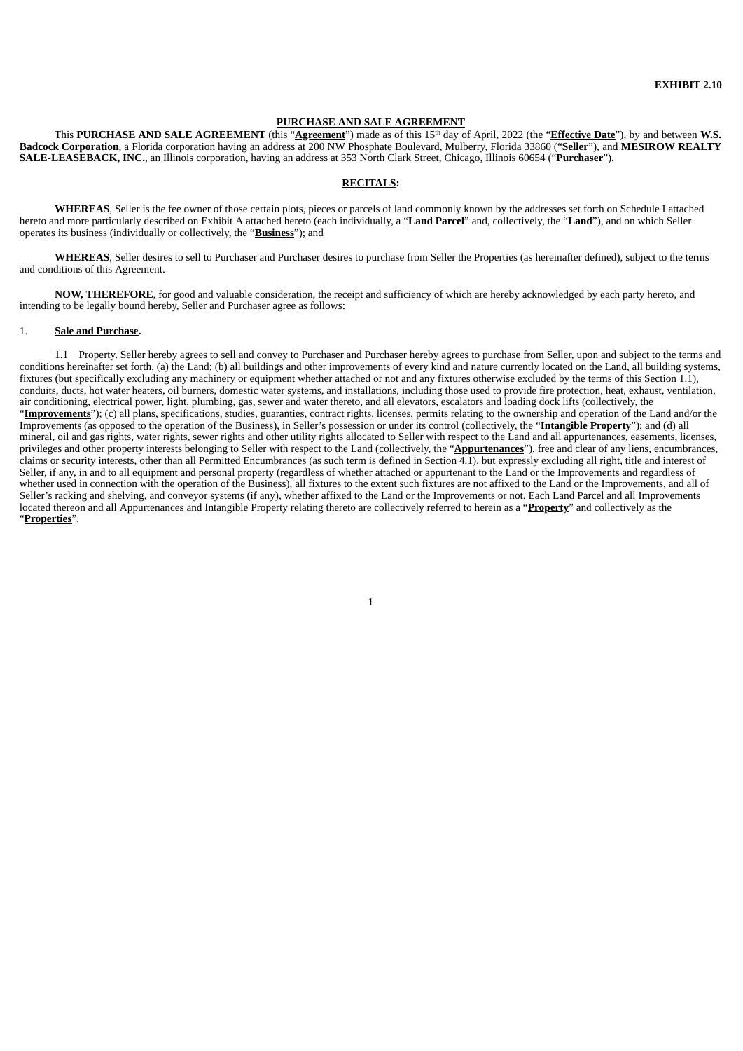## **PURCHASE AND SALE AGREEMENT**

**This PURCHASE AND SALE AGREEMENT** (this "**Agreement**") made as of this 15<sup>th</sup> day of April, 2022 (the "**Effective Date**"), by and between **W.S. Badcock Corporation**, a Florida corporation having an address at 200 NW Phosphate Boulevard, Mulberry, Florida 33860 ("**Seller**"), and **MESIROW REALTY SALE-LEASEBACK, INC.**, an Illinois corporation, having an address at 353 North Clark Street, Chicago, Illinois 60654 ("**Purchaser**"). th

## **RECITALS:**

WHEREAS, Seller is the fee owner of those certain plots, pieces or parcels of land commonly known by the addresses set forth on **Schedule I** attached hereto and more particularly described on Exhibit A attached hereto (each individually, a "**Land Parcel**" and, collectively, the "**Land**"), and on which Seller operates its business (individually or collectively, the "**Business**"); and

**WHEREAS**, Seller desires to sell to Purchaser and Purchaser desires to purchase from Seller the Properties (as hereinafter defined), subject to the terms and conditions of this Agreement.

**NOW, THEREFORE**, for good and valuable consideration, the receipt and sufficiency of which are hereby acknowledged by each party hereto, and intending to be legally bound hereby, Seller and Purchaser agree as follows:

### 1. **Sale and Purchase.**

1.1 Property. Seller hereby agrees to sell and convey to Purchaser and Purchaser hereby agrees to purchase from Seller, upon and subject to the terms and conditions hereinafter set forth, (a) the Land; (b) all buildings and other improvements of every kind and nature currently located on the Land, all building systems, fixtures (but specifically excluding any machinery or equipment whether attached or not and any fixtures otherwise excluded by the terms of this Section 1.1), conduits, ducts, hot water heaters, oil burners, domestic water systems, and installations, including those used to provide fire protection, heat, exhaust, ventilation, air conditioning, electrical power, light, plumbing, gas, sewer and water thereto, and all elevators, escalators and loading dock lifts (collectively, the "**Improvements**"); (c) all plans, specifications, studies, guaranties, contract rights, licenses, permits relating to the ownership and operation of the Land and/or the Improvements (as opposed to the operation of the Business), in Seller's possession or under its control (collectively, the "**Intangible Property**"); and (d) all mineral, oil and gas rights, water rights, sewer rights and other utility rights allocated to Seller with respect to the Land and all appurtenances, easements, licenses, privileges and other property interests belonging to Seller with respect to the Land (collectively, the "**Appurtenances**"), free and clear of any liens, encumbrances, claims or security interests, other than all Permitted Encumbrances (as such term is defined in Section 4.1), but expressly excluding all right, title and interest of Seller, if any, in and to all equipment and personal property (regardless of whether attached or appurtenant to the Land or the Improvements and regardless of whether used in connection with the operation of the Business), all fixtures to the extent such fixtures are not affixed to the Land or the Improvements, and all of Seller's racking and shelving, and conveyor systems (if any), whether affixed to the Land or the Improvements or not. Each Land Parcel and all Improvements located thereon and all Appurtenances and Intangible Property relating thereto are collectively referred to herein as a "**Property**" and collectively as the "**Properties**".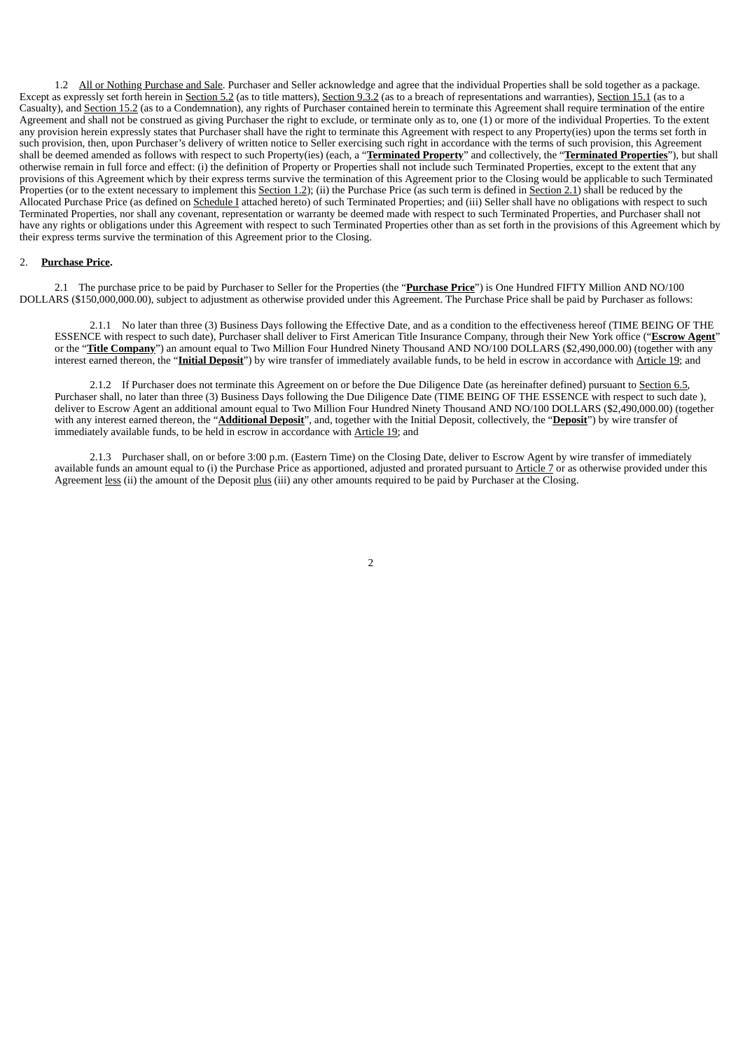1.2 All or Nothing Purchase and Sale. Purchaser and Seller acknowledge and agree that the individual Properties shall be sold together as a package. Except as expressly set forth herein in Section 5.2 (as to title matters), Section 9.3.2 (as to a breach of representations and warranties), Section 15.1 (as to a Casualty), and Section 15.2 (as to a Condemnation), any rights of Purchaser contained herein to terminate this Agreement shall require termination of the entire Agreement and shall not be construed as giving Purchaser the right to exclude, or terminate only as to, one (1) or more of the individual Properties. To the extent any provision herein expressly states that Purchaser shall have the right to terminate this Agreement with respect to any Property(ies) upon the terms set forth in such provision, then, upon Purchaser's delivery of written notice to Seller exercising such right in accordance with the terms of such provision, this Agreement shall be deemed amended as follows with respect to such Property(ies) (each, a "**Terminated Property**" and collectively, the "**Terminated Properties**"), but shall otherwise remain in full force and effect: (i) the definition of Property or Properties shall not include such Terminated Properties, except to the extent that any provisions of this Agreement which by their express terms survive the termination of this Agreement prior to the Closing would be applicable to such Terminated Properties (or to the extent necessary to implement this Section 1.2); (ii) the Purchase Price (as such term is defined in Section 2.1) shall be reduced by the Allocated Purchase Price (as defined on Schedule I attached hereto) of such Terminated Properties; and (iii) Seller shall have no obligations with respect to such Terminated Properties, nor shall any covenant, representation or warranty be deemed made with respect to such Terminated Properties, and Purchaser shall not have any rights or obligations under this Agreement with respect to such Terminated Properties other than as set forth in the provisions of this Agreement which by their express terms survive the termination of this Agreement prior to the Closing.

### 2. **Purchase Price.**

2.1 The purchase price to be paid by Purchaser to Seller for the Properties (the "**Purchase Price**") is One Hundred FIFTY Million AND NO/100 DOLLARS (\$150,000,000.00), subject to adjustment as otherwise provided under this Agreement. The Purchase Price shall be paid by Purchaser as follows:

2.1.1 No later than three (3) Business Days following the Effective Date, and as a condition to the effectiveness hereof (TIME BEING OF THE ESSENCE with respect to such date), Purchaser shall deliver to First American Title Insurance Company, through their New York office ("**Escrow Agent**" or the "**Title Company**") an amount equal to Two Million Four Hundred Ninety Thousand AND NO/100 DOLLARS (\$2,490,000.00) (together with any interest earned thereon, the "**Initial Deposit**") by wire transfer of immediately available funds, to be held in escrow in accordance with Article 19; and

2.1.2 If Purchaser does not terminate this Agreement on or before the Due Diligence Date (as hereinafter defined) pursuant to Section 6.5, Purchaser shall, no later than three (3) Business Days following the Due Diligence Date (TIME BEING OF THE ESSENCE with respect to such date ), deliver to Escrow Agent an additional amount equal to Two Million Four Hundred Ninety Thousand AND NO/100 DOLLARS (\$2,490,000.00) (together with any interest earned thereon, the "**Additional Deposit**", and, together with the Initial Deposit, collectively, the "**Deposit**") by wire transfer of immediately available funds, to be held in escrow in accordance with Article 19; and

2.1.3 Purchaser shall, on or before 3:00 p.m. (Eastern Time) on the Closing Date, deliver to Escrow Agent by wire transfer of immediately available funds an amount equal to (i) the Purchase Price as apportioned, adjusted and prorated pursuant to Article 7 or as otherwise provided under this Agreement less (ii) the amount of the Deposit plus (iii) any other amounts required to be paid by Purchaser at the Closing.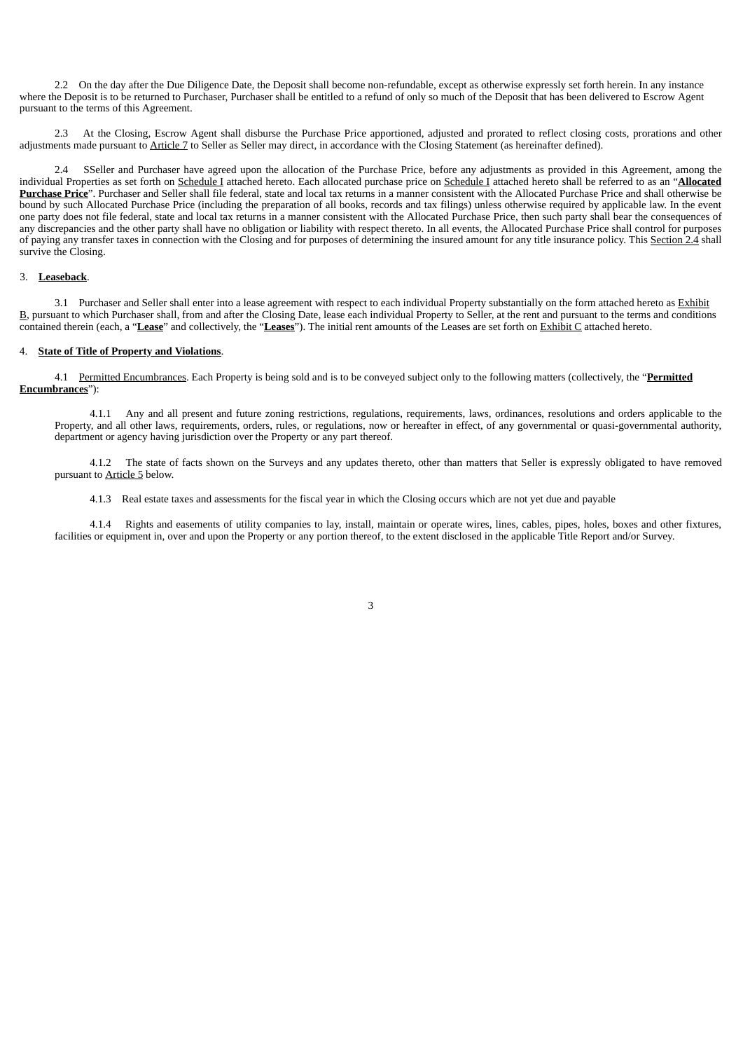2.2 On the day after the Due Diligence Date, the Deposit shall become non-refundable, except as otherwise expressly set forth herein. In any instance where the Deposit is to be returned to Purchaser, Purchaser shall be entitled to a refund of only so much of the Deposit that has been delivered to Escrow Agent pursuant to the terms of this Agreement.

2.3 At the Closing, Escrow Agent shall disburse the Purchase Price apportioned, adjusted and prorated to reflect closing costs, prorations and other adjustments made pursuant to Article 7 to Seller as Seller may direct, in accordance with the Closing Statement (as hereinafter defined).

2.4 SSeller and Purchaser have agreed upon the allocation of the Purchase Price, before any adjustments as provided in this Agreement, among the individual Properties as set forth on Schedule I attached hereto. Each allocated purchase price on Schedule I attached hereto shall be referred to as an "**Allocated Purchase Price**". Purchaser and Seller shall file federal, state and local tax returns in a manner consistent with the Allocated Purchase Price and shall otherwise be bound by such Allocated Purchase Price (including the preparation of all books, records and tax filings) unless otherwise required by applicable law. In the event one party does not file federal, state and local tax returns in a manner consistent with the Allocated Purchase Price, then such party shall bear the consequences of any discrepancies and the other party shall have no obligation or liability with respect thereto. In all events, the Allocated Purchase Price shall control for purposes of paying any transfer taxes in connection with the Closing and for purposes of determining the insured amount for any title insurance policy. This Section 2.4 shall survive the Closing.

#### 3. **Leaseback**.

3.1 Purchaser and Seller shall enter into a lease agreement with respect to each individual Property substantially on the form attached hereto as Exhibit B, pursuant to which Purchaser shall, from and after the Closing Date, lease each individual Property to Seller, at the rent and pursuant to the terms and conditions contained therein (each, a "**Lease**" and collectively, the "**Leases**"). The initial rent amounts of the Leases are set forth on Exhibit C attached hereto.

## 4. **State of Title of Property and Violations**.

4.1 Permitted Encumbrances. Each Property is being sold and is to be conveyed subject only to the following matters (collectively, the "**Permitted Encumbrances**"):

4.1.1 Any and all present and future zoning restrictions, regulations, requirements, laws, ordinances, resolutions and orders applicable to the Property, and all other laws, requirements, orders, rules, or regulations, now or hereafter in effect, of any governmental or quasi-governmental authority, department or agency having jurisdiction over the Property or any part thereof.

4.1.2 The state of facts shown on the Surveys and any updates thereto, other than matters that Seller is expressly obligated to have removed pursuant to Article 5 below.

4.1.3 Real estate taxes and assessments for the fiscal year in which the Closing occurs which are not yet due and payable

4.1.4 Rights and easements of utility companies to lay, install, maintain or operate wires, lines, cables, pipes, holes, boxes and other fixtures, facilities or equipment in, over and upon the Property or any portion thereof, to the extent disclosed in the applicable Title Report and/or Survey.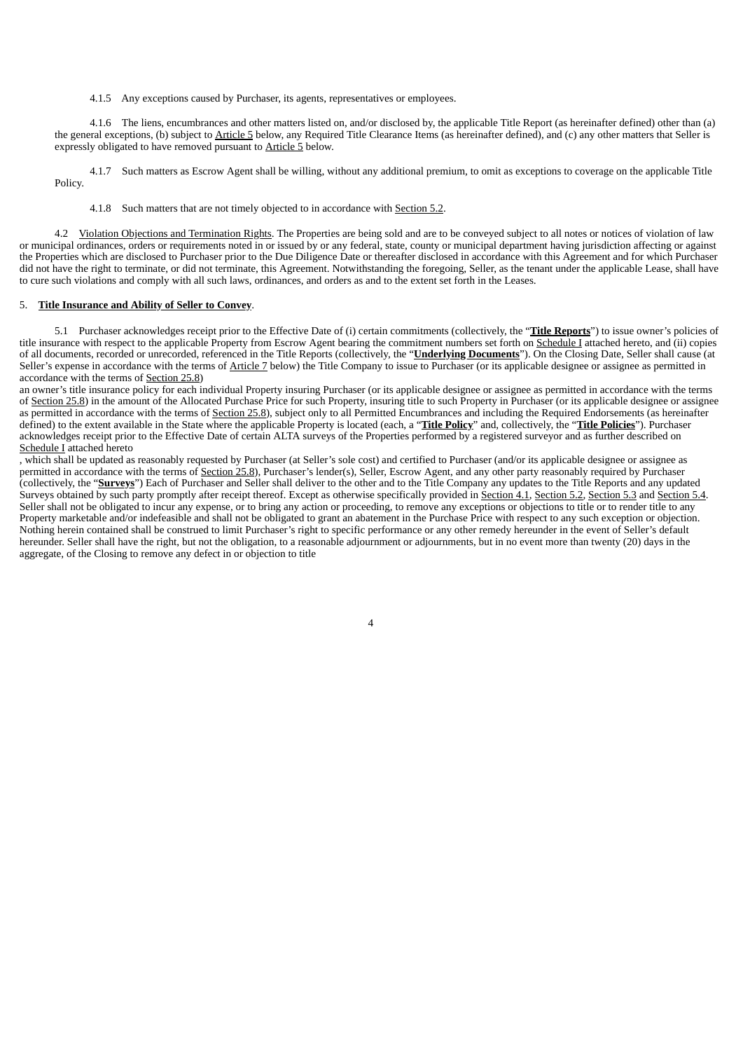4.1.5 Any exceptions caused by Purchaser, its agents, representatives or employees.

4.1.6 The liens, encumbrances and other matters listed on, and/or disclosed by, the applicable Title Report (as hereinafter defined) other than (a) the general exceptions, (b) subject to Article 5 below, any Required Title Clearance Items (as hereinafter defined), and (c) any other matters that Seller is expressly obligated to have removed pursuant to Article 5 below.

4.1.7 Such matters as Escrow Agent shall be willing, without any additional premium, to omit as exceptions to coverage on the applicable Title Policy.

4.1.8 Such matters that are not timely objected to in accordance with Section 5.2.

4.2 Violation Objections and Termination Rights. The Properties are being sold and are to be conveyed subject to all notes or notices of violation of law or municipal ordinances, orders or requirements noted in or issued by or any federal, state, county or municipal department having jurisdiction affecting or against the Properties which are disclosed to Purchaser prior to the Due Diligence Date or thereafter disclosed in accordance with this Agreement and for which Purchaser did not have the right to terminate, or did not terminate, this Agreement. Notwithstanding the foregoing, Seller, as the tenant under the applicable Lease, shall have to cure such violations and comply with all such laws, ordinances, and orders as and to the extent set forth in the Leases.

## 5. **Title Insurance and Ability of Seller to Convey**.

5.1 Purchaser acknowledges receipt prior to the Effective Date of (i) certain commitments (collectively, the "**Title Reports**") to issue owner's policies of title insurance with respect to the applicable Property from Escrow Agent bearing the commitment numbers set forth on Schedule I attached hereto, and (ii) copies of all documents, recorded or unrecorded, referenced in the Title Reports (collectively, the "**Underlying Documents**"). On the Closing Date, Seller shall cause (at Seller's expense in accordance with the terms of Article 7 below) the Title Company to issue to Purchaser (or its applicable designee or assignee as permitted in accordance with the terms of Section 25.8)

an owner's title insurance policy for each individual Property insuring Purchaser (or its applicable designee or assignee as permitted in accordance with the terms of Section 25.8) in the amount of the Allocated Purchase Price for such Property, insuring title to such Property in Purchaser (or its applicable designee or assignee as permitted in accordance with the terms of Section 25.8), subject only to all Permitted Encumbrances and including the Required Endorsements (as hereinafter defined) to the extent available in the State where the applicable Property is located (each, a "**Title Policy**" and, collectively, the "**Title Policies**"). Purchaser acknowledges receipt prior to the Effective Date of certain ALTA surveys of the Properties performed by a registered surveyor and as further described on Schedule I attached hereto

, which shall be updated as reasonably requested by Purchaser (at Seller's sole cost) and certified to Purchaser (and/or its applicable designee or assignee as permitted in accordance with the terms of Section 25.8), Purchaser's lender(s), Seller, Escrow Agent, and any other party reasonably required by Purchaser (collectively, the "**Surveys**") Each of Purchaser and Seller shall deliver to the other and to the Title Company any updates to the Title Reports and any updated Surveys obtained by such party promptly after receipt thereof. Except as otherwise specifically provided in Section 4.1, Section 5.2, Section 5.3 and Section 5.4. Seller shall not be obligated to incur any expense, or to bring any action or proceeding, to remove any exceptions or objections to title or to render title to any Property marketable and/or indefeasible and shall not be obligated to grant an abatement in the Purchase Price with respect to any such exception or objection. Nothing herein contained shall be construed to limit Purchaser's right to specific performance or any other remedy hereunder in the event of Seller's default hereunder. Seller shall have the right, but not the obligation, to a reasonable adjournment or adjournments, but in no event more than twenty (20) days in the aggregate, of the Closing to remove any defect in or objection to title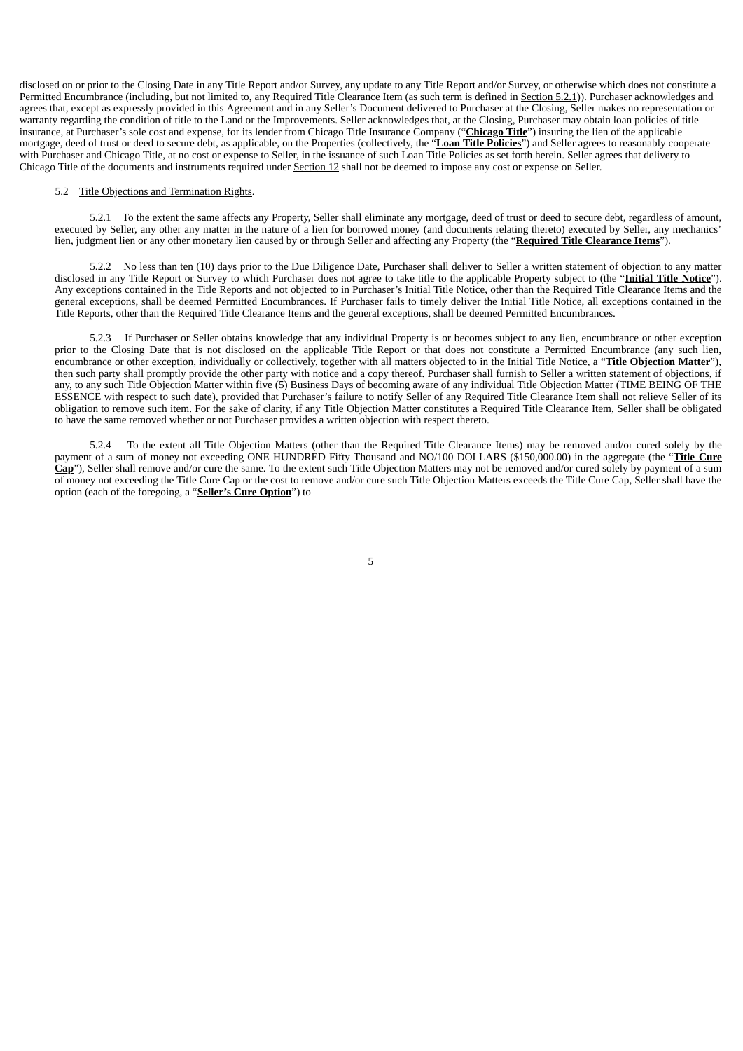disclosed on or prior to the Closing Date in any Title Report and/or Survey, any update to any Title Report and/or Survey, or otherwise which does not constitute a Permitted Encumbrance (including, but not limited to, any Required Title Clearance Item (as such term is defined in Section 5.2.1)). Purchaser acknowledges and agrees that, except as expressly provided in this Agreement and in any Seller's Document delivered to Purchaser at the Closing, Seller makes no representation or warranty regarding the condition of title to the Land or the Improvements. Seller acknowledges that, at the Closing, Purchaser may obtain loan policies of title insurance, at Purchaser's sole cost and expense, for its lender from Chicago Title Insurance Company ("**Chicago Title**") insuring the lien of the applicable mortgage, deed of trust or deed to secure debt, as applicable, on the Properties (collectively, the "**Loan Title Policies**") and Seller agrees to reasonably cooperate with Purchaser and Chicago Title, at no cost or expense to Seller, in the issuance of such Loan Title Policies as set forth herein. Seller agrees that delivery to Chicago Title of the documents and instruments required under Section 12 shall not be deemed to impose any cost or expense on Seller.

#### 5.2 Title Objections and Termination Rights.

5.2.1 To the extent the same affects any Property, Seller shall eliminate any mortgage, deed of trust or deed to secure debt, regardless of amount, executed by Seller, any other any matter in the nature of a lien for borrowed money (and documents relating thereto) executed by Seller, any mechanics' lien, judgment lien or any other monetary lien caused by or through Seller and affecting any Property (the "**Required Title Clearance Items**").

5.2.2 No less than ten (10) days prior to the Due Diligence Date, Purchaser shall deliver to Seller a written statement of objection to any matter disclosed in any Title Report or Survey to which Purchaser does not agree to take title to the applicable Property subject to (the "**Initial Title Notice**"). Any exceptions contained in the Title Reports and not objected to in Purchaser's Initial Title Notice, other than the Required Title Clearance Items and the general exceptions, shall be deemed Permitted Encumbrances. If Purchaser fails to timely deliver the Initial Title Notice, all exceptions contained in the Title Reports, other than the Required Title Clearance Items and the general exceptions, shall be deemed Permitted Encumbrances.

5.2.3 If Purchaser or Seller obtains knowledge that any individual Property is or becomes subject to any lien, encumbrance or other exception prior to the Closing Date that is not disclosed on the applicable Title Report or that does not constitute a Permitted Encumbrance (any such lien, encumbrance or other exception, individually or collectively, together with all matters objected to in the Initial Title Notice, a "**Title Objection Matter**"), then such party shall promptly provide the other party with notice and a copy thereof. Purchaser shall furnish to Seller a written statement of objections, if any, to any such Title Objection Matter within five (5) Business Days of becoming aware of any individual Title Objection Matter (TIME BEING OF THE ESSENCE with respect to such date), provided that Purchaser's failure to notify Seller of any Required Title Clearance Item shall not relieve Seller of its obligation to remove such item. For the sake of clarity, if any Title Objection Matter constitutes a Required Title Clearance Item, Seller shall be obligated to have the same removed whether or not Purchaser provides a written objection with respect thereto.

5.2.4 To the extent all Title Objection Matters (other than the Required Title Clearance Items) may be removed and/or cured solely by the payment of a sum of money not exceeding ONE HUNDRED Fifty Thousand and NO/100 DOLLARS (\$150,000.00) in the aggregate (the "**Title Cure Cap**"), Seller shall remove and/or cure the same. To the extent such Title Objection Matters may not be removed and/or cured solely by payment of a sum of money not exceeding the Title Cure Cap or the cost to remove and/or cure such Title Objection Matters exceeds the Title Cure Cap, Seller shall have the option (each of the foregoing, a "**Seller's Cure Option**") to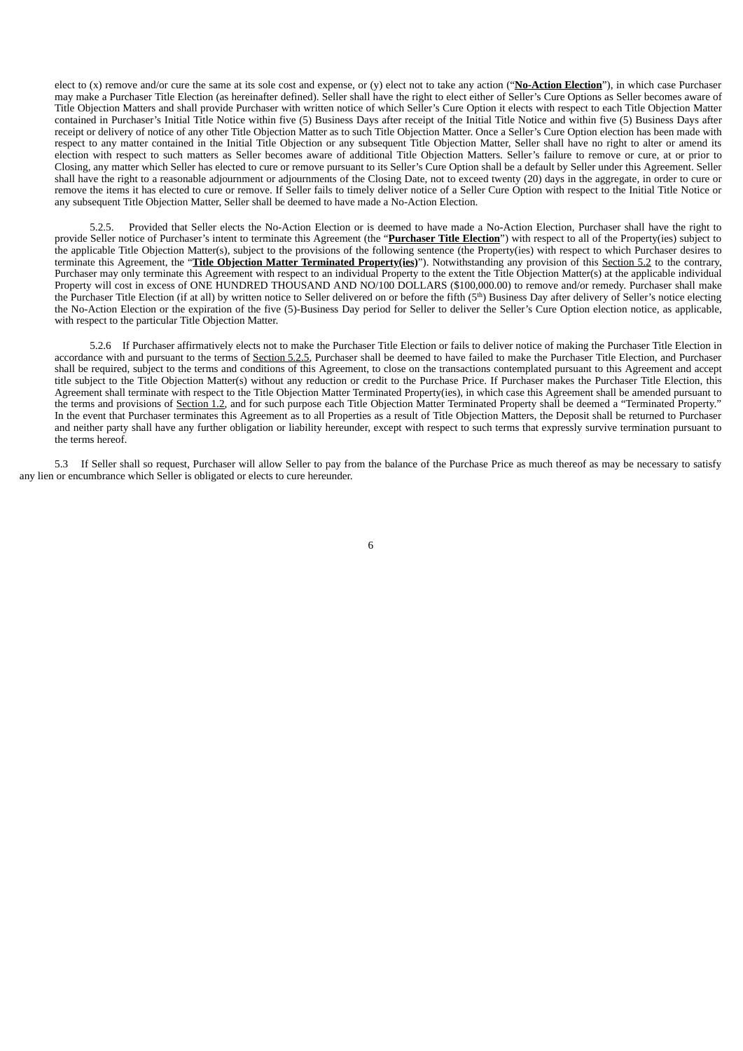elect to (x) remove and/or cure the same at its sole cost and expense, or (y) elect not to take any action ("**No-Action Election**"), in which case Purchaser may make a Purchaser Title Election (as hereinafter defined). Seller shall have the right to elect either of Seller's Cure Options as Seller becomes aware of Title Objection Matters and shall provide Purchaser with written notice of which Seller's Cure Option it elects with respect to each Title Objection Matter contained in Purchaser's Initial Title Notice within five (5) Business Days after receipt of the Initial Title Notice and within five (5) Business Days after receipt or delivery of notice of any other Title Objection Matter as to such Title Objection Matter. Once a Seller's Cure Option election has been made with respect to any matter contained in the Initial Title Objection or any subsequent Title Objection Matter, Seller shall have no right to alter or amend its election with respect to such matters as Seller becomes aware of additional Title Objection Matters. Seller's failure to remove or cure, at or prior to Closing, any matter which Seller has elected to cure or remove pursuant to its Seller's Cure Option shall be a default by Seller under this Agreement. Seller shall have the right to a reasonable adjournment or adjournments of the Closing Date, not to exceed twenty (20) days in the aggregate, in order to cure or remove the items it has elected to cure or remove. If Seller fails to timely deliver notice of a Seller Cure Option with respect to the Initial Title Notice or any subsequent Title Objection Matter, Seller shall be deemed to have made a No-Action Election.

5.2.5. Provided that Seller elects the No-Action Election or is deemed to have made a No-Action Election, Purchaser shall have the right to provide Seller notice of Purchaser's intent to terminate this Agreement (the "**Purchaser Title Election**") with respect to all of the Property(ies) subject to the applicable Title Objection Matter(s), subject to the provisions of the following sentence (the Property(ies) with respect to which Purchaser desires to terminate this Agreement, the "**Title Objection Matter Terminated Property(ies)**"). Notwithstanding any provision of this Section 5.2 to the contrary, Purchaser may only terminate this Agreement with respect to an individual Property to the extent the Title Objection Matter(s) at the applicable individual Property will cost in excess of ONE HUNDRED THOUSAND AND NO/100 DOLLARS (\$100,000.00) to remove and/or remedy. Purchaser shall make the Purchaser Title Election (if at all) by written notice to Seller delivered on or before the fifth (5<sup>th</sup>) Business Day after delivery of Seller's notice electing the No-Action Election or the expiration of the five (5)-Business Day period for Seller to deliver the Seller's Cure Option election notice, as applicable, with respect to the particular Title Objection Matter.

5.2.6 If Purchaser affirmatively elects not to make the Purchaser Title Election or fails to deliver notice of making the Purchaser Title Election in accordance with and pursuant to the terms of Section 5.2.5, Purchaser shall be deemed to have failed to make the Purchaser Title Election, and Purchaser shall be required, subject to the terms and conditions of this Agreement, to close on the transactions contemplated pursuant to this Agreement and accept title subject to the Title Objection Matter(s) without any reduction or credit to the Purchase Price. If Purchaser makes the Purchaser Title Election, this Agreement shall terminate with respect to the Title Objection Matter Terminated Property(ies), in which case this Agreement shall be amended pursuant to the terms and provisions of Section 1.2, and for such purpose each Title Objection Matter Terminated Property shall be deemed a "Terminated Property." In the event that Purchaser terminates this Agreement as to all Properties as a result of Title Objection Matters, the Deposit shall be returned to Purchaser and neither party shall have any further obligation or liability hereunder, except with respect to such terms that expressly survive termination pursuant to the terms hereof.

5.3 If Seller shall so request, Purchaser will allow Seller to pay from the balance of the Purchase Price as much thereof as may be necessary to satisfy any lien or encumbrance which Seller is obligated or elects to cure hereunder.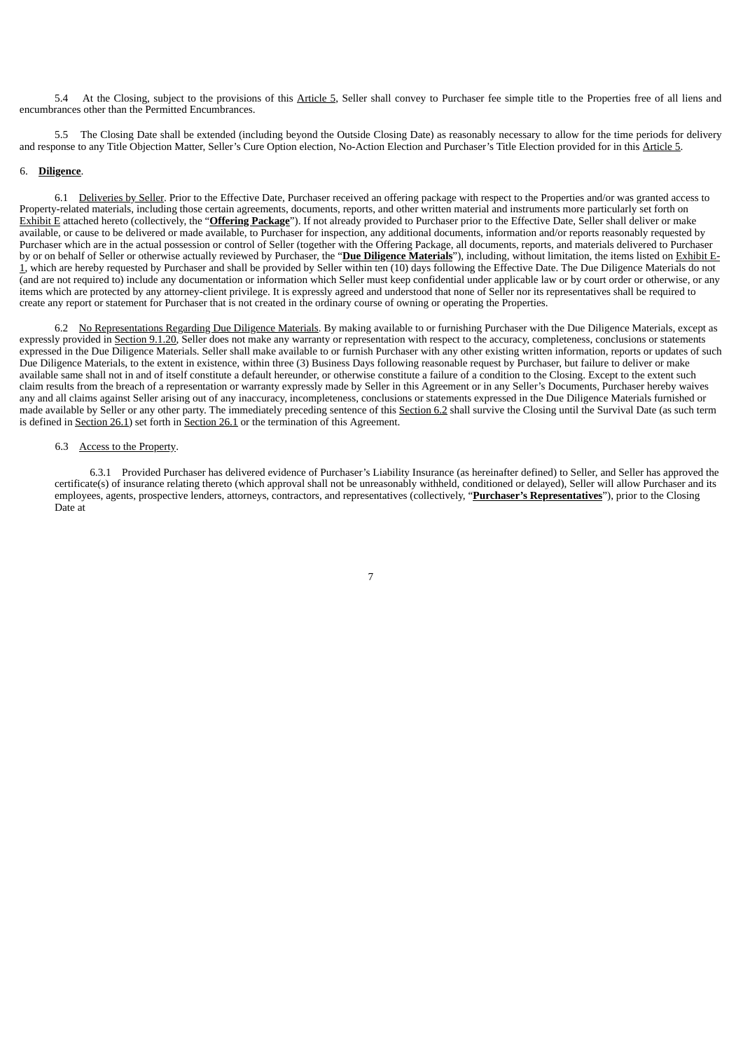5.4 At the Closing, subject to the provisions of this Article 5, Seller shall convey to Purchaser fee simple title to the Properties free of all liens and encumbrances other than the Permitted Encumbrances.

5.5 The Closing Date shall be extended (including beyond the Outside Closing Date) as reasonably necessary to allow for the time periods for delivery and response to any Title Objection Matter, Seller's Cure Option election, No-Action Election and Purchaser's Title Election provided for in this Article 5.

#### 6. **Diligence**.

6.1 Deliveries by Seller. Prior to the Effective Date, Purchaser received an offering package with respect to the Properties and/or was granted access to Property-related materials, including those certain agreements, documents, reports, and other written material and instruments more particularly set forth on Exhibit E attached hereto (collectively, the "**Offering Package**"). If not already provided to Purchaser prior to the Effective Date, Seller shall deliver or make available, or cause to be delivered or made available, to Purchaser for inspection, any additional documents, information and/or reports reasonably requested by Purchaser which are in the actual possession or control of Seller (together with the Offering Package, all documents, reports, and materials delivered to Purchaser by or on behalf of Seller or otherwise actually reviewed by Purchaser, the "**Due Diligence Materials**"), including, without limitation, the items listed on Exhibit E-1, which are hereby requested by Purchaser and shall be provided by Seller within ten (10) days following the Effective Date. The Due Diligence Materials do not (and are not required to) include any documentation or information which Seller must keep confidential under applicable law or by court order or otherwise, or any items which are protected by any attorney-client privilege. It is expressly agreed and understood that none of Seller nor its representatives shall be required to create any report or statement for Purchaser that is not created in the ordinary course of owning or operating the Properties.

6.2 No Representations Regarding Due Diligence Materials. By making available to or furnishing Purchaser with the Due Diligence Materials, except as expressly provided in Section 9.1.20, Seller does not make any warranty or representation with respect to the accuracy, completeness, conclusions or statements expressed in the Due Diligence Materials. Seller shall make available to or furnish Purchaser with any other existing written information, reports or updates of such Due Diligence Materials, to the extent in existence, within three (3) Business Days following reasonable request by Purchaser, but failure to deliver or make available same shall not in and of itself constitute a default hereunder, or otherwise constitute a failure of a condition to the Closing. Except to the extent such claim results from the breach of a representation or warranty expressly made by Seller in this Agreement or in any Seller's Documents, Purchaser hereby waives any and all claims against Seller arising out of any inaccuracy, incompleteness, conclusions or statements expressed in the Due Diligence Materials furnished or made available by Seller or any other party. The immediately preceding sentence of this Section 6.2 shall survive the Closing until the Survival Date (as such term is defined in Section 26.1) set forth in Section 26.1 or the termination of this Agreement.

#### 6.3 Access to the Property.

6.3.1 Provided Purchaser has delivered evidence of Purchaser's Liability Insurance (as hereinafter defined) to Seller, and Seller has approved the certificate(s) of insurance relating thereto (which approval shall not be unreasonably withheld, conditioned or delayed), Seller will allow Purchaser and its employees, agents, prospective lenders, attorneys, contractors, and representatives (collectively, "**Purchaser's Representatives**"), prior to the Closing Date at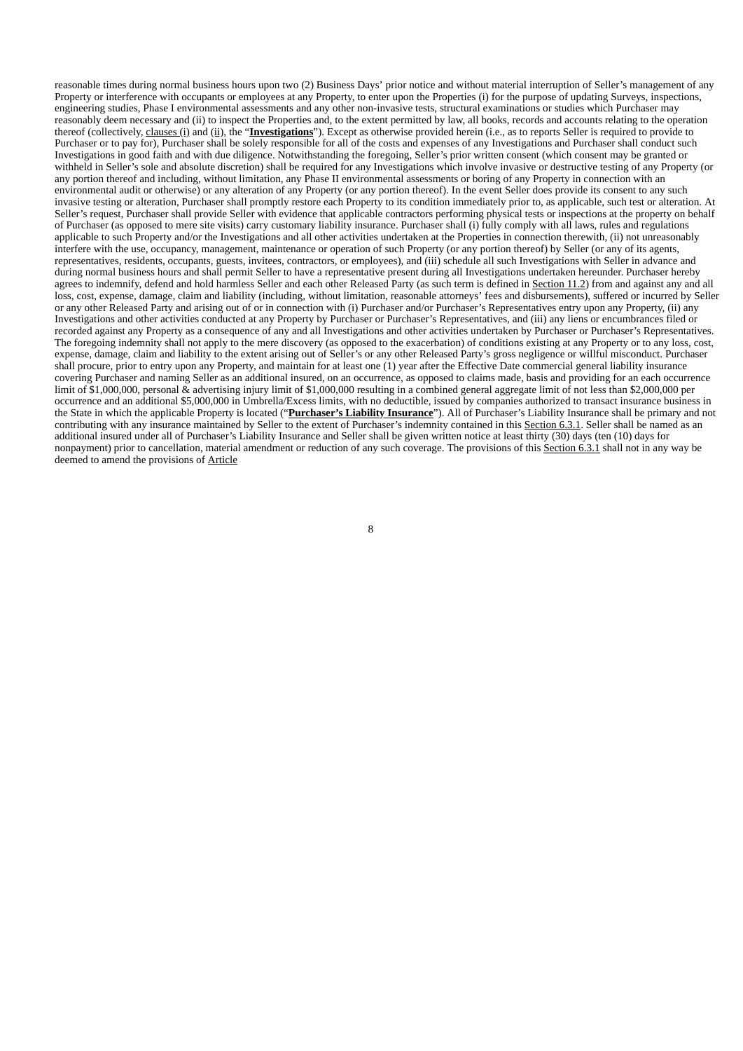reasonable times during normal business hours upon two (2) Business Days' prior notice and without material interruption of Seller's management of any Property or interference with occupants or employees at any Property, to enter upon the Properties (i) for the purpose of updating Surveys, inspections, engineering studies, Phase I environmental assessments and any other non-invasive tests, structural examinations or studies which Purchaser may reasonably deem necessary and (ii) to inspect the Properties and, to the extent permitted by law, all books, records and accounts relating to the operation thereof (collectively, clauses (i) and (ii), the "**Investigations**"). Except as otherwise provided herein (i.e., as to reports Seller is required to provide to Purchaser or to pay for), Purchaser shall be solely responsible for all of the costs and expenses of any Investigations and Purchaser shall conduct such Investigations in good faith and with due diligence. Notwithstanding the foregoing, Seller's prior written consent (which consent may be granted or withheld in Seller's sole and absolute discretion) shall be required for any Investigations which involve invasive or destructive testing of any Property (or any portion thereof and including, without limitation, any Phase II environmental assessments or boring of any Property in connection with an environmental audit or otherwise) or any alteration of any Property (or any portion thereof). In the event Seller does provide its consent to any such invasive testing or alteration, Purchaser shall promptly restore each Property to its condition immediately prior to, as applicable, such test or alteration. At Seller's request, Purchaser shall provide Seller with evidence that applicable contractors performing physical tests or inspections at the property on behalf of Purchaser (as opposed to mere site visits) carry customary liability insurance. Purchaser shall (i) fully comply with all laws, rules and regulations applicable to such Property and/or the Investigations and all other activities undertaken at the Properties in connection therewith, (ii) not unreasonably interfere with the use, occupancy, management, maintenance or operation of such Property (or any portion thereof) by Seller (or any of its agents, representatives, residents, occupants, guests, invitees, contractors, or employees), and (iii) schedule all such Investigations with Seller in advance and during normal business hours and shall permit Seller to have a representative present during all Investigations undertaken hereunder. Purchaser hereby agrees to indemnify, defend and hold harmless Seller and each other Released Party (as such term is defined in Section 11.2) from and against any and all loss, cost, expense, damage, claim and liability (including, without limitation, reasonable attorneys' fees and disbursements), suffered or incurred by Seller or any other Released Party and arising out of or in connection with (i) Purchaser and/or Purchaser's Representatives entry upon any Property, (ii) any Investigations and other activities conducted at any Property by Purchaser or Purchaser's Representatives, and (iii) any liens or encumbrances filed or recorded against any Property as a consequence of any and all Investigations and other activities undertaken by Purchaser or Purchaser's Representatives. The foregoing indemnity shall not apply to the mere discovery (as opposed to the exacerbation) of conditions existing at any Property or to any loss, cost, expense, damage, claim and liability to the extent arising out of Seller's or any other Released Party's gross negligence or willful misconduct. Purchaser shall procure, prior to entry upon any Property, and maintain for at least one (1) year after the Effective Date commercial general liability insurance covering Purchaser and naming Seller as an additional insured, on an occurrence, as opposed to claims made, basis and providing for an each occurrence limit of \$1,000,000, personal & advertising injury limit of \$1,000,000 resulting in a combined general aggregate limit of not less than \$2,000,000 per occurrence and an additional \$5,000,000 in Umbrella/Excess limits, with no deductible, issued by companies authorized to transact insurance business in the State in which the applicable Property is located ("**Purchaser's Liability Insurance**"). All of Purchaser's Liability Insurance shall be primary and not contributing with any insurance maintained by Seller to the extent of Purchaser's indemnity contained in this Section 6.3.1. Seller shall be named as an additional insured under all of Purchaser's Liability Insurance and Seller shall be given written notice at least thirty (30) days (ten (10) days for nonpayment) prior to cancellation, material amendment or reduction of any such coverage. The provisions of this Section 6.3.1 shall not in any way be deemed to amend the provisions of Article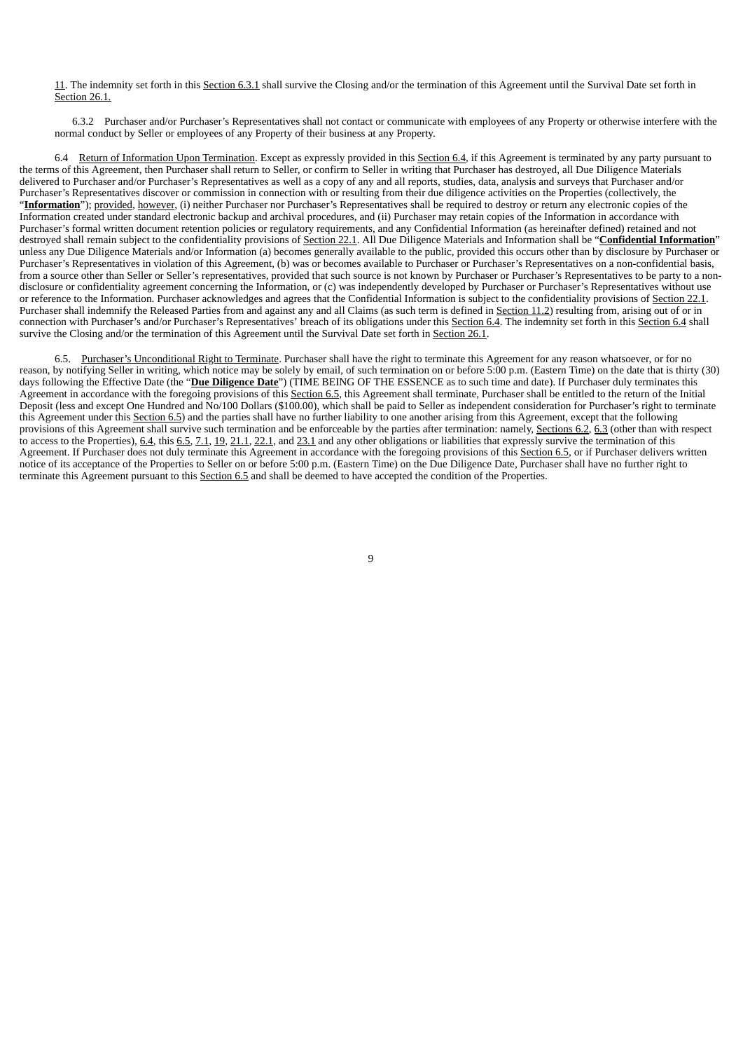11. The indemnity set forth in this Section 6.3.1 shall survive the Closing and/or the termination of this Agreement until the Survival Date set forth in Section 26.1.

6.3.2 Purchaser and/or Purchaser's Representatives shall not contact or communicate with employees of any Property or otherwise interfere with the normal conduct by Seller or employees of any Property of their business at any Property.

6.4 Return of Information Upon Termination. Except as expressly provided in this Section 6.4, if this Agreement is terminated by any party pursuant to the terms of this Agreement, then Purchaser shall return to Seller, or confirm to Seller in writing that Purchaser has destroyed, all Due Diligence Materials delivered to Purchaser and/or Purchaser's Representatives as well as a copy of any and all reports, studies, data, analysis and surveys that Purchaser and/or Purchaser's Representatives discover or commission in connection with or resulting from their due diligence activities on the Properties (collectively, the "**Information**"); provided, however, (i) neither Purchaser nor Purchaser's Representatives shall be required to destroy or return any electronic copies of the Information created under standard electronic backup and archival procedures, and (ii) Purchaser may retain copies of the Information in accordance with Purchaser's formal written document retention policies or regulatory requirements, and any Confidential Information (as hereinafter defined) retained and not destroyed shall remain subject to the confidentiality provisions of Section 22.1. All Due Diligence Materials and Information shall be "**Confidential Information**" unless any Due Diligence Materials and/or Information (a) becomes generally available to the public, provided this occurs other than by disclosure by Purchaser or Purchaser's Representatives in violation of this Agreement, (b) was or becomes available to Purchaser or Purchaser's Representatives on a non-confidential basis, from a source other than Seller or Seller's representatives, provided that such source is not known by Purchaser or Purchaser's Representatives to be party to a nondisclosure or confidentiality agreement concerning the Information, or (c) was independently developed by Purchaser or Purchaser's Representatives without use or reference to the Information. Purchaser acknowledges and agrees that the Confidential Information is subject to the confidentiality provisions of Section 22.1. Purchaser shall indemnify the Released Parties from and against any and all Claims (as such term is defined in Section 11.2) resulting from, arising out of or in connection with Purchaser's and/or Purchaser's Representatives' breach of its obligations under this Section 6.4. The indemnity set forth in this Section 6.4 shall survive the Closing and/or the termination of this Agreement until the Survival Date set forth in Section 26.1.

6.5. Purchaser's Unconditional Right to Terminate. Purchaser shall have the right to terminate this Agreement for any reason whatsoever, or for no reason, by notifying Seller in writing, which notice may be solely by email, of such termination on or before 5:00 p.m. (Eastern Time) on the date that is thirty (30) days following the Effective Date (the "**Due Diligence Date**") (TIME BEING OF THE ESSENCE as to such time and date). If Purchaser duly terminates this Agreement in accordance with the foregoing provisions of this Section 6.5, this Agreement shall terminate, Purchaser shall be entitled to the return of the Initial Deposit (less and except One Hundred and No/100 Dollars (\$100.00), which shall be paid to Seller as independent consideration for Purchaser's right to terminate this Agreement under this Section 6.5) and the parties shall have no further liability to one another arising from this Agreement, except that the following provisions of this Agreement shall survive such termination and be enforceable by the parties after termination: namely, Sections 6.2, 6.3 (other than with respect to access to the Properties),  $6.4$ , this  $6.5$ ,  $7.1$ ,  $19$ ,  $21.1$ ,  $22.1$ , and  $23.1$  and any other obligations or liabilities that expressly survive the termination of this Agreement. If Purchaser does not duly terminate this Agreement in accordance with the foregoing provisions of this Section 6.5, or if Purchaser delivers written notice of its acceptance of the Properties to Seller on or before 5:00 p.m. (Eastern Time) on the Due Diligence Date, Purchaser shall have no further right to terminate this Agreement pursuant to this Section 6.5 and shall be deemed to have accepted the condition of the Properties.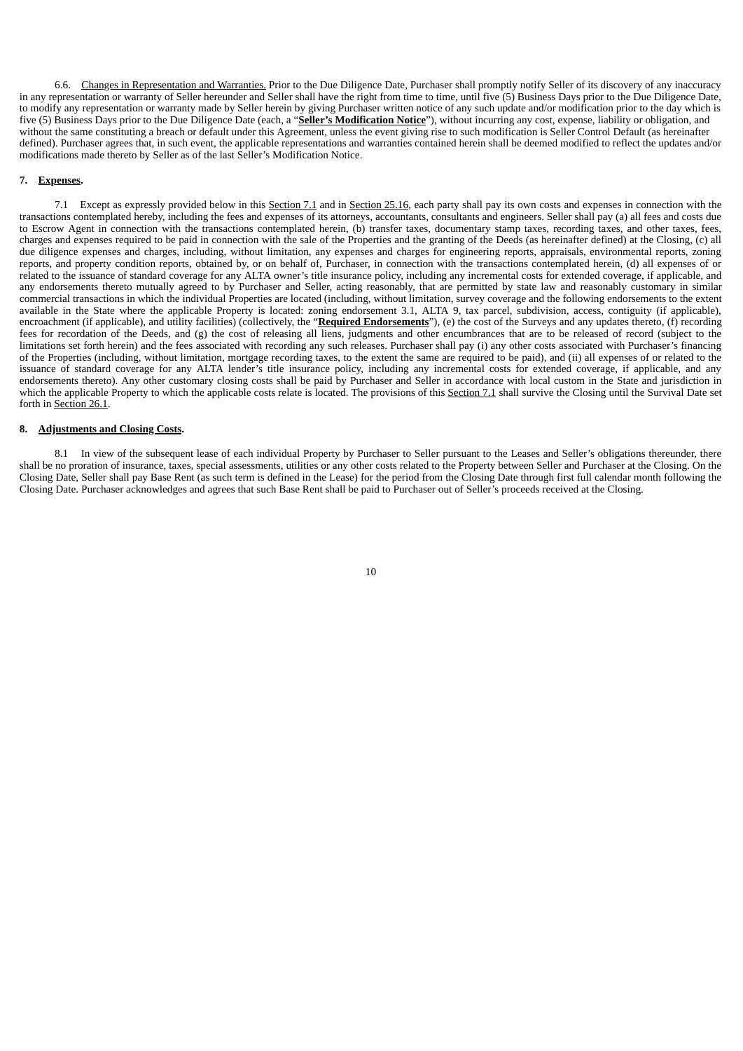6.6. Changes in Representation and Warranties. Prior to the Due Diligence Date, Purchaser shall promptly notify Seller of its discovery of any inaccuracy in any representation or warranty of Seller hereunder and Seller shall have the right from time to time, until five (5) Business Days prior to the Due Diligence Date, to modify any representation or warranty made by Seller herein by giving Purchaser written notice of any such update and/or modification prior to the day which is five (5) Business Days prior to the Due Diligence Date (each, a "**Seller's Modification Notice**"), without incurring any cost, expense, liability or obligation, and without the same constituting a breach or default under this Agreement, unless the event giving rise to such modification is Seller Control Default (as hereinafter defined). Purchaser agrees that, in such event, the applicable representations and warranties contained herein shall be deemed modified to reflect the updates and/or modifications made thereto by Seller as of the last Seller's Modification Notice.

### **7. Expenses.**

7.1 Except as expressly provided below in this Section 7.1 and in Section 25.16, each party shall pay its own costs and expenses in connection with the transactions contemplated hereby, including the fees and expenses of its attorneys, accountants, consultants and engineers. Seller shall pay (a) all fees and costs due to Escrow Agent in connection with the transactions contemplated herein, (b) transfer taxes, documentary stamp taxes, recording taxes, and other taxes, fees, charges and expenses required to be paid in connection with the sale of the Properties and the granting of the Deeds (as hereinafter defined) at the Closing, (c) all due diligence expenses and charges, including, without limitation, any expenses and charges for engineering reports, appraisals, environmental reports, zoning reports, and property condition reports, obtained by, or on behalf of, Purchaser, in connection with the transactions contemplated herein, (d) all expenses of or related to the issuance of standard coverage for any ALTA owner's title insurance policy, including any incremental costs for extended coverage, if applicable, and any endorsements thereto mutually agreed to by Purchaser and Seller, acting reasonably, that are permitted by state law and reasonably customary in similar commercial transactions in which the individual Properties are located (including, without limitation, survey coverage and the following endorsements to the extent available in the State where the applicable Property is located: zoning endorsement 3.1, ALTA 9, tax parcel, subdivision, access, contiguity (if applicable), encroachment (if applicable), and utility facilities) (collectively, the "**Required Endorsements**"), (e) the cost of the Surveys and any updates thereto, (f) recording fees for recordation of the Deeds, and (g) the cost of releasing all liens, judgments and other encumbrances that are to be released of record (subject to the limitations set forth herein) and the fees associated with recording any such releases. Purchaser shall pay (i) any other costs associated with Purchaser's financing of the Properties (including, without limitation, mortgage recording taxes, to the extent the same are required to be paid), and (ii) all expenses of or related to the issuance of standard coverage for any ALTA lender's title insurance policy, including any incremental costs for extended coverage, if applicable, and any endorsements thereto). Any other customary closing costs shall be paid by Purchaser and Seller in accordance with local custom in the State and jurisdiction in which the applicable Property to which the applicable costs relate is located. The provisions of this Section 7.1 shall survive the Closing until the Survival Date set forth in Section 26.1.

# **8. Adjustments and Closing Costs.**

8.1 In view of the subsequent lease of each individual Property by Purchaser to Seller pursuant to the Leases and Seller's obligations thereunder, there shall be no proration of insurance, taxes, special assessments, utilities or any other costs related to the Property between Seller and Purchaser at the Closing. On the Closing Date, Seller shall pay Base Rent (as such term is defined in the Lease) for the period from the Closing Date through first full calendar month following the Closing Date. Purchaser acknowledges and agrees that such Base Rent shall be paid to Purchaser out of Seller's proceeds received at the Closing.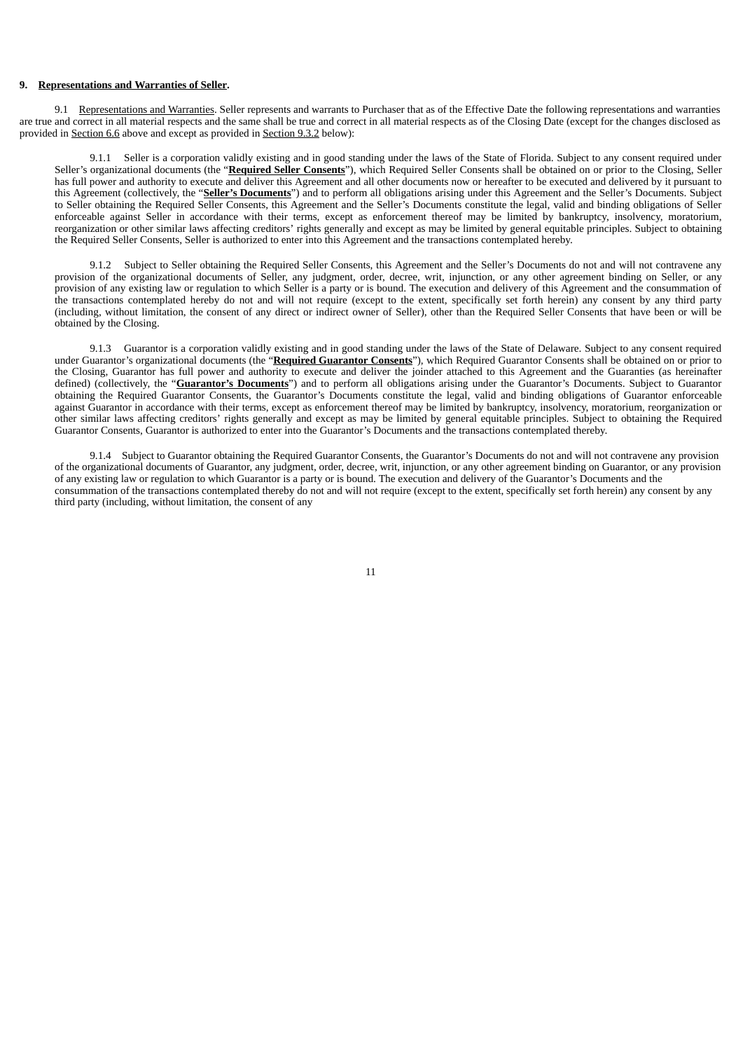### **9. Representations and Warranties of Seller.**

9.1 Representations and Warranties. Seller represents and warrants to Purchaser that as of the Effective Date the following representations and warranties are true and correct in all material respects and the same shall be true and correct in all material respects as of the Closing Date (except for the changes disclosed as provided in Section 6.6 above and except as provided in Section 9.3.2 below):

9.1.1 Seller is a corporation validly existing and in good standing under the laws of the State of Florida. Subject to any consent required under Seller's organizational documents (the "**Required Seller Consents**"), which Required Seller Consents shall be obtained on or prior to the Closing, Seller has full power and authority to execute and deliver this Agreement and all other documents now or hereafter to be executed and delivered by it pursuant to this Agreement (collectively, the "**Seller's Documents**") and to perform all obligations arising under this Agreement and the Seller's Documents. Subject to Seller obtaining the Required Seller Consents, this Agreement and the Seller's Documents constitute the legal, valid and binding obligations of Seller enforceable against Seller in accordance with their terms, except as enforcement thereof may be limited by bankruptcy, insolvency, moratorium, reorganization or other similar laws affecting creditors' rights generally and except as may be limited by general equitable principles. Subject to obtaining the Required Seller Consents, Seller is authorized to enter into this Agreement and the transactions contemplated hereby.

9.1.2 Subject to Seller obtaining the Required Seller Consents, this Agreement and the Seller's Documents do not and will not contravene any provision of the organizational documents of Seller, any judgment, order, decree, writ, injunction, or any other agreement binding on Seller, or any provision of any existing law or regulation to which Seller is a party or is bound. The execution and delivery of this Agreement and the consummation of the transactions contemplated hereby do not and will not require (except to the extent, specifically set forth herein) any consent by any third party (including, without limitation, the consent of any direct or indirect owner of Seller), other than the Required Seller Consents that have been or will be obtained by the Closing.

9.1.3 Guarantor is a corporation validly existing and in good standing under the laws of the State of Delaware. Subject to any consent required under Guarantor's organizational documents (the "**Required Guarantor Consents**"), which Required Guarantor Consents shall be obtained on or prior to the Closing, Guarantor has full power and authority to execute and deliver the joinder attached to this Agreement and the Guaranties (as hereinafter defined) (collectively, the "**Guarantor's Documents**") and to perform all obligations arising under the Guarantor's Documents. Subject to Guarantor obtaining the Required Guarantor Consents, the Guarantor's Documents constitute the legal, valid and binding obligations of Guarantor enforceable against Guarantor in accordance with their terms, except as enforcement thereof may be limited by bankruptcy, insolvency, moratorium, reorganization or other similar laws affecting creditors' rights generally and except as may be limited by general equitable principles. Subject to obtaining the Required Guarantor Consents, Guarantor is authorized to enter into the Guarantor's Documents and the transactions contemplated thereby.

9.1.4 Subject to Guarantor obtaining the Required Guarantor Consents, the Guarantor's Documents do not and will not contravene any provision of the organizational documents of Guarantor, any judgment, order, decree, writ, injunction, or any other agreement binding on Guarantor, or any provision of any existing law or regulation to which Guarantor is a party or is bound. The execution and delivery of the Guarantor's Documents and the consummation of the transactions contemplated thereby do not and will not require (except to the extent, specifically set forth herein) any consent by any third party (including, without limitation, the consent of any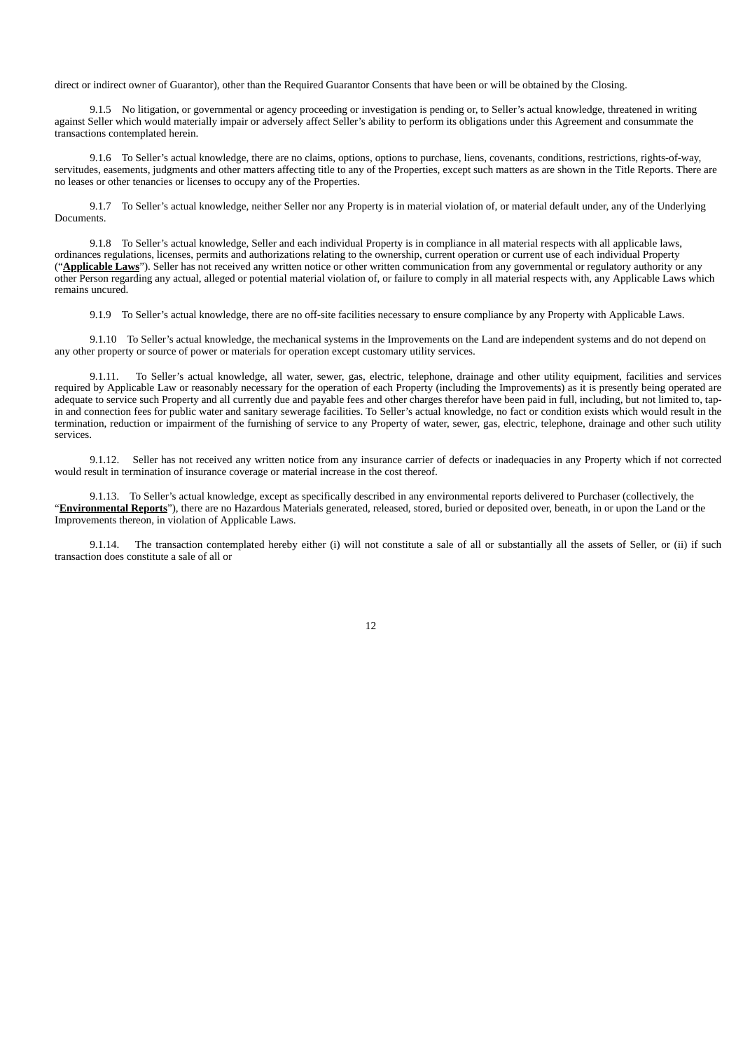direct or indirect owner of Guarantor), other than the Required Guarantor Consents that have been or will be obtained by the Closing.

9.1.5 No litigation, or governmental or agency proceeding or investigation is pending or, to Seller's actual knowledge, threatened in writing against Seller which would materially impair or adversely affect Seller's ability to perform its obligations under this Agreement and consummate the transactions contemplated herein.

9.1.6 To Seller's actual knowledge, there are no claims, options, options to purchase, liens, covenants, conditions, restrictions, rights-of-way, servitudes, easements, judgments and other matters affecting title to any of the Properties, except such matters as are shown in the Title Reports. There are no leases or other tenancies or licenses to occupy any of the Properties.

9.1.7 To Seller's actual knowledge, neither Seller nor any Property is in material violation of, or material default under, any of the Underlying Documents.

9.1.8 To Seller's actual knowledge, Seller and each individual Property is in compliance in all material respects with all applicable laws, ordinances regulations, licenses, permits and authorizations relating to the ownership, current operation or current use of each individual Property ("**Applicable Laws**"). Seller has not received any written notice or other written communication from any governmental or regulatory authority or any other Person regarding any actual, alleged or potential material violation of, or failure to comply in all material respects with, any Applicable Laws which remains uncured.

9.1.9 To Seller's actual knowledge, there are no off-site facilities necessary to ensure compliance by any Property with Applicable Laws.

9.1.10 To Seller's actual knowledge, the mechanical systems in the Improvements on the Land are independent systems and do not depend on any other property or source of power or materials for operation except customary utility services.

9.1.11. To Seller's actual knowledge, all water, sewer, gas, electric, telephone, drainage and other utility equipment, facilities and services required by Applicable Law or reasonably necessary for the operation of each Property (including the Improvements) as it is presently being operated are adequate to service such Property and all currently due and payable fees and other charges therefor have been paid in full, including, but not limited to, tapin and connection fees for public water and sanitary sewerage facilities. To Seller's actual knowledge, no fact or condition exists which would result in the termination, reduction or impairment of the furnishing of service to any Property of water, sewer, gas, electric, telephone, drainage and other such utility services.

9.1.12. Seller has not received any written notice from any insurance carrier of defects or inadequacies in any Property which if not corrected would result in termination of insurance coverage or material increase in the cost thereof.

9.1.13. To Seller's actual knowledge, except as specifically described in any environmental reports delivered to Purchaser (collectively, the "**Environmental Reports**"), there are no Hazardous Materials generated, released, stored, buried or deposited over, beneath, in or upon the Land or the Improvements thereon, in violation of Applicable Laws.

9.1.14. The transaction contemplated hereby either (i) will not constitute a sale of all or substantially all the assets of Seller, or (ii) if such transaction does constitute a sale of all or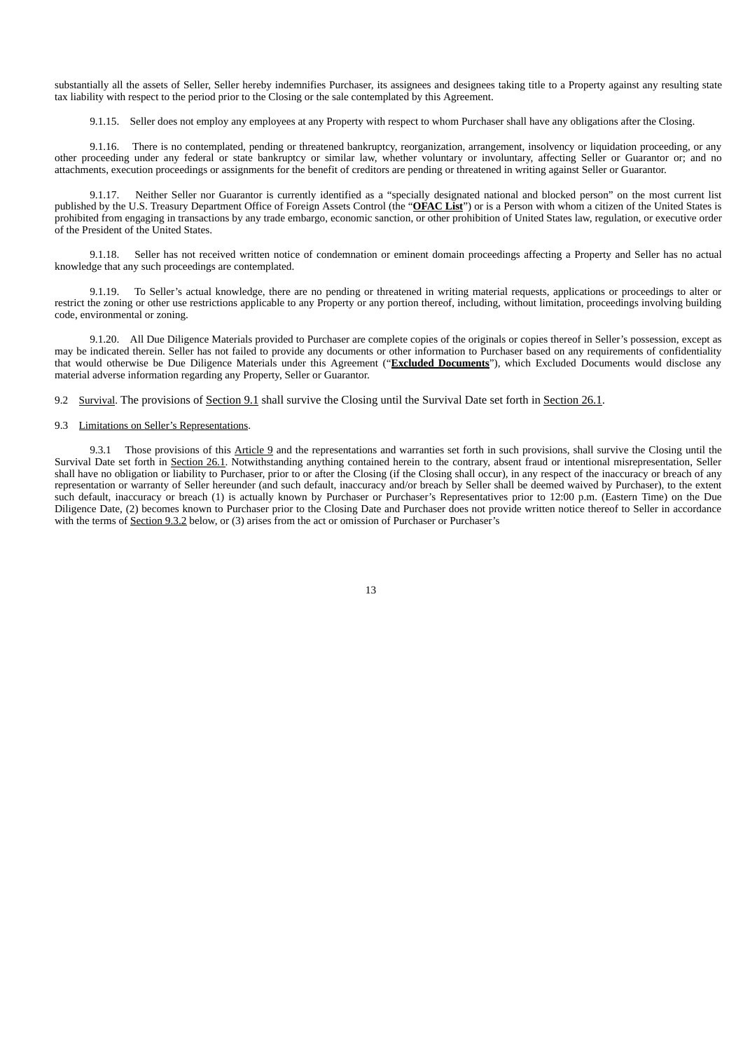substantially all the assets of Seller, Seller hereby indemnifies Purchaser, its assignees and designees taking title to a Property against any resulting state tax liability with respect to the period prior to the Closing or the sale contemplated by this Agreement.

9.1.15. Seller does not employ any employees at any Property with respect to whom Purchaser shall have any obligations after the Closing.

9.1.16. There is no contemplated, pending or threatened bankruptcy, reorganization, arrangement, insolvency or liquidation proceeding, or any other proceeding under any federal or state bankruptcy or similar law, whether voluntary or involuntary, affecting Seller or Guarantor or; and no attachments, execution proceedings or assignments for the benefit of creditors are pending or threatened in writing against Seller or Guarantor.

9.1.17. Neither Seller nor Guarantor is currently identified as a "specially designated national and blocked person" on the most current list published by the U.S. Treasury Department Office of Foreign Assets Control (the "**OFAC List**") or is a Person with whom a citizen of the United States is prohibited from engaging in transactions by any trade embargo, economic sanction, or other prohibition of United States law, regulation, or executive order of the President of the United States.

9.1.18. Seller has not received written notice of condemnation or eminent domain proceedings affecting a Property and Seller has no actual knowledge that any such proceedings are contemplated.

9.1.19. To Seller's actual knowledge, there are no pending or threatened in writing material requests, applications or proceedings to alter or restrict the zoning or other use restrictions applicable to any Property or any portion thereof, including, without limitation, proceedings involving building code, environmental or zoning.

9.1.20. All Due Diligence Materials provided to Purchaser are complete copies of the originals or copies thereof in Seller's possession, except as may be indicated therein. Seller has not failed to provide any documents or other information to Purchaser based on any requirements of confidentiality that would otherwise be Due Diligence Materials under this Agreement ("**Excluded Documents**"), which Excluded Documents would disclose any material adverse information regarding any Property, Seller or Guarantor.

9.2 Survival. The provisions of Section 9.1 shall survive the Closing until the Survival Date set forth in Section 26.1.

## 9.3 Limitations on Seller's Representations.

9.3.1 Those provisions of this Article 9 and the representations and warranties set forth in such provisions, shall survive the Closing until the Survival Date set forth in Section 26.1. Notwithstanding anything contained herein to the contrary, absent fraud or intentional misrepresentation, Seller shall have no obligation or liability to Purchaser, prior to or after the Closing (if the Closing shall occur), in any respect of the inaccuracy or breach of any representation or warranty of Seller hereunder (and such default, inaccuracy and/or breach by Seller shall be deemed waived by Purchaser), to the extent such default, inaccuracy or breach (1) is actually known by Purchaser or Purchaser's Representatives prior to 12:00 p.m. (Eastern Time) on the Due Diligence Date, (2) becomes known to Purchaser prior to the Closing Date and Purchaser does not provide written notice thereof to Seller in accordance with the terms of **Section 9.3.2** below, or (3) arises from the act or omission of Purchaser or Purchaser's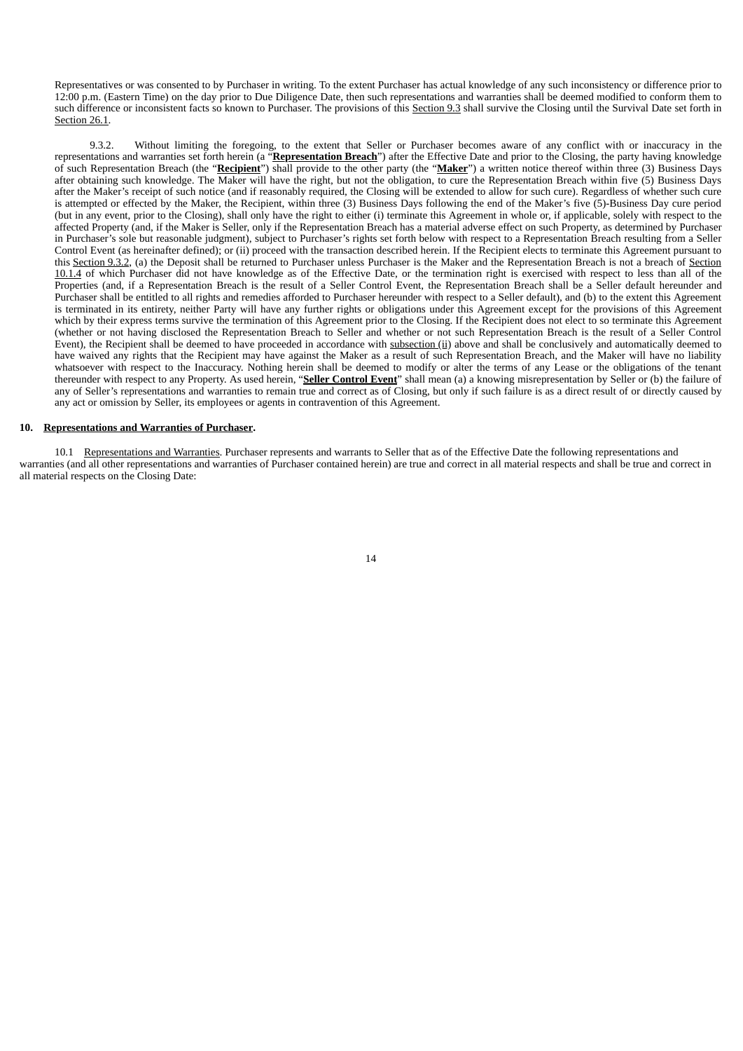Representatives or was consented to by Purchaser in writing. To the extent Purchaser has actual knowledge of any such inconsistency or difference prior to 12:00 p.m. (Eastern Time) on the day prior to Due Diligence Date, then such representations and warranties shall be deemed modified to conform them to such difference or inconsistent facts so known to Purchaser. The provisions of this Section 9.3 shall survive the Closing until the Survival Date set forth in Section 26.1.

9.3.2. Without limiting the foregoing, to the extent that Seller or Purchaser becomes aware of any conflict with or inaccuracy in the representations and warranties set forth herein (a "**Representation Breach**") after the Effective Date and prior to the Closing, the party having knowledge of such Representation Breach (the "**Recipient**") shall provide to the other party (the "**Maker**") a written notice thereof within three (3) Business Days after obtaining such knowledge. The Maker will have the right, but not the obligation, to cure the Representation Breach within five (5) Business Days after the Maker's receipt of such notice (and if reasonably required, the Closing will be extended to allow for such cure). Regardless of whether such cure is attempted or effected by the Maker, the Recipient, within three (3) Business Days following the end of the Maker's five (5)-Business Day cure period (but in any event, prior to the Closing), shall only have the right to either (i) terminate this Agreement in whole or, if applicable, solely with respect to the affected Property (and, if the Maker is Seller, only if the Representation Breach has a material adverse effect on such Property, as determined by Purchaser in Purchaser's sole but reasonable judgment), subject to Purchaser's rights set forth below with respect to a Representation Breach resulting from a Seller Control Event (as hereinafter defined); or (ii) proceed with the transaction described herein. If the Recipient elects to terminate this Agreement pursuant to this Section 9.3.2, (a) the Deposit shall be returned to Purchaser unless Purchaser is the Maker and the Representation Breach is not a breach of Section 10.1.4 of which Purchaser did not have knowledge as of the Effective Date, or the termination right is exercised with respect to less than all of the Properties (and, if a Representation Breach is the result of a Seller Control Event, the Representation Breach shall be a Seller default hereunder and Purchaser shall be entitled to all rights and remedies afforded to Purchaser hereunder with respect to a Seller default), and (b) to the extent this Agreement is terminated in its entirety, neither Party will have any further rights or obligations under this Agreement except for the provisions of this Agreement which by their express terms survive the termination of this Agreement prior to the Closing. If the Recipient does not elect to so terminate this Agreement (whether or not having disclosed the Representation Breach to Seller and whether or not such Representation Breach is the result of a Seller Control Event), the Recipient shall be deemed to have proceeded in accordance with subsection (ii) above and shall be conclusively and automatically deemed to have waived any rights that the Recipient may have against the Maker as a result of such Representation Breach, and the Maker will have no liability whatsoever with respect to the Inaccuracy. Nothing herein shall be deemed to modify or alter the terms of any Lease or the obligations of the tenant thereunder with respect to any Property. As used herein, "**Seller Control Event**" shall mean (a) a knowing misrepresentation by Seller or (b) the failure of any of Seller's representations and warranties to remain true and correct as of Closing, but only if such failure is as a direct result of or directly caused by any act or omission by Seller, its employees or agents in contravention of this Agreement.

#### **10. Representations and Warranties of Purchaser.**

10.1 Representations and Warranties. Purchaser represents and warrants to Seller that as of the Effective Date the following representations and warranties (and all other representations and warranties of Purchaser contained herein) are true and correct in all material respects and shall be true and correct in all material respects on the Closing Date: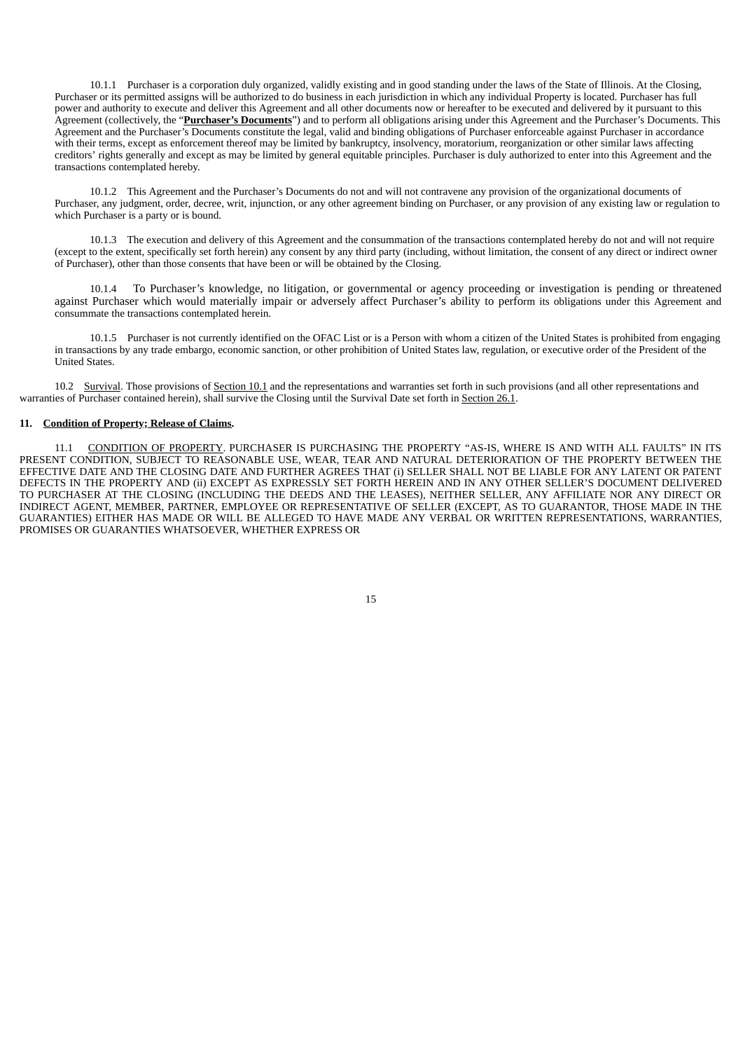10.1.1 Purchaser is a corporation duly organized, validly existing and in good standing under the laws of the State of Illinois. At the Closing, Purchaser or its permitted assigns will be authorized to do business in each jurisdiction in which any individual Property is located. Purchaser has full power and authority to execute and deliver this Agreement and all other documents now or hereafter to be executed and delivered by it pursuant to this Agreement (collectively, the "**Purchaser's Documents**") and to perform all obligations arising under this Agreement and the Purchaser's Documents. This Agreement and the Purchaser's Documents constitute the legal, valid and binding obligations of Purchaser enforceable against Purchaser in accordance with their terms, except as enforcement thereof may be limited by bankruptcy, insolvency, moratorium, reorganization or other similar laws affecting creditors' rights generally and except as may be limited by general equitable principles. Purchaser is duly authorized to enter into this Agreement and the transactions contemplated hereby.

10.1.2 This Agreement and the Purchaser's Documents do not and will not contravene any provision of the organizational documents of Purchaser, any judgment, order, decree, writ, injunction, or any other agreement binding on Purchaser, or any provision of any existing law or regulation to which Purchaser is a party or is bound.

10.1.3 The execution and delivery of this Agreement and the consummation of the transactions contemplated hereby do not and will not require (except to the extent, specifically set forth herein) any consent by any third party (including, without limitation, the consent of any direct or indirect owner of Purchaser), other than those consents that have been or will be obtained by the Closing.

10.1.4 To Purchaser's knowledge, no litigation, or governmental or agency proceeding or investigation is pending or threatened against Purchaser which would materially impair or adversely affect Purchaser's ability to perform its obligations under this Agreement and consummate the transactions contemplated herein.

10.1.5 Purchaser is not currently identified on the OFAC List or is a Person with whom a citizen of the United States is prohibited from engaging in transactions by any trade embargo, economic sanction, or other prohibition of United States law, regulation, or executive order of the President of the United States.

10.2 Survival. Those provisions of Section 10.1 and the representations and warranties set forth in such provisions (and all other representations and warranties of Purchaser contained herein), shall survive the Closing until the Survival Date set forth in Section 26.1.

## **11. Condition of Property; Release of Claims.**

11.1 CONDITION OF PROPERTY. PURCHASER IS PURCHASING THE PROPERTY "AS-IS, WHERE IS AND WITH ALL FAULTS" IN ITS PRESENT CONDITION, SUBJECT TO REASONABLE USE, WEAR, TEAR AND NATURAL DETERIORATION OF THE PROPERTY BETWEEN THE EFFECTIVE DATE AND THE CLOSING DATE AND FURTHER AGREES THAT (i) SELLER SHALL NOT BE LIABLE FOR ANY LATENT OR PATENT DEFECTS IN THE PROPERTY AND (ii) EXCEPT AS EXPRESSLY SET FORTH HEREIN AND IN ANY OTHER SELLER'S DOCUMENT DELIVERED TO PURCHASER AT THE CLOSING (INCLUDING THE DEEDS AND THE LEASES), NEITHER SELLER, ANY AFFILIATE NOR ANY DIRECT OR INDIRECT AGENT, MEMBER, PARTNER, EMPLOYEE OR REPRESENTATIVE OF SELLER (EXCEPT, AS TO GUARANTOR, THOSE MADE IN THE GUARANTIES) EITHER HAS MADE OR WILL BE ALLEGED TO HAVE MADE ANY VERBAL OR WRITTEN REPRESENTATIONS, WARRANTIES, PROMISES OR GUARANTIES WHATSOEVER, WHETHER EXPRESS OR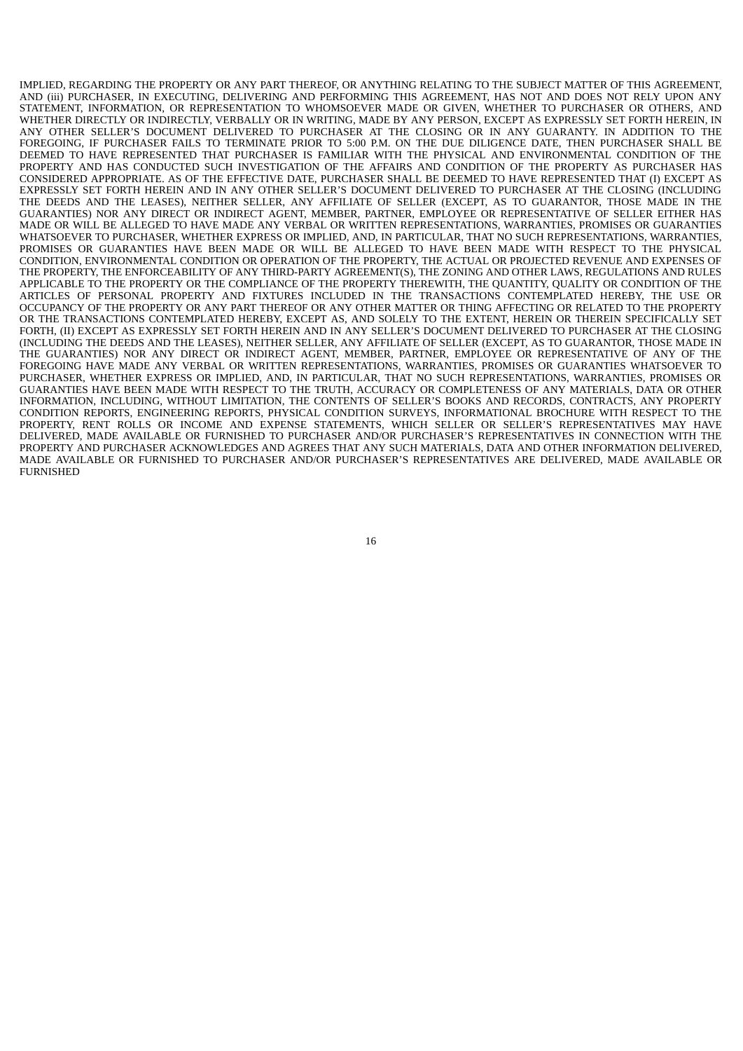IMPLIED, REGARDING THE PROPERTY OR ANY PART THEREOF, OR ANYTHING RELATING TO THE SUBJECT MATTER OF THIS AGREEMENT, AND (iii) PURCHASER, IN EXECUTING, DELIVERING AND PERFORMING THIS AGREEMENT, HAS NOT AND DOES NOT RELY UPON ANY STATEMENT, INFORMATION, OR REPRESENTATION TO WHOMSOEVER MADE OR GIVEN, WHETHER TO PURCHASER OR OTHERS, AND WHETHER DIRECTLY OR INDIRECTLY, VERBALLY OR IN WRITING, MADE BY ANY PERSON, EXCEPT AS EXPRESSLY SET FORTH HEREIN, IN ANY OTHER SELLER'S DOCUMENT DELIVERED TO PURCHASER AT THE CLOSING OR IN ANY GUARANTY. IN ADDITION TO THE FOREGOING, IF PURCHASER FAILS TO TERMINATE PRIOR TO 5:00 P.M. ON THE DUE DILIGENCE DATE, THEN PURCHASER SHALL BE DEEMED TO HAVE REPRESENTED THAT PURCHASER IS FAMILIAR WITH THE PHYSICAL AND ENVIRONMENTAL CONDITION OF THE PROPERTY AND HAS CONDUCTED SUCH INVESTIGATION OF THE AFFAIRS AND CONDITION OF THE PROPERTY AS PURCHASER HAS CONSIDERED APPROPRIATE. AS OF THE EFFECTIVE DATE, PURCHASER SHALL BE DEEMED TO HAVE REPRESENTED THAT (I) EXCEPT AS EXPRESSLY SET FORTH HEREIN AND IN ANY OTHER SELLER'S DOCUMENT DELIVERED TO PURCHASER AT THE CLOSING (INCLUDING THE DEEDS AND THE LEASES), NEITHER SELLER, ANY AFFILIATE OF SELLER (EXCEPT, AS TO GUARANTOR, THOSE MADE IN THE GUARANTIES) NOR ANY DIRECT OR INDIRECT AGENT, MEMBER, PARTNER, EMPLOYEE OR REPRESENTATIVE OF SELLER EITHER HAS MADE OR WILL BE ALLEGED TO HAVE MADE ANY VERBAL OR WRITTEN REPRESENTATIONS, WARRANTIES, PROMISES OR GUARANTIES WHATSOEVER TO PURCHASER, WHETHER EXPRESS OR IMPLIED, AND, IN PARTICULAR, THAT NO SUCH REPRESENTATIONS, WARRANTIES, PROMISES OR GUARANTIES HAVE BEEN MADE OR WILL BE ALLEGED TO HAVE BEEN MADE WITH RESPECT TO THE PHYSICAL CONDITION, ENVIRONMENTAL CONDITION OR OPERATION OF THE PROPERTY, THE ACTUAL OR PROJECTED REVENUE AND EXPENSES OF THE PROPERTY, THE ENFORCEABILITY OF ANY THIRD-PARTY AGREEMENT(S), THE ZONING AND OTHER LAWS, REGULATIONS AND RULES APPLICABLE TO THE PROPERTY OR THE COMPLIANCE OF THE PROPERTY THEREWITH, THE QUANTITY, QUALITY OR CONDITION OF THE ARTICLES OF PERSONAL PROPERTY AND FIXTURES INCLUDED IN THE TRANSACTIONS CONTEMPLATED HEREBY, THE USE OR OCCUPANCY OF THE PROPERTY OR ANY PART THEREOF OR ANY OTHER MATTER OR THING AFFECTING OR RELATED TO THE PROPERTY OR THE TRANSACTIONS CONTEMPLATED HEREBY, EXCEPT AS, AND SOLELY TO THE EXTENT, HEREIN OR THEREIN SPECIFICALLY SET FORTH, (II) EXCEPT AS EXPRESSLY SET FORTH HEREIN AND IN ANY SELLER'S DOCUMENT DELIVERED TO PURCHASER AT THE CLOSING (INCLUDING THE DEEDS AND THE LEASES), NEITHER SELLER, ANY AFFILIATE OF SELLER (EXCEPT, AS TO GUARANTOR, THOSE MADE IN THE GUARANTIES) NOR ANY DIRECT OR INDIRECT AGENT, MEMBER, PARTNER, EMPLOYEE OR REPRESENTATIVE OF ANY OF THE FOREGOING HAVE MADE ANY VERBAL OR WRITTEN REPRESENTATIONS, WARRANTIES, PROMISES OR GUARANTIES WHATSOEVER TO PURCHASER, WHETHER EXPRESS OR IMPLIED, AND, IN PARTICULAR, THAT NO SUCH REPRESENTATIONS, WARRANTIES, PROMISES OR GUARANTIES HAVE BEEN MADE WITH RESPECT TO THE TRUTH, ACCURACY OR COMPLETENESS OF ANY MATERIALS, DATA OR OTHER INFORMATION, INCLUDING, WITHOUT LIMITATION, THE CONTENTS OF SELLER'S BOOKS AND RECORDS, CONTRACTS, ANY PROPERTY CONDITION REPORTS, ENGINEERING REPORTS, PHYSICAL CONDITION SURVEYS, INFORMATIONAL BROCHURE WITH RESPECT TO THE PROPERTY, RENT ROLLS OR INCOME AND EXPENSE STATEMENTS, WHICH SELLER OR SELLER'S REPRESENTATIVES MAY HAVE DELIVERED, MADE AVAILABLE OR FURNISHED TO PURCHASER AND/OR PURCHASER'S REPRESENTATIVES IN CONNECTION WITH THE PROPERTY AND PURCHASER ACKNOWLEDGES AND AGREES THAT ANY SUCH MATERIALS, DATA AND OTHER INFORMATION DELIVERED, MADE AVAILABLE OR FURNISHED TO PURCHASER AND/OR PURCHASER'S REPRESENTATIVES ARE DELIVERED, MADE AVAILABLE OR FURNISHED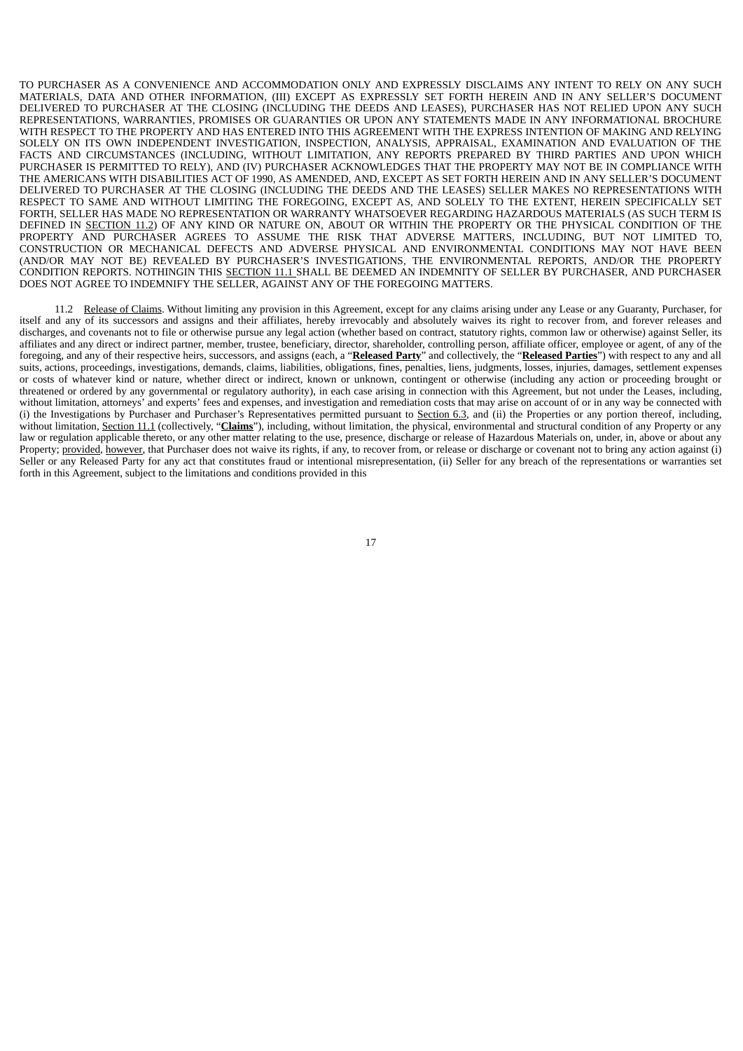TO PURCHASER AS A CONVENIENCE AND ACCOMMODATION ONLY AND EXPRESSLY DISCLAIMS ANY INTENT TO RELY ON ANY SUCH MATERIALS, DATA AND OTHER INFORMATION, (III) EXCEPT AS EXPRESSLY SET FORTH HEREIN AND IN ANY SELLER'S DOCUMENT DELIVERED TO PURCHASER AT THE CLOSING (INCLUDING THE DEEDS AND LEASES), PURCHASER HAS NOT RELIED UPON ANY SUCH REPRESENTATIONS, WARRANTIES, PROMISES OR GUARANTIES OR UPON ANY STATEMENTS MADE IN ANY INFORMATIONAL BROCHURE WITH RESPECT TO THE PROPERTY AND HAS ENTERED INTO THIS AGREEMENT WITH THE EXPRESS INTENTION OF MAKING AND RELYING SOLELY ON ITS OWN INDEPENDENT INVESTIGATION, INSPECTION, ANALYSIS, APPRAISAL, EXAMINATION AND EVALUATION OF THE FACTS AND CIRCUMSTANCES (INCLUDING, WITHOUT LIMITATION, ANY REPORTS PREPARED BY THIRD PARTIES AND UPON WHICH PURCHASER IS PERMITTED TO RELY), AND (IV) PURCHASER ACKNOWLEDGES THAT THE PROPERTY MAY NOT BE IN COMPLIANCE WITH THE AMERICANS WITH DISABILITIES ACT OF 1990, AS AMENDED, AND, EXCEPT AS SET FORTH HEREIN AND IN ANY SELLER'S DOCUMENT DELIVERED TO PURCHASER AT THE CLOSING (INCLUDING THE DEEDS AND THE LEASES) SELLER MAKES NO REPRESENTATIONS WITH RESPECT TO SAME AND WITHOUT LIMITING THE FOREGOING, EXCEPT AS, AND SOLELY TO THE EXTENT, HEREIN SPECIFICALLY SET FORTH, SELLER HAS MADE NO REPRESENTATION OR WARRANTY WHATSOEVER REGARDING HAZARDOUS MATERIALS (AS SUCH TERM IS DEFINED IN <u>SECTION 11.2</u>) OF ANY KIND OR NATURE ON, ABOUT OR WITHIN THE PROPERTY OR THE PHYSICAL CONDITION OF THE PROPERTY AND PURCHASER AGREES TO ASSUME THE RISK THAT ADVERSE MATTERS, INCLUDING, BUT NOT LIMITED TO, CONSTRUCTION OR MECHANICAL DEFECTS AND ADVERSE PHYSICAL AND ENVIRONMENTAL CONDITIONS MAY NOT HAVE BEEN (AND/OR MAY NOT BE) REVEALED BY PURCHASER'S INVESTIGATIONS, THE ENVIRONMENTAL REPORTS, AND/OR THE PROPERTY CONDITION REPORTS. NOTHINGIN THIS SECTION 11.1 SHALL BE DEEMED AN INDEMNITY OF SELLER BY PURCHASER, AND PURCHASER DOES NOT AGREE TO INDEMNIFY THE SELLER, AGAINST ANY OF THE FOREGOING MATTERS.

11.2 Release of Claims. Without limiting any provision in this Agreement, except for any claims arising under any Lease or any Guaranty, Purchaser, for itself and any of its successors and assigns and their affiliates, hereby irrevocably and absolutely waives its right to recover from, and forever releases and discharges, and covenants not to file or otherwise pursue any legal action (whether based on contract, statutory rights, common law or otherwise) against Seller, its affiliates and any direct or indirect partner, member, trustee, beneficiary, director, shareholder, controlling person, affiliate officer, employee or agent, of any of the foregoing, and any of their respective heirs, successors, and assigns (each, a "**Released Party**" and collectively, the "**Released Parties**") with respect to any and all suits, actions, proceedings, investigations, demands, claims, liabilities, obligations, fines, penalties, liens, judgments, losses, injuries, damages, settlement expenses or costs of whatever kind or nature, whether direct or indirect, known or unknown, contingent or otherwise (including any action or proceeding brought or threatened or ordered by any governmental or regulatory authority), in each case arising in connection with this Agreement, but not under the Leases, including, without limitation, attorneys' and experts' fees and expenses, and investigation and remediation costs that may arise on account of or in any way be connected with (i) the Investigations by Purchaser and Purchaser's Representatives permitted pursuant to Section 6.3, and (ii) the Properties or any portion thereof, including, without limitation, Section 11.1 (collectively, "Claims"), including, without limitation, the physical, environmental and structural condition of any Property or any law or regulation applicable thereto, or any other matter relating to the use, presence, discharge or release of Hazardous Materials on, under, in, above or about any Property; provided, however, that Purchaser does not waive its rights, if any, to recover from, or release or discharge or covenant not to bring any action against (i) Seller or any Released Party for any act that constitutes fraud or intentional misrepresentation, (ii) Seller for any breach of the representations or warranties set forth in this Agreement, subject to the limitations and conditions provided in this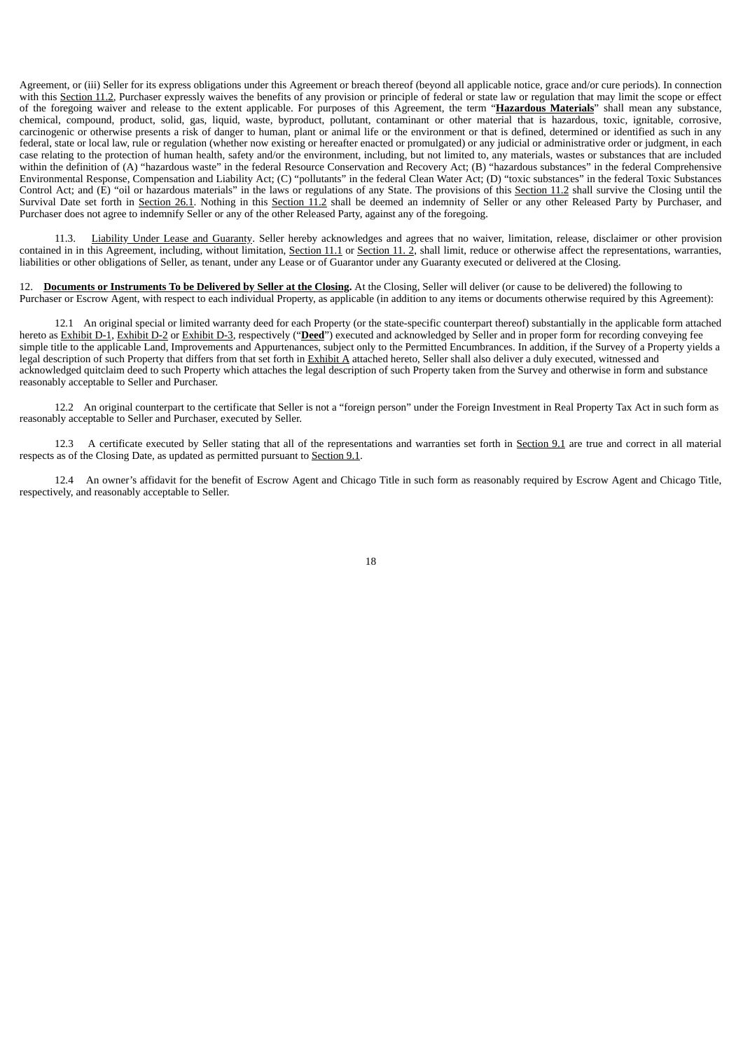Agreement, or (iii) Seller for its express obligations under this Agreement or breach thereof (beyond all applicable notice, grace and/or cure periods). In connection with this Section 11.2, Purchaser expressly waives the benefits of any provision or principle of federal or state law or regulation that may limit the scope or effect of the foregoing waiver and release to the extent applicable. For purposes of this Agreement, the term "**Hazardous Materials**" shall mean any substance, chemical, compound, product, solid, gas, liquid, waste, byproduct, pollutant, contaminant or other material that is hazardous, toxic, ignitable, corrosive, carcinogenic or otherwise presents a risk of danger to human, plant or animal life or the environment or that is defined, determined or identified as such in any federal, state or local law, rule or regulation (whether now existing or hereafter enacted or promulgated) or any judicial or administrative order or judgment, in each case relating to the protection of human health, safety and/or the environment, including, but not limited to, any materials, wastes or substances that are included within the definition of (A) "hazardous waste" in the federal Resource Conservation and Recovery Act; (B) "hazardous substances" in the federal Comprehensive Environmental Response, Compensation and Liability Act; (C) "pollutants" in the federal Clean Water Act; (D) "toxic substances" in the federal Toxic Substances Control Act; and (E) "oil or hazardous materials" in the laws or regulations of any State. The provisions of this Section 11.2 shall survive the Closing until the Survival Date set forth in Section 26.1. Nothing in this Section 11.2 shall be deemed an indemnity of Seller or any other Released Party by Purchaser, and Purchaser does not agree to indemnify Seller or any of the other Released Party, against any of the foregoing.

11.3. Liability Under Lease and Guaranty. Seller hereby acknowledges and agrees that no waiver, limitation, release, disclaimer or other provision contained in in this Agreement, including, without limitation, Section 11.1 or Section 11.2, shall limit, reduce or otherwise affect the representations, warranties, liabilities or other obligations of Seller, as tenant, under any Lease or of Guarantor under any Guaranty executed or delivered at the Closing.

12. Documents or Instruments To be Delivered by Seller at the Closing. At the Closing, Seller will deliver (or cause to be delivered) the following to Purchaser or Escrow Agent, with respect to each individual Property, as applicable (in addition to any items or documents otherwise required by this Agreement):

12.1 An original special or limited warranty deed for each Property (or the state-specific counterpart thereof) substantially in the applicable form attached hereto as Exhibit D-1, Exhibit D-2 or Exhibit D-3, respectively ("**Deed**") executed and acknowledged by Seller and in proper form for recording conveying fee simple title to the applicable Land, Improvements and Appurtenances, subject only to the Permitted Encumbrances. In addition, if the Survey of a Property yields a legal description of such Property that differs from that set forth in Exhibit A attached hereto, Seller shall also deliver a duly executed, witnessed and acknowledged quitclaim deed to such Property which attaches the legal description of such Property taken from the Survey and otherwise in form and substance reasonably acceptable to Seller and Purchaser.

12.2 An original counterpart to the certificate that Seller is not a "foreign person" under the Foreign Investment in Real Property Tax Act in such form as reasonably acceptable to Seller and Purchaser, executed by Seller.

12.3 A certificate executed by Seller stating that all of the representations and warranties set forth in Section 9.1 are true and correct in all material respects as of the Closing Date, as updated as permitted pursuant to Section 9.1.

12.4 An owner's affidavit for the benefit of Escrow Agent and Chicago Title in such form as reasonably required by Escrow Agent and Chicago Title, respectively, and reasonably acceptable to Seller.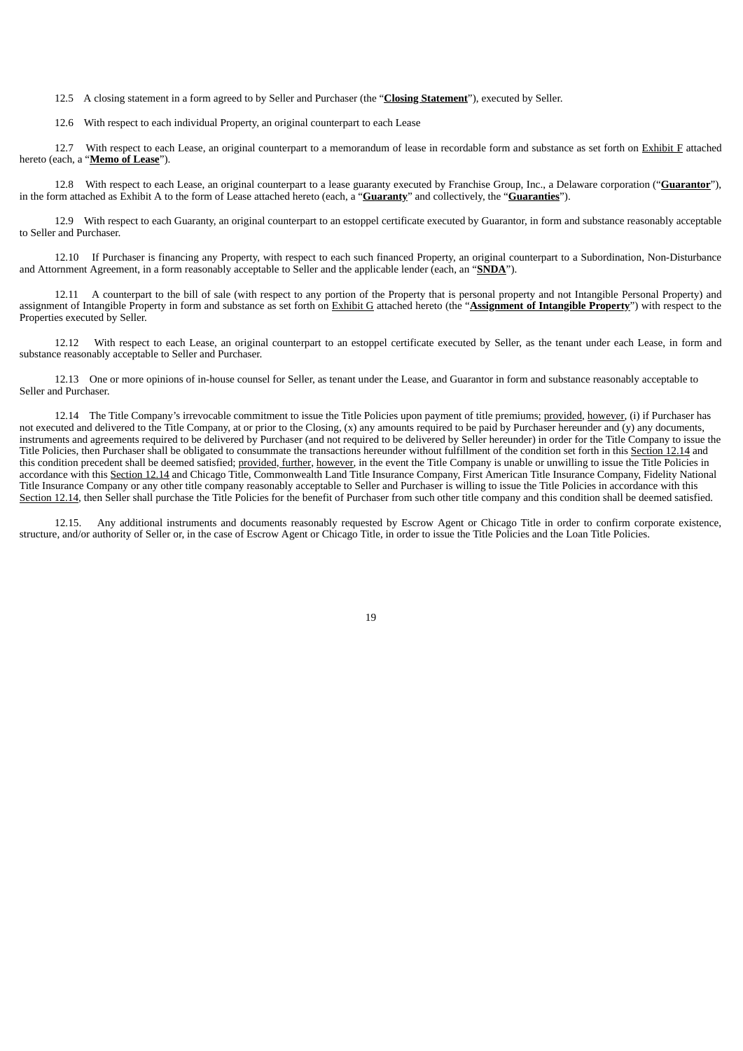12.5 A closing statement in a form agreed to by Seller and Purchaser (the "**Closing Statement**"), executed by Seller.

12.6 With respect to each individual Property, an original counterpart to each Lease

12.7 With respect to each Lease, an original counterpart to a memorandum of lease in recordable form and substance as set forth on Exhibit F attached hereto (each, a "**Memo of Lease**").

12.8 With respect to each Lease, an original counterpart to a lease guaranty executed by Franchise Group, Inc., a Delaware corporation ("**Guarantor**"), in the form attached as Exhibit A to the form of Lease attached hereto (each, a "**Guaranty**" and collectively, the "**Guaranties**").

12.9 With respect to each Guaranty, an original counterpart to an estoppel certificate executed by Guarantor, in form and substance reasonably acceptable to Seller and Purchaser.

12.10 If Purchaser is financing any Property, with respect to each such financed Property, an original counterpart to a Subordination, Non-Disturbance and Attornment Agreement, in a form reasonably acceptable to Seller and the applicable lender (each, an "**SNDA**").

12.11 A counterpart to the bill of sale (with respect to any portion of the Property that is personal property and not Intangible Personal Property) and assignment of Intangible Property in form and substance as set forth on Exhibit G attached hereto (the "**Assignment of Intangible Property**") with respect to the Properties executed by Seller.

12.12 With respect to each Lease, an original counterpart to an estoppel certificate executed by Seller, as the tenant under each Lease, in form and substance reasonably acceptable to Seller and Purchaser.

12.13 One or more opinions of in-house counsel for Seller, as tenant under the Lease, and Guarantor in form and substance reasonably acceptable to Seller and Purchaser.

12.14 The Title Company's irrevocable commitment to issue the Title Policies upon payment of title premiums; provided, however, (i) if Purchaser has not executed and delivered to the Title Company, at or prior to the Closing, (x) any amounts required to be paid by Purchaser hereunder and (y) any documents, instruments and agreements required to be delivered by Purchaser (and not required to be delivered by Seller hereunder) in order for the Title Company to issue the Title Policies, then Purchaser shall be obligated to consummate the transactions hereunder without fulfillment of the condition set forth in this Section 12.14 and this condition precedent shall be deemed satisfied; provided, further, however, in the event the Title Company is unable or unwilling to issue the Title Policies in accordance with this Section 12.14 and Chicago Title, Commonwealth Land Title Insurance Company, First American Title Insurance Company, Fidelity National Title Insurance Company or any other title company reasonably acceptable to Seller and Purchaser is willing to issue the Title Policies in accordance with this Section 12.14, then Seller shall purchase the Title Policies for the benefit of Purchaser from such other title company and this condition shall be deemed satisfied.

12.15. Any additional instruments and documents reasonably requested by Escrow Agent or Chicago Title in order to confirm corporate existence, structure, and/or authority of Seller or, in the case of Escrow Agent or Chicago Title, in order to issue the Title Policies and the Loan Title Policies.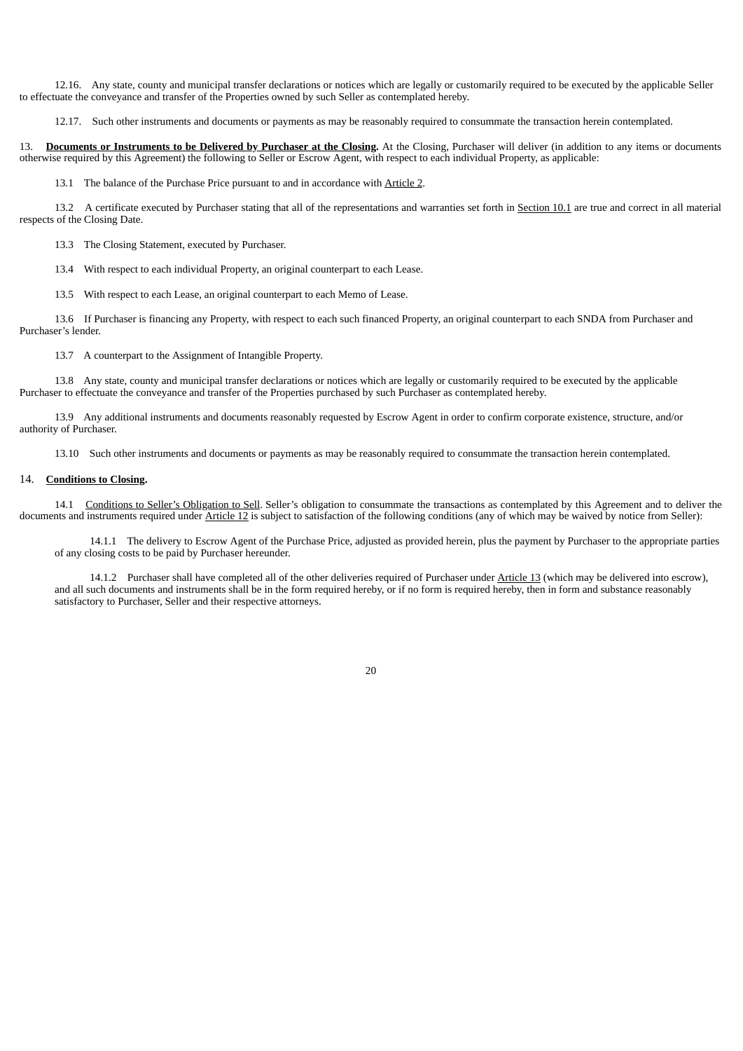12.16. Any state, county and municipal transfer declarations or notices which are legally or customarily required to be executed by the applicable Seller to effectuate the conveyance and transfer of the Properties owned by such Seller as contemplated hereby.

12.17. Such other instruments and documents or payments as may be reasonably required to consummate the transaction herein contemplated.

13. Documents or Instruments to be Delivered by Purchaser at the Closing. At the Closing, Purchaser will deliver (in addition to any items or documents otherwise required by this Agreement) the following to Seller or Escrow Agent, with respect to each individual Property, as applicable:

13.1 The balance of the Purchase Price pursuant to and in accordance with Article 2.

13.2 A certificate executed by Purchaser stating that all of the representations and warranties set forth in Section 10.1 are true and correct in all material respects of the Closing Date.

13.3 The Closing Statement, executed by Purchaser.

13.4 With respect to each individual Property, an original counterpart to each Lease.

13.5 With respect to each Lease, an original counterpart to each Memo of Lease.

13.6 If Purchaser is financing any Property, with respect to each such financed Property, an original counterpart to each SNDA from Purchaser and Purchaser's lender.

13.7 A counterpart to the Assignment of Intangible Property.

13.8 Any state, county and municipal transfer declarations or notices which are legally or customarily required to be executed by the applicable Purchaser to effectuate the conveyance and transfer of the Properties purchased by such Purchaser as contemplated hereby.

13.9 Any additional instruments and documents reasonably requested by Escrow Agent in order to confirm corporate existence, structure, and/or authority of Purchaser.

13.10 Such other instruments and documents or payments as may be reasonably required to consummate the transaction herein contemplated.

### 14. **Conditions to Closing.**

14.1 Conditions to Seller's Obligation to Sell. Seller's obligation to consummate the transactions as contemplated by this Agreement and to deliver the documents and instruments required under Article 12 is subject to satisfaction of the following conditions (any of which may be waived by notice from Seller):

14.1.1 The delivery to Escrow Agent of the Purchase Price, adjusted as provided herein, plus the payment by Purchaser to the appropriate parties of any closing costs to be paid by Purchaser hereunder.

14.1.2 Purchaser shall have completed all of the other deliveries required of Purchaser under Article 13 (which may be delivered into escrow), and all such documents and instruments shall be in the form required hereby, or if no form is required hereby, then in form and substance reasonably satisfactory to Purchaser, Seller and their respective attorneys.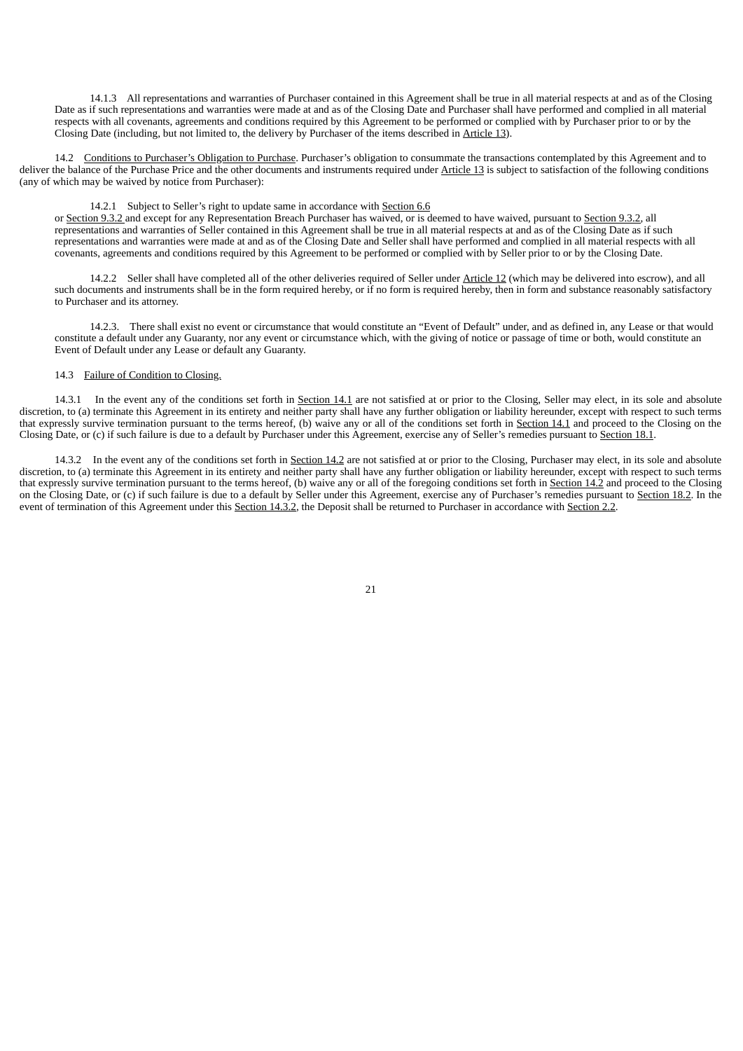14.1.3 All representations and warranties of Purchaser contained in this Agreement shall be true in all material respects at and as of the Closing Date as if such representations and warranties were made at and as of the Closing Date and Purchaser shall have performed and complied in all material respects with all covenants, agreements and conditions required by this Agreement to be performed or complied with by Purchaser prior to or by the Closing Date (including, but not limited to, the delivery by Purchaser of the items described in Article 13).

14.2 Conditions to Purchaser's Obligation to Purchase. Purchaser's obligation to consummate the transactions contemplated by this Agreement and to deliver the balance of the Purchase Price and the other documents and instruments required under Article 13 is subject to satisfaction of the following conditions (any of which may be waived by notice from Purchaser):

#### 14.2.1 Subject to Seller's right to update same in accordance with Section 6.6

or Section 9.3.2 and except for any Representation Breach Purchaser has waived, or is deemed to have waived, pursuant to Section 9.3.2, all representations and warranties of Seller contained in this Agreement shall be true in all material respects at and as of the Closing Date as if such representations and warranties were made at and as of the Closing Date and Seller shall have performed and complied in all material respects with all covenants, agreements and conditions required by this Agreement to be performed or complied with by Seller prior to or by the Closing Date.

14.2.2 Seller shall have completed all of the other deliveries required of Seller under Article 12 (which may be delivered into escrow), and all such documents and instruments shall be in the form required hereby, or if no form is required hereby, then in form and substance reasonably satisfactory to Purchaser and its attorney.

14.2.3. There shall exist no event or circumstance that would constitute an "Event of Default" under, and as defined in, any Lease or that would constitute a default under any Guaranty, nor any event or circumstance which, with the giving of notice or passage of time or both, would constitute an Event of Default under any Lease or default any Guaranty.

## 14.3 Failure of Condition to Closing.

14.3.1 In the event any of the conditions set forth in Section 14.1 are not satisfied at or prior to the Closing, Seller may elect, in its sole and absolute discretion, to (a) terminate this Agreement in its entirety and neither party shall have any further obligation or liability hereunder, except with respect to such terms that expressly survive termination pursuant to the terms hereof, (b) waive any or all of the conditions set forth in Section 14.1 and proceed to the Closing on the Closing Date, or (c) if such failure is due to a default by Purchaser under this Agreement, exercise any of Seller's remedies pursuant to Section 18.1.

14.3.2 In the event any of the conditions set forth in Section 14.2 are not satisfied at or prior to the Closing, Purchaser may elect, in its sole and absolute discretion, to (a) terminate this Agreement in its entirety and neither party shall have any further obligation or liability hereunder, except with respect to such terms that expressly survive termination pursuant to the terms hereof, (b) waive any or all of the foregoing conditions set forth in Section 14.2 and proceed to the Closing on the Closing Date, or (c) if such failure is due to a default by Seller under this Agreement, exercise any of Purchaser's remedies pursuant to Section 18.2. In the event of termination of this Agreement under this Section 14.3.2, the Deposit shall be returned to Purchaser in accordance with Section 2.2.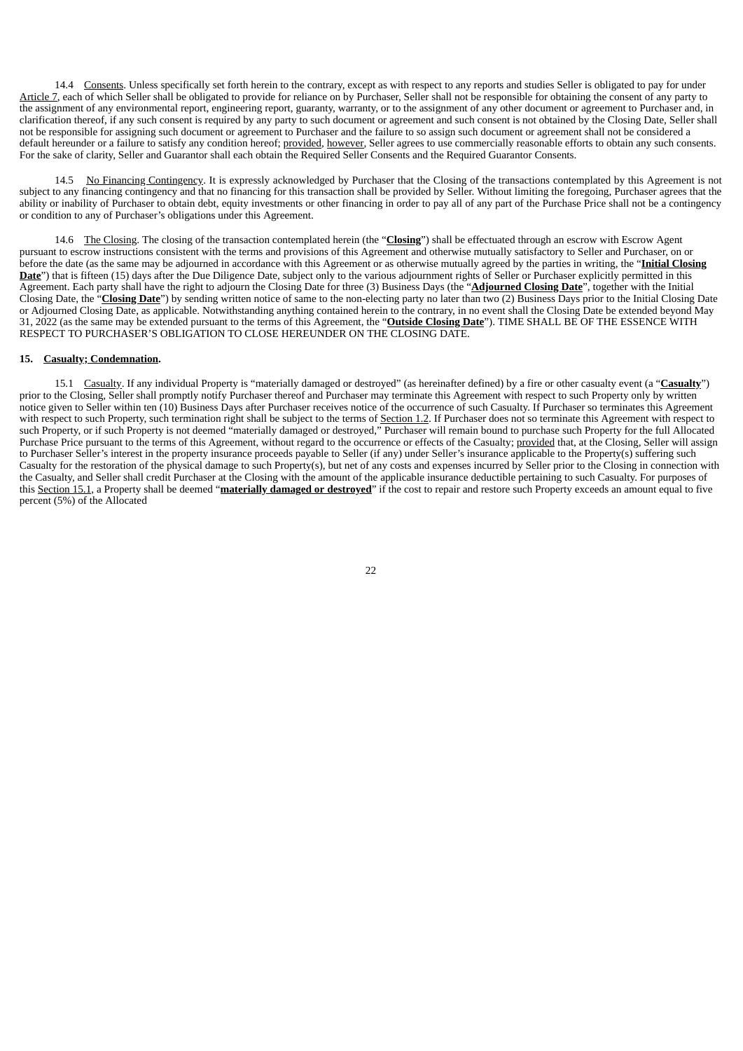14.4 Consents. Unless specifically set forth herein to the contrary, except as with respect to any reports and studies Seller is obligated to pay for under Article 7, each of which Seller shall be obligated to provide for reliance on by Purchaser, Seller shall not be responsible for obtaining the consent of any party to the assignment of any environmental report, engineering report, guaranty, warranty, or to the assignment of any other document or agreement to Purchaser and, in clarification thereof, if any such consent is required by any party to such document or agreement and such consent is not obtained by the Closing Date, Seller shall not be responsible for assigning such document or agreement to Purchaser and the failure to so assign such document or agreement shall not be considered a default hereunder or a failure to satisfy any condition hereof; provided, however, Seller agrees to use commercially reasonable efforts to obtain any such consents. For the sake of clarity, Seller and Guarantor shall each obtain the Required Seller Consents and the Required Guarantor Consents.

14.5 No Financing Contingency. It is expressly acknowledged by Purchaser that the Closing of the transactions contemplated by this Agreement is not subject to any financing contingency and that no financing for this transaction shall be provided by Seller. Without limiting the foregoing, Purchaser agrees that the ability or inability of Purchaser to obtain debt, equity investments or other financing in order to pay all of any part of the Purchase Price shall not be a contingency or condition to any of Purchaser's obligations under this Agreement.

14.6 The Closing. The closing of the transaction contemplated herein (the "**Closing**") shall be effectuated through an escrow with Escrow Agent pursuant to escrow instructions consistent with the terms and provisions of this Agreement and otherwise mutually satisfactory to Seller and Purchaser, on or before the date (as the same may be adjourned in accordance with this Agreement or as otherwise mutually agreed by the parties in writing, the "**Initial Closing Date**") that is fifteen (15) days after the Due Diligence Date, subject only to the various adjournment rights of Seller or Purchaser explicitly permitted in this Agreement. Each party shall have the right to adjourn the Closing Date for three (3) Business Days (the "**Adjourned Closing Date**", together with the Initial Closing Date, the "**Closing Date**") by sending written notice of same to the non-electing party no later than two (2) Business Days prior to the Initial Closing Date or Adjourned Closing Date, as applicable. Notwithstanding anything contained herein to the contrary, in no event shall the Closing Date be extended beyond May 31, 2022 (as the same may be extended pursuant to the terms of this Agreement, the "**Outside Closing Date**"). TIME SHALL BE OF THE ESSENCE WITH RESPECT TO PURCHASER'S OBLIGATION TO CLOSE HEREUNDER ON THE CLOSING DATE.

#### **15. Casualty; Condemnation.**

15.1 Casualty. If any individual Property is "materially damaged or destroyed" (as hereinafter defined) by a fire or other casualty event (a "**Casualty**") prior to the Closing, Seller shall promptly notify Purchaser thereof and Purchaser may terminate this Agreement with respect to such Property only by written notice given to Seller within ten (10) Business Days after Purchaser receives notice of the occurrence of such Casualty. If Purchaser so terminates this Agreement with respect to such Property, such termination right shall be subject to the terms of Section 1.2. If Purchaser does not so terminate this Agreement with respect to such Property, or if such Property is not deemed "materially damaged or destroyed," Purchaser will remain bound to purchase such Property for the full Allocated Purchase Price pursuant to the terms of this Agreement, without regard to the occurrence or effects of the Casualty; provided that, at the Closing, Seller will assign to Purchaser Seller's interest in the property insurance proceeds payable to Seller (if any) under Seller's insurance applicable to the Property(s) suffering such Casualty for the restoration of the physical damage to such Property(s), but net of any costs and expenses incurred by Seller prior to the Closing in connection with the Casualty, and Seller shall credit Purchaser at the Closing with the amount of the applicable insurance deductible pertaining to such Casualty. For purposes of this Section 15.1, a Property shall be deemed "**materially damaged or destroyed**" if the cost to repair and restore such Property exceeds an amount equal to five percent (5%) of the Allocated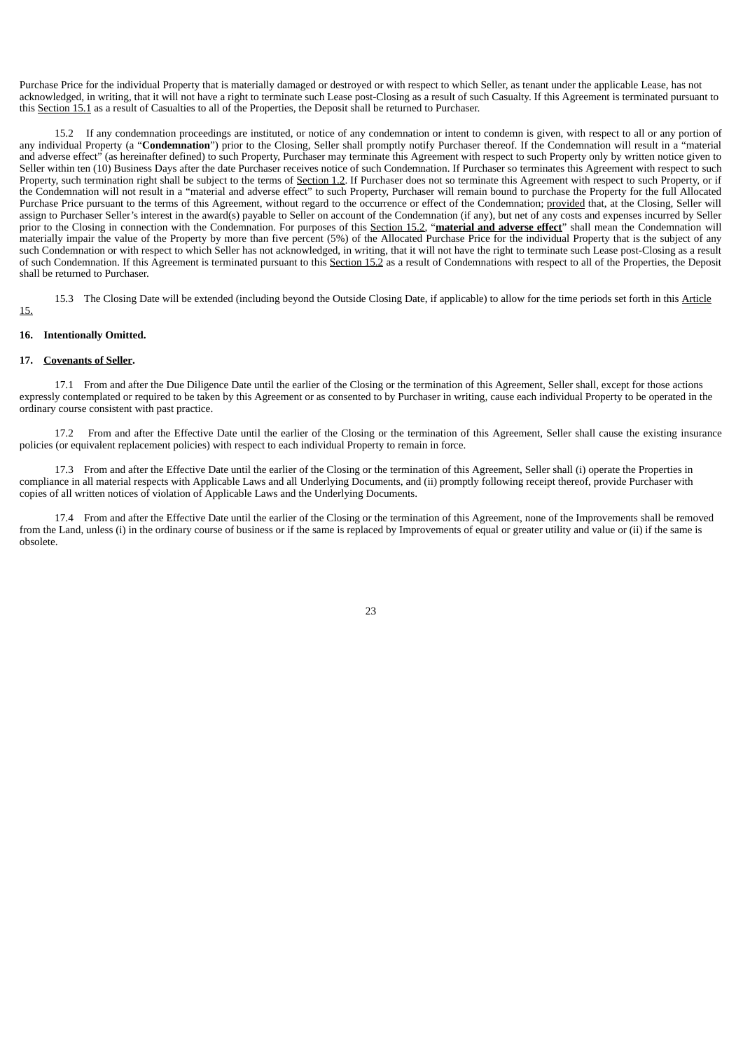Purchase Price for the individual Property that is materially damaged or destroyed or with respect to which Seller, as tenant under the applicable Lease, has not acknowledged, in writing, that it will not have a right to terminate such Lease post-Closing as a result of such Casualty. If this Agreement is terminated pursuant to this Section 15.1 as a result of Casualties to all of the Properties, the Deposit shall be returned to Purchaser.

15.2 If any condemnation proceedings are instituted, or notice of any condemnation or intent to condemn is given, with respect to all or any portion of any individual Property (a "**Condemnation**") prior to the Closing, Seller shall promptly notify Purchaser thereof. If the Condemnation will result in a "material and adverse effect" (as hereinafter defined) to such Property, Purchaser may terminate this Agreement with respect to such Property only by written notice given to Seller within ten (10) Business Days after the date Purchaser receives notice of such Condemnation. If Purchaser so terminates this Agreement with respect to such Property, such termination right shall be subject to the terms of Section 1.2. If Purchaser does not so terminate this Agreement with respect to such Property, or if the Condemnation will not result in a "material and adverse effect" to such Property, Purchaser will remain bound to purchase the Property for the full Allocated Purchase Price pursuant to the terms of this Agreement, without regard to the occurrence or effect of the Condemnation; provided that, at the Closing, Seller will assign to Purchaser Seller's interest in the award(s) payable to Seller on account of the Condemnation (if any), but net of any costs and expenses incurred by Seller prior to the Closing in connection with the Condemnation. For purposes of this Section 15.2, "**material and adverse effect**" shall mean the Condemnation will materially impair the value of the Property by more than five percent (5%) of the Allocated Purchase Price for the individual Property that is the subject of any such Condemnation or with respect to which Seller has not acknowledged, in writing, that it will not have the right to terminate such Lease post-Closing as a result of such Condemnation. If this Agreement is terminated pursuant to this Section 15.2 as a result of Condemnations with respect to all of the Properties, the Deposit shall be returned to Purchaser.

15.3 The Closing Date will be extended (including beyond the Outside Closing Date, if applicable) to allow for the time periods set forth in this Article 15.

## **16. Intentionally Omitted.**

#### **17. Covenants of Seller.**

17.1 From and after the Due Diligence Date until the earlier of the Closing or the termination of this Agreement, Seller shall, except for those actions expressly contemplated or required to be taken by this Agreement or as consented to by Purchaser in writing, cause each individual Property to be operated in the ordinary course consistent with past practice.

17.2 From and after the Effective Date until the earlier of the Closing or the termination of this Agreement, Seller shall cause the existing insurance policies (or equivalent replacement policies) with respect to each individual Property to remain in force.

17.3 From and after the Effective Date until the earlier of the Closing or the termination of this Agreement, Seller shall (i) operate the Properties in compliance in all material respects with Applicable Laws and all Underlying Documents, and (ii) promptly following receipt thereof, provide Purchaser with copies of all written notices of violation of Applicable Laws and the Underlying Documents.

17.4 From and after the Effective Date until the earlier of the Closing or the termination of this Agreement, none of the Improvements shall be removed from the Land, unless (i) in the ordinary course of business or if the same is replaced by Improvements of equal or greater utility and value or (ii) if the same is obsolete.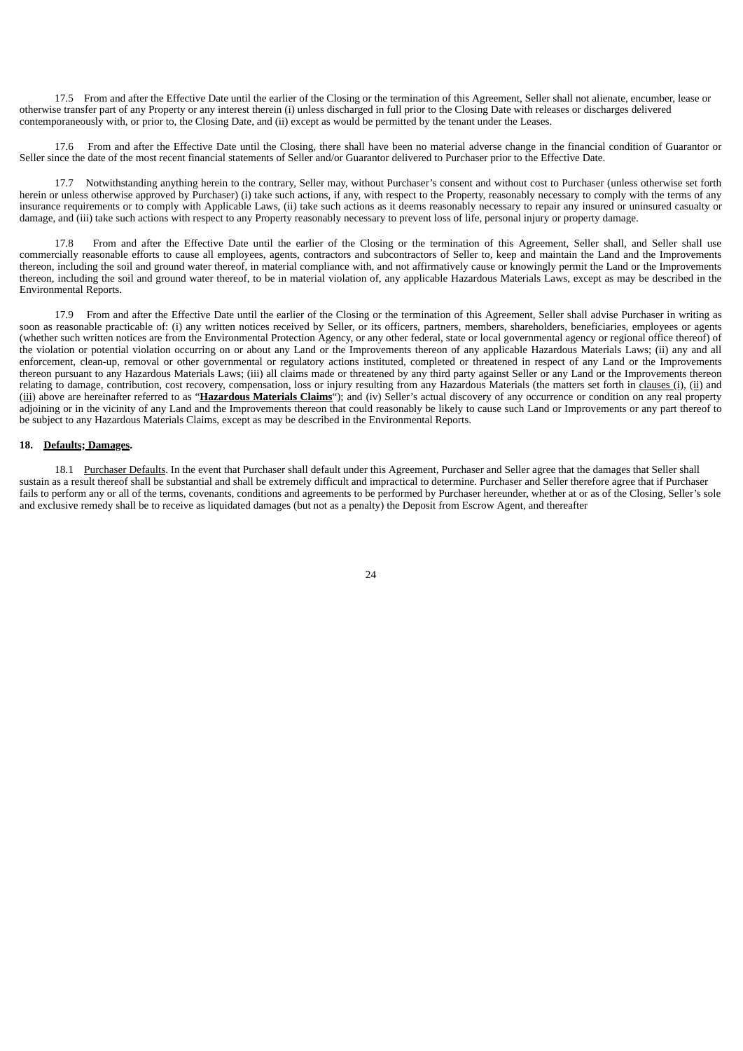17.5 From and after the Effective Date until the earlier of the Closing or the termination of this Agreement, Seller shall not alienate, encumber, lease or otherwise transfer part of any Property or any interest therein (i) unless discharged in full prior to the Closing Date with releases or discharges delivered contemporaneously with, or prior to, the Closing Date, and (ii) except as would be permitted by the tenant under the Leases.

17.6 From and after the Effective Date until the Closing, there shall have been no material adverse change in the financial condition of Guarantor or Seller since the date of the most recent financial statements of Seller and/or Guarantor delivered to Purchaser prior to the Effective Date.

17.7 Notwithstanding anything herein to the contrary, Seller may, without Purchaser's consent and without cost to Purchaser (unless otherwise set forth herein or unless otherwise approved by Purchaser) (i) take such actions, if any, with respect to the Property, reasonably necessary to comply with the terms of any insurance requirements or to comply with Applicable Laws, (ii) take such actions as it deems reasonably necessary to repair any insured or uninsured casualty or damage, and (iii) take such actions with respect to any Property reasonably necessary to prevent loss of life, personal injury or property damage.

17.8 From and after the Effective Date until the earlier of the Closing or the termination of this Agreement, Seller shall, and Seller shall use commercially reasonable efforts to cause all employees, agents, contractors and subcontractors of Seller to, keep and maintain the Land and the Improvements thereon, including the soil and ground water thereof, in material compliance with, and not affirmatively cause or knowingly permit the Land or the Improvements thereon, including the soil and ground water thereof, to be in material violation of, any applicable Hazardous Materials Laws, except as may be described in the Environmental Reports.

17.9 From and after the Effective Date until the earlier of the Closing or the termination of this Agreement, Seller shall advise Purchaser in writing as soon as reasonable practicable of: (i) any written notices received by Seller, or its officers, partners, members, shareholders, beneficiaries, employees or agents (whether such written notices are from the Environmental Protection Agency, or any other federal, state or local governmental agency or regional office thereof) of the violation or potential violation occurring on or about any Land or the Improvements thereon of any applicable Hazardous Materials Laws; (ii) any and all enforcement, clean-up, removal or other governmental or regulatory actions instituted, completed or threatened in respect of any Land or the Improvements thereon pursuant to any Hazardous Materials Laws; (iii) all claims made or threatened by any third party against Seller or any Land or the Improvements thereon relating to damage, contribution, cost recovery, compensation, loss or injury resulting from any Hazardous Materials (the matters set forth in clauses (i), (ii) and (iii) above are hereinafter referred to as "**Hazardous Materials Claims**"); and (iv) Seller's actual discovery of any occurrence or condition on any real property adjoining or in the vicinity of any Land and the Improvements thereon that could reasonably be likely to cause such Land or Improvements or any part thereof to be subject to any Hazardous Materials Claims, except as may be described in the Environmental Reports.

## **18. Defaults; Damages.**

18.1 Purchaser Defaults. In the event that Purchaser shall default under this Agreement, Purchaser and Seller agree that the damages that Seller shall sustain as a result thereof shall be substantial and shall be extremely difficult and impractical to determine. Purchaser and Seller therefore agree that if Purchaser fails to perform any or all of the terms, covenants, conditions and agreements to be performed by Purchaser hereunder, whether at or as of the Closing, Seller's sole and exclusive remedy shall be to receive as liquidated damages (but not as a penalty) the Deposit from Escrow Agent, and thereafter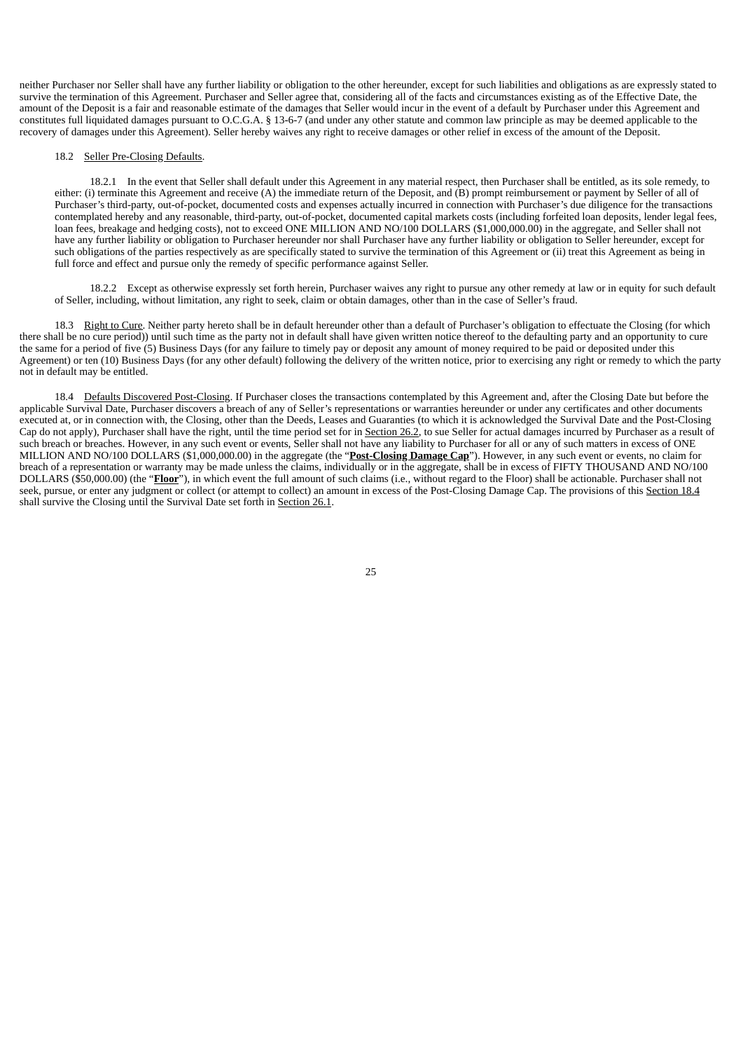neither Purchaser nor Seller shall have any further liability or obligation to the other hereunder, except for such liabilities and obligations as are expressly stated to survive the termination of this Agreement. Purchaser and Seller agree that, considering all of the facts and circumstances existing as of the Effective Date, the amount of the Deposit is a fair and reasonable estimate of the damages that Seller would incur in the event of a default by Purchaser under this Agreement and constitutes full liquidated damages pursuant to O.C.G.A. § 13-6-7 (and under any other statute and common law principle as may be deemed applicable to the recovery of damages under this Agreement). Seller hereby waives any right to receive damages or other relief in excess of the amount of the Deposit.

### 18.2 Seller Pre-Closing Defaults.

18.2.1 In the event that Seller shall default under this Agreement in any material respect, then Purchaser shall be entitled, as its sole remedy, to either: (i) terminate this Agreement and receive (A) the immediate return of the Deposit, and (B) prompt reimbursement or payment by Seller of all of Purchaser's third-party, out-of-pocket, documented costs and expenses actually incurred in connection with Purchaser's due diligence for the transactions contemplated hereby and any reasonable, third-party, out-of-pocket, documented capital markets costs (including forfeited loan deposits, lender legal fees, loan fees, breakage and hedging costs), not to exceed ONE MILLION AND NO/100 DOLLARS (\$1,000,000.00) in the aggregate, and Seller shall not have any further liability or obligation to Purchaser hereunder nor shall Purchaser have any further liability or obligation to Seller hereunder, except for such obligations of the parties respectively as are specifically stated to survive the termination of this Agreement or (ii) treat this Agreement as being in full force and effect and pursue only the remedy of specific performance against Seller.

18.2.2 Except as otherwise expressly set forth herein, Purchaser waives any right to pursue any other remedy at law or in equity for such default of Seller, including, without limitation, any right to seek, claim or obtain damages, other than in the case of Seller's fraud.

18.3 Right to Cure. Neither party hereto shall be in default hereunder other than a default of Purchaser's obligation to effectuate the Closing (for which there shall be no cure period)) until such time as the party not in default shall have given written notice thereof to the defaulting party and an opportunity to cure the same for a period of five (5) Business Days (for any failure to timely pay or deposit any amount of money required to be paid or deposited under this Agreement) or ten (10) Business Days (for any other default) following the delivery of the written notice, prior to exercising any right or remedy to which the party not in default may be entitled.

18.4 Defaults Discovered Post-Closing. If Purchaser closes the transactions contemplated by this Agreement and, after the Closing Date but before the applicable Survival Date, Purchaser discovers a breach of any of Seller's representations or warranties hereunder or under any certificates and other documents executed at, or in connection with, the Closing, other than the Deeds, Leases and Guaranties (to which it is acknowledged the Survival Date and the Post-Closing Cap do not apply), Purchaser shall have the right, until the time period set for in Section 26.2, to sue Seller for actual damages incurred by Purchaser as a result of such breach or breaches. However, in any such event or events, Seller shall not have any liability to Purchaser for all or any of such matters in excess of ONE MILLION AND NO/100 DOLLARS (\$1,000,000.00) in the aggregate (the "**Post-Closing Damage Cap**"). However, in any such event or events, no claim for breach of a representation or warranty may be made unless the claims, individually or in the aggregate, shall be in excess of FIFTY THOUSAND AND NO/100 DOLLARS (\$50,000.00) (the "**Floor**"), in which event the full amount of such claims (i.e., without regard to the Floor) shall be actionable. Purchaser shall not seek, pursue, or enter any judgment or collect (or attempt to collect) an amount in excess of the Post-Closing Damage Cap. The provisions of this Section 18.4 shall survive the Closing until the Survival Date set forth in Section 26.1.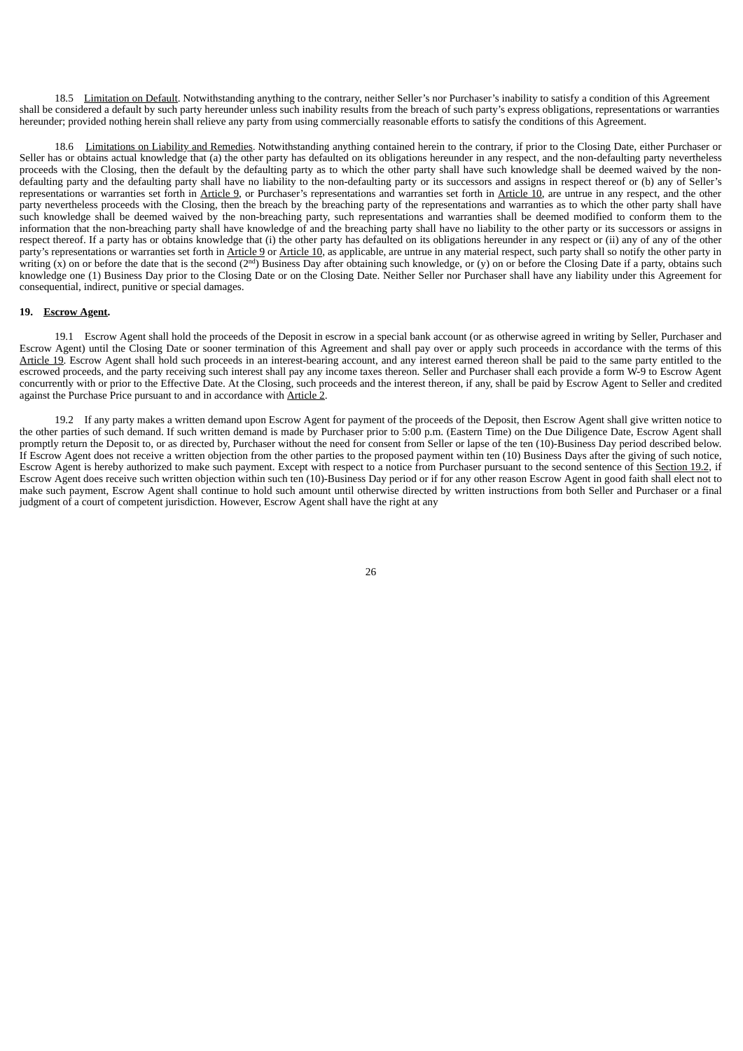18.5 Limitation on Default. Notwithstanding anything to the contrary, neither Seller's nor Purchaser's inability to satisfy a condition of this Agreement shall be considered a default by such party hereunder unless such inability results from the breach of such party's express obligations, representations or warranties hereunder; provided nothing herein shall relieve any party from using commercially reasonable efforts to satisfy the conditions of this Agreement.

18.6 Limitations on Liability and Remedies. Notwithstanding anything contained herein to the contrary, if prior to the Closing Date, either Purchaser or Seller has or obtains actual knowledge that (a) the other party has defaulted on its obligations hereunder in any respect, and the non-defaulting party nevertheless proceeds with the Closing, then the default by the defaulting party as to which the other party shall have such knowledge shall be deemed waived by the nondefaulting party and the defaulting party shall have no liability to the non-defaulting party or its successors and assigns in respect thereof or (b) any of Seller's representations or warranties set forth in Article 9, or Purchaser's representations and warranties set forth in Article 10, are untrue in any respect, and the other party nevertheless proceeds with the Closing, then the breach by the breaching party of the representations and warranties as to which the other party shall have such knowledge shall be deemed waived by the non-breaching party, such representations and warranties shall be deemed modified to conform them to the information that the non-breaching party shall have knowledge of and the breaching party shall have no liability to the other party or its successors or assigns in respect thereof. If a party has or obtains knowledge that (i) the other party has defaulted on its obligations hereunder in any respect or (ii) any of any of the other party's representations or warranties set forth in Article 9 or Article 10, as applicable, are untrue in any material respect, such party shall so notify the other party in writing (x) on or before the date that is the second  $(2<sup>nd</sup>)$  Business Day after obtaining such knowledge, or (y) on or before the Closing Date if a party, obtains such knowledge one (1) Business Day prior to the Closing Date or on the Closing Date. Neither Seller nor Purchaser shall have any liability under this Agreement for consequential, indirect, punitive or special damages.

### **19. Escrow Agent.**

19.1 Escrow Agent shall hold the proceeds of the Deposit in escrow in a special bank account (or as otherwise agreed in writing by Seller, Purchaser and Escrow Agent) until the Closing Date or sooner termination of this Agreement and shall pay over or apply such proceeds in accordance with the terms of this Article 19. Escrow Agent shall hold such proceeds in an interest-bearing account, and any interest earned thereon shall be paid to the same party entitled to the escrowed proceeds, and the party receiving such interest shall pay any income taxes thereon. Seller and Purchaser shall each provide a form W-9 to Escrow Agent concurrently with or prior to the Effective Date. At the Closing, such proceeds and the interest thereon, if any, shall be paid by Escrow Agent to Seller and credited against the Purchase Price pursuant to and in accordance with Article 2.

19.2 If any party makes a written demand upon Escrow Agent for payment of the proceeds of the Deposit, then Escrow Agent shall give written notice to the other parties of such demand. If such written demand is made by Purchaser prior to 5:00 p.m. (Eastern Time) on the Due Diligence Date, Escrow Agent shall promptly return the Deposit to, or as directed by, Purchaser without the need for consent from Seller or lapse of the ten (10)-Business Day period described below. If Escrow Agent does not receive a written objection from the other parties to the proposed payment within ten (10) Business Days after the giving of such notice, Escrow Agent is hereby authorized to make such payment. Except with respect to a notice from Purchaser pursuant to the second sentence of this Section 19.2, if Escrow Agent does receive such written objection within such ten (10)-Business Day period or if for any other reason Escrow Agent in good faith shall elect not to make such payment, Escrow Agent shall continue to hold such amount until otherwise directed by written instructions from both Seller and Purchaser or a final judgment of a court of competent jurisdiction. However, Escrow Agent shall have the right at any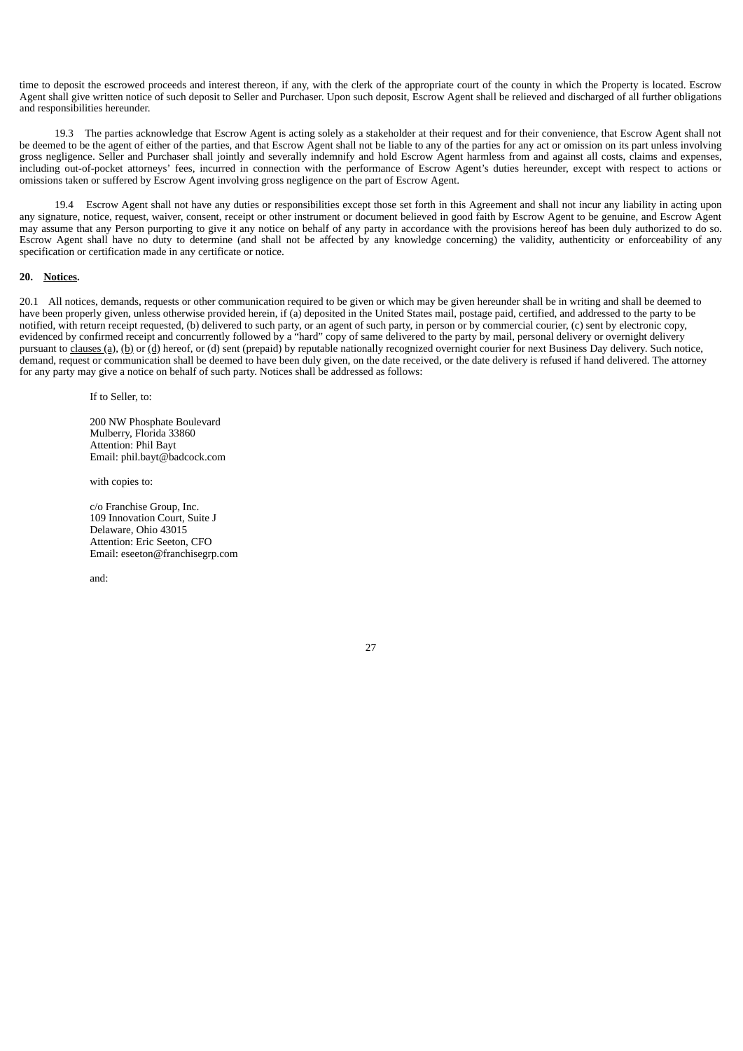time to deposit the escrowed proceeds and interest thereon, if any, with the clerk of the appropriate court of the county in which the Property is located. Escrow Agent shall give written notice of such deposit to Seller and Purchaser. Upon such deposit, Escrow Agent shall be relieved and discharged of all further obligations and responsibilities hereunder.

19.3 The parties acknowledge that Escrow Agent is acting solely as a stakeholder at their request and for their convenience, that Escrow Agent shall not be deemed to be the agent of either of the parties, and that Escrow Agent shall not be liable to any of the parties for any act or omission on its part unless involving gross negligence. Seller and Purchaser shall jointly and severally indemnify and hold Escrow Agent harmless from and against all costs, claims and expenses, including out-of-pocket attorneys' fees, incurred in connection with the performance of Escrow Agent's duties hereunder, except with respect to actions or omissions taken or suffered by Escrow Agent involving gross negligence on the part of Escrow Agent.

19.4 Escrow Agent shall not have any duties or responsibilities except those set forth in this Agreement and shall not incur any liability in acting upon any signature, notice, request, waiver, consent, receipt or other instrument or document believed in good faith by Escrow Agent to be genuine, and Escrow Agent may assume that any Person purporting to give it any notice on behalf of any party in accordance with the provisions hereof has been duly authorized to do so. Escrow Agent shall have no duty to determine (and shall not be affected by any knowledge concerning) the validity, authenticity or enforceability of any specification or certification made in any certificate or notice.

#### **20. Notices.**

20.1 All notices, demands, requests or other communication required to be given or which may be given hereunder shall be in writing and shall be deemed to have been properly given, unless otherwise provided herein, if (a) deposited in the United States mail, postage paid, certified, and addressed to the party to be notified, with return receipt requested, (b) delivered to such party, or an agent of such party, in person or by commercial courier, (c) sent by electronic copy, evidenced by confirmed receipt and concurrently followed by a "hard" copy of same delivered to the party by mail, personal delivery or overnight delivery pursuant to clauses (a), (b) or (d) hereof, or (d) sent (prepaid) by reputable nationally recognized overnight courier for next Business Day delivery. Such notice, demand, request or communication shall be deemed to have been duly given, on the date received, or the date delivery is refused if hand delivered. The attorney for any party may give a notice on behalf of such party. Notices shall be addressed as follows:

If to Seller, to:

200 NW Phosphate Boulevard Mulberry, Florida 33860 Attention: Phil Bayt Email: phil.bayt@badcock.com

with copies to:

c/o Franchise Group, Inc. 109 Innovation Court, Suite J Delaware, Ohio 43015 Attention: Eric Seeton, CFO Email: eseeton@franchisegrp.com

and: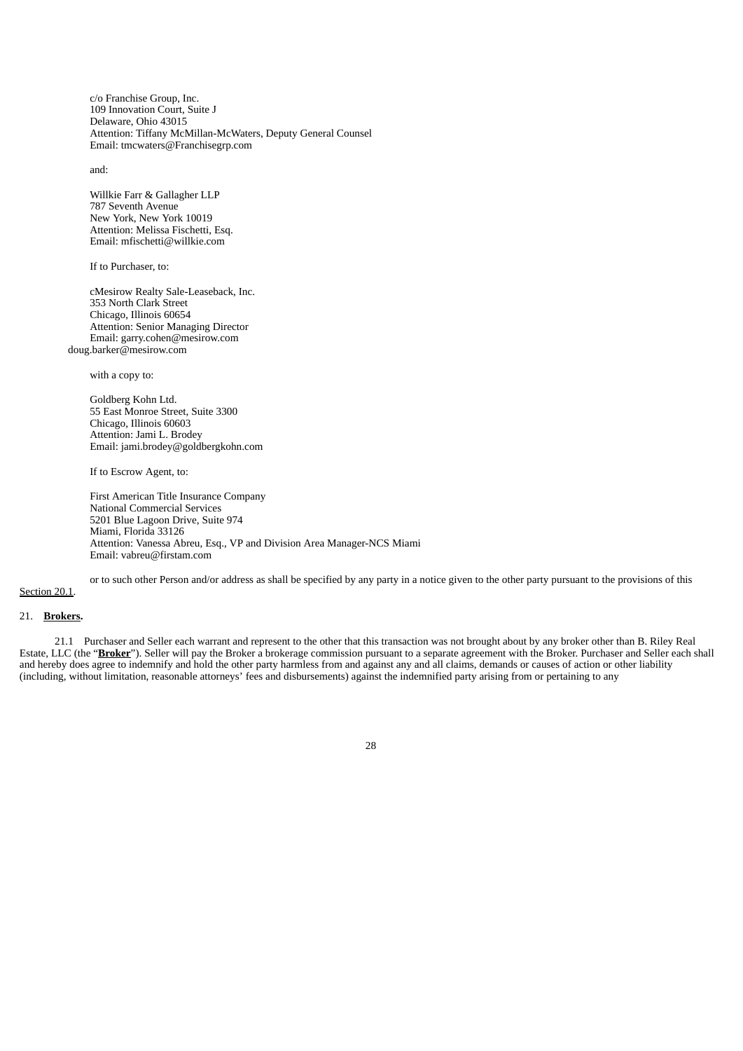c/o Franchise Group, Inc. 109 Innovation Court, Suite J Delaware, Ohio 43015 Attention: Tiffany McMillan-McWaters, Deputy General Counsel Email: tmcwaters@Franchisegrp.com

and:

Willkie Farr & Gallagher LLP 787 Seventh Avenue New York, New York 10019 Attention: Melissa Fischetti, Esq. Email: mfischetti@willkie.com

If to Purchaser, to:

cMesirow Realty Sale-Leaseback, Inc. 353 North Clark Street Chicago, Illinois 60654 Attention: Senior Managing Director Email: garry.cohen@mesirow.com doug.barker@mesirow.com

with a copy to:

Goldberg Kohn Ltd. 55 East Monroe Street, Suite 3300 Chicago, Illinois 60603 Attention: Jami L. Brodey Email: jami.brodey@goldbergkohn.com

If to Escrow Agent, to:

First American Title Insurance Company National Commercial Services 5201 Blue Lagoon Drive, Suite 974 Miami, Florida 33126 Attention: Vanessa Abreu, Esq., VP and Division Area Manager-NCS Miami Email: vabreu@firstam.com

or to such other Person and/or address as shall be specified by any party in a notice given to the other party pursuant to the provisions of this

#### 21. **Brokers.**

Section 20.1.

21.1 Purchaser and Seller each warrant and represent to the other that this transaction was not brought about by any broker other than B. Riley Real Estate, LLC (the "Broker"). Seller will pay the Broker a brokerage commission pursuant to a separate agreement with the Broker. Purchaser and Seller each shall and hereby does agree to indemnify and hold the other party harmless from and against any and all claims, demands or causes of action or other liability (including, without limitation, reasonable attorneys' fees and disbursements) against the indemnified party arising from or pertaining to any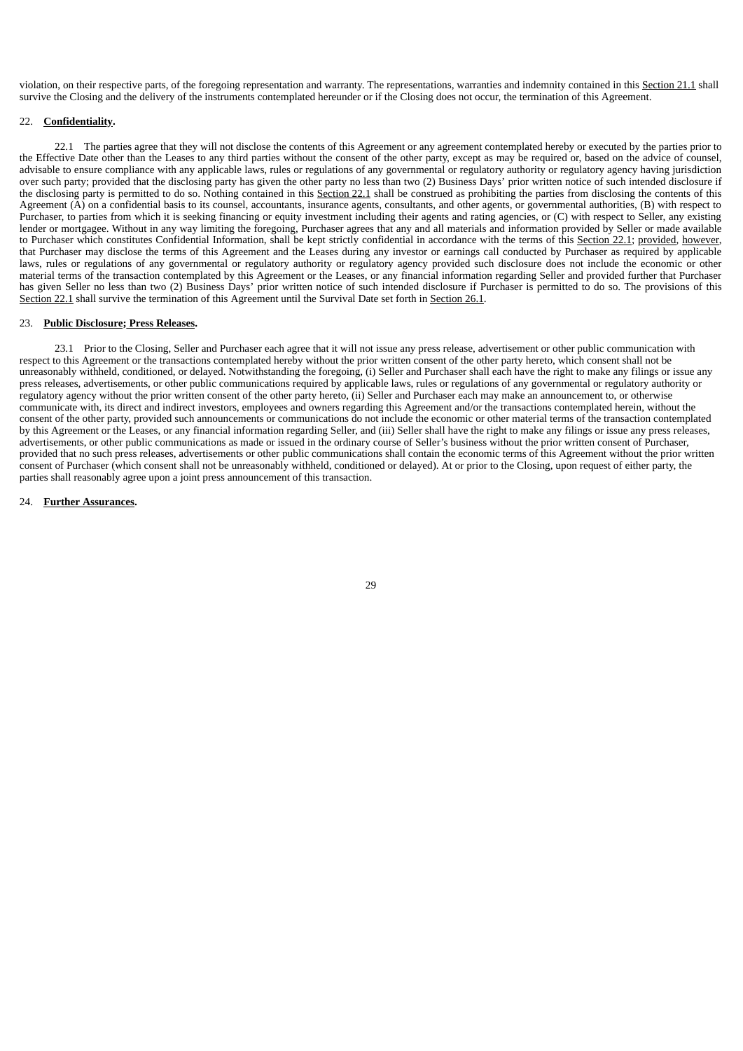violation, on their respective parts, of the foregoing representation and warranty. The representations, warranties and indemnity contained in this Section 21.1 shall survive the Closing and the delivery of the instruments contemplated hereunder or if the Closing does not occur, the termination of this Agreement.

## 22. **Confidentiality.**

22.1 The parties agree that they will not disclose the contents of this Agreement or any agreement contemplated hereby or executed by the parties prior to the Effective Date other than the Leases to any third parties without the consent of the other party, except as may be required or, based on the advice of counsel, advisable to ensure compliance with any applicable laws, rules or regulations of any governmental or regulatory authority or regulatory agency having jurisdiction over such party; provided that the disclosing party has given the other party no less than two (2) Business Days' prior written notice of such intended disclosure if the disclosing party is permitted to do so. Nothing contained in this Section 22.1 shall be construed as prohibiting the parties from disclosing the contents of this Agreement (A) on a confidential basis to its counsel, accountants, insurance agents, consultants, and other agents, or governmental authorities, (B) with respect to Purchaser, to parties from which it is seeking financing or equity investment including their agents and rating agencies, or (C) with respect to Seller, any existing lender or mortgagee. Without in any way limiting the foregoing, Purchaser agrees that any and all materials and information provided by Seller or made available to Purchaser which constitutes Confidential Information, shall be kept strictly confidential in accordance with the terms of this Section 22.1; provided, however, that Purchaser may disclose the terms of this Agreement and the Leases during any investor or earnings call conducted by Purchaser as required by applicable laws, rules or regulations of any governmental or regulatory authority or regulatory agency provided such disclosure does not include the economic or other material terms of the transaction contemplated by this Agreement or the Leases, or any financial information regarding Seller and provided further that Purchaser has given Seller no less than two (2) Business Days' prior written notice of such intended disclosure if Purchaser is permitted to do so. The provisions of this Section 22.1 shall survive the termination of this Agreement until the Survival Date set forth in Section 26.1.

## 23. **Public Disclosure; Press Releases.**

23.1 Prior to the Closing, Seller and Purchaser each agree that it will not issue any press release, advertisement or other public communication with respect to this Agreement or the transactions contemplated hereby without the prior written consent of the other party hereto, which consent shall not be unreasonably withheld, conditioned, or delayed. Notwithstanding the foregoing, (i) Seller and Purchaser shall each have the right to make any filings or issue any press releases, advertisements, or other public communications required by applicable laws, rules or regulations of any governmental or regulatory authority or regulatory agency without the prior written consent of the other party hereto, (ii) Seller and Purchaser each may make an announcement to, or otherwise communicate with, its direct and indirect investors, employees and owners regarding this Agreement and/or the transactions contemplated herein, without the consent of the other party, provided such announcements or communications do not include the economic or other material terms of the transaction contemplated by this Agreement or the Leases, or any financial information regarding Seller, and (iii) Seller shall have the right to make any filings or issue any press releases, advertisements, or other public communications as made or issued in the ordinary course of Seller's business without the prior written consent of Purchaser, provided that no such press releases, advertisements or other public communications shall contain the economic terms of this Agreement without the prior written consent of Purchaser (which consent shall not be unreasonably withheld, conditioned or delayed). At or prior to the Closing, upon request of either party, the parties shall reasonably agree upon a joint press announcement of this transaction.

#### 24. **Further Assurances.**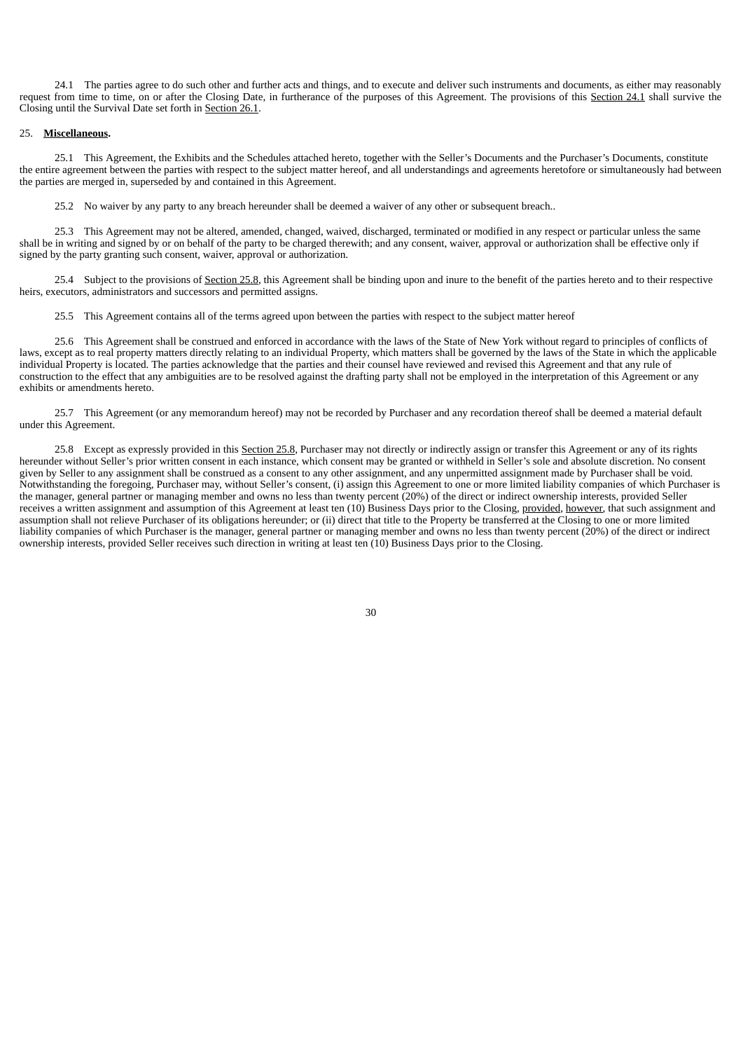24.1 The parties agree to do such other and further acts and things, and to execute and deliver such instruments and documents, as either may reasonably request from time to time, on or after the Closing Date, in furtherance of the purposes of this Agreement. The provisions of this Section 24.1 shall survive the Closing until the Survival Date set forth in Section 26.1.

### 25. **Miscellaneous.**

25.1 This Agreement, the Exhibits and the Schedules attached hereto, together with the Seller's Documents and the Purchaser's Documents, constitute the entire agreement between the parties with respect to the subject matter hereof, and all understandings and agreements heretofore or simultaneously had between the parties are merged in, superseded by and contained in this Agreement.

25.2 No waiver by any party to any breach hereunder shall be deemed a waiver of any other or subsequent breach..

25.3 This Agreement may not be altered, amended, changed, waived, discharged, terminated or modified in any respect or particular unless the same shall be in writing and signed by or on behalf of the party to be charged therewith; and any consent, waiver, approval or authorization shall be effective only if signed by the party granting such consent, waiver, approval or authorization.

25.4 Subject to the provisions of Section 25.8, this Agreement shall be binding upon and inure to the benefit of the parties hereto and to their respective heirs, executors, administrators and successors and permitted assigns.

25.5 This Agreement contains all of the terms agreed upon between the parties with respect to the subject matter hereof

25.6 This Agreement shall be construed and enforced in accordance with the laws of the State of New York without regard to principles of conflicts of laws, except as to real property matters directly relating to an individual Property, which matters shall be governed by the laws of the State in which the applicable individual Property is located. The parties acknowledge that the parties and their counsel have reviewed and revised this Agreement and that any rule of construction to the effect that any ambiguities are to be resolved against the drafting party shall not be employed in the interpretation of this Agreement or any exhibits or amendments hereto.

25.7 This Agreement (or any memorandum hereof) may not be recorded by Purchaser and any recordation thereof shall be deemed a material default under this Agreement.

25.8 Except as expressly provided in this Section 25.8, Purchaser may not directly or indirectly assign or transfer this Agreement or any of its rights hereunder without Seller's prior written consent in each instance, which consent may be granted or withheld in Seller's sole and absolute discretion. No consent given by Seller to any assignment shall be construed as a consent to any other assignment, and any unpermitted assignment made by Purchaser shall be void. Notwithstanding the foregoing, Purchaser may, without Seller's consent, (i) assign this Agreement to one or more limited liability companies of which Purchaser is the manager, general partner or managing member and owns no less than twenty percent (20%) of the direct or indirect ownership interests, provided Seller receives a written assignment and assumption of this Agreement at least ten (10) Business Days prior to the Closing, provided, however, that such assignment and assumption shall not relieve Purchaser of its obligations hereunder; or (ii) direct that title to the Property be transferred at the Closing to one or more limited liability companies of which Purchaser is the manager, general partner or managing member and owns no less than twenty percent (20%) of the direct or indirect ownership interests, provided Seller receives such direction in writing at least ten (10) Business Days prior to the Closing.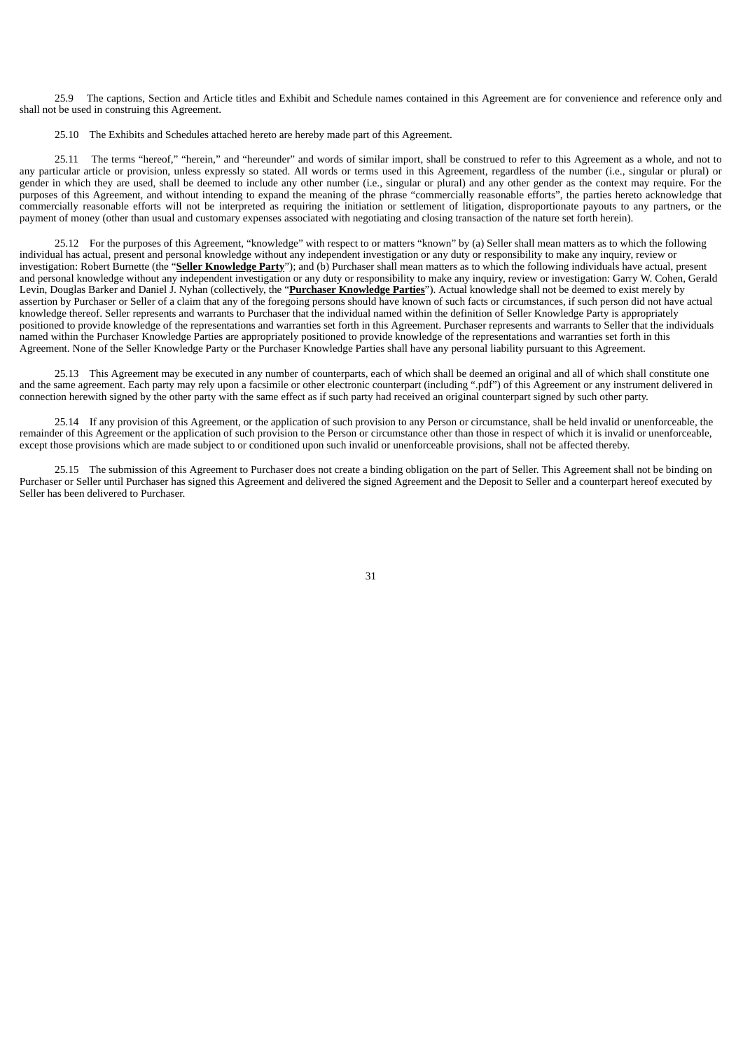25.9 The captions, Section and Article titles and Exhibit and Schedule names contained in this Agreement are for convenience and reference only and shall not be used in construing this Agreement.

25.10 The Exhibits and Schedules attached hereto are hereby made part of this Agreement.

25.11 The terms "hereof," "herein," and "hereunder" and words of similar import, shall be construed to refer to this Agreement as a whole, and not to any particular article or provision, unless expressly so stated. All words or terms used in this Agreement, regardless of the number (i.e., singular or plural) or gender in which they are used, shall be deemed to include any other number (i.e., singular or plural) and any other gender as the context may require. For the purposes of this Agreement, and without intending to expand the meaning of the phrase "commercially reasonable efforts", the parties hereto acknowledge that commercially reasonable efforts will not be interpreted as requiring the initiation or settlement of litigation, disproportionate payouts to any partners, or the payment of money (other than usual and customary expenses associated with negotiating and closing transaction of the nature set forth herein).

25.12 For the purposes of this Agreement, "knowledge" with respect to or matters "known" by (a) Seller shall mean matters as to which the following individual has actual, present and personal knowledge without any independent investigation or any duty or responsibility to make any inquiry, review or investigation: Robert Burnette (the "**Seller Knowledge Party**"); and (b) Purchaser shall mean matters as to which the following individuals have actual, present and personal knowledge without any independent investigation or any duty or responsibility to make any inquiry, review or investigation: Garry W. Cohen, Gerald Levin, Douglas Barker and Daniel J. Nyhan (collectively, the "**Purchaser Knowledge Parties**"). Actual knowledge shall not be deemed to exist merely by assertion by Purchaser or Seller of a claim that any of the foregoing persons should have known of such facts or circumstances, if such person did not have actual knowledge thereof. Seller represents and warrants to Purchaser that the individual named within the definition of Seller Knowledge Party is appropriately positioned to provide knowledge of the representations and warranties set forth in this Agreement. Purchaser represents and warrants to Seller that the individuals named within the Purchaser Knowledge Parties are appropriately positioned to provide knowledge of the representations and warranties set forth in this Agreement. None of the Seller Knowledge Party or the Purchaser Knowledge Parties shall have any personal liability pursuant to this Agreement.

25.13 This Agreement may be executed in any number of counterparts, each of which shall be deemed an original and all of which shall constitute one and the same agreement. Each party may rely upon a facsimile or other electronic counterpart (including ".pdf") of this Agreement or any instrument delivered in connection herewith signed by the other party with the same effect as if such party had received an original counterpart signed by such other party.

25.14 If any provision of this Agreement, or the application of such provision to any Person or circumstance, shall be held invalid or unenforceable, the remainder of this Agreement or the application of such provision to the Person or circumstance other than those in respect of which it is invalid or unenforceable, except those provisions which are made subject to or conditioned upon such invalid or unenforceable provisions, shall not be affected thereby.

25.15 The submission of this Agreement to Purchaser does not create a binding obligation on the part of Seller. This Agreement shall not be binding on Purchaser or Seller until Purchaser has signed this Agreement and delivered the signed Agreement and the Deposit to Seller and a counterpart hereof executed by Seller has been delivered to Purchaser.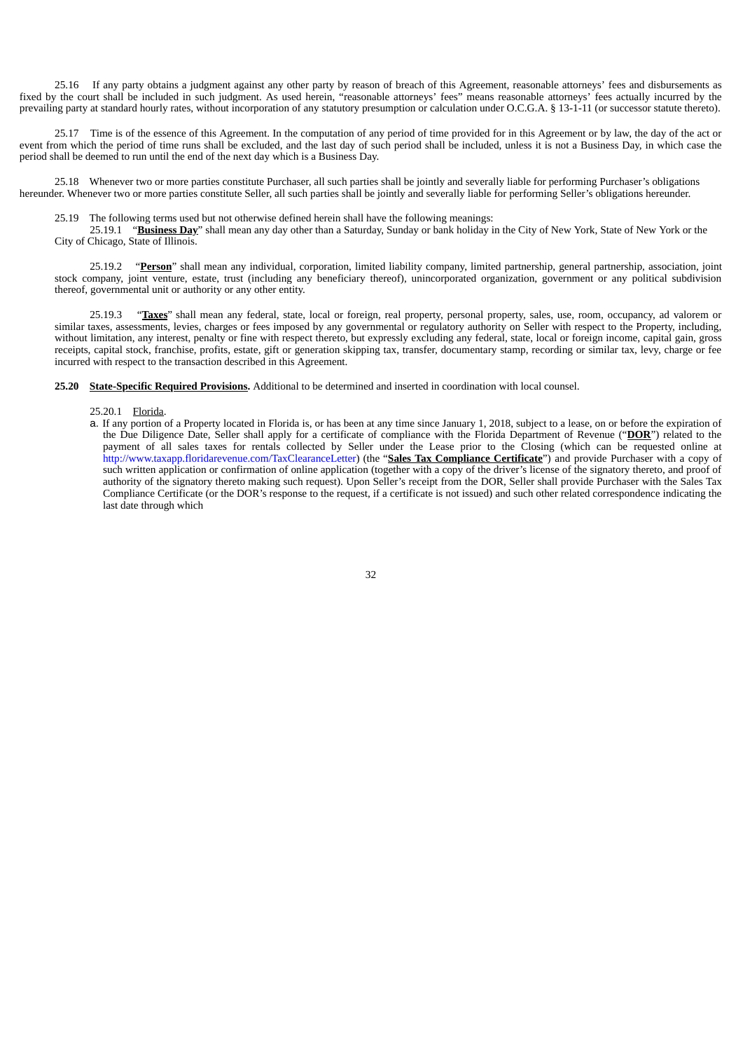25.16 If any party obtains a judgment against any other party by reason of breach of this Agreement, reasonable attorneys' fees and disbursements as fixed by the court shall be included in such judgment. As used herein, "reasonable attorneys' fees" means reasonable attorneys' fees actually incurred by the prevailing party at standard hourly rates, without incorporation of any statutory presumption or calculation under O.C.G.A. § 13-1-11 (or successor statute thereto).

25.17 Time is of the essence of this Agreement. In the computation of any period of time provided for in this Agreement or by law, the day of the act or event from which the period of time runs shall be excluded, and the last day of such period shall be included, unless it is not a Business Day, in which case the period shall be deemed to run until the end of the next day which is a Business Day.

25.18 Whenever two or more parties constitute Purchaser, all such parties shall be jointly and severally liable for performing Purchaser's obligations hereunder. Whenever two or more parties constitute Seller, all such parties shall be jointly and severally liable for performing Seller's obligations hereunder.

25.19 The following terms used but not otherwise defined herein shall have the following meanings:

25.19.1 "**Business Day**" shall mean any day other than a Saturday, Sunday or bank holiday in the City of New York, State of New York or the City of Chicago, State of Illinois.

25.19.2 "**Person**" shall mean any individual, corporation, limited liability company, limited partnership, general partnership, association, joint stock company, joint venture, estate, trust (including any beneficiary thereof), unincorporated organization, government or any political subdivision thereof, governmental unit or authority or any other entity.

25.19.3 "**Taxes**" shall mean any federal, state, local or foreign, real property, personal property, sales, use, room, occupancy, ad valorem or similar taxes, assessments, levies, charges or fees imposed by any governmental or regulatory authority on Seller with respect to the Property, including, without limitation, any interest, penalty or fine with respect thereto, but expressly excluding any federal, state, local or foreign income, capital gain, gross receipts, capital stock, franchise, profits, estate, gift or generation skipping tax, transfer, documentary stamp, recording or similar tax, levy, charge or fee incurred with respect to the transaction described in this Agreement.

**25.20 State-Specific Required Provisions.** Additional to be determined and inserted in coordination with local counsel.

25.20.1 Florida.

a. If any portion of a Property located in Florida is, or has been at any time since January 1, 2018, subject to a lease, on or before the expiration of the Due Diligence Date, Seller shall apply for a certificate of compliance with the Florida Department of Revenue ("**DOR**") related to the payment of all sales taxes for rentals collected by Seller under the Lease prior to the Closing (which can be requested online at http://www.taxapp.floridarevenue.com/TaxClearanceLetter) (the "**Sales Tax Compliance Certificate**") and provide Purchaser with a copy of such written application or confirmation of online application (together with a copy of the driver's license of the signatory thereto, and proof of authority of the signatory thereto making such request). Upon Seller's receipt from the DOR, Seller shall provide Purchaser with the Sales Tax Compliance Certificate (or the DOR's response to the request, if a certificate is not issued) and such other related correspondence indicating the last date through which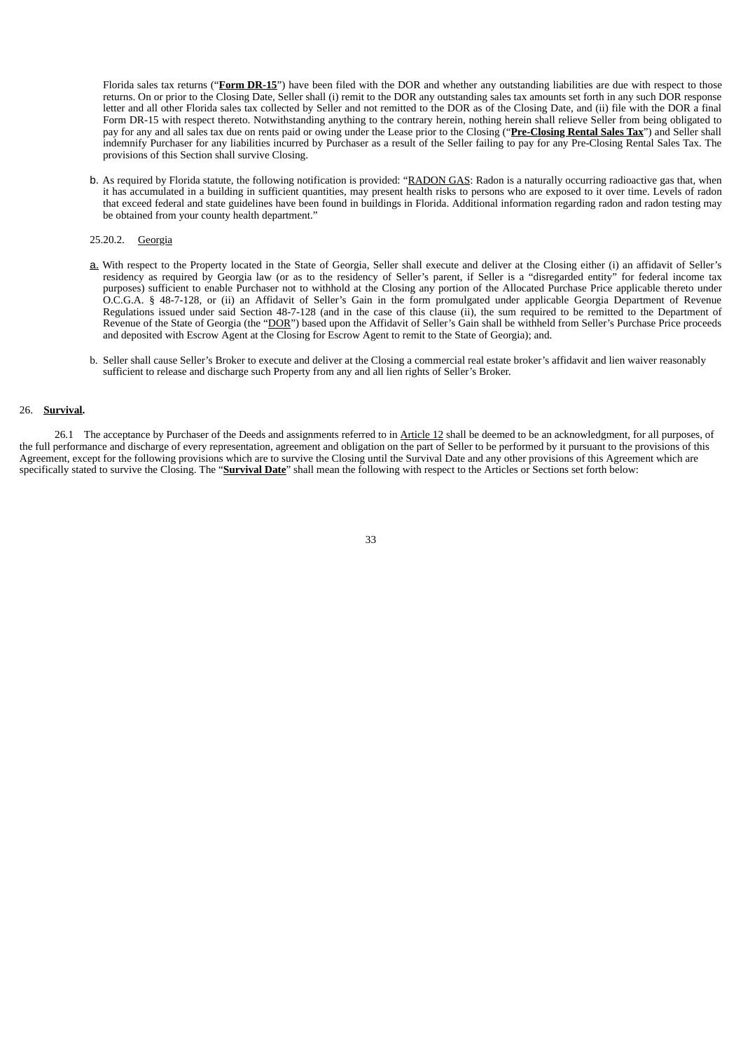Florida sales tax returns ("**Form DR-15**") have been filed with the DOR and whether any outstanding liabilities are due with respect to those returns. On or prior to the Closing Date, Seller shall (i) remit to the DOR any outstanding sales tax amounts set forth in any such DOR response letter and all other Florida sales tax collected by Seller and not remitted to the DOR as of the Closing Date, and (ii) file with the DOR a final Form DR-15 with respect thereto. Notwithstanding anything to the contrary herein, nothing herein shall relieve Seller from being obligated to pay for any and all sales tax due on rents paid or owing under the Lease prior to the Closing ("**Pre-Closing Rental Sales Tax**") and Seller shall indemnify Purchaser for any liabilities incurred by Purchaser as a result of the Seller failing to pay for any Pre-Closing Rental Sales Tax. The provisions of this Section shall survive Closing.

b. As required by Florida statute, the following notification is provided: "RADON GAS: Radon is a naturally occurring radioactive gas that, when it has accumulated in a building in sufficient quantities, may present health risks to persons who are exposed to it over time. Levels of radon that exceed federal and state guidelines have been found in buildings in Florida. Additional information regarding radon and radon testing may be obtained from your county health department."

### 25.20.2. Georgia

- a. With respect to the Property located in the State of Georgia, Seller shall execute and deliver at the Closing either (i) an affidavit of Seller's residency as required by Georgia law (or as to the residency of Seller's parent, if Seller is a "disregarded entity" for federal income tax purposes) sufficient to enable Purchaser not to withhold at the Closing any portion of the Allocated Purchase Price applicable thereto under O.C.G.A. § 48-7-128, or (ii) an Affidavit of Seller's Gain in the form promulgated under applicable Georgia Department of Revenue Regulations issued under said Section 48-7-128 (and in the case of this clause (ii), the sum required to be remitted to the Department of Revenue of the State of Georgia (the "DOR") based upon the Affidavit of Seller's Gain shall be withheld from Seller's Purchase Price proceeds and deposited with Escrow Agent at the Closing for Escrow Agent to remit to the State of Georgia); and.
- b. Seller shall cause Seller's Broker to execute and deliver at the Closing a commercial real estate broker's affidavit and lien waiver reasonably sufficient to release and discharge such Property from any and all lien rights of Seller's Broker.

### 26. **Survival.**

26.1 The acceptance by Purchaser of the Deeds and assignments referred to in Article 12 shall be deemed to be an acknowledgment, for all purposes, of the full performance and discharge of every representation, agreement and obligation on the part of Seller to be performed by it pursuant to the provisions of this Agreement, except for the following provisions which are to survive the Closing until the Survival Date and any other provisions of this Agreement which are specifically stated to survive the Closing. The "**Survival Date**" shall mean the following with respect to the Articles or Sections set forth below: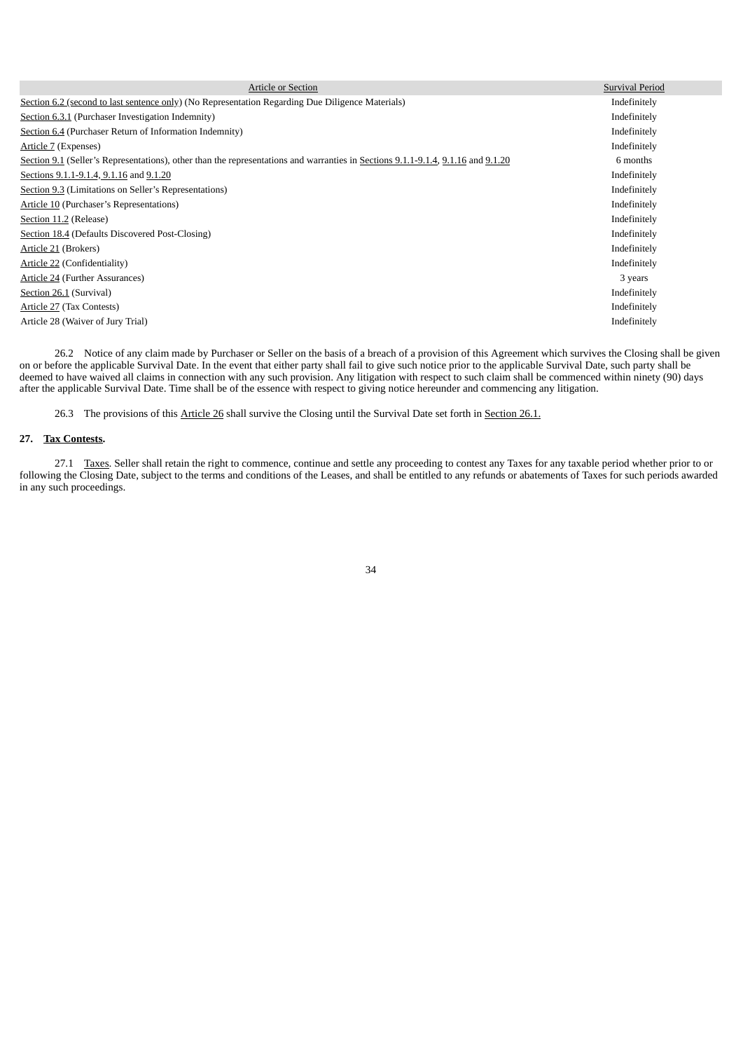| <b>Article or Section</b>                                                                                                        | Survival Period |
|----------------------------------------------------------------------------------------------------------------------------------|-----------------|
| Section 6.2 (second to last sentence only) (No Representation Regarding Due Diligence Materials)                                 | Indefinitely    |
| Section 6.3.1 (Purchaser Investigation Indemnity)                                                                                | Indefinitely    |
| Section 6.4 (Purchaser Return of Information Indemnity)                                                                          | Indefinitely    |
| Article 7 (Expenses)                                                                                                             | Indefinitely    |
| Section 9.1 (Seller's Representations), other than the representations and warranties in Sections 9.1.1-9.1.4, 9.1.16 and 9.1.20 | 6 months        |
| Sections 9.1.1-9.1.4, 9.1.16 and 9.1.20                                                                                          | Indefinitely    |
| Section 9.3 (Limitations on Seller's Representations)                                                                            | Indefinitely    |
| Article 10 (Purchaser's Representations)                                                                                         | Indefinitely    |
| Section 11.2 (Release)                                                                                                           | Indefinitely    |
| Section 18.4 (Defaults Discovered Post-Closing)                                                                                  | Indefinitely    |
| Article 21 (Brokers)                                                                                                             | Indefinitely    |
| Article 22 (Confidentiality)                                                                                                     | Indefinitely    |
| <b>Article 24 (Further Assurances)</b>                                                                                           | 3 years         |
| Section 26.1 (Survival)                                                                                                          | Indefinitely    |
| Article 27 (Tax Contests)                                                                                                        | Indefinitely    |
| Article 28 (Waiver of Jury Trial)                                                                                                | Indefinitely    |
|                                                                                                                                  |                 |

26.2 Notice of any claim made by Purchaser or Seller on the basis of a breach of a provision of this Agreement which survives the Closing shall be given on or before the applicable Survival Date. In the event that either party shall fail to give such notice prior to the applicable Survival Date, such party shall be deemed to have waived all claims in connection with any such provision. Any litigation with respect to such claim shall be commenced within ninety (90) days after the applicable Survival Date. Time shall be of the essence with respect to giving notice hereunder and commencing any litigation.

26.3 The provisions of this Article 26 shall survive the Closing until the Survival Date set forth in Section 26.1.

## **27. Tax Contests.**

27.1 Taxes. Seller shall retain the right to commence, continue and settle any proceeding to contest any Taxes for any taxable period whether prior to or following the Closing Date, subject to the terms and conditions of the Leases, and shall be entitled to any refunds or abatements of Taxes for such periods awarded in any such proceedings.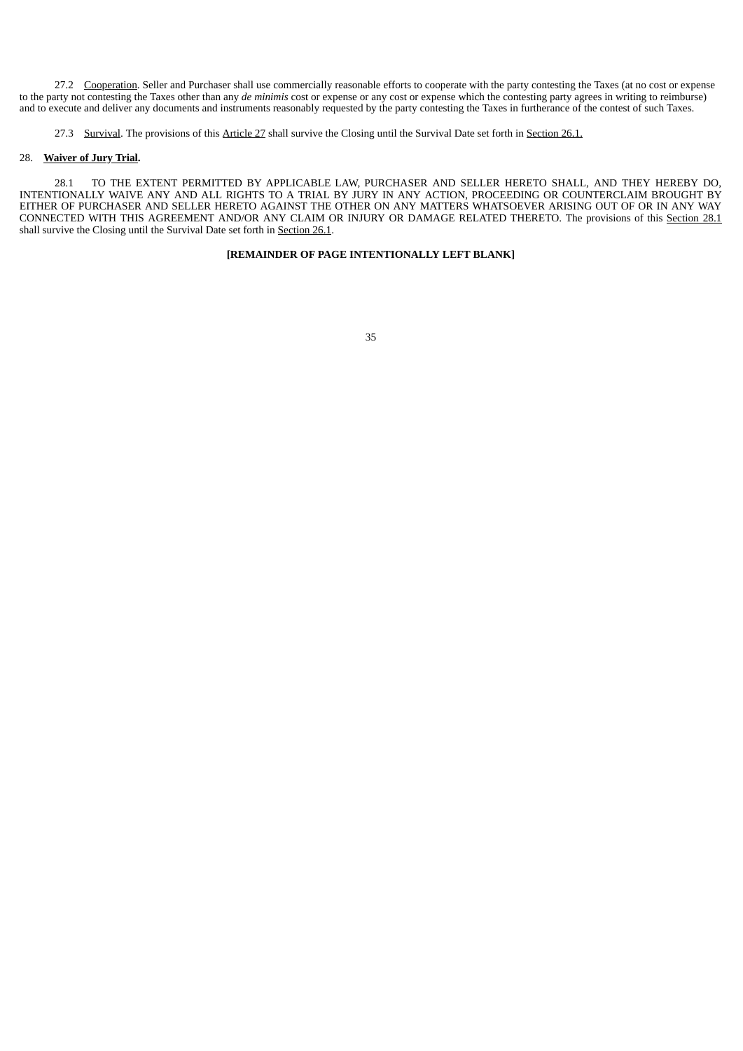27.2 Cooperation. Seller and Purchaser shall use commercially reasonable efforts to cooperate with the party contesting the Taxes (at no cost or expense to the party not contesting the Taxes other than any *de minimis* cost or expense or any cost or expense which the contesting party agrees in writing to reimburse) and to execute and deliver any documents and instruments reasonably requested by the party contesting the Taxes in furtherance of the contest of such Taxes.

27.3 Survival. The provisions of this Article 27 shall survive the Closing until the Survival Date set forth in Section 26.1.

## 28. **Waiver of Jury Trial.**

28.1 TO THE EXTENT PERMITTED BY APPLICABLE LAW, PURCHASER AND SELLER HERETO SHALL, AND THEY HEREBY DO, INTENTIONALLY WAIVE ANY AND ALL RIGHTS TO A TRIAL BY JURY IN ANY ACTION, PROCEEDING OR COUNTERCLAIM BROUGHT BY EITHER OF PURCHASER AND SELLER HERETO AGAINST THE OTHER ON ANY MATTERS WHATSOEVER ARISING OUT OF OR IN ANY WAY CONNECTED WITH THIS AGREEMENT AND/OR ANY CLAIM OR INJURY OR DAMAGE RELATED THERETO. The provisions of this Section 28.1 shall survive the Closing until the Survival Date set forth in Section 26.1.

## **[REMAINDER OF PAGE INTENTIONALLY LEFT BLANK]**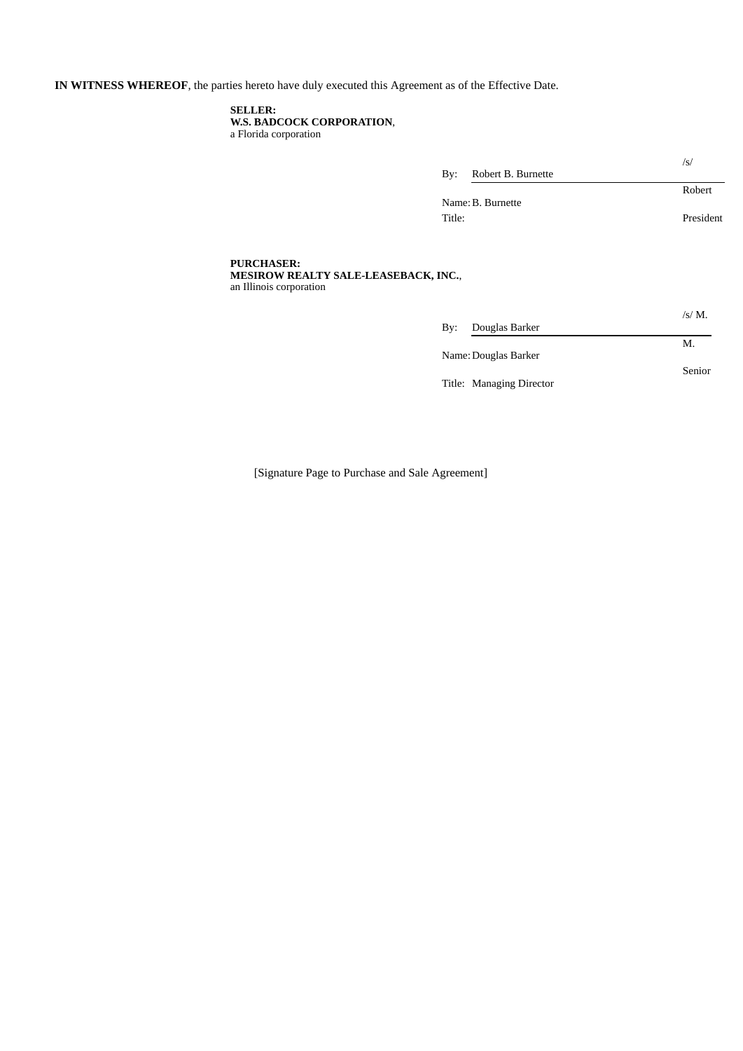**IN WITNESS WHEREOF**, the parties hereto have duly executed this Agreement as of the Effective Date.

## **SELLER: W.S. BADCOCK CORPORATION**,

a Florida corporation

|                                                                                      |        |                    | /s/       |
|--------------------------------------------------------------------------------------|--------|--------------------|-----------|
|                                                                                      | By:    | Robert B. Burnette |           |
|                                                                                      |        |                    | Robert    |
|                                                                                      |        | Name: B. Burnette  |           |
|                                                                                      | Title: |                    | President |
| <b>PURCHASER:</b><br>MESIROW REALTY SALE-LEASEBACK, INC.,<br>an Illinois corporation |        |                    |           |
|                                                                                      | By:    | Douglas Barker     | $/s/M$ .  |

|                          | M.     |
|--------------------------|--------|
| Name: Douglas Barker     |        |
|                          | Senior |
| Title: Managing Director |        |

[Signature Page to Purchase and Sale Agreement]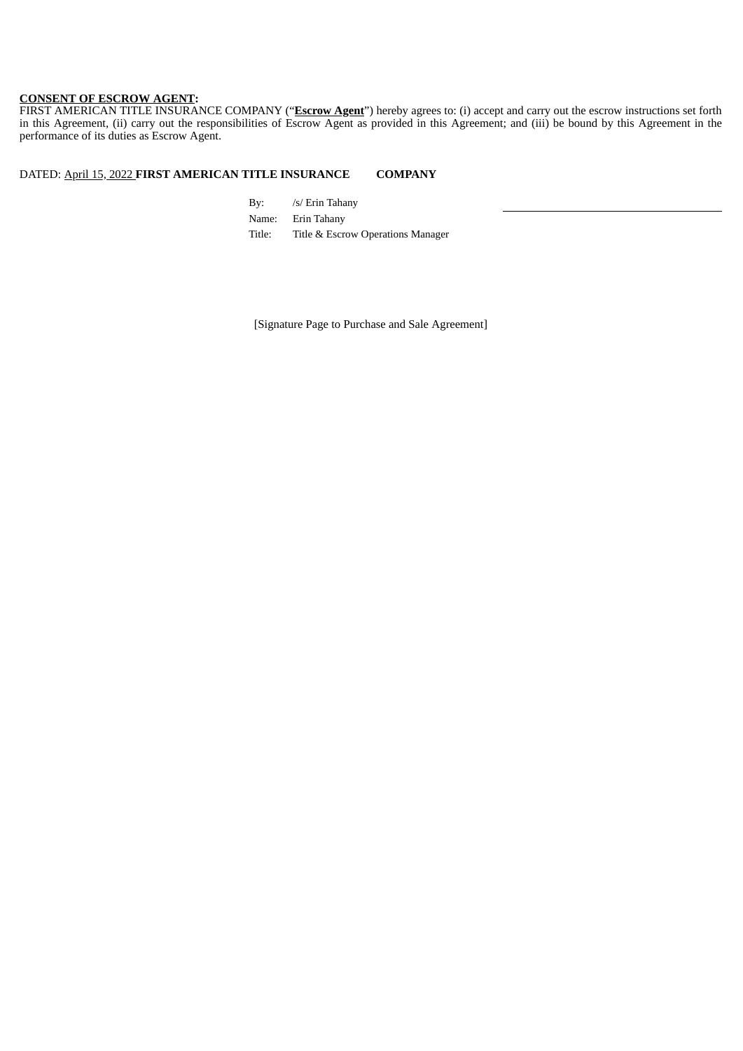## **CONSENT OF ESCROW AGENT:**

FIRST AMERICAN TITLE INSURANCE COMPANY ("**Escrow Agent**") hereby agrees to: (i) accept and carry out the escrow instructions set forth in this Agreement, (ii) carry out the responsibilities of Escrow Agent as provided in this Agreement; and (iii) be bound by this Agreement in the performance of its duties as Escrow Agent.

## DATED: April 15, 2022 **FIRST AMERICAN TITLE INSURANCE COMPANY**

- By: /s/ Erin Tahany
- Name: Erin Tahany
- Title: Title & Escrow Operations Manager

[Signature Page to Purchase and Sale Agreement]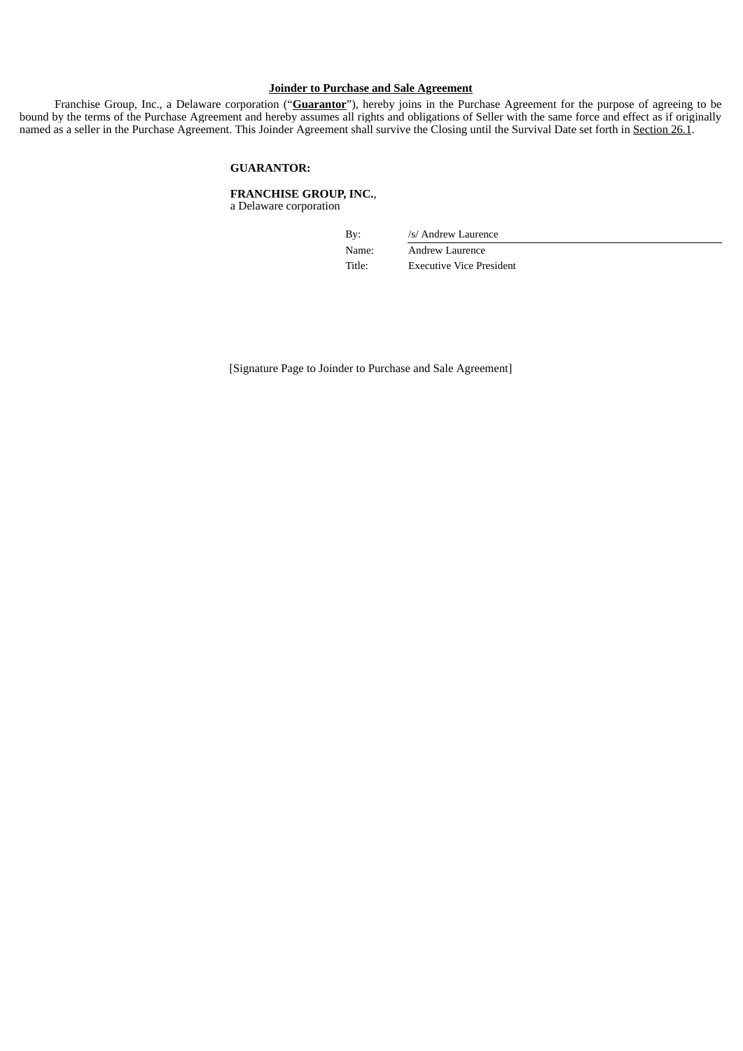## **Joinder to Purchase and Sale Agreement**

Franchise Group, Inc., a Delaware corporation ("**Guarantor**"), hereby joins in the Purchase Agreement for the purpose of agreeing to be bound by the terms of the Purchase Agreement and hereby assumes all rights and obligations of Seller with the same force and effect as if originally named as a seller in the Purchase Agreement. This Joinder Agreement shall survive the Closing until the Survival Date set forth in Section 26.1.

## **GUARANTOR:**

**FRANCHISE GROUP, INC.**, a Delaware corporation

By: /s/ Andrew Laurence Name: Andrew Laurence

Title: Executive Vice President

[Signature Page to Joinder to Purchase and Sale Agreement]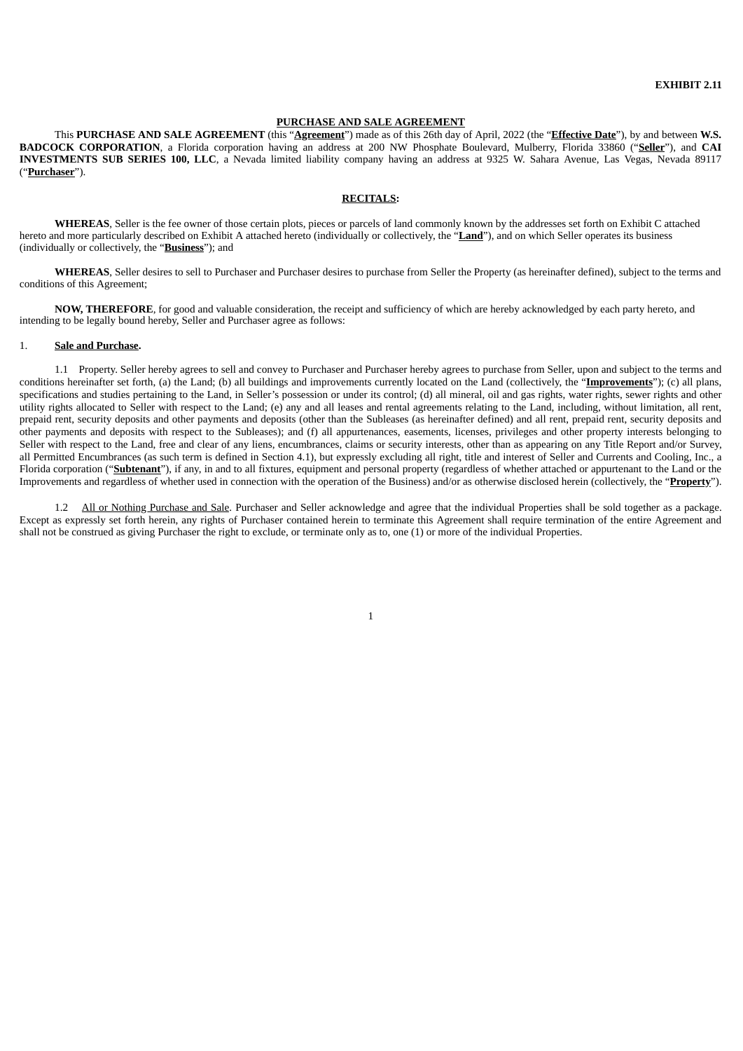#### **PURCHASE AND SALE AGREEMENT**

This **PURCHASE AND SALE AGREEMENT** (this "**Agreement**") made as of this 26th day of April, 2022 (the "**Effective Date**"), by and between **W.S. BADCOCK CORPORATION**, a Florida corporation having an address at 200 NW Phosphate Boulevard, Mulberry, Florida 33860 ("**Seller**"), and **CAI INVESTMENTS SUB SERIES 100, LLC**, a Nevada limited liability company having an address at 9325 W. Sahara Avenue, Las Vegas, Nevada 89117 ("**Purchaser**").

### **RECITALS:**

**WHEREAS**, Seller is the fee owner of those certain plots, pieces or parcels of land commonly known by the addresses set forth on Exhibit C attached hereto and more particularly described on Exhibit A attached hereto (individually or collectively, the "**Land**"), and on which Seller operates its business (individually or collectively, the "**Business**"); and

**WHEREAS**, Seller desires to sell to Purchaser and Purchaser desires to purchase from Seller the Property (as hereinafter defined), subject to the terms and conditions of this Agreement;

**NOW, THEREFORE**, for good and valuable consideration, the receipt and sufficiency of which are hereby acknowledged by each party hereto, and intending to be legally bound hereby, Seller and Purchaser agree as follows:

#### 1. **Sale and Purchase.**

1.1 Property. Seller hereby agrees to sell and convey to Purchaser and Purchaser hereby agrees to purchase from Seller, upon and subject to the terms and conditions hereinafter set forth, (a) the Land; (b) all buildings and improvements currently located on the Land (collectively, the "**Improvements**"); (c) all plans, specifications and studies pertaining to the Land, in Seller's possession or under its control; (d) all mineral, oil and gas rights, water rights, sewer rights and other utility rights allocated to Seller with respect to the Land; (e) any and all leases and rental agreements relating to the Land, including, without limitation, all rent, prepaid rent, security deposits and other payments and deposits (other than the Subleases (as hereinafter defined) and all rent, prepaid rent, security deposits and other payments and deposits with respect to the Subleases); and (f) all appurtenances, easements, licenses, privileges and other property interests belonging to Seller with respect to the Land, free and clear of any liens, encumbrances, claims or security interests, other than as appearing on any Title Report and/or Survey, all Permitted Encumbrances (as such term is defined in Section 4.1), but expressly excluding all right, title and interest of Seller and Currents and Cooling, Inc., a Florida corporation ("**Subtenant**"), if any, in and to all fixtures, equipment and personal property (regardless of whether attached or appurtenant to the Land or the Improvements and regardless of whether used in connection with the operation of the Business) and/or as otherwise disclosed herein (collectively, the "**Property**").

1.2 All or Nothing Purchase and Sale. Purchaser and Seller acknowledge and agree that the individual Properties shall be sold together as a package. Except as expressly set forth herein, any rights of Purchaser contained herein to terminate this Agreement shall require termination of the entire Agreement and shall not be construed as giving Purchaser the right to exclude, or terminate only as to, one (1) or more of the individual Properties.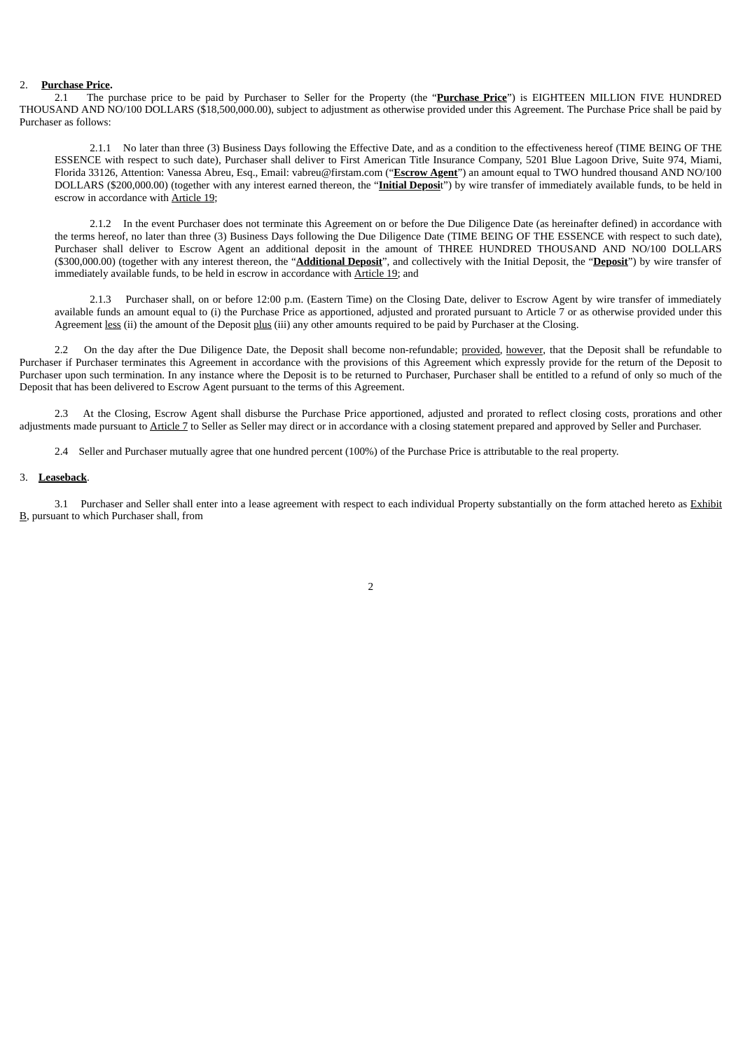#### 2. **Purchase Price.**

2.1 The purchase price to be paid by Purchaser to Seller for the Property (the "**Purchase Price**") is EIGHTEEN MILLION FIVE HUNDRED THOUSAND AND NO/100 DOLLARS (\$18,500,000.00), subject to adjustment as otherwise provided under this Agreement. The Purchase Price shall be paid by Purchaser as follows:

2.1.1 No later than three (3) Business Days following the Effective Date, and as a condition to the effectiveness hereof (TIME BEING OF THE ESSENCE with respect to such date), Purchaser shall deliver to First American Title Insurance Company, 5201 Blue Lagoon Drive, Suite 974, Miami, Florida 33126, Attention: Vanessa Abreu, Esq., Email: vabreu@firstam.com ("**Escrow Agent**") an amount equal to TWO hundred thousand AND NO/100 DOLLARS (\$200,000.00) (together with any interest earned thereon, the "**Initial Deposi**t") by wire transfer of immediately available funds, to be held in escrow in accordance with Article 19;

2.1.2 In the event Purchaser does not terminate this Agreement on or before the Due Diligence Date (as hereinafter defined) in accordance with the terms hereof, no later than three (3) Business Days following the Due Diligence Date (TIME BEING OF THE ESSENCE with respect to such date), Purchaser shall deliver to Escrow Agent an additional deposit in the amount of THREE HUNDRED THOUSAND AND NO/100 DOLLARS (\$300,000.00) (together with any interest thereon, the "**Additional Deposit**", and collectively with the Initial Deposit, the "**Deposit**") by wire transfer of immediately available funds, to be held in escrow in accordance with Article 19; and

2.1.3 Purchaser shall, on or before 12:00 p.m. (Eastern Time) on the Closing Date, deliver to Escrow Agent by wire transfer of immediately available funds an amount equal to (i) the Purchase Price as apportioned, adjusted and prorated pursuant to Article  $\frac{1}{7}$  or as otherwise provided under this Agreement less (ii) the amount of the Deposit plus (iii) any other amounts required to be paid by Purchaser at the Closing.

2.2 On the day after the Due Diligence Date, the Deposit shall become non-refundable; provided, however, that the Deposit shall be refundable to Purchaser if Purchaser terminates this Agreement in accordance with the provisions of this Agreement which expressly provide for the return of the Deposit to Purchaser upon such termination. In any instance where the Deposit is to be returned to Purchaser, Purchaser shall be entitled to a refund of only so much of the Deposit that has been delivered to Escrow Agent pursuant to the terms of this Agreement.

2.3 At the Closing, Escrow Agent shall disburse the Purchase Price apportioned, adjusted and prorated to reflect closing costs, prorations and other adjustments made pursuant to Article 7 to Seller as Seller may direct or in accordance with a closing statement prepared and approved by Seller and Purchaser.

2.4 Seller and Purchaser mutually agree that one hundred percent (100%) of the Purchase Price is attributable to the real property.

### 3. **Leaseback**.

3.1 Purchaser and Seller shall enter into a lease agreement with respect to each individual Property substantially on the form attached hereto as Exhibit B, pursuant to which Purchaser shall, from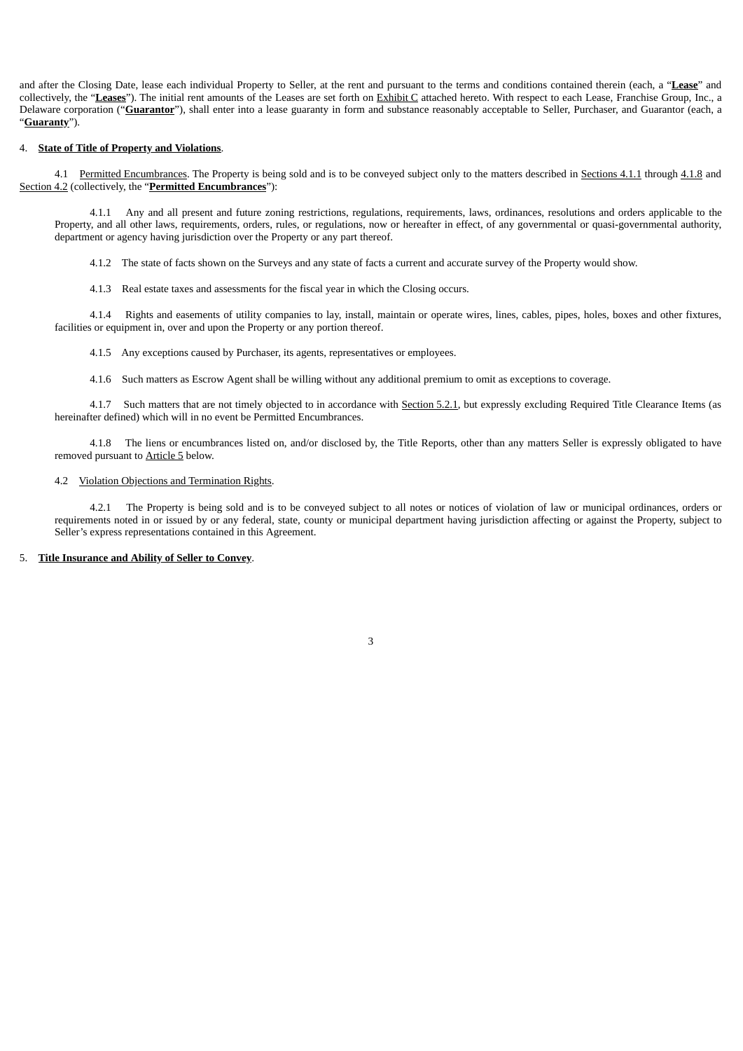and after the Closing Date, lease each individual Property to Seller, at the rent and pursuant to the terms and conditions contained therein (each, a "**Lease**" and collectively, the "**Leases**"). The initial rent amounts of the Leases are set forth on Exhibit C attached hereto. With respect to each Lease, Franchise Group, Inc., a Delaware corporation ("**Guarantor**"), shall enter into a lease guaranty in form and substance reasonably acceptable to Seller, Purchaser, and Guarantor (each, a "**Guaranty**").

## 4. **State of Title of Property and Violations**.

4.1 Permitted Encumbrances. The Property is being sold and is to be conveyed subject only to the matters described in Sections 4.1.1 through 4.1.8 and Section 4.2 (collectively, the "**Permitted Encumbrances**"):

4.1.1 Any and all present and future zoning restrictions, regulations, requirements, laws, ordinances, resolutions and orders applicable to the Property, and all other laws, requirements, orders, rules, or regulations, now or hereafter in effect, of any governmental or quasi-governmental authority, department or agency having jurisdiction over the Property or any part thereof.

4.1.2 The state of facts shown on the Surveys and any state of facts a current and accurate survey of the Property would show.

4.1.3 Real estate taxes and assessments for the fiscal year in which the Closing occurs.

4.1.4 Rights and easements of utility companies to lay, install, maintain or operate wires, lines, cables, pipes, holes, boxes and other fixtures, facilities or equipment in, over and upon the Property or any portion thereof.

4.1.5 Any exceptions caused by Purchaser, its agents, representatives or employees.

4.1.6 Such matters as Escrow Agent shall be willing without any additional premium to omit as exceptions to coverage.

4.1.7 Such matters that are not timely objected to in accordance with Section 5.2.1, but expressly excluding Required Title Clearance Items (as hereinafter defined) which will in no event be Permitted Encumbrances.

4.1.8 The liens or encumbrances listed on, and/or disclosed by, the Title Reports, other than any matters Seller is expressly obligated to have removed pursuant to Article 5 below.

#### 4.2 Violation Objections and Termination Rights.

4.2.1 The Property is being sold and is to be conveyed subject to all notes or notices of violation of law or municipal ordinances, orders or requirements noted in or issued by or any federal, state, county or municipal department having jurisdiction affecting or against the Property, subject to Seller's express representations contained in this Agreement.

3

## 5. **Title Insurance and Ability of Seller to Convey**.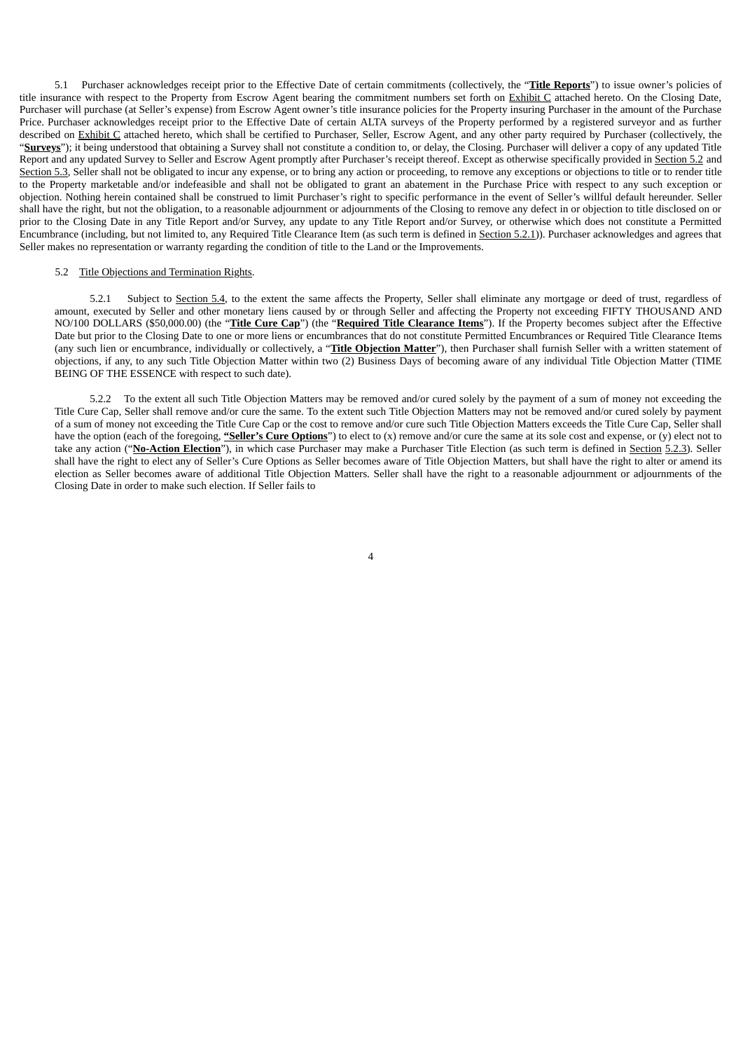5.1 Purchaser acknowledges receipt prior to the Effective Date of certain commitments (collectively, the "**Title Reports**") to issue owner's policies of title insurance with respect to the Property from Escrow Agent bearing the commitment numbers set forth on Exhibit C attached hereto. On the Closing Date, Purchaser will purchase (at Seller's expense) from Escrow Agent owner's title insurance policies for the Property insuring Purchaser in the amount of the Purchase Price. Purchaser acknowledges receipt prior to the Effective Date of certain ALTA surveys of the Property performed by a registered surveyor and as further described on Exhibit C attached hereto, which shall be certified to Purchaser, Seller, Escrow Agent, and any other party required by Purchaser (collectively, the "**Surveys**"); it being understood that obtaining a Survey shall not constitute a condition to, or delay, the Closing. Purchaser will deliver a copy of any updated Title Report and any updated Survey to Seller and Escrow Agent promptly after Purchaser's receipt thereof. Except as otherwise specifically provided in Section 5.2 and Section 5.3, Seller shall not be obligated to incur any expense, or to bring any action or proceeding, to remove any exceptions or objections to title or to render title to the Property marketable and/or indefeasible and shall not be obligated to grant an abatement in the Purchase Price with respect to any such exception or objection. Nothing herein contained shall be construed to limit Purchaser's right to specific performance in the event of Seller's willful default hereunder. Seller shall have the right, but not the obligation, to a reasonable adjournment or adjournments of the Closing to remove any defect in or objection to title disclosed on or prior to the Closing Date in any Title Report and/or Survey, any update to any Title Report and/or Survey, or otherwise which does not constitute a Permitted Encumbrance (including, but not limited to, any Required Title Clearance Item (as such term is defined in Section 5.2.1)). Purchaser acknowledges and agrees that Seller makes no representation or warranty regarding the condition of title to the Land or the Improvements.

#### 5.2 Title Objections and Termination Rights.

5.2.1 Subject to Section 5.4, to the extent the same affects the Property, Seller shall eliminate any mortgage or deed of trust, regardless of amount, executed by Seller and other monetary liens caused by or through Seller and affecting the Property not exceeding FIFTY THOUSAND AND NO/100 DOLLARS (\$50,000.00) (the "**Title Cure Cap**") (the "**Required Title Clearance Items**"). If the Property becomes subject after the Effective Date but prior to the Closing Date to one or more liens or encumbrances that do not constitute Permitted Encumbrances or Required Title Clearance Items (any such lien or encumbrance, individually or collectively, a "**Title Objection Matter**"), then Purchaser shall furnish Seller with a written statement of objections, if any, to any such Title Objection Matter within two (2) Business Days of becoming aware of any individual Title Objection Matter (TIME BEING OF THE ESSENCE with respect to such date).

5.2.2 To the extent all such Title Objection Matters may be removed and/or cured solely by the payment of a sum of money not exceeding the Title Cure Cap, Seller shall remove and/or cure the same. To the extent such Title Objection Matters may not be removed and/or cured solely by payment of a sum of money not exceeding the Title Cure Cap or the cost to remove and/or cure such Title Objection Matters exceeds the Title Cure Cap, Seller shall have the option (each of the foregoing, **"Seller's Cure Options**") to elect to (x) remove and/or cure the same at its sole cost and expense, or (y) elect not to take any action ("**No-Action Election**"), in which case Purchaser may make a Purchaser Title Election (as such term is defined in Section 5.2.3). Seller shall have the right to elect any of Seller's Cure Options as Seller becomes aware of Title Objection Matters, but shall have the right to alter or amend its election as Seller becomes aware of additional Title Objection Matters. Seller shall have the right to a reasonable adjournment or adjournments of the Closing Date in order to make such election. If Seller fails to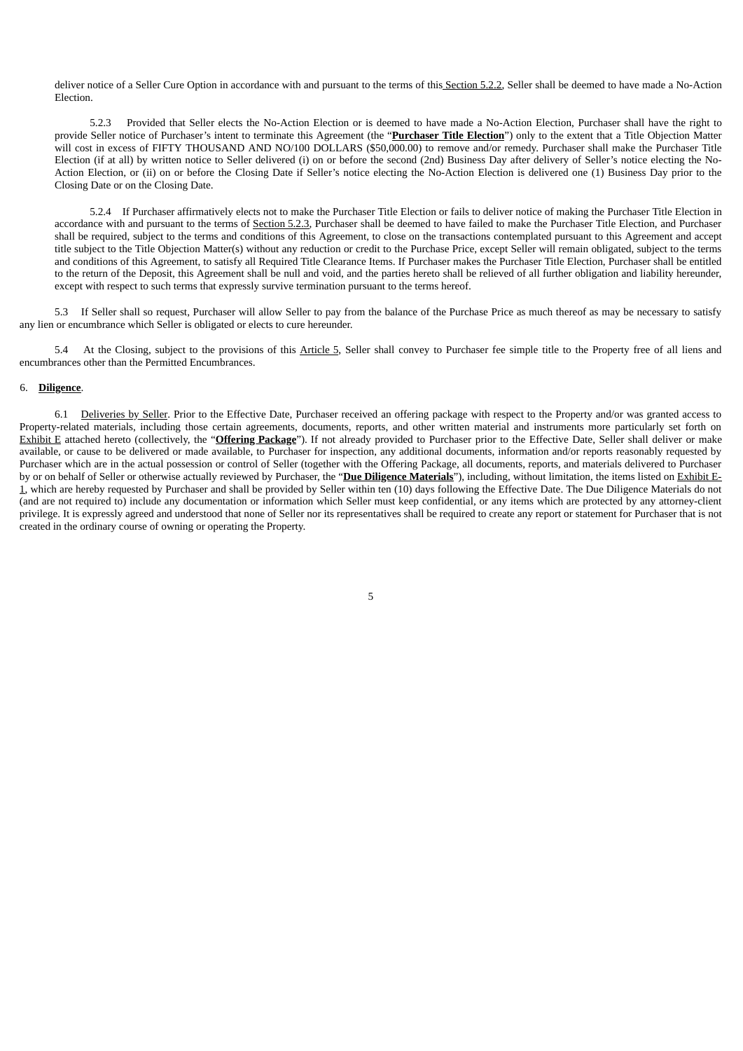deliver notice of a Seller Cure Option in accordance with and pursuant to the terms of this Section 5.2.2, Seller shall be deemed to have made a No-Action Election.

5.2.3 Provided that Seller elects the No-Action Election or is deemed to have made a No-Action Election, Purchaser shall have the right to provide Seller notice of Purchaser's intent to terminate this Agreement (the "**Purchaser Title Election**") only to the extent that a Title Objection Matter will cost in excess of FIFTY THOUSAND AND NO/100 DOLLARS (\$50,000.00) to remove and/or remedy. Purchaser shall make the Purchaser Title Election (if at all) by written notice to Seller delivered (i) on or before the second (2nd) Business Day after delivery of Seller's notice electing the No-Action Election, or (ii) on or before the Closing Date if Seller's notice electing the No-Action Election is delivered one (1) Business Day prior to the Closing Date or on the Closing Date.

5.2.4 If Purchaser affirmatively elects not to make the Purchaser Title Election or fails to deliver notice of making the Purchaser Title Election in accordance with and pursuant to the terms of Section 5.2.3, Purchaser shall be deemed to have failed to make the Purchaser Title Election, and Purchaser shall be required, subject to the terms and conditions of this Agreement, to close on the transactions contemplated pursuant to this Agreement and accept title subject to the Title Objection Matter(s) without any reduction or credit to the Purchase Price, except Seller will remain obligated, subject to the terms and conditions of this Agreement, to satisfy all Required Title Clearance Items. If Purchaser makes the Purchaser Title Election, Purchaser shall be entitled to the return of the Deposit, this Agreement shall be null and void, and the parties hereto shall be relieved of all further obligation and liability hereunder, except with respect to such terms that expressly survive termination pursuant to the terms hereof.

5.3 If Seller shall so request, Purchaser will allow Seller to pay from the balance of the Purchase Price as much thereof as may be necessary to satisfy any lien or encumbrance which Seller is obligated or elects to cure hereunder.

5.4 At the Closing, subject to the provisions of this Article 5, Seller shall convey to Purchaser fee simple title to the Property free of all liens and encumbrances other than the Permitted Encumbrances.

### 6. **Diligence**.

6.1 Deliveries by Seller. Prior to the Effective Date, Purchaser received an offering package with respect to the Property and/or was granted access to Property-related materials, including those certain agreements, documents, reports, and other written material and instruments more particularly set forth on Exhibit E attached hereto (collectively, the "**Offering Package**"). If not already provided to Purchaser prior to the Effective Date, Seller shall deliver or make available, or cause to be delivered or made available, to Purchaser for inspection, any additional documents, information and/or reports reasonably requested by Purchaser which are in the actual possession or control of Seller (together with the Offering Package, all documents, reports, and materials delivered to Purchaser by or on behalf of Seller or otherwise actually reviewed by Purchaser, the "**Due Diligence Materials**"), including, without limitation, the items listed on Exhibit E-1, which are hereby requested by Purchaser and shall be provided by Seller within ten (10) days following the Effective Date. The Due Diligence Materials do not (and are not required to) include any documentation or information which Seller must keep confidential, or any items which are protected by any attorney-client privilege. It is expressly agreed and understood that none of Seller nor its representatives shall be required to create any report or statement for Purchaser that is not created in the ordinary course of owning or operating the Property.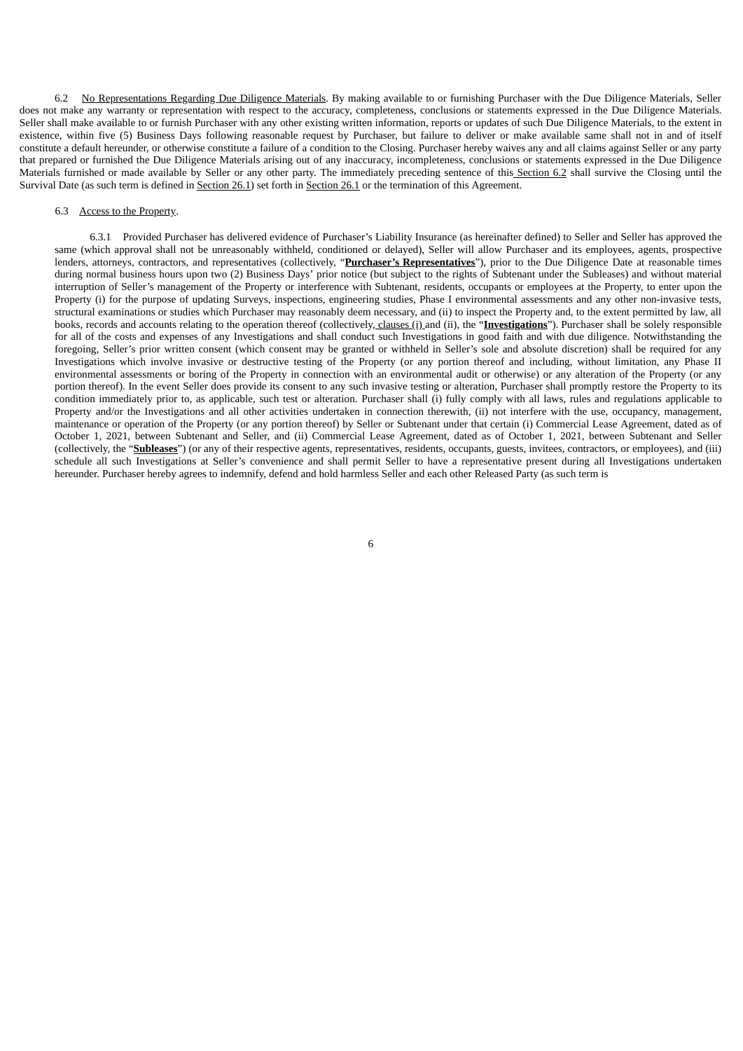6.2 No Representations Regarding Due Diligence Materials. By making available to or furnishing Purchaser with the Due Diligence Materials, Seller does not make any warranty or representation with respect to the accuracy, completeness, conclusions or statements expressed in the Due Diligence Materials. Seller shall make available to or furnish Purchaser with any other existing written information, reports or updates of such Due Diligence Materials, to the extent in existence, within five (5) Business Days following reasonable request by Purchaser, but failure to deliver or make available same shall not in and of itself constitute a default hereunder, or otherwise constitute a failure of a condition to the Closing. Purchaser hereby waives any and all claims against Seller or any party that prepared or furnished the Due Diligence Materials arising out of any inaccuracy, incompleteness, conclusions or statements expressed in the Due Diligence Materials furnished or made available by Seller or any other party. The immediately preceding sentence of this Section 6.2 shall survive the Closing until the Survival Date (as such term is defined in Section 26.1) set forth in Section 26.1 or the termination of this Agreement.

## 6.3 Access to the Property.

6.3.1 Provided Purchaser has delivered evidence of Purchaser's Liability Insurance (as hereinafter defined) to Seller and Seller has approved the same (which approval shall not be unreasonably withheld, conditioned or delayed), Seller will allow Purchaser and its employees, agents, prospective lenders, attorneys, contractors, and representatives (collectively, "**Purchaser's Representatives**"), prior to the Due Diligence Date at reasonable times during normal business hours upon two (2) Business Days' prior notice (but subject to the rights of Subtenant under the Subleases) and without material interruption of Seller's management of the Property or interference with Subtenant, residents, occupants or employees at the Property, to enter upon the Property (i) for the purpose of updating Surveys, inspections, engineering studies, Phase I environmental assessments and any other non-invasive tests, structural examinations or studies which Purchaser may reasonably deem necessary, and (ii) to inspect the Property and, to the extent permitted by law, all books, records and accounts relating to the operation thereof (collectively, clauses (i) and (ii), the "**Investigations**"). Purchaser shall be solely responsible for all of the costs and expenses of any Investigations and shall conduct such Investigations in good faith and with due diligence. Notwithstanding the foregoing, Seller's prior written consent (which consent may be granted or withheld in Seller's sole and absolute discretion) shall be required for any Investigations which involve invasive or destructive testing of the Property (or any portion thereof and including, without limitation, any Phase II environmental assessments or boring of the Property in connection with an environmental audit or otherwise) or any alteration of the Property (or any portion thereof). In the event Seller does provide its consent to any such invasive testing or alteration, Purchaser shall promptly restore the Property to its condition immediately prior to, as applicable, such test or alteration. Purchaser shall (i) fully comply with all laws, rules and regulations applicable to Property and/or the Investigations and all other activities undertaken in connection therewith, (ii) not interfere with the use, occupancy, management, maintenance or operation of the Property (or any portion thereof) by Seller or Subtenant under that certain (i) Commercial Lease Agreement, dated as of October 1, 2021, between Subtenant and Seller, and (ii) Commercial Lease Agreement, dated as of October 1, 2021, between Subtenant and Seller (collectively, the "**Subleases**") (or any of their respective agents, representatives, residents, occupants, guests, invitees, contractors, or employees), and (iii) schedule all such Investigations at Seller's convenience and shall permit Seller to have a representative present during all Investigations undertaken hereunder. Purchaser hereby agrees to indemnify, defend and hold harmless Seller and each other Released Party (as such term is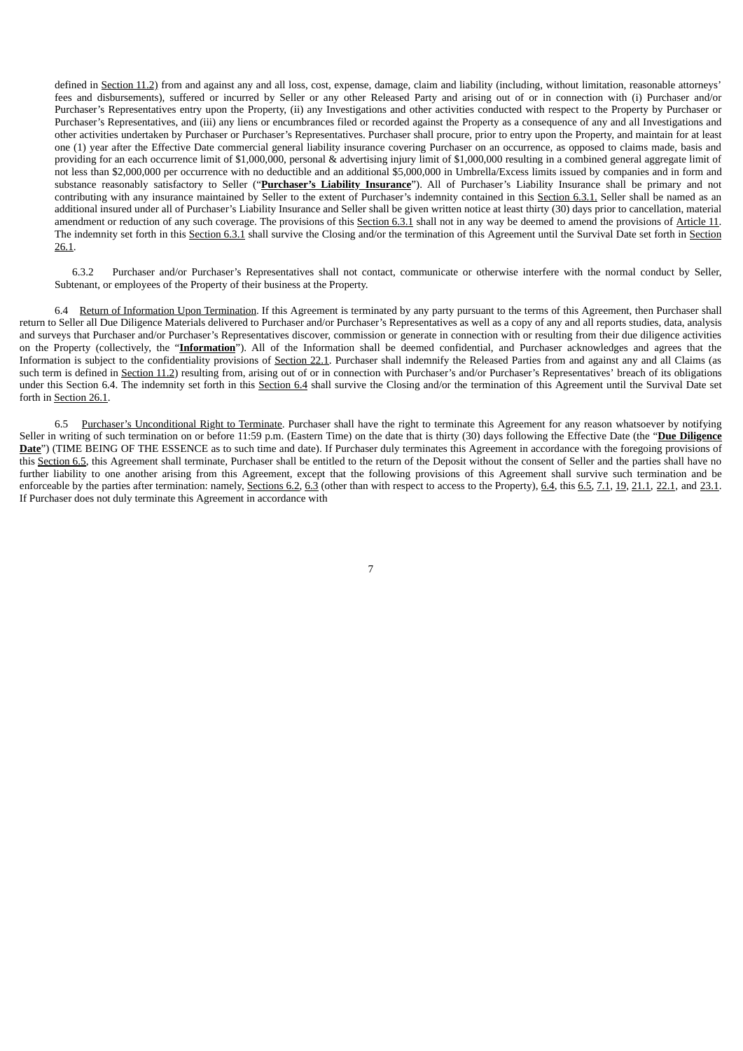defined in Section 11.2) from and against any and all loss, cost, expense, damage, claim and liability (including, without limitation, reasonable attorneys' fees and disbursements), suffered or incurred by Seller or any other Released Party and arising out of or in connection with (i) Purchaser and/or Purchaser's Representatives entry upon the Property, (ii) any Investigations and other activities conducted with respect to the Property by Purchaser or Purchaser's Representatives, and (iii) any liens or encumbrances filed or recorded against the Property as a consequence of any and all Investigations and other activities undertaken by Purchaser or Purchaser's Representatives. Purchaser shall procure, prior to entry upon the Property, and maintain for at least one (1) year after the Effective Date commercial general liability insurance covering Purchaser on an occurrence, as opposed to claims made, basis and providing for an each occurrence limit of \$1,000,000, personal & advertising injury limit of \$1,000,000 resulting in a combined general aggregate limit of not less than \$2,000,000 per occurrence with no deductible and an additional \$5,000,000 in Umbrella/Excess limits issued by companies and in form and substance reasonably satisfactory to Seller ("**Purchaser's Liability Insurance**"). All of Purchaser's Liability Insurance shall be primary and not contributing with any insurance maintained by Seller to the extent of Purchaser's indemnity contained in this Section 6.3.1. Seller shall be named as an additional insured under all of Purchaser's Liability Insurance and Seller shall be given written notice at least thirty (30) days prior to cancellation, material amendment or reduction of any such coverage. The provisions of this Section 6.3.1 shall not in any way be deemed to amend the provisions of Article 11. The indemnity set forth in this Section 6.3.1 shall survive the Closing and/or the termination of this Agreement until the Survival Date set forth in Section 26.1.

6.3.2 Purchaser and/or Purchaser's Representatives shall not contact, communicate or otherwise interfere with the normal conduct by Seller, Subtenant, or employees of the Property of their business at the Property.

6.4 Return of Information Upon Termination. If this Agreement is terminated by any party pursuant to the terms of this Agreement, then Purchaser shall return to Seller all Due Diligence Materials delivered to Purchaser and/or Purchaser's Representatives as well as a copy of any and all reports studies, data, analysis and surveys that Purchaser and/or Purchaser's Representatives discover, commission or generate in connection with or resulting from their due diligence activities on the Property (collectively, the "**Information**"). All of the Information shall be deemed confidential, and Purchaser acknowledges and agrees that the Information is subject to the confidentiality provisions of Section 22.1. Purchaser shall indemnify the Released Parties from and against any and all Claims (as such term is defined in Section 11.2) resulting from, arising out of or in connection with Purchaser's and/or Purchaser's Representatives' breach of its obligations under this Section 6.4. The indemnity set forth in this Section 6.4 shall survive the Closing and/or the termination of this Agreement until the Survival Date set forth in Section 26.1.

6.5 Purchaser's Unconditional Right to Terminate. Purchaser shall have the right to terminate this Agreement for any reason whatsoever by notifying Seller in writing of such termination on or before 11:59 p.m. (Eastern Time) on the date that is thirty (30) days following the Effective Date (the "**Due Diligence Date**") (TIME BEING OF THE ESSENCE as to such time and date). If Purchaser duly terminates this Agreement in accordance with the foregoing provisions of this Section 6.5, this Agreement shall terminate, Purchaser shall be entitled to the return of the Deposit without the consent of Seller and the parties shall have no further liability to one another arising from this Agreement, except that the following provisions of this Agreement shall survive such termination and be enforceable by the parties after termination: namely, Sections 6.2, 6.3 (other than with respect to access to the Property),  $6.4$ , this  $6.5$ ,  $7.1$ ,  $19$ ,  $21.1$ ,  $22.1$ , and  $23.1$ . If Purchaser does not duly terminate this Agreement in accordance with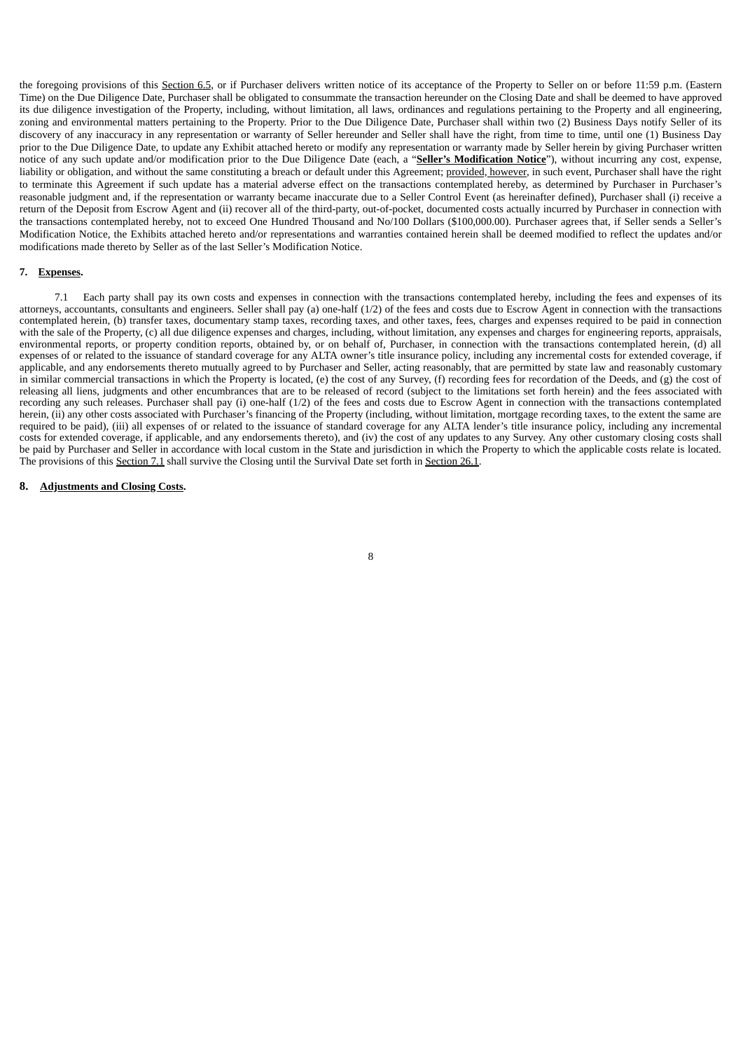the foregoing provisions of this Section 6.5, or if Purchaser delivers written notice of its acceptance of the Property to Seller on or before 11:59 p.m. (Eastern Time) on the Due Diligence Date, Purchaser shall be obligated to consummate the transaction hereunder on the Closing Date and shall be deemed to have approved its due diligence investigation of the Property, including, without limitation, all laws, ordinances and regulations pertaining to the Property and all engineering, zoning and environmental matters pertaining to the Property. Prior to the Due Diligence Date, Purchaser shall within two (2) Business Days notify Seller of its discovery of any inaccuracy in any representation or warranty of Seller hereunder and Seller shall have the right, from time to time, until one (1) Business Day prior to the Due Diligence Date, to update any Exhibit attached hereto or modify any representation or warranty made by Seller herein by giving Purchaser written notice of any such update and/or modification prior to the Due Diligence Date (each, a "**Seller's Modification Notice**"), without incurring any cost, expense, liability or obligation, and without the same constituting a breach or default under this Agreement; provided, however, in such event, Purchaser shall have the right to terminate this Agreement if such update has a material adverse effect on the transactions contemplated hereby, as determined by Purchaser in Purchaser's reasonable judgment and, if the representation or warranty became inaccurate due to a Seller Control Event (as hereinafter defined), Purchaser shall (i) receive a return of the Deposit from Escrow Agent and (ii) recover all of the third-party, out-of-pocket, documented costs actually incurred by Purchaser in connection with the transactions contemplated hereby, not to exceed One Hundred Thousand and No/100 Dollars (\$100,000.00). Purchaser agrees that, if Seller sends a Seller's Modification Notice, the Exhibits attached hereto and/or representations and warranties contained herein shall be deemed modified to reflect the updates and/or modifications made thereto by Seller as of the last Seller's Modification Notice.

#### **7. Expenses.**

7.1 Each party shall pay its own costs and expenses in connection with the transactions contemplated hereby, including the fees and expenses of its attorneys, accountants, consultants and engineers. Seller shall pay (a) one-half (1/2) of the fees and costs due to Escrow Agent in connection with the transactions contemplated herein, (b) transfer taxes, documentary stamp taxes, recording taxes, and other taxes, fees, charges and expenses required to be paid in connection with the sale of the Property, (c) all due diligence expenses and charges, including, without limitation, any expenses and charges for engineering reports, appraisals, environmental reports, or property condition reports, obtained by, or on behalf of, Purchaser, in connection with the transactions contemplated herein, (d) all expenses of or related to the issuance of standard coverage for any ALTA owner's title insurance policy, including any incremental costs for extended coverage, if applicable, and any endorsements thereto mutually agreed to by Purchaser and Seller, acting reasonably, that are permitted by state law and reasonably customary in similar commercial transactions in which the Property is located, (e) the cost of any Survey, (f) recording fees for recordation of the Deeds, and (g) the cost of releasing all liens, judgments and other encumbrances that are to be released of record (subject to the limitations set forth herein) and the fees associated with recording any such releases. Purchaser shall pay (i) one-half (1/2) of the fees and costs due to Escrow Agent in connection with the transactions contemplated herein, (ii) any other costs associated with Purchaser's financing of the Property (including, without limitation, mortgage recording taxes, to the extent the same are required to be paid), (iii) all expenses of or related to the issuance of standard coverage for any ALTA lender's title insurance policy, including any incremental costs for extended coverage, if applicable, and any endorsements thereto), and (iv) the cost of any updates to any Survey. Any other customary closing costs shall be paid by Purchaser and Seller in accordance with local custom in the State and jurisdiction in which the Property to which the applicable costs relate is located. The provisions of this Section 7.1 shall survive the Closing until the Survival Date set forth in Section 26.1.

## **8. Adjustments and Closing Costs.**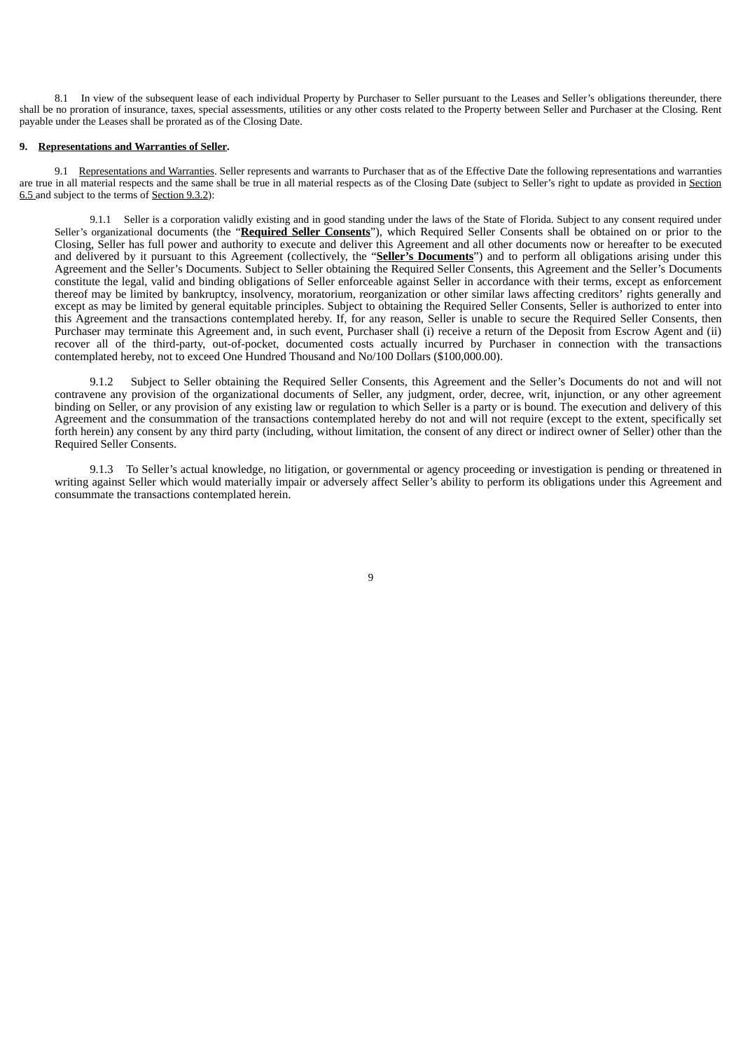8.1 In view of the subsequent lease of each individual Property by Purchaser to Seller pursuant to the Leases and Seller's obligations thereunder, there shall be no proration of insurance, taxes, special assessments, utilities or any other costs related to the Property between Seller and Purchaser at the Closing. Rent payable under the Leases shall be prorated as of the Closing Date.

#### **9. Representations and Warranties of Seller.**

9.1 Representations and Warranties. Seller represents and warrants to Purchaser that as of the Effective Date the following representations and warranties are true in all material respects and the same shall be true in all material respects as of the Closing Date (subject to Seller's right to update as provided in Section 6.5 and subject to the terms of Section 9.3.2):

9.1.1 Seller is a corporation validly existing and in good standing under the laws of the State of Florida. Subject to any consent required under Seller's organizational documents (the "**Required Seller Consents**"), which Required Seller Consents shall be obtained on or prior to the Closing, Seller has full power and authority to execute and deliver this Agreement and all other documents now or hereafter to be executed and delivered by it pursuant to this Agreement (collectively, the "**Seller's Documents**") and to perform all obligations arising under this Agreement and the Seller's Documents. Subject to Seller obtaining the Required Seller Consents, this Agreement and the Seller's Documents constitute the legal, valid and binding obligations of Seller enforceable against Seller in accordance with their terms, except as enforcement thereof may be limited by bankruptcy, insolvency, moratorium, reorganization or other similar laws affecting creditors' rights generally and except as may be limited by general equitable principles. Subject to obtaining the Required Seller Consents, Seller is authorized to enter into this Agreement and the transactions contemplated hereby. If, for any reason, Seller is unable to secure the Required Seller Consents, then Purchaser may terminate this Agreement and, in such event, Purchaser shall (i) receive a return of the Deposit from Escrow Agent and (ii) recover all of the third-party, out-of-pocket, documented costs actually incurred by Purchaser in connection with the transactions contemplated hereby, not to exceed One Hundred Thousand and No/100 Dollars (\$100,000.00).

9.1.2 Subject to Seller obtaining the Required Seller Consents, this Agreement and the Seller's Documents do not and will not contravene any provision of the organizational documents of Seller, any judgment, order, decree, writ, injunction, or any other agreement binding on Seller, or any provision of any existing law or regulation to which Seller is a party or is bound. The execution and delivery of this Agreement and the consummation of the transactions contemplated hereby do not and will not require (except to the extent, specifically set forth herein) any consent by any third party (including, without limitation, the consent of any direct or indirect owner of Seller) other than the Required Seller Consents.

9.1.3 To Seller's actual knowledge, no litigation, or governmental or agency proceeding or investigation is pending or threatened in writing against Seller which would materially impair or adversely affect Seller's ability to perform its obligations under this Agreement and consummate the transactions contemplated herein.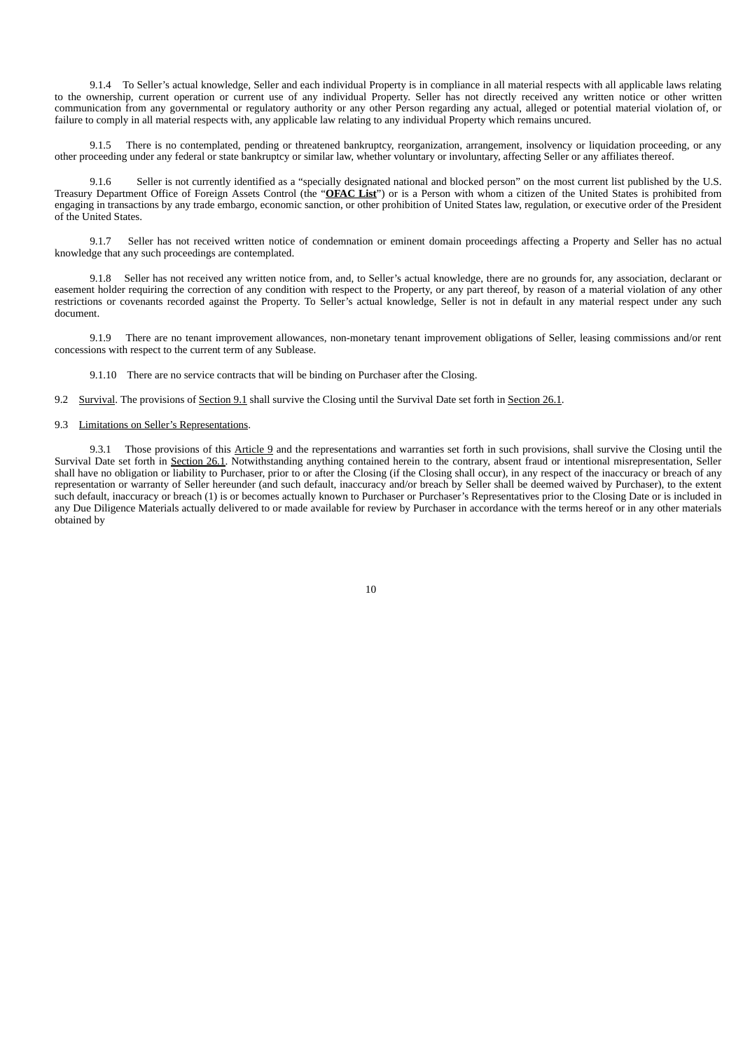9.1.4 To Seller's actual knowledge, Seller and each individual Property is in compliance in all material respects with all applicable laws relating to the ownership, current operation or current use of any individual Property. Seller has not directly received any written notice or other written communication from any governmental or regulatory authority or any other Person regarding any actual, alleged or potential material violation of, or failure to comply in all material respects with, any applicable law relating to any individual Property which remains uncured.

9.1.5 There is no contemplated, pending or threatened bankruptcy, reorganization, arrangement, insolvency or liquidation proceeding, or any other proceeding under any federal or state bankruptcy or similar law, whether voluntary or involuntary, affecting Seller or any affiliates thereof.

9.1.6 Seller is not currently identified as a "specially designated national and blocked person" on the most current list published by the U.S. Treasury Department Office of Foreign Assets Control (the "**OFAC List**") or is a Person with whom a citizen of the United States is prohibited from engaging in transactions by any trade embargo, economic sanction, or other prohibition of United States law, regulation, or executive order of the President of the United States.

9.1.7 Seller has not received written notice of condemnation or eminent domain proceedings affecting a Property and Seller has no actual knowledge that any such proceedings are contemplated.

9.1.8 Seller has not received any written notice from, and, to Seller's actual knowledge, there are no grounds for, any association, declarant or easement holder requiring the correction of any condition with respect to the Property, or any part thereof, by reason of a material violation of any other restrictions or covenants recorded against the Property. To Seller's actual knowledge, Seller is not in default in any material respect under any such document.

9.1.9 There are no tenant improvement allowances, non-monetary tenant improvement obligations of Seller, leasing commissions and/or rent concessions with respect to the current term of any Sublease.

9.1.10 There are no service contracts that will be binding on Purchaser after the Closing.

9.2 Survival. The provisions of Section 9.1 shall survive the Closing until the Survival Date set forth in Section 26.1.

#### 9.3 Limitations on Seller's Representations.

9.3.1 Those provisions of this Article 9 and the representations and warranties set forth in such provisions, shall survive the Closing until the Survival Date set forth in Section 26.1. Notwithstanding anything contained herein to the contrary, absent fraud or intentional misrepresentation, Seller shall have no obligation or liability to Purchaser, prior to or after the Closing (if the Closing shall occur), in any respect of the inaccuracy or breach of any representation or warranty of Seller hereunder (and such default, inaccuracy and/or breach by Seller shall be deemed waived by Purchaser), to the extent such default, inaccuracy or breach (1) is or becomes actually known to Purchaser or Purchaser's Representatives prior to the Closing Date or is included in any Due Diligence Materials actually delivered to or made available for review by Purchaser in accordance with the terms hereof or in any other materials obtained by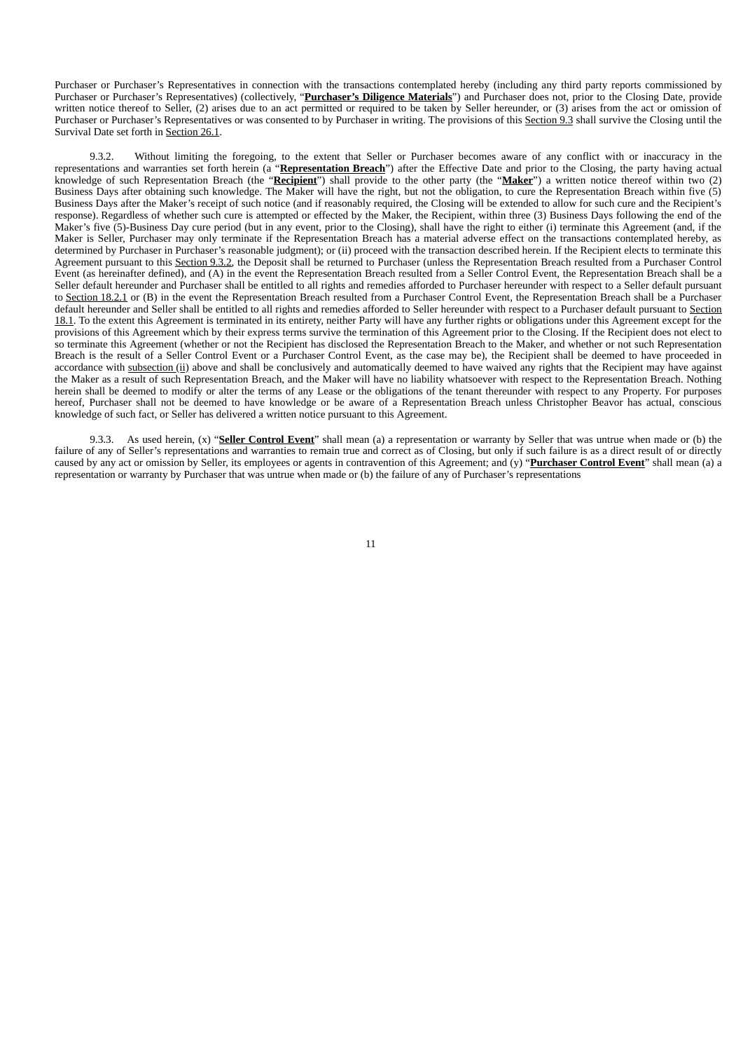Purchaser or Purchaser's Representatives in connection with the transactions contemplated hereby (including any third party reports commissioned by Purchaser or Purchaser's Representatives) (collectively, "**Purchaser's Diligence Materials**") and Purchaser does not, prior to the Closing Date, provide written notice thereof to Seller, (2) arises due to an act permitted or required to be taken by Seller hereunder, or (3) arises from the act or omission of Purchaser or Purchaser's Representatives or was consented to by Purchaser in writing. The provisions of this Section 9.3 shall survive the Closing until the Survival Date set forth in Section 26.1.

9.3.2. Without limiting the foregoing, to the extent that Seller or Purchaser becomes aware of any conflict with or inaccuracy in the representations and warranties set forth herein (a "**Representation Breach**") after the Effective Date and prior to the Closing, the party having actual knowledge of such Representation Breach (the "**Recipient**") shall provide to the other party (the "**Maker**") a written notice thereof within two (2) Business Days after obtaining such knowledge. The Maker will have the right, but not the obligation, to cure the Representation Breach within five (5) Business Days after the Maker's receipt of such notice (and if reasonably required, the Closing will be extended to allow for such cure and the Recipient's response). Regardless of whether such cure is attempted or effected by the Maker, the Recipient, within three (3) Business Days following the end of the Maker's five (5)-Business Day cure period (but in any event, prior to the Closing), shall have the right to either (i) terminate this Agreement (and, if the Maker is Seller, Purchaser may only terminate if the Representation Breach has a material adverse effect on the transactions contemplated hereby, as determined by Purchaser in Purchaser's reasonable judgment); or (ii) proceed with the transaction described herein. If the Recipient elects to terminate this Agreement pursuant to this Section 9.3.2, the Deposit shall be returned to Purchaser (unless the Representation Breach resulted from a Purchaser Control Event (as hereinafter defined), and (A) in the event the Representation Breach resulted from a Seller Control Event, the Representation Breach shall be a Seller default hereunder and Purchaser shall be entitled to all rights and remedies afforded to Purchaser hereunder with respect to a Seller default pursuant to Section 18.2.1 or (B) in the event the Representation Breach resulted from a Purchaser Control Event, the Representation Breach shall be a Purchaser default hereunder and Seller shall be entitled to all rights and remedies afforded to Seller hereunder with respect to a Purchaser default pursuant to Section 18.1. To the extent this Agreement is terminated in its entirety, neither Party will have any further rights or obligations under this Agreement except for the provisions of this Agreement which by their express terms survive the termination of this Agreement prior to the Closing. If the Recipient does not elect to so terminate this Agreement (whether or not the Recipient has disclosed the Representation Breach to the Maker, and whether or not such Representation Breach is the result of a Seller Control Event or a Purchaser Control Event, as the case may be), the Recipient shall be deemed to have proceeded in accordance with subsection (ii) above and shall be conclusively and automatically deemed to have waived any rights that the Recipient may have against the Maker as a result of such Representation Breach, and the Maker will have no liability whatsoever with respect to the Representation Breach. Nothing herein shall be deemed to modify or alter the terms of any Lease or the obligations of the tenant thereunder with respect to any Property. For purposes hereof, Purchaser shall not be deemed to have knowledge or be aware of a Representation Breach unless Christopher Beavor has actual, conscious knowledge of such fact, or Seller has delivered a written notice pursuant to this Agreement.

9.3.3. As used herein, (x) "**Seller Control Event**" shall mean (a) a representation or warranty by Seller that was untrue when made or (b) the failure of any of Seller's representations and warranties to remain true and correct as of Closing, but only if such failure is as a direct result of or directly caused by any act or omission by Seller, its employees or agents in contravention of this Agreement; and (y) "**Purchaser Control Event**" shall mean (a) a representation or warranty by Purchaser that was untrue when made or (b) the failure of any of Purchaser's representations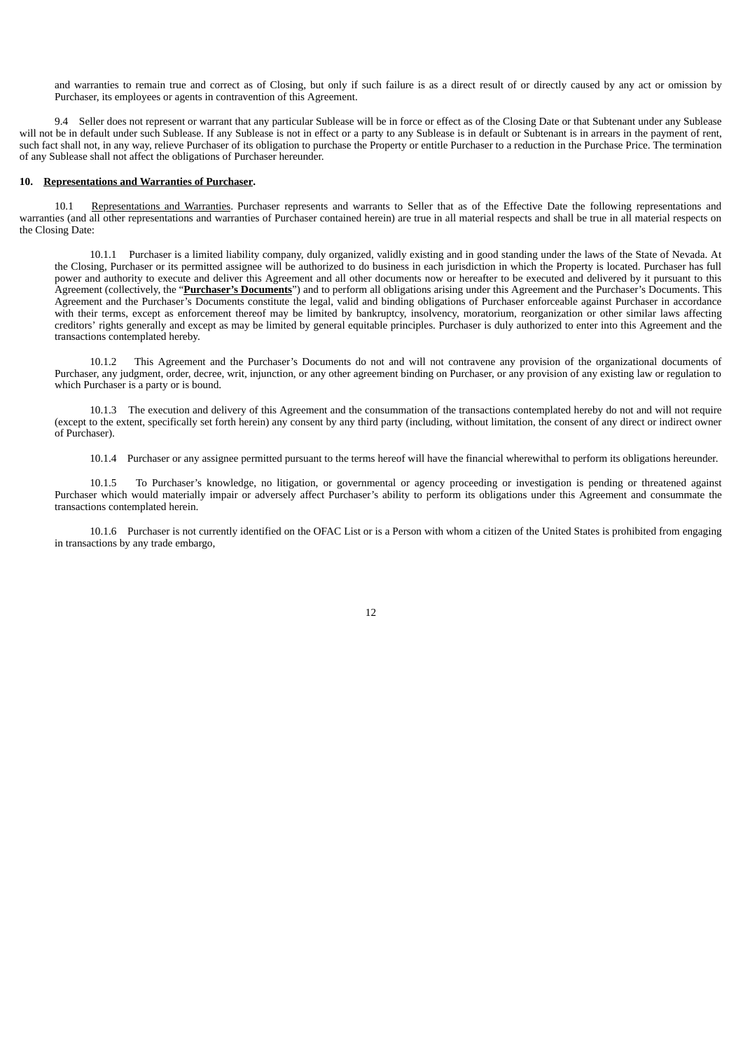and warranties to remain true and correct as of Closing, but only if such failure is as a direct result of or directly caused by any act or omission by Purchaser, its employees or agents in contravention of this Agreement.

9.4 Seller does not represent or warrant that any particular Sublease will be in force or effect as of the Closing Date or that Subtenant under any Sublease will not be in default under such Sublease. If any Sublease is not in effect or a party to any Sublease is in default or Subtenant is in arrears in the payment of rent, such fact shall not, in any way, relieve Purchaser of its obligation to purchase the Property or entitle Purchaser to a reduction in the Purchase Price. The termination of any Sublease shall not affect the obligations of Purchaser hereunder.

#### **10. Representations and Warranties of Purchaser.**

10.1 Representations and Warranties. Purchaser represents and warrants to Seller that as of the Effective Date the following representations and warranties (and all other representations and warranties of Purchaser contained herein) are true in all material respects and shall be true in all material respects on the Closing Date:

10.1.1 Purchaser is a limited liability company, duly organized, validly existing and in good standing under the laws of the State of Nevada. At the Closing, Purchaser or its permitted assignee will be authorized to do business in each jurisdiction in which the Property is located. Purchaser has full power and authority to execute and deliver this Agreement and all other documents now or hereafter to be executed and delivered by it pursuant to this Agreement (collectively, the "**Purchaser's Documents**") and to perform all obligations arising under this Agreement and the Purchaser's Documents. This Agreement and the Purchaser's Documents constitute the legal, valid and binding obligations of Purchaser enforceable against Purchaser in accordance with their terms, except as enforcement thereof may be limited by bankruptcy, insolvency, moratorium, reorganization or other similar laws affecting creditors' rights generally and except as may be limited by general equitable principles. Purchaser is duly authorized to enter into this Agreement and the transactions contemplated hereby.

10.1.2 This Agreement and the Purchaser's Documents do not and will not contravene any provision of the organizational documents of Purchaser, any judgment, order, decree, writ, injunction, or any other agreement binding on Purchaser, or any provision of any existing law or regulation to which Purchaser is a party or is bound.

10.1.3 The execution and delivery of this Agreement and the consummation of the transactions contemplated hereby do not and will not require (except to the extent, specifically set forth herein) any consent by any third party (including, without limitation, the consent of any direct or indirect owner of Purchaser).

10.1.4 Purchaser or any assignee permitted pursuant to the terms hereof will have the financial wherewithal to perform its obligations hereunder.

10.1.5 To Purchaser's knowledge, no litigation, or governmental or agency proceeding or investigation is pending or threatened against Purchaser which would materially impair or adversely affect Purchaser's ability to perform its obligations under this Agreement and consummate the transactions contemplated herein.

10.1.6 Purchaser is not currently identified on the OFAC List or is a Person with whom a citizen of the United States is prohibited from engaging in transactions by any trade embargo,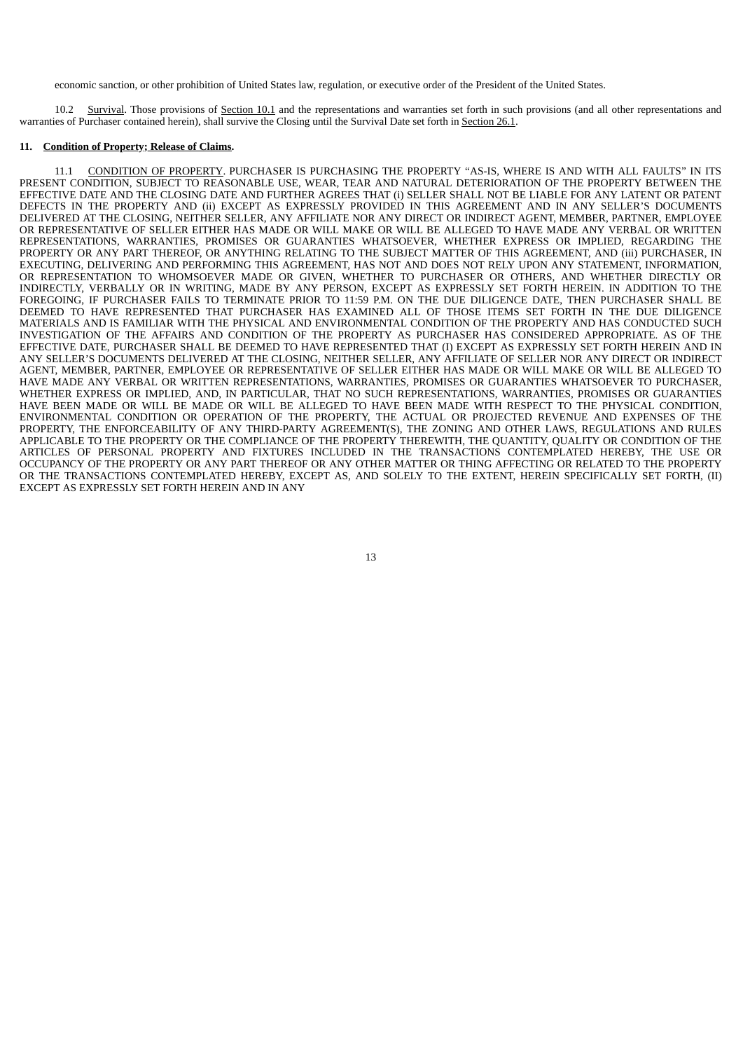economic sanction, or other prohibition of United States law, regulation, or executive order of the President of the United States.

10.2 Survival. Those provisions of Section 10.1 and the representations and warranties set forth in such provisions (and all other representations and warranties of Purchaser contained herein), shall survive the Closing until the Survival Date set forth in Section 26.1.

#### **11. Condition of Property; Release of Claims.**

CONDITION OF PROPERTY. PURCHASER IS PURCHASING THE PROPERTY "AS-IS, WHERE IS AND WITH ALL FAULTS" IN ITS PRESENT CONDITION, SUBJECT TO REASONABLE USE, WEAR, TEAR AND NATURAL DETERIORATION OF THE PROPERTY BETWEEN THE EFFECTIVE DATE AND THE CLOSING DATE AND FURTHER AGREES THAT (i) SELLER SHALL NOT BE LIABLE FOR ANY LATENT OR PATENT DEFECTS IN THE PROPERTY AND (ii) EXCEPT AS EXPRESSLY PROVIDED IN THIS AGREEMENT AND IN ANY SELLER'S DOCUMENTS DELIVERED AT THE CLOSING, NEITHER SELLER, ANY AFFILIATE NOR ANY DIRECT OR INDIRECT AGENT, MEMBER, PARTNER, EMPLOYEE OR REPRESENTATIVE OF SELLER EITHER HAS MADE OR WILL MAKE OR WILL BE ALLEGED TO HAVE MADE ANY VERBAL OR WRITTEN REPRESENTATIONS, WARRANTIES, PROMISES OR GUARANTIES WHATSOEVER, WHETHER EXPRESS OR IMPLIED, REGARDING THE PROPERTY OR ANY PART THEREOF, OR ANYTHING RELATING TO THE SUBJECT MATTER OF THIS AGREEMENT, AND (iii) PURCHASER, IN EXECUTING, DELIVERING AND PERFORMING THIS AGREEMENT, HAS NOT AND DOES NOT RELY UPON ANY STATEMENT, INFORMATION, OR REPRESENTATION TO WHOMSOEVER MADE OR GIVEN, WHETHER TO PURCHASER OR OTHERS, AND WHETHER DIRECTLY OR INDIRECTLY, VERBALLY OR IN WRITING, MADE BY ANY PERSON, EXCEPT AS EXPRESSLY SET FORTH HEREIN. IN ADDITION TO THE FOREGOING, IF PURCHASER FAILS TO TERMINATE PRIOR TO 11:59 P.M. ON THE DUE DILIGENCE DATE, THEN PURCHASER SHALL BE DEEMED TO HAVE REPRESENTED THAT PURCHASER HAS EXAMINED ALL OF THOSE ITEMS SET FORTH IN THE DUE DILIGENCE MATERIALS AND IS FAMILIAR WITH THE PHYSICAL AND ENVIRONMENTAL CONDITION OF THE PROPERTY AND HAS CONDUCTED SUCH INVESTIGATION OF THE AFFAIRS AND CONDITION OF THE PROPERTY AS PURCHASER HAS CONSIDERED APPROPRIATE. AS OF THE EFFECTIVE DATE, PURCHASER SHALL BE DEEMED TO HAVE REPRESENTED THAT (I) EXCEPT AS EXPRESSLY SET FORTH HEREIN AND IN ANY SELLER'S DOCUMENTS DELIVERED AT THE CLOSING, NEITHER SELLER, ANY AFFILIATE OF SELLER NOR ANY DIRECT OR INDIRECT AGENT, MEMBER, PARTNER, EMPLOYEE OR REPRESENTATIVE OF SELLER EITHER HAS MADE OR WILL MAKE OR WILL BE ALLEGED TO HAVE MADE ANY VERBAL OR WRITTEN REPRESENTATIONS, WARRANTIES, PROMISES OR GUARANTIES WHATSOEVER TO PURCHASER, WHETHER EXPRESS OR IMPLIED, AND, IN PARTICULAR, THAT NO SUCH REPRESENTATIONS, WARRANTIES, PROMISES OR GUARANTIES HAVE BEEN MADE OR WILL BE MADE OR WILL BE ALLEGED TO HAVE BEEN MADE WITH RESPECT TO THE PHYSICAL CONDITION, ENVIRONMENTAL CONDITION OR OPERATION OF THE PROPERTY, THE ACTUAL OR PROJECTED REVENUE AND EXPENSES OF THE PROPERTY, THE ENFORCEABILITY OF ANY THIRD-PARTY AGREEMENT(S), THE ZONING AND OTHER LAWS, REGULATIONS AND RULES APPLICABLE TO THE PROPERTY OR THE COMPLIANCE OF THE PROPERTY THEREWITH, THE QUANTITY, QUALITY OR CONDITION OF THE ARTICLES OF PERSONAL PROPERTY AND FIXTURES INCLUDED IN THE TRANSACTIONS CONTEMPLATED HEREBY, THE USE OR OCCUPANCY OF THE PROPERTY OR ANY PART THEREOF OR ANY OTHER MATTER OR THING AFFECTING OR RELATED TO THE PROPERTY OR THE TRANSACTIONS CONTEMPLATED HEREBY, EXCEPT AS, AND SOLELY TO THE EXTENT, HEREIN SPECIFICALLY SET FORTH, (II) EXCEPT AS EXPRESSLY SET FORTH HEREIN AND IN ANY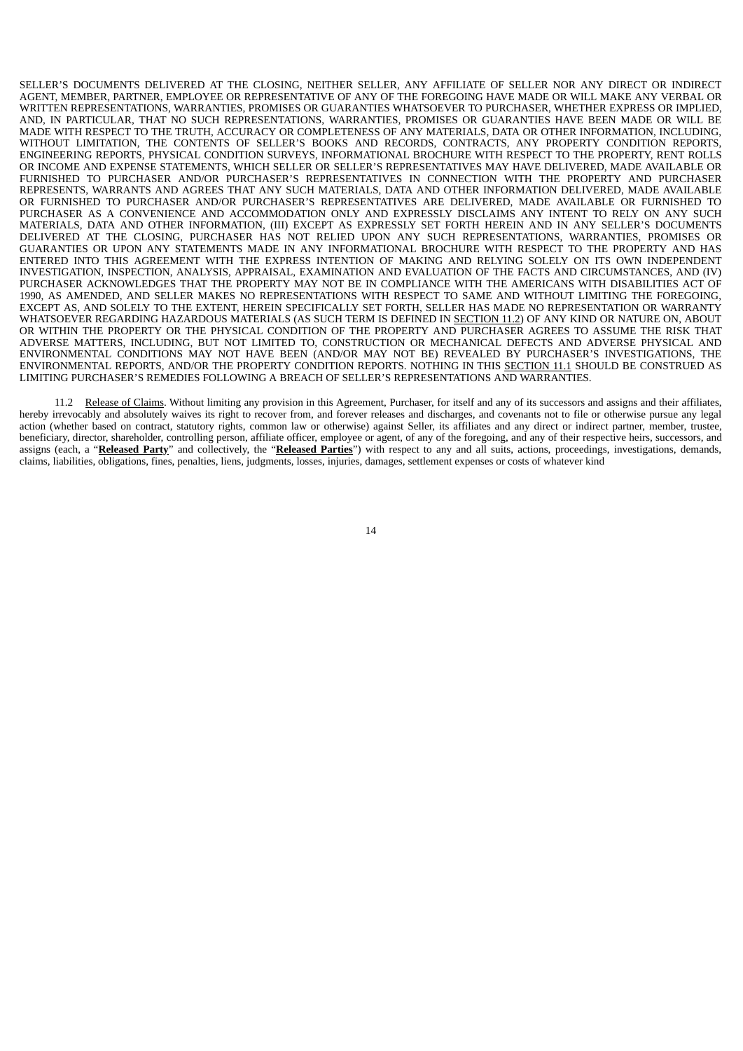SELLER'S DOCUMENTS DELIVERED AT THE CLOSING, NEITHER SELLER, ANY AFFILIATE OF SELLER NOR ANY DIRECT OR INDIRECT AGENT, MEMBER, PARTNER, EMPLOYEE OR REPRESENTATIVE OF ANY OF THE FOREGOING HAVE MADE OR WILL MAKE ANY VERBAL OR WRITTEN REPRESENTATIONS, WARRANTIES, PROMISES OR GUARANTIES WHATSOEVER TO PURCHASER, WHETHER EXPRESS OR IMPLIED, AND, IN PARTICULAR, THAT NO SUCH REPRESENTATIONS, WARRANTIES, PROMISES OR GUARANTIES HAVE BEEN MADE OR WILL BE MADE WITH RESPECT TO THE TRUTH, ACCURACY OR COMPLETENESS OF ANY MATERIALS, DATA OR OTHER INFORMATION, INCLUDING, WITHOUT LIMITATION, THE CONTENTS OF SELLER'S BOOKS AND RECORDS, CONTRACTS, ANY PROPERTY CONDITION REPORTS, ENGINEERING REPORTS, PHYSICAL CONDITION SURVEYS, INFORMATIONAL BROCHURE WITH RESPECT TO THE PROPERTY, RENT ROLLS OR INCOME AND EXPENSE STATEMENTS, WHICH SELLER OR SELLER'S REPRESENTATIVES MAY HAVE DELIVERED, MADE AVAILABLE OR FURNISHED TO PURCHASER AND/OR PURCHASER'S REPRESENTATIVES IN CONNECTION WITH THE PROPERTY AND PURCHASER REPRESENTS, WARRANTS AND AGREES THAT ANY SUCH MATERIALS, DATA AND OTHER INFORMATION DELIVERED, MADE AVAILABLE OR FURNISHED TO PURCHASER AND/OR PURCHASER'S REPRESENTATIVES ARE DELIVERED, MADE AVAILABLE OR FURNISHED TO PURCHASER AS A CONVENIENCE AND ACCOMMODATION ONLY AND EXPRESSLY DISCLAIMS ANY INTENT TO RELY ON ANY SUCH MATERIALS, DATA AND OTHER INFORMATION, (III) EXCEPT AS EXPRESSLY SET FORTH HEREIN AND IN ANY SELLER'S DOCUMENTS DELIVERED AT THE CLOSING, PURCHASER HAS NOT RELIED UPON ANY SUCH REPRESENTATIONS, WARRANTIES, PROMISES OR GUARANTIES OR UPON ANY STATEMENTS MADE IN ANY INFORMATIONAL BROCHURE WITH RESPECT TO THE PROPERTY AND HAS ENTERED INTO THIS AGREEMENT WITH THE EXPRESS INTENTION OF MAKING AND RELYING SOLELY ON ITS OWN INDEPENDENT INVESTIGATION, INSPECTION, ANALYSIS, APPRAISAL, EXAMINATION AND EVALUATION OF THE FACTS AND CIRCUMSTANCES, AND (IV) PURCHASER ACKNOWLEDGES THAT THE PROPERTY MAY NOT BE IN COMPLIANCE WITH THE AMERICANS WITH DISABILITIES ACT OF 1990, AS AMENDED, AND SELLER MAKES NO REPRESENTATIONS WITH RESPECT TO SAME AND WITHOUT LIMITING THE FOREGOING, EXCEPT AS, AND SOLELY TO THE EXTENT, HEREIN SPECIFICALLY SET FORTH, SELLER HAS MADE NO REPRESENTATION OR WARRANTY WHATSOEVER REGARDING HAZARDOUS MATERIALS (AS SUCH TERM IS DEFINED IN <u>SECTION 11.2</u>) OF ANY KIND OR NATURE ON, ABOUT OR WITHIN THE PROPERTY OR THE PHYSICAL CONDITION OF THE PROPERTY AND PURCHASER AGREES TO ASSUME THE RISK THAT ADVERSE MATTERS, INCLUDING, BUT NOT LIMITED TO, CONSTRUCTION OR MECHANICAL DEFECTS AND ADVERSE PHYSICAL AND ENVIRONMENTAL CONDITIONS MAY NOT HAVE BEEN (AND/OR MAY NOT BE) REVEALED BY PURCHASER'S INVESTIGATIONS, THE ENVIRONMENTAL REPORTS, AND/OR THE PROPERTY CONDITION REPORTS. NOTHING IN THIS SECTION 11.1 SHOULD BE CONSTRUED AS LIMITING PURCHASER'S REMEDIES FOLLOWING A BREACH OF SELLER'S REPRESENTATIONS AND WARRANTIES.

11.2 Release of Claims. Without limiting any provision in this Agreement, Purchaser, for itself and any of its successors and assigns and their affiliates, hereby irrevocably and absolutely waives its right to recover from, and forever releases and discharges, and covenants not to file or otherwise pursue any legal action (whether based on contract, statutory rights, common law or otherwise) against Seller, its affiliates and any direct or indirect partner, member, trustee, beneficiary, director, shareholder, controlling person, affiliate officer, employee or agent, of any of the foregoing, and any of their respective heirs, successors, and assigns (each, a "**Released Party**" and collectively, the "**Released Parties**") with respect to any and all suits, actions, proceedings, investigations, demands, claims, liabilities, obligations, fines, penalties, liens, judgments, losses, injuries, damages, settlement expenses or costs of whatever kind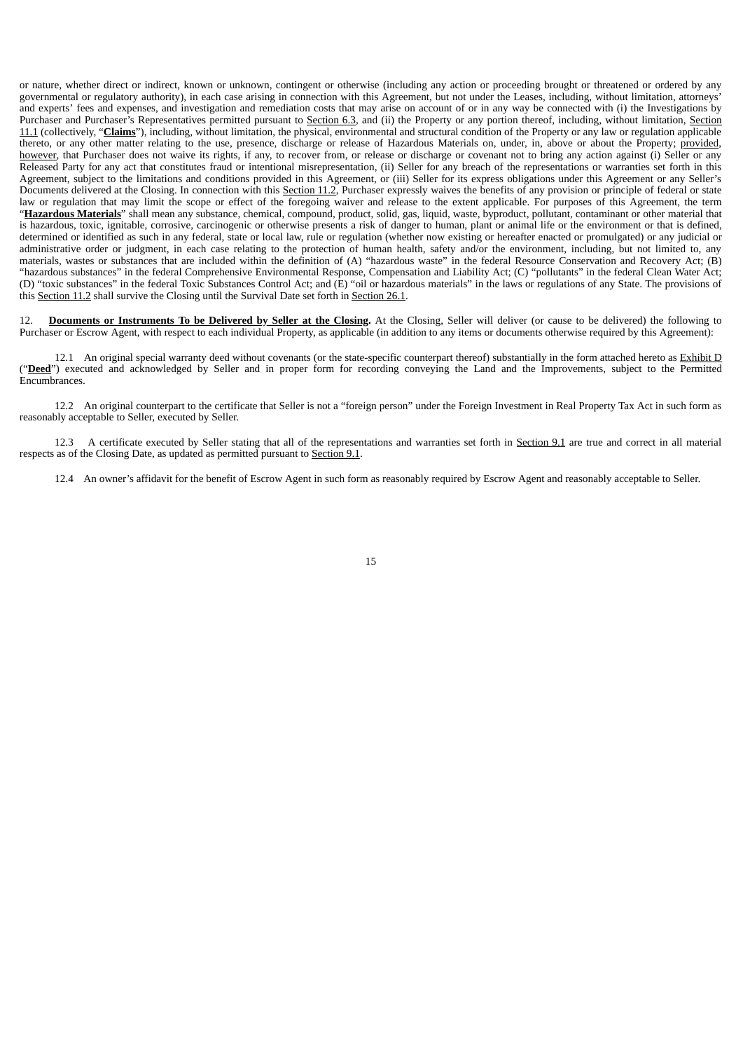or nature, whether direct or indirect, known or unknown, contingent or otherwise (including any action or proceeding brought or threatened or ordered by any governmental or regulatory authority), in each case arising in connection with this Agreement, but not under the Leases, including, without limitation, attorneys' and experts' fees and expenses, and investigation and remediation costs that may arise on account of or in any way be connected with (i) the Investigations by Purchaser and Purchaser's Representatives permitted pursuant to Section 6.3, and (ii) the Property or any portion thereof, including, without limitation, Section 11.1 (collectively, "**Claims**"), including, without limitation, the physical, environmental and structural condition of the Property or any law or regulation applicable thereto, or any other matter relating to the use, presence, discharge or release of Hazardous Materials on, under, in, above or about the Property; provided, however, that Purchaser does not waive its rights, if any, to recover from, or release or discharge or covenant not to bring any action against (i) Seller or any Released Party for any act that constitutes fraud or intentional misrepresentation, (ii) Seller for any breach of the representations or warranties set forth in this Agreement, subject to the limitations and conditions provided in this Agreement, or (iii) Seller for its express obligations under this Agreement or any Seller's Documents delivered at the Closing. In connection with this Section 11.2, Purchaser expressly waives the benefits of any provision or principle of federal or state law or regulation that may limit the scope or effect of the foregoing waiver and release to the extent applicable. For purposes of this Agreement, the term "**Hazardous Materials**" shall mean any substance, chemical, compound, product, solid, gas, liquid, waste, byproduct, pollutant, contaminant or other material that is hazardous, toxic, ignitable, corrosive, carcinogenic or otherwise presents a risk of danger to human, plant or animal life or the environment or that is defined, determined or identified as such in any federal, state or local law, rule or regulation (whether now existing or hereafter enacted or promulgated) or any judicial or administrative order or judgment, in each case relating to the protection of human health, safety and/or the environment, including, but not limited to, any materials, wastes or substances that are included within the definition of (A) "hazardous waste" in the federal Resource Conservation and Recovery Act; (B) "hazardous substances" in the federal Comprehensive Environmental Response, Compensation and Liability Act; (C) "pollutants" in the federal Clean Water Act; (D) "toxic substances" in the federal Toxic Substances Control Act; and (E) "oil or hazardous materials" in the laws or regulations of any State. The provisions of this Section 11.2 shall survive the Closing until the Survival Date set forth in Section 26.1.

12. Documents or Instruments To be Delivered by Seller at the Closing. At the Closing, Seller will deliver (or cause to be delivered) the following to Purchaser or Escrow Agent, with respect to each individual Property, as applicable (in addition to any items or documents otherwise required by this Agreement):

12.1 An original special warranty deed without covenants (or the state-specific counterpart thereof) substantially in the form attached hereto as Exhibit D ("Deed") executed and acknowledged by Seller and in proper form for recording conveying the Land and the Improvements, subject to the Permitted Encumbrances.

12.2 An original counterpart to the certificate that Seller is not a "foreign person" under the Foreign Investment in Real Property Tax Act in such form as reasonably acceptable to Seller, executed by Seller.

12.3 A certificate executed by Seller stating that all of the representations and warranties set forth in Section 9.1 are true and correct in all material respects as of the Closing Date, as updated as permitted pursuant to Section 9.1.

12.4 An owner's affidavit for the benefit of Escrow Agent in such form as reasonably required by Escrow Agent and reasonably acceptable to Seller.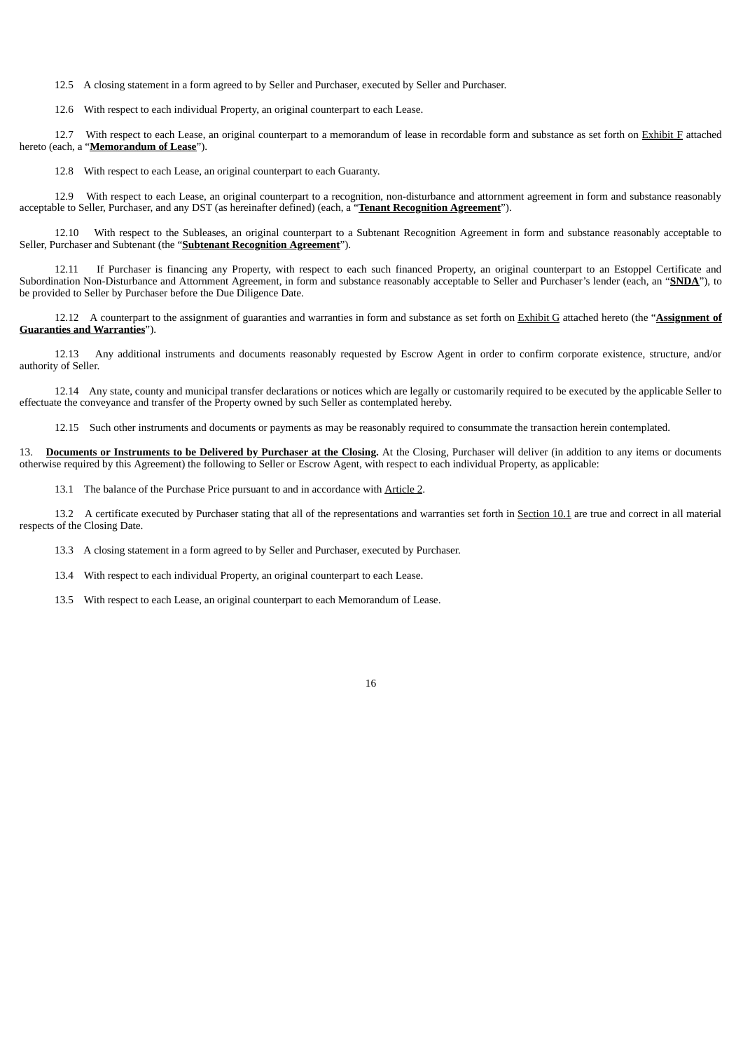12.5 A closing statement in a form agreed to by Seller and Purchaser, executed by Seller and Purchaser.

12.6 With respect to each individual Property, an original counterpart to each Lease.

12.7 With respect to each Lease, an original counterpart to a memorandum of lease in recordable form and substance as set forth on  $Exhibit E$  attached hereto (each, a "**Memorandum of Lease**").

12.8 With respect to each Lease, an original counterpart to each Guaranty.

12.9 With respect to each Lease, an original counterpart to a recognition, non-disturbance and attornment agreement in form and substance reasonably acceptable to Seller, Purchaser, and any DST (as hereinafter defined) (each, a "**Tenant Recognition Agreement**").

12.10 With respect to the Subleases, an original counterpart to a Subtenant Recognition Agreement in form and substance reasonably acceptable to Seller, Purchaser and Subtenant (the "**Subtenant Recognition Agreement**").

12.11 If Purchaser is financing any Property, with respect to each such financed Property, an original counterpart to an Estoppel Certificate and Subordination Non-Disturbance and Attornment Agreement, in form and substance reasonably acceptable to Seller and Purchaser's lender (each, an "**SNDA**"), to be provided to Seller by Purchaser before the Due Diligence Date.

12.12 A counterpart to the assignment of guaranties and warranties in form and substance as set forth on Exhibit G attached hereto (the "**Assignment of Guaranties and Warranties**").

12.13 Any additional instruments and documents reasonably requested by Escrow Agent in order to confirm corporate existence, structure, and/or authority of Seller.

12.14 Any state, county and municipal transfer declarations or notices which are legally or customarily required to be executed by the applicable Seller to effectuate the conveyance and transfer of the Property owned by such Seller as contemplated hereby.

12.15 Such other instruments and documents or payments as may be reasonably required to consummate the transaction herein contemplated.

13. Documents or Instruments to be Delivered by Purchaser at the Closing. At the Closing, Purchaser will deliver (in addition to any items or documents otherwise required by this Agreement) the following to Seller or Escrow Agent, with respect to each individual Property, as applicable:

13.1 The balance of the Purchase Price pursuant to and in accordance with Article 2.

13.2 A certificate executed by Purchaser stating that all of the representations and warranties set forth in Section 10.1 are true and correct in all material respects of the Closing Date.

13.3 A closing statement in a form agreed to by Seller and Purchaser, executed by Purchaser.

13.4 With respect to each individual Property, an original counterpart to each Lease.

13.5 With respect to each Lease, an original counterpart to each Memorandum of Lease.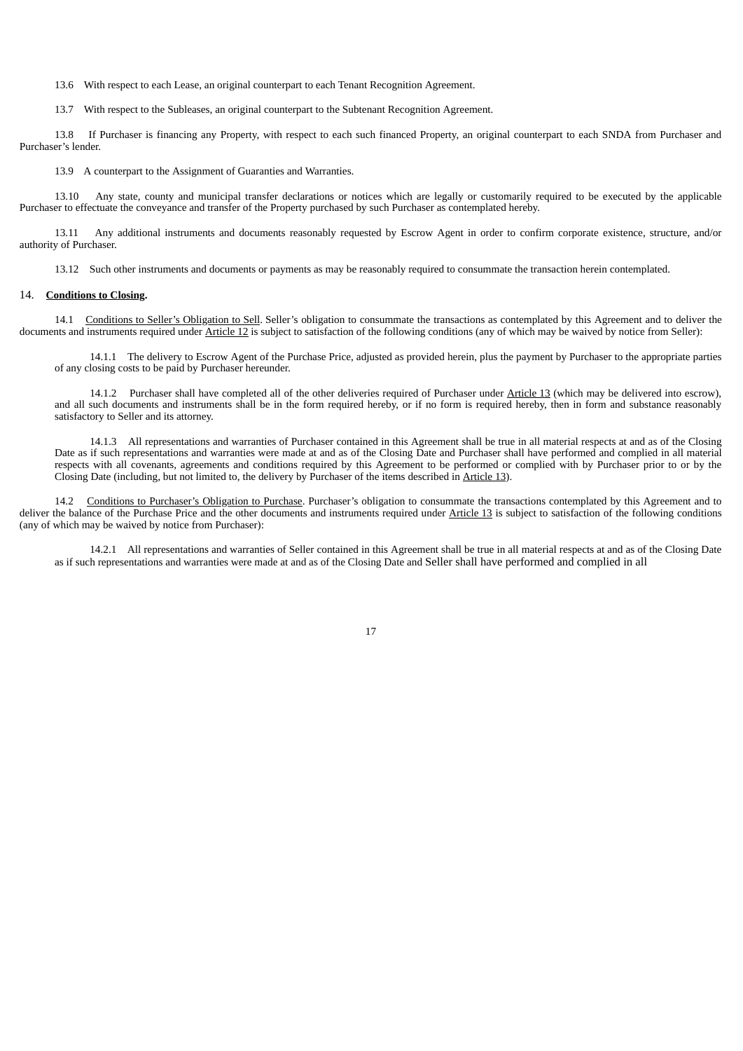13.6 With respect to each Lease, an original counterpart to each Tenant Recognition Agreement.

13.7 With respect to the Subleases, an original counterpart to the Subtenant Recognition Agreement.

13.8 If Purchaser is financing any Property, with respect to each such financed Property, an original counterpart to each SNDA from Purchaser and Purchaser's lender.

13.9 A counterpart to the Assignment of Guaranties and Warranties.

13.10 Any state, county and municipal transfer declarations or notices which are legally or customarily required to be executed by the applicable Purchaser to effectuate the conveyance and transfer of the Property purchased by such Purchaser as contemplated hereby.

13.11 Any additional instruments and documents reasonably requested by Escrow Agent in order to confirm corporate existence, structure, and/or authority of Purchaser.

13.12 Such other instruments and documents or payments as may be reasonably required to consummate the transaction herein contemplated.

## 14. **Conditions to Closing.**

14.1 Conditions to Seller's Obligation to Sell. Seller's obligation to consummate the transactions as contemplated by this Agreement and to deliver the documents and instruments required under Article 12 is subject to satisfaction of the following conditions (any of which may be waived by notice from Seller):

14.1.1 The delivery to Escrow Agent of the Purchase Price, adjusted as provided herein, plus the payment by Purchaser to the appropriate parties of any closing costs to be paid by Purchaser hereunder.

14.1.2 Purchaser shall have completed all of the other deliveries required of Purchaser under Article 13 (which may be delivered into escrow), and all such documents and instruments shall be in the form required hereby, or if no form is required hereby, then in form and substance reasonably satisfactory to Seller and its attorney.

14.1.3 All representations and warranties of Purchaser contained in this Agreement shall be true in all material respects at and as of the Closing Date as if such representations and warranties were made at and as of the Closing Date and Purchaser shall have performed and complied in all material respects with all covenants, agreements and conditions required by this Agreement to be performed or complied with by Purchaser prior to or by the Closing Date (including, but not limited to, the delivery by Purchaser of the items described in Article 13).

14.2 Conditions to Purchaser's Obligation to Purchase. Purchaser's obligation to consummate the transactions contemplated by this Agreement and to deliver the balance of the Purchase Price and the other documents and instruments required under Article 13 is subject to satisfaction of the following conditions (any of which may be waived by notice from Purchaser):

14.2.1 All representations and warranties of Seller contained in this Agreement shall be true in all material respects at and as of the Closing Date as if such representations and warranties were made at and as of the Closing Date and Seller shall have performed and complied in all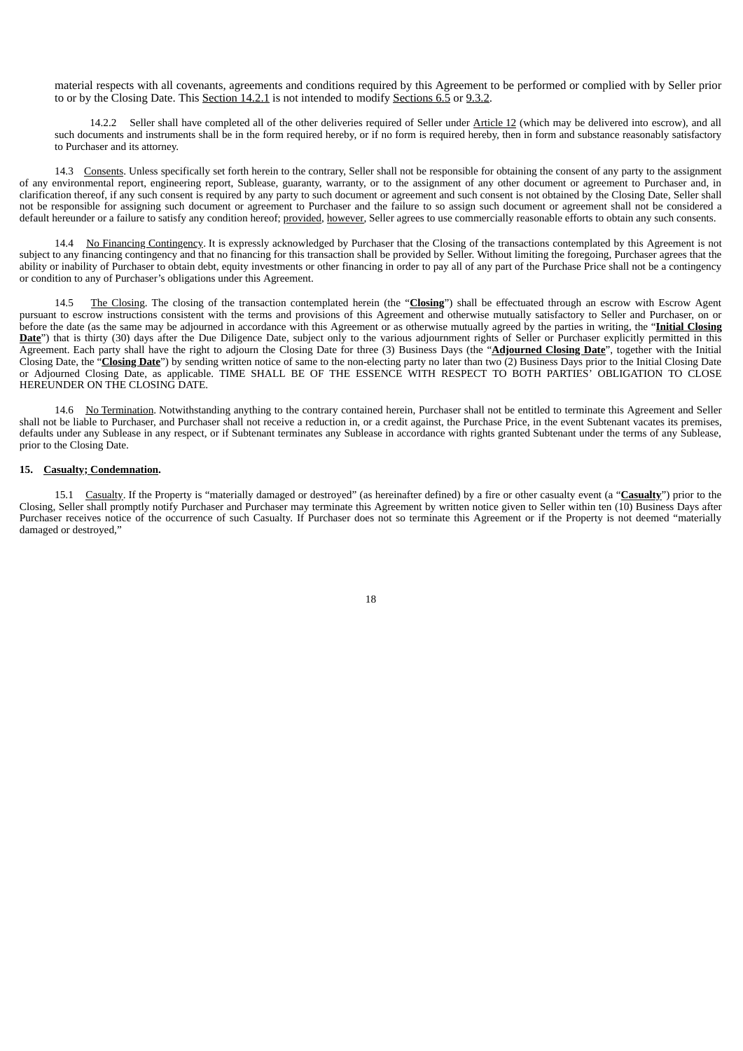material respects with all covenants, agreements and conditions required by this Agreement to be performed or complied with by Seller prior to or by the Closing Date. This Section 14.2.1 is not intended to modify Sections 6.5 or 9.3.2.

14.2.2 Seller shall have completed all of the other deliveries required of Seller under Article 12 (which may be delivered into escrow), and all such documents and instruments shall be in the form required hereby, or if no form is required hereby, then in form and substance reasonably satisfactory to Purchaser and its attorney.

14.3 Consents. Unless specifically set forth herein to the contrary, Seller shall not be responsible for obtaining the consent of any party to the assignment of any environmental report, engineering report, Sublease, guaranty, warranty, or to the assignment of any other document or agreement to Purchaser and, in clarification thereof, if any such consent is required by any party to such document or agreement and such consent is not obtained by the Closing Date, Seller shall not be responsible for assigning such document or agreement to Purchaser and the failure to so assign such document or agreement shall not be considered a default hereunder or a failure to satisfy any condition hereof; provided, however, Seller agrees to use commercially reasonable efforts to obtain any such consents.

14.4 No Financing Contingency. It is expressly acknowledged by Purchaser that the Closing of the transactions contemplated by this Agreement is not subject to any financing contingency and that no financing for this transaction shall be provided by Seller. Without limiting the foregoing, Purchaser agrees that the ability or inability of Purchaser to obtain debt, equity investments or other financing in order to pay all of any part of the Purchase Price shall not be a contingency or condition to any of Purchaser's obligations under this Agreement.

14.5 The Closing. The closing of the transaction contemplated herein (the "**Closing**") shall be effectuated through an escrow with Escrow Agent pursuant to escrow instructions consistent with the terms and provisions of this Agreement and otherwise mutually satisfactory to Seller and Purchaser, on or before the date (as the same may be adjourned in accordance with this Agreement or as otherwise mutually agreed by the parties in writing, the "**Initial Closing Date**") that is thirty (30) days after the Due Diligence Date, subject only to the various adjournment rights of Seller or Purchaser explicitly permitted in this Agreement. Each party shall have the right to adjourn the Closing Date for three (3) Business Days (the "**Adjourned Closing Date**", together with the Initial Closing Date, the "**Closing Date**") by sending written notice of same to the non-electing party no later than two (2) Business Days prior to the Initial Closing Date or Adjourned Closing Date, as applicable. TIME SHALL BE OF THE ESSENCE WITH RESPECT TO BOTH PARTIES' OBLIGATION TO CLOSE HEREUNDER ON THE CLOSING DATE.

14.6 No Termination. Notwithstanding anything to the contrary contained herein, Purchaser shall not be entitled to terminate this Agreement and Seller shall not be liable to Purchaser, and Purchaser shall not receive a reduction in, or a credit against, the Purchase Price, in the event Subtenant vacates its premises, defaults under any Sublease in any respect, or if Subtenant terminates any Sublease in accordance with rights granted Subtenant under the terms of any Sublease, prior to the Closing Date.

## **15. Casualty; Condemnation.**

15.1 Casualty. If the Property is "materially damaged or destroyed" (as hereinafter defined) by a fire or other casualty event (a "Casualty") prior to the Closing, Seller shall promptly notify Purchaser and Purchaser may terminate this Agreement by written notice given to Seller within ten (10) Business Days after Purchaser receives notice of the occurrence of such Casualty. If Purchaser does not so terminate this Agreement or if the Property is not deemed "materially damaged or destroyed."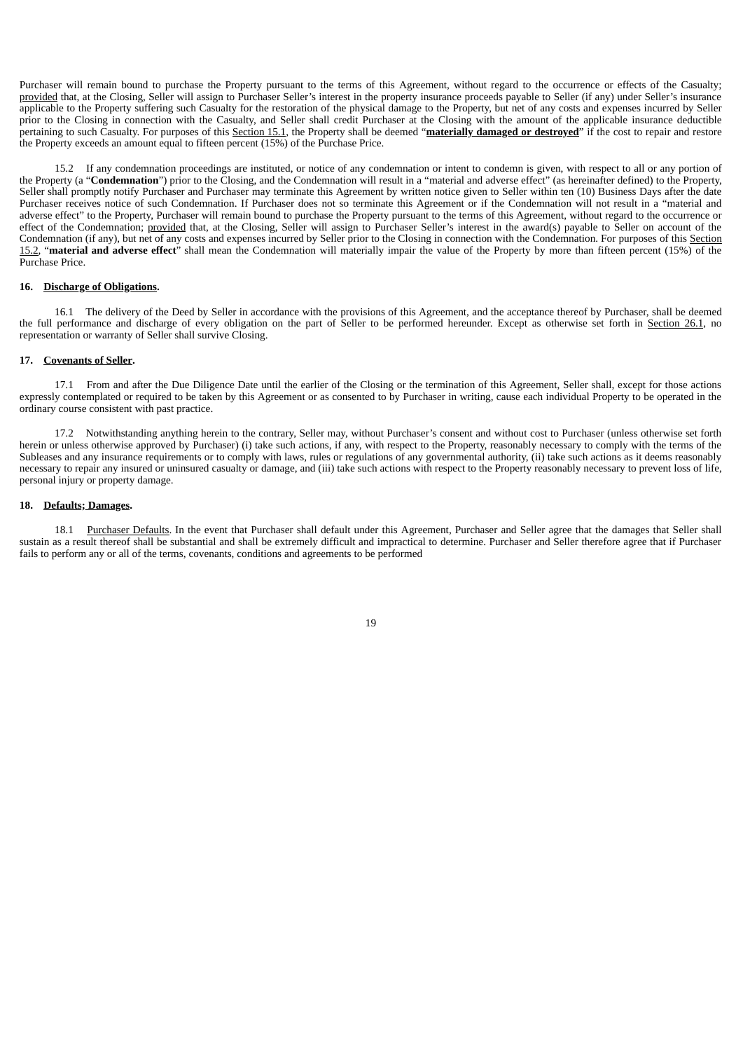Purchaser will remain bound to purchase the Property pursuant to the terms of this Agreement, without regard to the occurrence or effects of the Casualty; provided that, at the Closing, Seller will assign to Purchaser Seller's interest in the property insurance proceeds payable to Seller (if any) under Seller's insurance applicable to the Property suffering such Casualty for the restoration of the physical damage to the Property, but net of any costs and expenses incurred by Seller prior to the Closing in connection with the Casualty, and Seller shall credit Purchaser at the Closing with the amount of the applicable insurance deductible pertaining to such Casualty. For purposes of this Section 15.1, the Property shall be deemed "**materially damaged or destroyed**" if the cost to repair and restore the Property exceeds an amount equal to fifteen percent (15%) of the Purchase Price.

15.2 If any condemnation proceedings are instituted, or notice of any condemnation or intent to condemn is given, with respect to all or any portion of the Property (a "**Condemnation**") prior to the Closing, and the Condemnation will result in a "material and adverse effect" (as hereinafter defined) to the Property, Seller shall promptly notify Purchaser and Purchaser may terminate this Agreement by written notice given to Seller within ten (10) Business Days after the date Purchaser receives notice of such Condemnation. If Purchaser does not so terminate this Agreement or if the Condemnation will not result in a "material and adverse effect" to the Property, Purchaser will remain bound to purchase the Property pursuant to the terms of this Agreement, without regard to the occurrence or effect of the Condemnation; provided that, at the Closing, Seller will assign to Purchaser Seller's interest in the award(s) payable to Seller on account of the Condemnation (if any), but net of any costs and expenses incurred by Seller prior to the Closing in connection with the Condemnation. For purposes of this Section 15.2, "**material and adverse effect**" shall mean the Condemnation will materially impair the value of the Property by more than fifteen percent (15%) of the Purchase Price.

## **16. Discharge of Obligations.**

16.1 The delivery of the Deed by Seller in accordance with the provisions of this Agreement, and the acceptance thereof by Purchaser, shall be deemed the full performance and discharge of every obligation on the part of Seller to be performed hereunder. Except as otherwise set forth in Section 26.1, no representation or warranty of Seller shall survive Closing.

### **17. Covenants of Seller.**

17.1 From and after the Due Diligence Date until the earlier of the Closing or the termination of this Agreement, Seller shall, except for those actions expressly contemplated or required to be taken by this Agreement or as consented to by Purchaser in writing, cause each individual Property to be operated in the ordinary course consistent with past practice.

17.2 Notwithstanding anything herein to the contrary, Seller may, without Purchaser's consent and without cost to Purchaser (unless otherwise set forth herein or unless otherwise approved by Purchaser) (i) take such actions, if any, with respect to the Property, reasonably necessary to comply with the terms of the Subleases and any insurance requirements or to comply with laws, rules or regulations of any governmental authority, (ii) take such actions as it deems reasonably necessary to repair any insured or uninsured casualty or damage, and (iii) take such actions with respect to the Property reasonably necessary to prevent loss of life, personal injury or property damage.

#### **18. Defaults; Damages.**

18.1 Purchaser Defaults. In the event that Purchaser shall default under this Agreement, Purchaser and Seller agree that the damages that Seller shall sustain as a result thereof shall be substantial and shall be extremely difficult and impractical to determine. Purchaser and Seller therefore agree that if Purchaser fails to perform any or all of the terms, covenants, conditions and agreements to be performed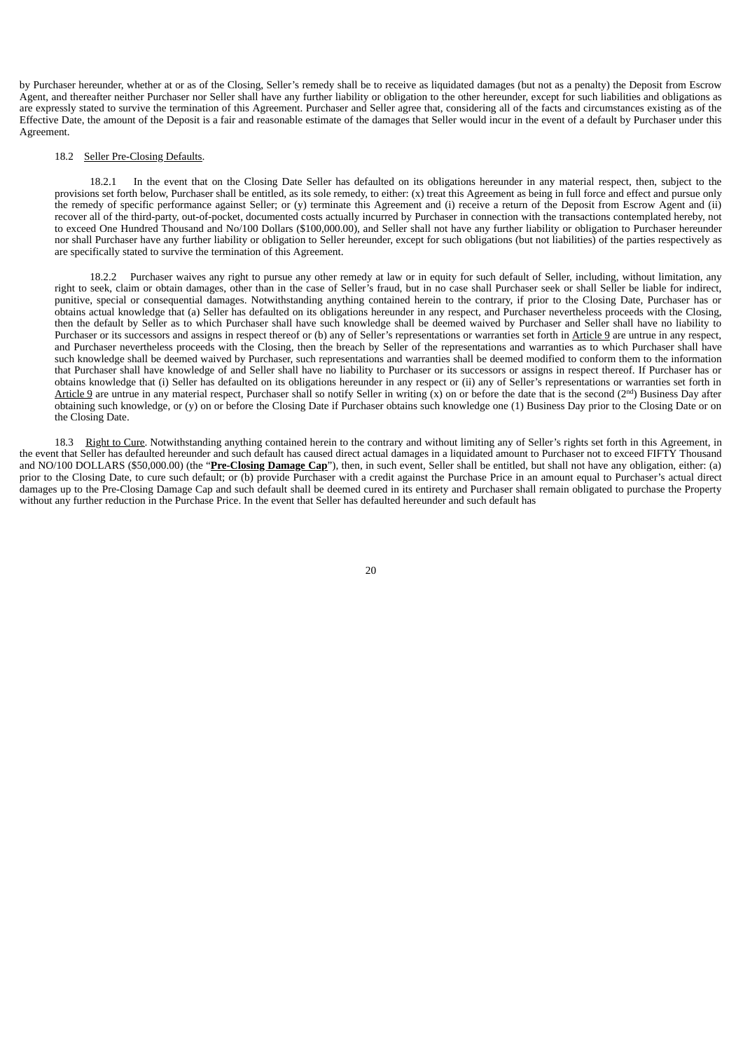by Purchaser hereunder, whether at or as of the Closing, Seller's remedy shall be to receive as liquidated damages (but not as a penalty) the Deposit from Escrow Agent, and thereafter neither Purchaser nor Seller shall have any further liability or obligation to the other hereunder, except for such liabilities and obligations as are expressly stated to survive the termination of this Agreement. Purchaser and Seller agree that, considering all of the facts and circumstances existing as of the Effective Date, the amount of the Deposit is a fair and reasonable estimate of the damages that Seller would incur in the event of a default by Purchaser under this Agreement.

#### 18.2 Seller Pre-Closing Defaults.

In the event that on the Closing Date Seller has defaulted on its obligations hereunder in any material respect, then, subject to the provisions set forth below, Purchaser shall be entitled, as its sole remedy, to either: (x) treat this Agreement as being in full force and effect and pursue only the remedy of specific performance against Seller; or (y) terminate this Agreement and (i) receive a return of the Deposit from Escrow Agent and (ii) recover all of the third-party, out-of-pocket, documented costs actually incurred by Purchaser in connection with the transactions contemplated hereby, not to exceed One Hundred Thousand and No/100 Dollars (\$100,000.00), and Seller shall not have any further liability or obligation to Purchaser hereunder nor shall Purchaser have any further liability or obligation to Seller hereunder, except for such obligations (but not liabilities) of the parties respectively as are specifically stated to survive the termination of this Agreement.

18.2.2 Purchaser waives any right to pursue any other remedy at law or in equity for such default of Seller, including, without limitation, any right to seek, claim or obtain damages, other than in the case of Seller's fraud, but in no case shall Purchaser seek or shall Seller be liable for indirect, punitive, special or consequential damages. Notwithstanding anything contained herein to the contrary, if prior to the Closing Date, Purchaser has or obtains actual knowledge that (a) Seller has defaulted on its obligations hereunder in any respect, and Purchaser nevertheless proceeds with the Closing, then the default by Seller as to which Purchaser shall have such knowledge shall be deemed waived by Purchaser and Seller shall have no liability to Purchaser or its successors and assigns in respect thereof or (b) any of Seller's representations or warranties set forth in Article 9 are untrue in any respect, and Purchaser nevertheless proceeds with the Closing, then the breach by Seller of the representations and warranties as to which Purchaser shall have such knowledge shall be deemed waived by Purchaser, such representations and warranties shall be deemed modified to conform them to the information that Purchaser shall have knowledge of and Seller shall have no liability to Purchaser or its successors or assigns in respect thereof. If Purchaser has or obtains knowledge that (i) Seller has defaulted on its obligations hereunder in any respect or (ii) any of Seller's representations or warranties set forth in Article 9 are untrue in any material respect, Purchaser shall so notify Seller in writing (x) on or before the date that is the second (2<sup>nd</sup>) Business Day after obtaining such knowledge, or (y) on or before the Closing Date if Purchaser obtains such knowledge one (1) Business Day prior to the Closing Date or on the Closing Date.

18.3 Right to Cure. Notwithstanding anything contained herein to the contrary and without limiting any of Seller's rights set forth in this Agreement, in the event that Seller has defaulted hereunder and such default has caused direct actual damages in a liquidated amount to Purchaser not to exceed FIFTY Thousand and NO/100 DOLLARS (\$50,000.00) (the "**Pre-Closing Damage Cap**"), then, in such event, Seller shall be entitled, but shall not have any obligation, either: (a) prior to the Closing Date, to cure such default; or (b) provide Purchaser with a credit against the Purchase Price in an amount equal to Purchaser's actual direct damages up to the Pre-Closing Damage Cap and such default shall be deemed cured in its entirety and Purchaser shall remain obligated to purchase the Property without any further reduction in the Purchase Price. In the event that Seller has defaulted hereunder and such default has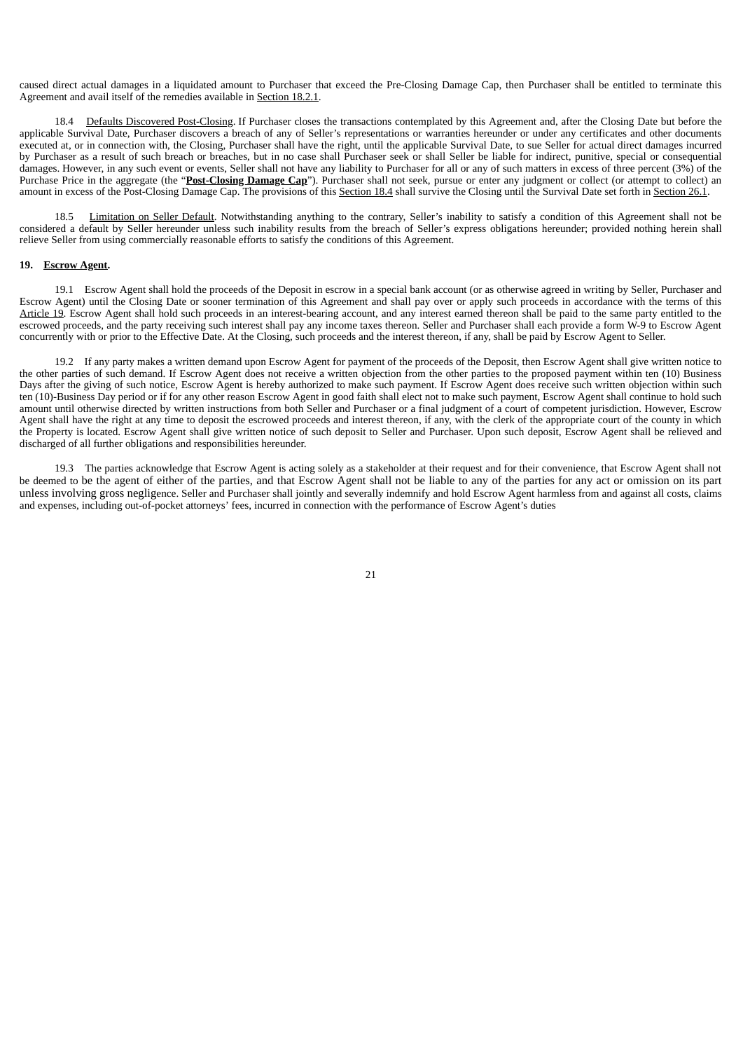caused direct actual damages in a liquidated amount to Purchaser that exceed the Pre-Closing Damage Cap, then Purchaser shall be entitled to terminate this Agreement and avail itself of the remedies available in Section 18.2.1.

Defaults Discovered Post-Closing. If Purchaser closes the transactions contemplated by this Agreement and, after the Closing Date but before the applicable Survival Date, Purchaser discovers a breach of any of Seller's representations or warranties hereunder or under any certificates and other documents executed at, or in connection with, the Closing, Purchaser shall have the right, until the applicable Survival Date, to sue Seller for actual direct damages incurred by Purchaser as a result of such breach or breaches, but in no case shall Purchaser seek or shall Seller be liable for indirect, punitive, special or consequential damages. However, in any such event or events, Seller shall not have any liability to Purchaser for all or any of such matters in excess of three percent (3%) of the Purchase Price in the aggregate (the "**Post-Closing Damage Cap**"). Purchaser shall not seek, pursue or enter any judgment or collect (or attempt to collect) an amount in excess of the Post-Closing Damage Cap. The provisions of this Section 18.4 shall survive the Closing until the Survival Date set forth in Section 26.1.

18.5 Limitation on Seller Default. Notwithstanding anything to the contrary, Seller's inability to satisfy a condition of this Agreement shall not be considered a default by Seller hereunder unless such inability results from the breach of Seller's express obligations hereunder; provided nothing herein shall relieve Seller from using commercially reasonable efforts to satisfy the conditions of this Agreement.

## **19. Escrow Agent.**

19.1 Escrow Agent shall hold the proceeds of the Deposit in escrow in a special bank account (or as otherwise agreed in writing by Seller, Purchaser and Escrow Agent) until the Closing Date or sooner termination of this Agreement and shall pay over or apply such proceeds in accordance with the terms of this Article 19. Escrow Agent shall hold such proceeds in an interest-bearing account, and any interest earned thereon shall be paid to the same party entitled to the escrowed proceeds, and the party receiving such interest shall pay any income taxes thereon. Seller and Purchaser shall each provide a form W-9 to Escrow Agent concurrently with or prior to the Effective Date. At the Closing, such proceeds and the interest thereon, if any, shall be paid by Escrow Agent to Seller.

19.2 If any party makes a written demand upon Escrow Agent for payment of the proceeds of the Deposit, then Escrow Agent shall give written notice to the other parties of such demand. If Escrow Agent does not receive a written objection from the other parties to the proposed payment within ten (10) Business Days after the giving of such notice, Escrow Agent is hereby authorized to make such payment. If Escrow Agent does receive such written objection within such ten (10)-Business Day period or if for any other reason Escrow Agent in good faith shall elect not to make such payment, Escrow Agent shall continue to hold such amount until otherwise directed by written instructions from both Seller and Purchaser or a final judgment of a court of competent jurisdiction. However, Escrow Agent shall have the right at any time to deposit the escrowed proceeds and interest thereon, if any, with the clerk of the appropriate court of the county in which the Property is located. Escrow Agent shall give written notice of such deposit to Seller and Purchaser. Upon such deposit, Escrow Agent shall be relieved and discharged of all further obligations and responsibilities hereunder.

19.3 The parties acknowledge that Escrow Agent is acting solely as a stakeholder at their request and for their convenience, that Escrow Agent shall not be deemed to be the agent of either of the parties, and that Escrow Agent shall not be liable to any of the parties for any act or omission on its part unless involving gross negligence. Seller and Purchaser shall jointly and severally indemnify and hold Escrow Agent harmless from and against all costs, claims and expenses, including out-of-pocket attorneys' fees, incurred in connection with the performance of Escrow Agent's duties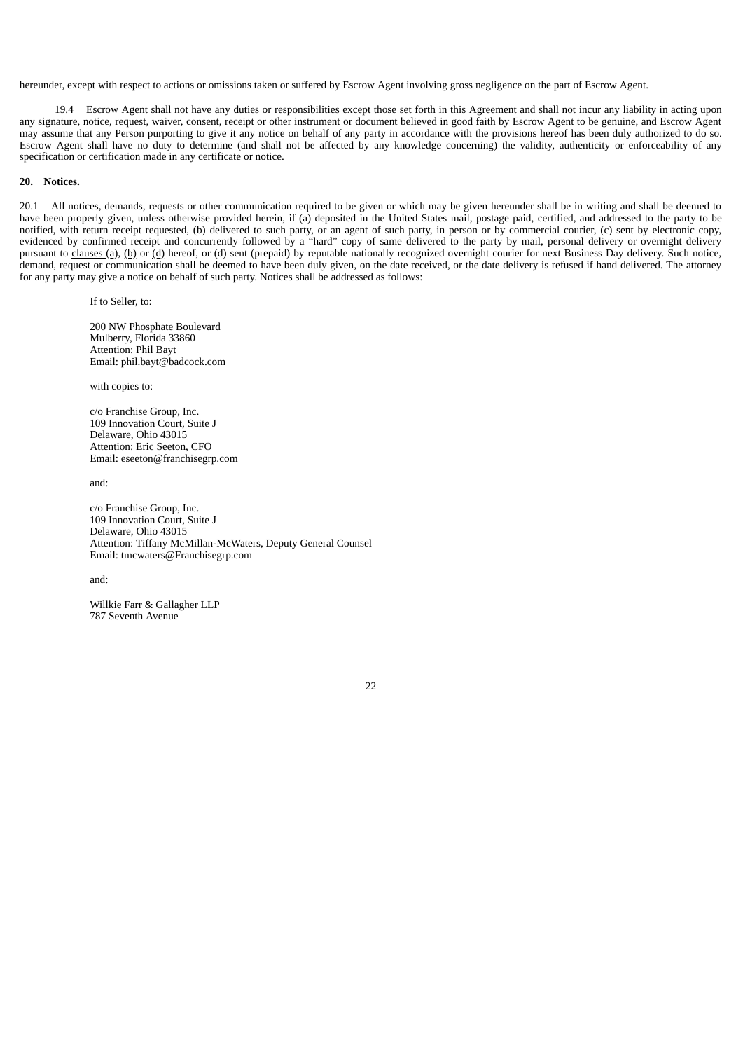hereunder, except with respect to actions or omissions taken or suffered by Escrow Agent involving gross negligence on the part of Escrow Agent.

19.4 Escrow Agent shall not have any duties or responsibilities except those set forth in this Agreement and shall not incur any liability in acting upon any signature, notice, request, waiver, consent, receipt or other instrument or document believed in good faith by Escrow Agent to be genuine, and Escrow Agent may assume that any Person purporting to give it any notice on behalf of any party in accordance with the provisions hereof has been duly authorized to do so. Escrow Agent shall have no duty to determine (and shall not be affected by any knowledge concerning) the validity, authenticity or enforceability of any specification or certification made in any certificate or notice.

#### **20. Notices.**

20.1 All notices, demands, requests or other communication required to be given or which may be given hereunder shall be in writing and shall be deemed to have been properly given, unless otherwise provided herein, if (a) deposited in the United States mail, postage paid, certified, and addressed to the party to be notified, with return receipt requested, (b) delivered to such party, or an agent of such party, in person or by commercial courier, (c) sent by electronic copy, evidenced by confirmed receipt and concurrently followed by a "hard" copy of same delivered to the party by mail, personal delivery or overnight delivery pursuant to clauses (a), (b) or (d) hereof, or (d) sent (prepaid) by reputable nationally recognized overnight courier for next Business Day delivery. Such notice, demand, request or communication shall be deemed to have been duly given, on the date received, or the date delivery is refused if hand delivered. The attorney for any party may give a notice on behalf of such party. Notices shall be addressed as follows:

If to Seller, to:

200 NW Phosphate Boulevard Mulberry, Florida 33860 Attention: Phil Bayt Email: phil.bayt@badcock.com

with copies to:

c/o Franchise Group, Inc. 109 Innovation Court, Suite J Delaware, Ohio 43015 Attention: Eric Seeton, CFO Email: eseeton@franchisegrp.com

and:

c/o Franchise Group, Inc. 109 Innovation Court, Suite J Delaware, Ohio 43015 Attention: Tiffany McMillan-McWaters, Deputy General Counsel Email: tmcwaters@Franchisegrp.com

and:

Willkie Farr & Gallagher LLP 787 Seventh Avenue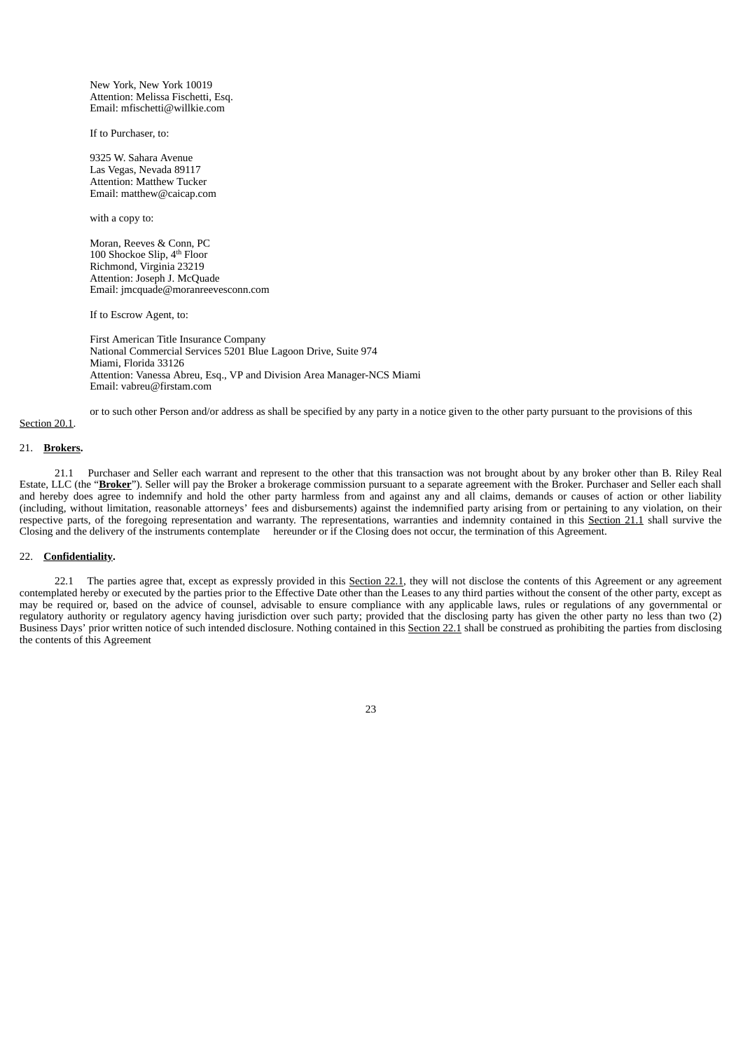New York, New York 10019 Attention: Melissa Fischetti, Esq. Email: mfischetti@willkie.com

If to Purchaser, to:

9325 W. Sahara Avenue Las Vegas, Nevada 89117 Attention: Matthew Tucker Email: matthew@caicap.com

with a copy to:

Moran, Reeves & Conn, PC 100 Shockoe Slip, 4<sup>th</sup> Floor Richmond, Virginia 23219 Attention: Joseph J. McQuade Email: jmcquade@moranreevesconn.com

If to Escrow Agent, to:

First American Title Insurance Company National Commercial Services 5201 Blue Lagoon Drive, Suite 974 Miami, Florida 33126 Attention: Vanessa Abreu, Esq., VP and Division Area Manager-NCS Miami Email: vabreu@firstam.com

or to such other Person and/or address as shall be specified by any party in a notice given to the other party pursuant to the provisions of this

## Section 20.1.

### 21. **Brokers.**

21.1 Purchaser and Seller each warrant and represent to the other that this transaction was not brought about by any broker other than B. Riley Real Estate, LLC (the "**Broker**"). Seller will pay the Broker a brokerage commission pursuant to a separate agreement with the Broker. Purchaser and Seller each shall and hereby does agree to indemnify and hold the other party harmless from and against any and all claims, demands or causes of action or other liability (including, without limitation, reasonable attorneys' fees and disbursements) against the indemnified party arising from or pertaining to any violation, on their respective parts, of the foregoing representation and warranty. The representations, warranties and indemnity contained in this Section 21.1 shall survive the Closing and the delivery of the instruments contemplate hereunder or if the Closing does not occur, the termination of this Agreement.

### 22. **Confidentiality.**

22.1 The parties agree that, except as expressly provided in this Section 22.1, they will not disclose the contents of this Agreement or any agreement contemplated hereby or executed by the parties prior to the Effective Date other than the Leases to any third parties without the consent of the other party, except as may be required or, based on the advice of counsel, advisable to ensure compliance with any applicable laws, rules or regulations of any governmental or regulatory authority or regulatory agency having jurisdiction over such party; provided that the disclosing party has given the other party no less than two (2) Business Days' prior written notice of such intended disclosure. Nothing contained in this Section 22.1 shall be construed as prohibiting the parties from disclosing the contents of this Agreement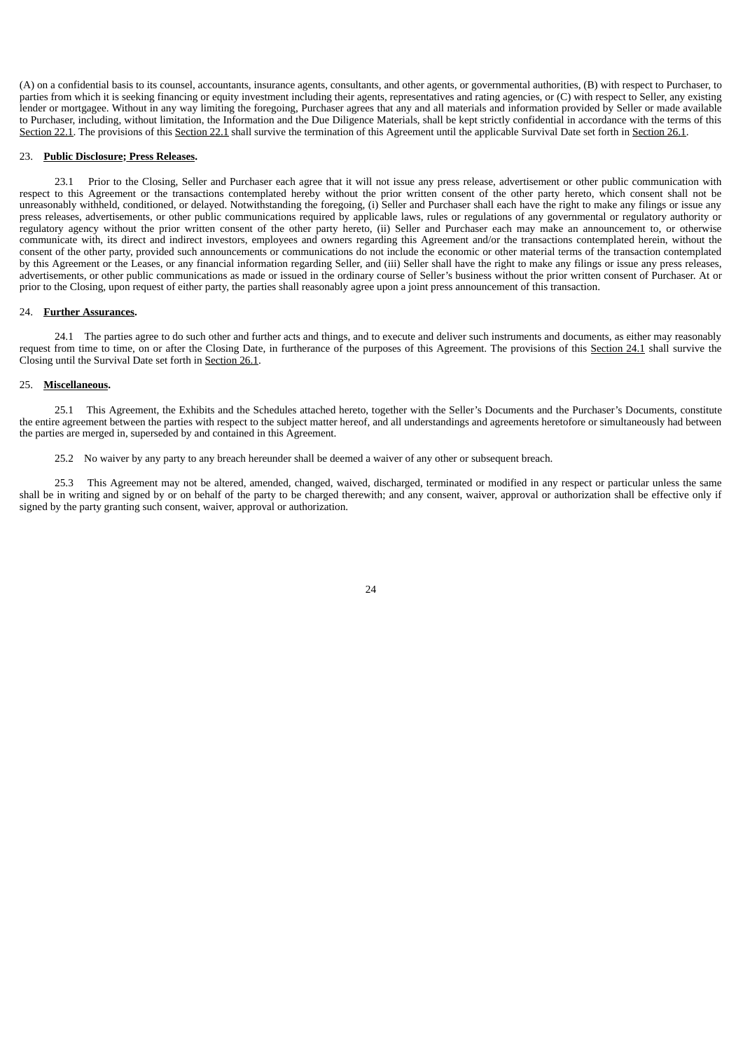(A) on a confidential basis to its counsel, accountants, insurance agents, consultants, and other agents, or governmental authorities, (B) with respect to Purchaser, to parties from which it is seeking financing or equity investment including their agents, representatives and rating agencies, or (C) with respect to Seller, any existing lender or mortgagee. Without in any way limiting the foregoing, Purchaser agrees that any and all materials and information provided by Seller or made available to Purchaser, including, without limitation, the Information and the Due Diligence Materials, shall be kept strictly confidential in accordance with the terms of this Section 22.1. The provisions of this Section 22.1 shall survive the termination of this Agreement until the applicable Survival Date set forth in Section 26.1.

### 23. **Public Disclosure; Press Releases.**

23.1 Prior to the Closing, Seller and Purchaser each agree that it will not issue any press release, advertisement or other public communication with respect to this Agreement or the transactions contemplated hereby without the prior written consent of the other party hereto, which consent shall not be unreasonably withheld, conditioned, or delayed. Notwithstanding the foregoing, (i) Seller and Purchaser shall each have the right to make any filings or issue any press releases, advertisements, or other public communications required by applicable laws, rules or regulations of any governmental or regulatory authority or regulatory agency without the prior written consent of the other party hereto, (ii) Seller and Purchaser each may make an announcement to, or otherwise communicate with, its direct and indirect investors, employees and owners regarding this Agreement and/or the transactions contemplated herein, without the consent of the other party, provided such announcements or communications do not include the economic or other material terms of the transaction contemplated by this Agreement or the Leases, or any financial information regarding Seller, and (iii) Seller shall have the right to make any filings or issue any press releases, advertisements, or other public communications as made or issued in the ordinary course of Seller's business without the prior written consent of Purchaser. At or prior to the Closing, upon request of either party, the parties shall reasonably agree upon a joint press announcement of this transaction.

#### 24. **Further Assurances.**

24.1 The parties agree to do such other and further acts and things, and to execute and deliver such instruments and documents, as either may reasonably request from time to time, on or after the Closing Date, in furtherance of the purposes of this Agreement. The provisions of this Section 24.1 shall survive the Closing until the Survival Date set forth in Section 26.1.

#### 25. **Miscellaneous.**

25.1 This Agreement, the Exhibits and the Schedules attached hereto, together with the Seller's Documents and the Purchaser's Documents, constitute the entire agreement between the parties with respect to the subject matter hereof, and all understandings and agreements heretofore or simultaneously had between the parties are merged in, superseded by and contained in this Agreement.

25.2 No waiver by any party to any breach hereunder shall be deemed a waiver of any other or subsequent breach.

25.3 This Agreement may not be altered, amended, changed, waived, discharged, terminated or modified in any respect or particular unless the same shall be in writing and signed by or on behalf of the party to be charged therewith; and any consent, waiver, approval or authorization shall be effective only if signed by the party granting such consent, waiver, approval or authorization.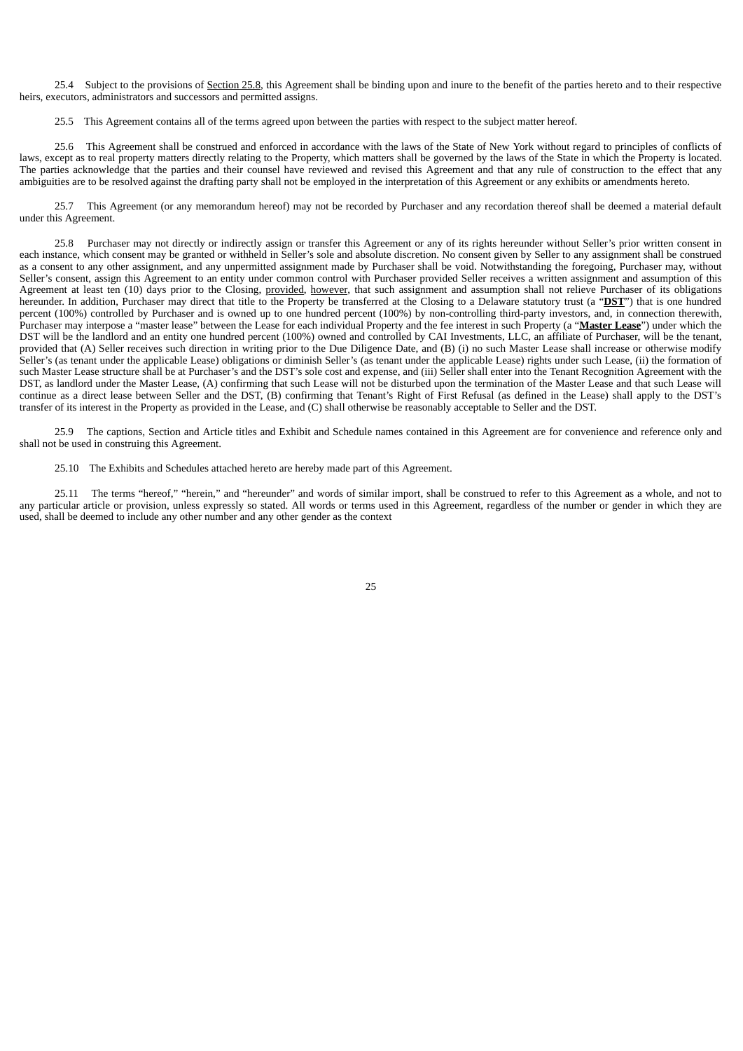25.4 Subject to the provisions of Section 25.8, this Agreement shall be binding upon and inure to the benefit of the parties hereto and to their respective heirs, executors, administrators and successors and permitted assigns.

25.5 This Agreement contains all of the terms agreed upon between the parties with respect to the subject matter hereof.

25.6 This Agreement shall be construed and enforced in accordance with the laws of the State of New York without regard to principles of conflicts of laws, except as to real property matters directly relating to the Property, which matters shall be governed by the laws of the State in which the Property is located. The parties acknowledge that the parties and their counsel have reviewed and revised this Agreement and that any rule of construction to the effect that any ambiguities are to be resolved against the drafting party shall not be employed in the interpretation of this Agreement or any exhibits or amendments hereto.

25.7 This Agreement (or any memorandum hereof) may not be recorded by Purchaser and any recordation thereof shall be deemed a material default under this Agreement.

25.8 Purchaser may not directly or indirectly assign or transfer this Agreement or any of its rights hereunder without Seller's prior written consent in each instance, which consent may be granted or withheld in Seller's sole and absolute discretion. No consent given by Seller to any assignment shall be construed as a consent to any other assignment, and any unpermitted assignment made by Purchaser shall be void. Notwithstanding the foregoing, Purchaser may, without Seller's consent, assign this Agreement to an entity under common control with Purchaser provided Seller receives a written assignment and assumption of this Agreement at least ten (10) days prior to the Closing, provided, however, that such assignment and assumption shall not relieve Purchaser of its obligations hereunder. In addition, Purchaser may direct that title to the Property be transferred at the Closing to a Delaware statutory trust (a "**DST**") that is one hundred percent (100%) controlled by Purchaser and is owned up to one hundred percent (100%) by non-controlling third-party investors, and, in connection therewith, Purchaser may interpose a "master lease" between the Lease for each individual Property and the fee interest in such Property (a "**Master Lease**") under which the DST will be the landlord and an entity one hundred percent (100%) owned and controlled by CAI Investments, LLC, an affiliate of Purchaser, will be the tenant, provided that (A) Seller receives such direction in writing prior to the Due Diligence Date, and (B) (i) no such Master Lease shall increase or otherwise modify Seller's (as tenant under the applicable Lease) obligations or diminish Seller's (as tenant under the applicable Lease) rights under such Lease, (ii) the formation of such Master Lease structure shall be at Purchaser's and the DST's sole cost and expense, and (iii) Seller shall enter into the Tenant Recognition Agreement with the DST, as landlord under the Master Lease, (A) confirming that such Lease will not be disturbed upon the termination of the Master Lease and that such Lease will continue as a direct lease between Seller and the DST, (B) confirming that Tenant's Right of First Refusal (as defined in the Lease) shall apply to the DST's transfer of its interest in the Property as provided in the Lease, and (C) shall otherwise be reasonably acceptable to Seller and the DST.

25.9 The captions, Section and Article titles and Exhibit and Schedule names contained in this Agreement are for convenience and reference only and shall not be used in construing this Agreement.

25.10 The Exhibits and Schedules attached hereto are hereby made part of this Agreement.

25.11 The terms "hereof," "herein," and "hereunder" and words of similar import, shall be construed to refer to this Agreement as a whole, and not to any particular article or provision, unless expressly so stated. All words or terms used in this Agreement, regardless of the number or gender in which they are used, shall be deemed to include any other number and any other gender as the context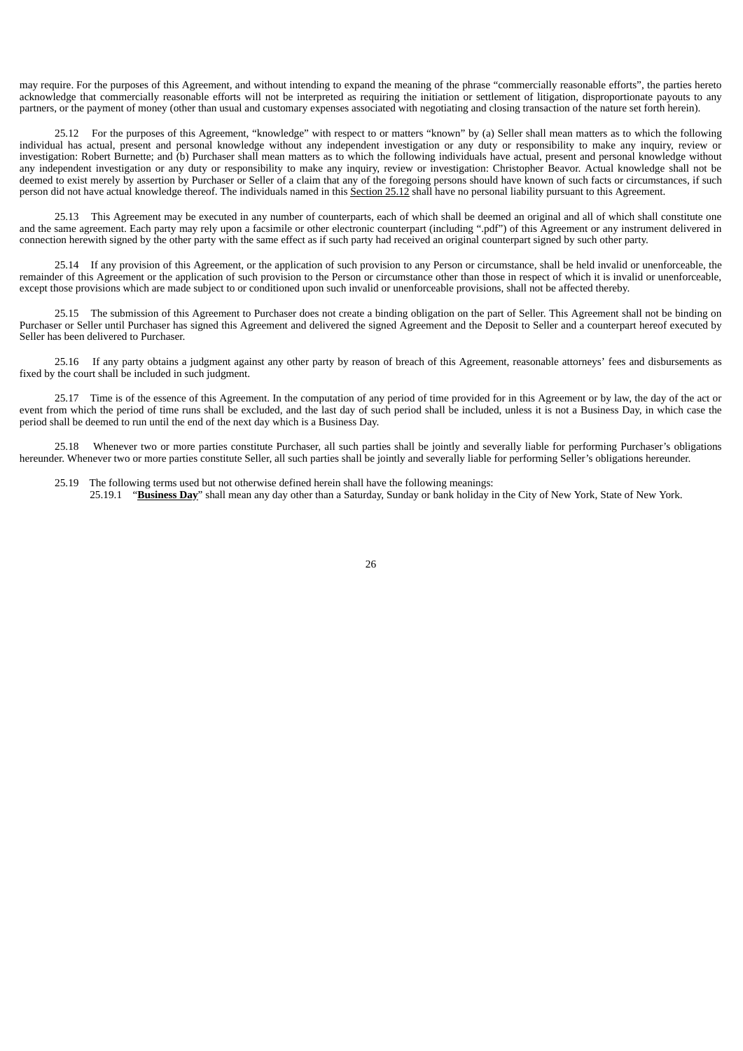may require. For the purposes of this Agreement, and without intending to expand the meaning of the phrase "commercially reasonable efforts", the parties hereto acknowledge that commercially reasonable efforts will not be interpreted as requiring the initiation or settlement of litigation, disproportionate payouts to any partners, or the payment of money (other than usual and customary expenses associated with negotiating and closing transaction of the nature set forth herein).

25.12 For the purposes of this Agreement, "knowledge" with respect to or matters "known" by (a) Seller shall mean matters as to which the following individual has actual, present and personal knowledge without any independent investigation or any duty or responsibility to make any inquiry, review or investigation: Robert Burnette; and (b) Purchaser shall mean matters as to which the following individuals have actual, present and personal knowledge without any independent investigation or any duty or responsibility to make any inquiry, review or investigation: Christopher Beavor. Actual knowledge shall not be deemed to exist merely by assertion by Purchaser or Seller of a claim that any of the foregoing persons should have known of such facts or circumstances, if such decemed to exist merely by assertion by Purchaser or Seller person did not have actual knowledge thereof. The individuals named in this Section 25.12 shall have no personal liability pursuant to this Agreement.

25.13 This Agreement may be executed in any number of counterparts, each of which shall be deemed an original and all of which shall constitute one and the same agreement. Each party may rely upon a facsimile or other electronic counterpart (including ".pdf") of this Agreement or any instrument delivered in connection herewith signed by the other party with the same effect as if such party had received an original counterpart signed by such other party.

25.14 If any provision of this Agreement, or the application of such provision to any Person or circumstance, shall be held invalid or unenforceable, the remainder of this Agreement or the application of such provision to the Person or circumstance other than those in respect of which it is invalid or unenforceable, except those provisions which are made subject to or conditioned upon such invalid or unenforceable provisions, shall not be affected thereby.

25.15 The submission of this Agreement to Purchaser does not create a binding obligation on the part of Seller. This Agreement shall not be binding on Purchaser or Seller until Purchaser has signed this Agreement and delivered the signed Agreement and the Deposit to Seller and a counterpart hereof executed by Seller has been delivered to Purchaser.

25.16 If any party obtains a judgment against any other party by reason of breach of this Agreement, reasonable attorneys' fees and disbursements as fixed by the court shall be included in such judgment.

25.17 Time is of the essence of this Agreement. In the computation of any period of time provided for in this Agreement or by law, the day of the act or event from which the period of time runs shall be excluded, and the last day of such period shall be included, unless it is not a Business Day, in which case the period shall be deemed to run until the end of the next day which is a Business Day.

25.18 Whenever two or more parties constitute Purchaser, all such parties shall be jointly and severally liable for performing Purchaser's obligations hereunder. Whenever two or more parties constitute Seller, all such parties shall be jointly and severally liable for performing Seller's obligations hereunder.

25.19 The following terms used but not otherwise defined herein shall have the following meanings: 25.19.1 "**Business Day**" shall mean any day other than a Saturday, Sunday or bank holiday in the City of New York, State of New York.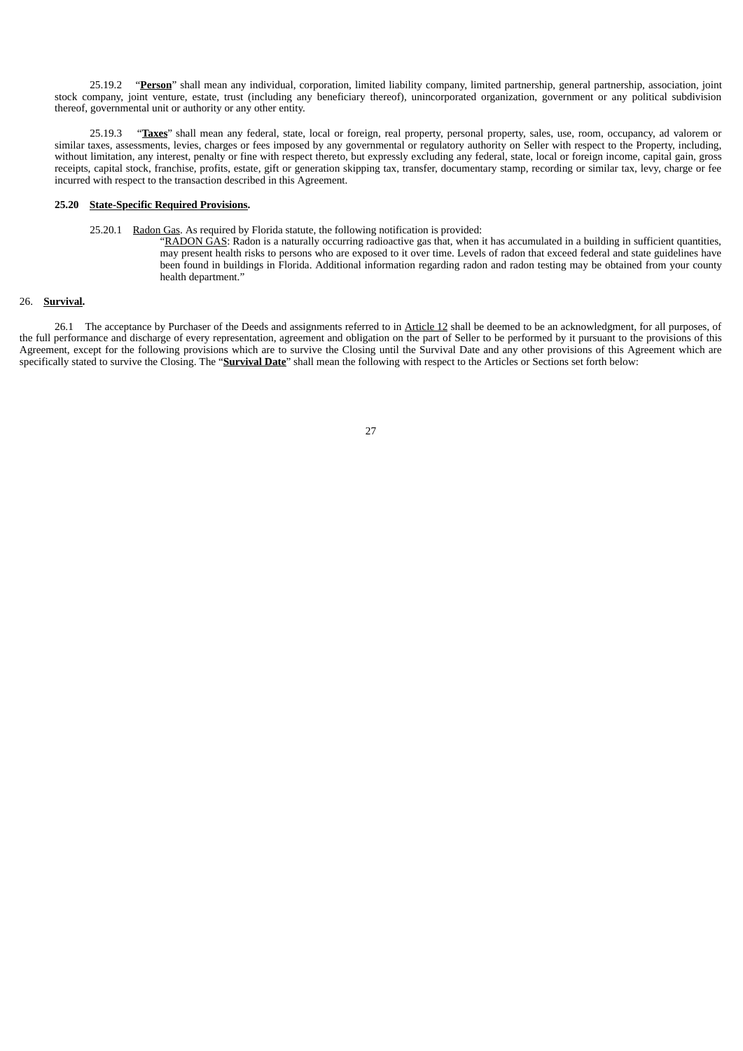25.19.2 "**Person**" shall mean any individual, corporation, limited liability company, limited partnership, general partnership, association, joint stock company, joint venture, estate, trust (including any beneficiary thereof), unincorporated organization, government or any political subdivision thereof, governmental unit or authority or any other entity.

25.19.3 "**Taxes**" shall mean any federal, state, local or foreign, real property, personal property, sales, use, room, occupancy, ad valorem or similar taxes, assessments, levies, charges or fees imposed by any governmental or regulatory authority on Seller with respect to the Property, including, without limitation, any interest, penalty or fine with respect thereto, but expressly excluding any federal, state, local or foreign income, capital gain, gross receipts, capital stock, franchise, profits, estate, gift or generation skipping tax, transfer, documentary stamp, recording or similar tax, levy, charge or fee incurred with respect to the transaction described in this Agreement.

### **25.20 State-Specific Required Provisions.**

- 25.20.1 Radon Gas. As required by Florida statute, the following notification is provided:
	- "RADON  $GAS$ : Radon is a naturally occurring radioactive gas that, when it has accumulated in a building in sufficient quantities, may present health risks to persons who are exposed to it over time. Levels of radon that exceed federal and state guidelines have been found in buildings in Florida. Additional information regarding radon and radon testing may be obtained from your county health department."

#### 26. **Survival.**

26.1 The acceptance by Purchaser of the Deeds and assignments referred to in Article 12 shall be deemed to be an acknowledgment, for all purposes, of the full performance and discharge of every representation, agreement and obligation on the part of Seller to be performed by it pursuant to the provisions of this Agreement, except for the following provisions which are to survive the Closing until the Survival Date and any other provisions of this Agreement which are specifically stated to survive the Closing. The "**Survival Date**" shall mean the following with respect to the Articles or Sections set forth below: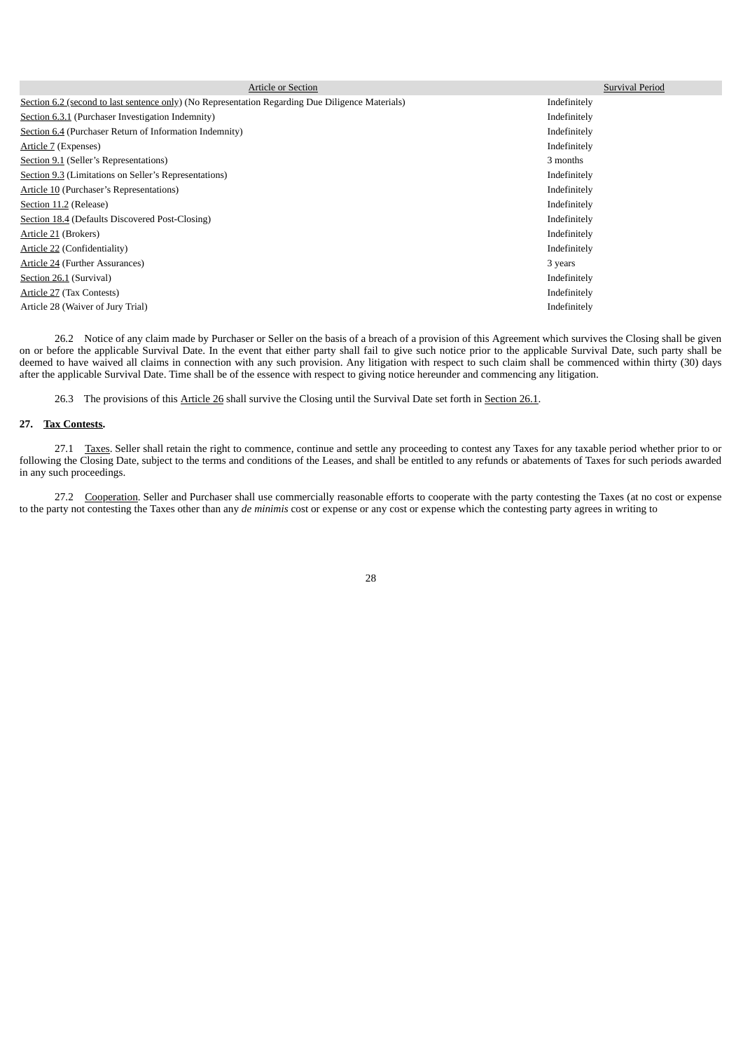| <b>Article or Section</b>                                                                        | <b>Survival Period</b> |
|--------------------------------------------------------------------------------------------------|------------------------|
| Section 6.2 (second to last sentence only) (No Representation Regarding Due Diligence Materials) | Indefinitely           |
| Section 6.3.1 (Purchaser Investigation Indemnity)                                                | Indefinitely           |
| Section 6.4 (Purchaser Return of Information Indemnity)                                          | Indefinitely           |
| Article 7 (Expenses)                                                                             | Indefinitely           |
| Section 9.1 (Seller's Representations)                                                           | 3 months               |
| Section 9.3 (Limitations on Seller's Representations)                                            | Indefinitely           |
| <b>Article 10 (Purchaser's Representations)</b>                                                  | Indefinitely           |
| Section 11.2 (Release)                                                                           | Indefinitely           |
| Section 18.4 (Defaults Discovered Post-Closing)                                                  | Indefinitely           |
| Article 21 (Brokers)                                                                             | Indefinitely           |
| Article 22 (Confidentiality)                                                                     | Indefinitely           |
| Article 24 (Further Assurances)                                                                  | 3 years                |
| Section 26.1 (Survival)                                                                          | Indefinitely           |
| Article 27 (Tax Contests)                                                                        | Indefinitely           |
| Article 28 (Waiver of Jury Trial)                                                                | Indefinitely           |
|                                                                                                  |                        |

26.2 Notice of any claim made by Purchaser or Seller on the basis of a breach of a provision of this Agreement which survives the Closing shall be given on or before the applicable Survival Date. In the event that either party shall fail to give such notice prior to the applicable Survival Date, such party shall be deemed to have waived all claims in connection with any such provision. Any litigation with respect to such claim shall be commenced within thirty (30) days after the applicable Survival Date. Time shall be of the essence with respect to giving notice hereunder and commencing any litigation.

26.3 The provisions of this Article 26 shall survive the Closing until the Survival Date set forth in Section 26.1.

## **27. Tax Contests.**

27.1 Taxes. Seller shall retain the right to commence, continue and settle any proceeding to contest any Taxes for any taxable period whether prior to or following the Closing Date, subject to the terms and conditions of the Leases, and shall be entitled to any refunds or abatements of Taxes for such periods awarded following the Closing Date, subject to the terms and condi in any such proceedings.

27.2 Cooperation. Seller and Purchaser shall use commercially reasonable efforts to cooperate with the party contesting the Taxes (at no cost or expense to the party not contesting the Taxes other than any *de minimis* cost or expense or any cost or expense which the contesting party agrees in writing to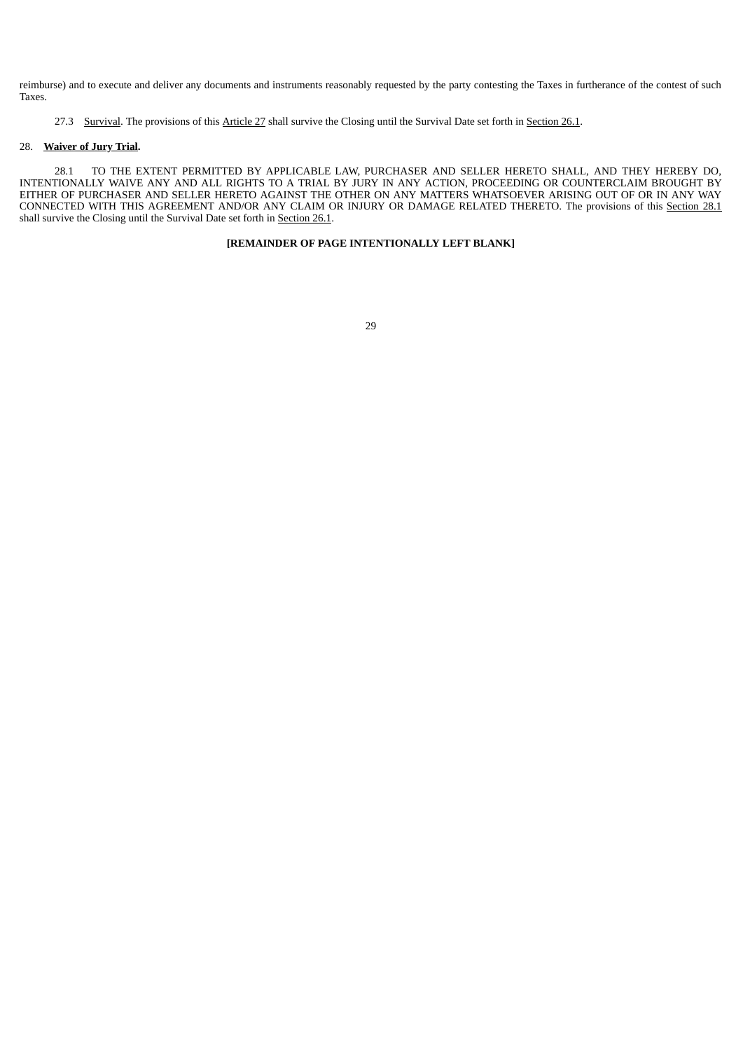reimburse) and to execute and deliver any documents and instruments reasonably requested by the party contesting the Taxes in furtherance of the contest of such Taxes.

27.3 Survival. The provisions of this Article 27 shall survive the Closing until the Survival Date set forth in Section 26.1.

## 28. **Waiver of Jury Trial.**

28.1 TO THE EXTENT PERMITTED BY APPLICABLE LAW, PURCHASER AND SELLER HERETO SHALL, AND THEY HEREBY DO, INTENTIONALLY WAIVE ANY AND ALL RIGHTS TO A TRIAL BY JURY IN ANY ACTION, PROCEEDING OR COUNTERCLAIM BROUGHT BY EITHER OF PURCHASER AND SELLER HERETO AGAINST THE OTHER ON ANY MATTERS WHATSOEVER ARISING OUT OF OR IN ANY WAY CONNECTED WITH THIS AGREEMENT AND/OR ANY CLAIM OR INJURY OR DAMAGE RELATED THERETO. The provisions of this Section 28.1 shall survive the Closing until the Survival Date set forth in <u>Section 26.1</u>.

## **[REMAINDER OF PAGE INTENTIONALLY LEFT BLANK]**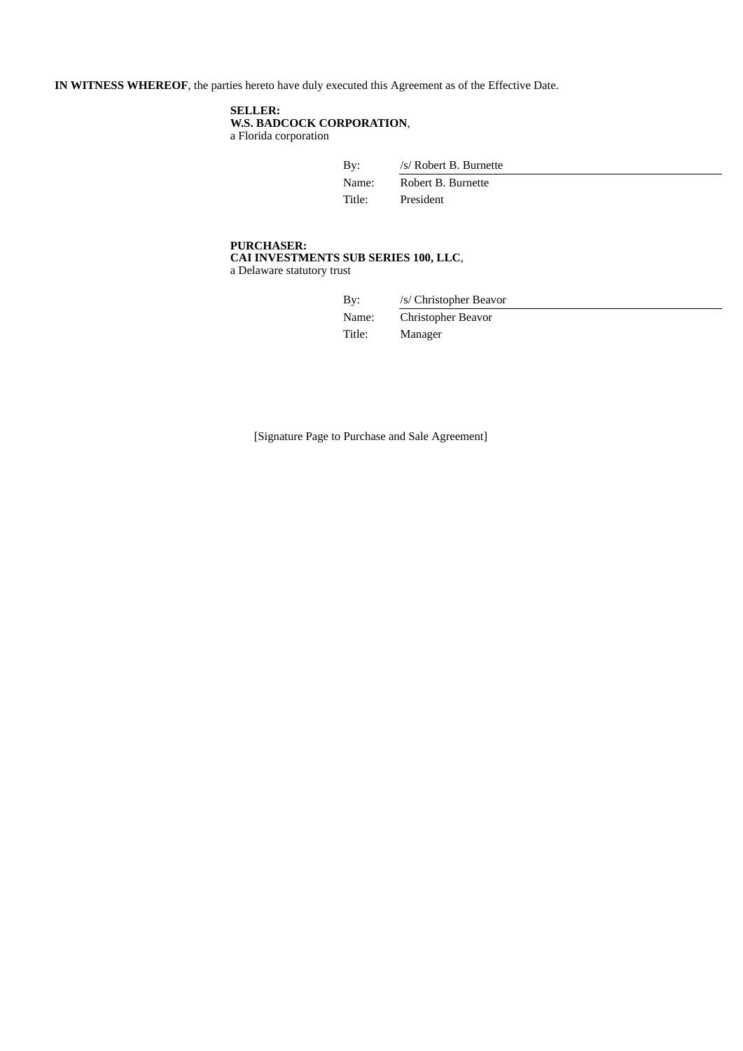**IN WITNESS WHEREOF**, the parties hereto have duly executed this Agreement as of the Effective Date.

**SELLER: W.S. BADCOCK CORPORATION**, a Florida corporation

| By:    | /s/ Robert B. Burnette |
|--------|------------------------|
| Name:  | Robert B. Burnette     |
| Title: | President              |

## **PURCHASER: CAI INVESTMENTS SUB SERIES 100, LLC**, a Delaware statutory trust

By: /s/ Christopher Beavor Name: Christopher Beavor Title: Manager

[Signature Page to Purchase and Sale Agreement]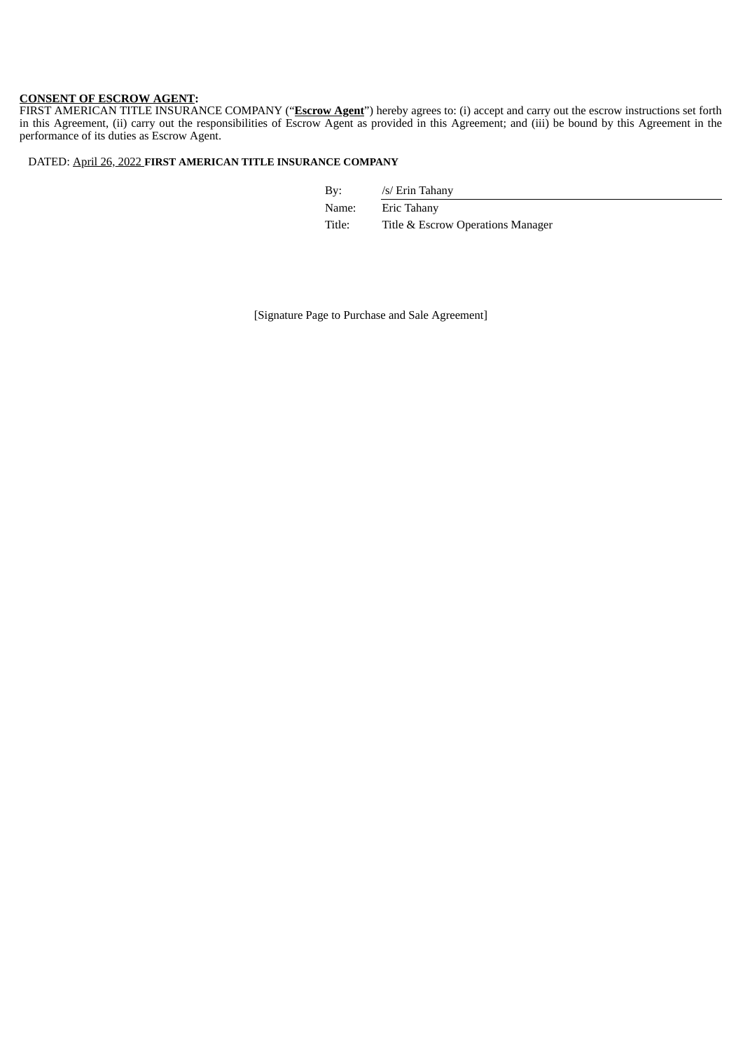## **CONSENT OF ESCROW AGENT:**

FIRST AMERICAN TITLE INSURANCE COMPANY ("**Escrow Agent**") hereby agrees to: (i) accept and carry out the escrow instructions set forth in this Agreement, (ii) carry out the responsibilities of Escrow Agent as provided in this Agreement; and (iii) be bound by this Agreement in the performance of its duties as Escrow Agent.

# DATED: April 26, 2022 **FIRST AMERICAN TITLE INSURANCE COMPANY**

| Bv:    | /s/ Erin Tahany                   |
|--------|-----------------------------------|
| Name:  | Eric Tahany                       |
| Title: | Title & Escrow Operations Manager |

[Signature Page to Purchase and Sale Agreement]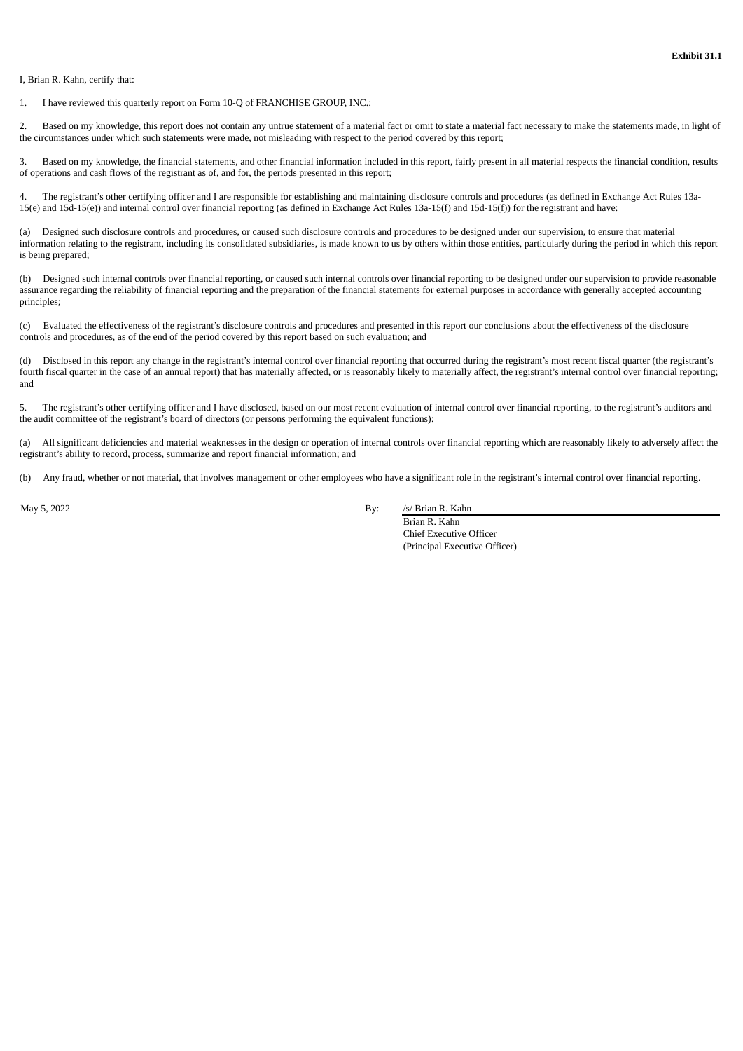I, Brian R. Kahn, certify that:

1. I have reviewed this quarterly report on Form 10-Q of FRANCHISE GROUP, INC.;

2. Based on my knowledge, this report does not contain any untrue statement of a material fact or omit to state a material fact necessary to make the statements made, in light of the circumstances under which such statements were made, not misleading with respect to the period covered by this report;

3. Based on my knowledge, the financial statements, and other financial information included in this report, fairly present in all material respects the financial condition, results of operations and cash flows of the registrant as of, and for, the periods presented in this report;

4. The registrant's other certifying officer and I are responsible for establishing and maintaining disclosure controls and procedures (as defined in Exchange Act Rules 13a-15(e) and 15d-15(e)) and internal control over financial reporting (as defined in Exchange Act Rules 13a-15(f) and 15d-15(f)) for the registrant and have:

(a) Designed such disclosure controls and procedures, or caused such disclosure controls and procedures to be designed under our supervision, to ensure that material information relating to the registrant, including its consolidated subsidiaries, is made known to us by others within those entities, particularly during the period in which this report is being prepared;

(b) Designed such internal controls over financial reporting, or caused such internal controls over financial reporting to be designed under our supervision to provide reasonable assurance regarding the reliability of financial reporting and the preparation of the financial statements for external purposes in accordance with generally accepted accounting principles;

(c) Evaluated the effectiveness of the registrant's disclosure controls and procedures and presented in this report our conclusions about the effectiveness of the disclosure controls and procedures, as of the end of the period covered by this report based on such evaluation; and

(d) Disclosed in this report any change in the registrant's internal control over financial reporting that occurred during the registrant's most recent fiscal quarter (the registrant's fourth fiscal quarter in the case of an annual report) that has materially affected, or is reasonably likely to materially affect, the registrant's internal control over financial reporting; and

5. The registrant's other certifying officer and I have disclosed, based on our most recent evaluation of internal control over financial reporting, to the registrant's auditors and the audit committee of the registrant's board of directors (or persons performing the equivalent functions):

(a) All significant deficiencies and material weaknesses in the design or operation of internal controls over financial reporting which are reasonably likely to adversely affect the registrant's ability to record, process, summarize and report financial information; and

(b) Any fraud, whether or not material, that involves management or other employees who have a significant role in the registrant's internal control over financial reporting.

May 5, 2022 By: /s/ Brian R. Kahn

Brian R. Kahn Chief Executive Officer (Principal Executive Officer)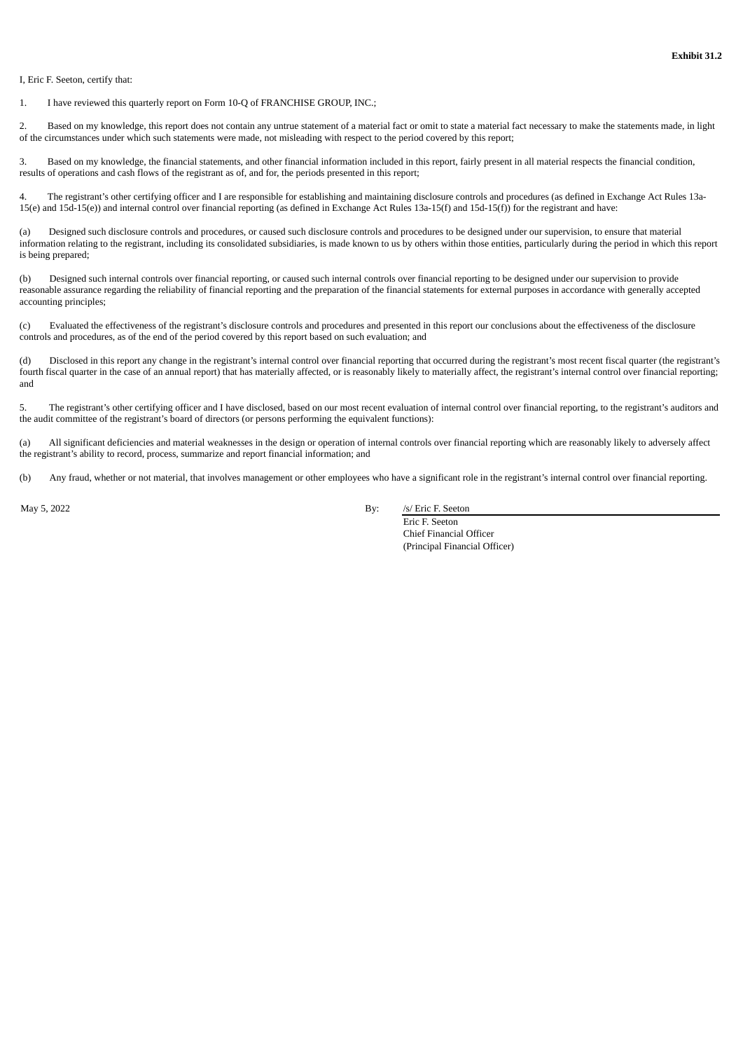I, Eric F. Seeton, certify that:

1. I have reviewed this quarterly report on Form 10-Q of FRANCHISE GROUP, INC.;

2. Based on my knowledge, this report does not contain any untrue statement of a material fact or omit to state a material fact necessary to make the statements made, in light of the circumstances under which such statements were made, not misleading with respect to the period covered by this report;

3. Based on my knowledge, the financial statements, and other financial information included in this report, fairly present in all material respects the financial condition, results of operations and cash flows of the registrant as of, and for, the periods presented in this report;

4. The registrant's other certifying officer and I are responsible for establishing and maintaining disclosure controls and procedures (as defined in Exchange Act Rules 13a-15(e) and 15d-15(e)) and internal control over financial reporting (as defined in Exchange Act Rules 13a-15(f) and 15d-15(f)) for the registrant and have:

(a) Designed such disclosure controls and procedures, or caused such disclosure controls and procedures to be designed under our supervision, to ensure that material information relating to the registrant, including its consolidated subsidiaries, is made known to us by others within those entities, particularly during the period in which this report is being prepared;

(b) Designed such internal controls over financial reporting, or caused such internal controls over financial reporting to be designed under our supervision to provide reasonable assurance regarding the reliability of financial reporting and the preparation of the financial statements for external purposes in accordance with generally accepted accounting principles;

(c) Evaluated the effectiveness of the registrant's disclosure controls and procedures and presented in this report our conclusions about the effectiveness of the disclosure controls and procedures, as of the end of the period covered by this report based on such evaluation; and

(d) Disclosed in this report any change in the registrant's internal control over financial reporting that occurred during the registrant's most recent fiscal quarter (the registrant's fourth fiscal quarter in the case of an annual report) that has materially affected, or is reasonably likely to materially affect, the registrant's internal control over financial reporting; and

5. The registrant's other certifying officer and I have disclosed, based on our most recent evaluation of internal control over financial reporting, to the registrant's auditors and the audit committee of the registrant's board of directors (or persons performing the equivalent functions):

(a) All significant deficiencies and material weaknesses in the design or operation of internal controls over financial reporting which are reasonably likely to adversely affect the registrant's ability to record, process, summarize and report financial information; and

(b) Any fraud, whether or not material, that involves management or other employees who have a significant role in the registrant's internal control over financial reporting.

May 5, 2022 By: /s/ Eric F. Seeton

Eric F. Seeton Chief Financial Officer (Principal Financial Officer)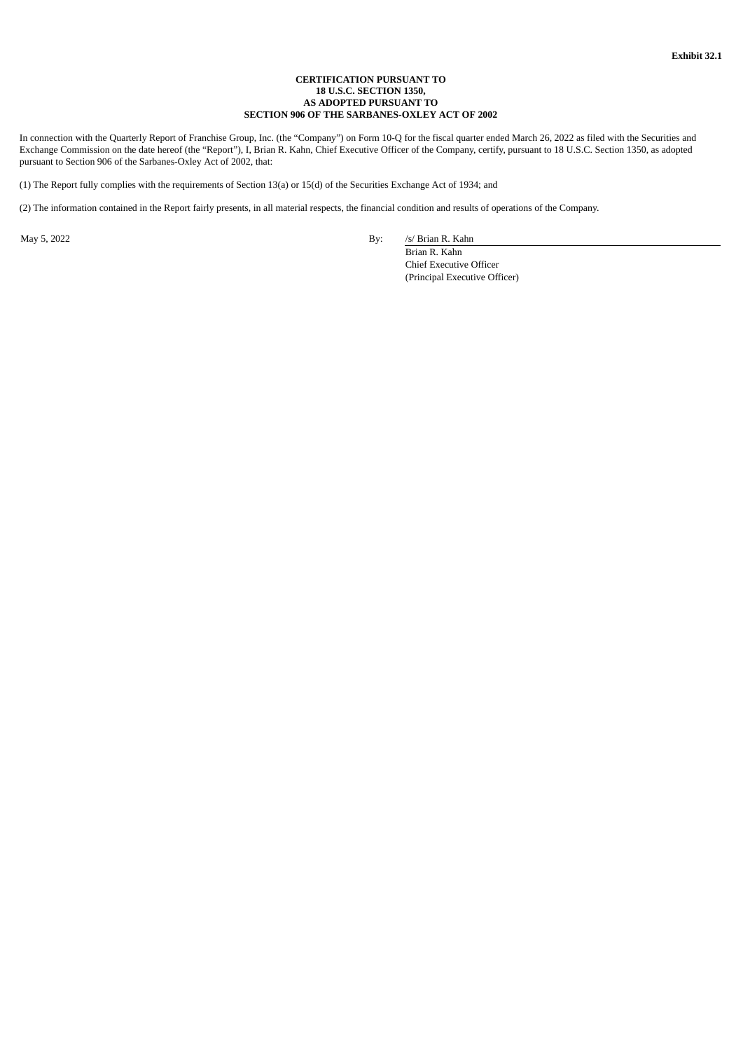## **CERTIFICATION PURSUANT TO 18 U.S.C. SECTION 1350, AS ADOPTED PURSUANT TO SECTION 906 OF THE SARBANES-OXLEY ACT OF 2002**

In connection with the Quarterly Report of Franchise Group, Inc. (the "Company") on Form 10-Q for the fiscal quarter ended March 26, 2022 as filed with the Securities and Exchange Commission on the date hereof (the "Report"), I, Brian R. Kahn, Chief Executive Officer of the Company, certify, pursuant to 18 U.S.C. Section 1350, as adopted pursuant to Section 906 of the Sarbanes-Oxley Act of 2002, that:

(1) The Report fully complies with the requirements of Section 13(a) or 15(d) of the Securities Exchange Act of 1934; and

(2) The information contained in the Report fairly presents, in all material respects, the financial condition and results of operations of the Company.

May 5, 2022 By: /s/ Brian R. Kahn

Brian R. Kahn Chief Executive Officer (Principal Executive Officer)